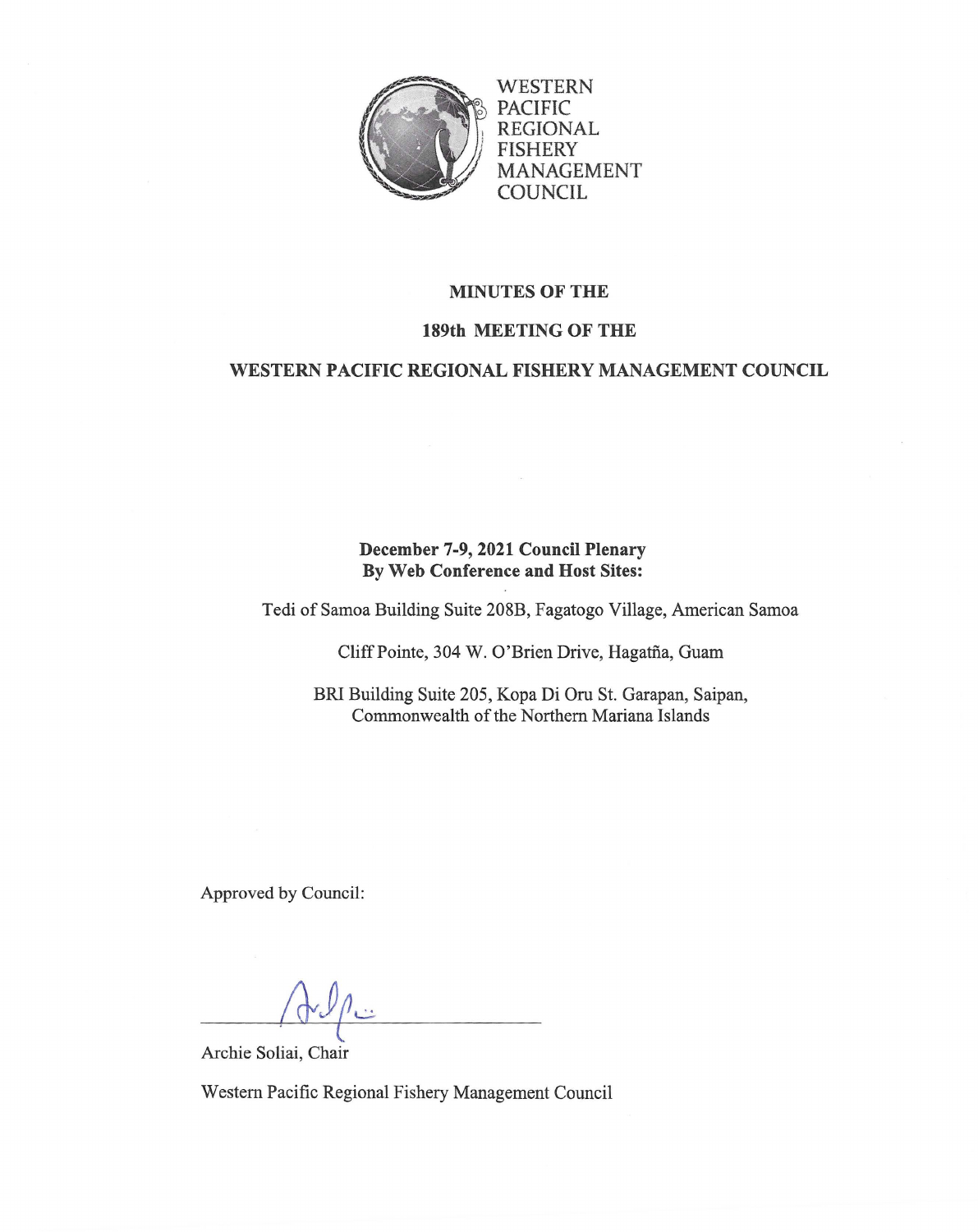

WESTERN PACIFIC REGIONAL FISHERY MANAGEMENT **COUNCIL** 

## **MINUTES OF THE**

## **189th MEETING OF THE**

## **WESTERN PACIFIC REGIONAL FISHERY MANAGEMENT COUNCIL**

# **December 7-9, 2021 Council Plenary By Web Conference and Host Sites:**

Tedi of Samoa Building Suite 208B, Fagatogo Village, American Samoa

Cliff Pointe, 304 W. O'Brien Drive, Hagatña, Guam

BRI Building Suite 205, Kopa Di Oru St. Garapan, Saipan, Commonwealth of the Northern Mariana Islands

Approved by Council:

Archie Soliai, Chair

Western Pacific Regional Fishery Management Council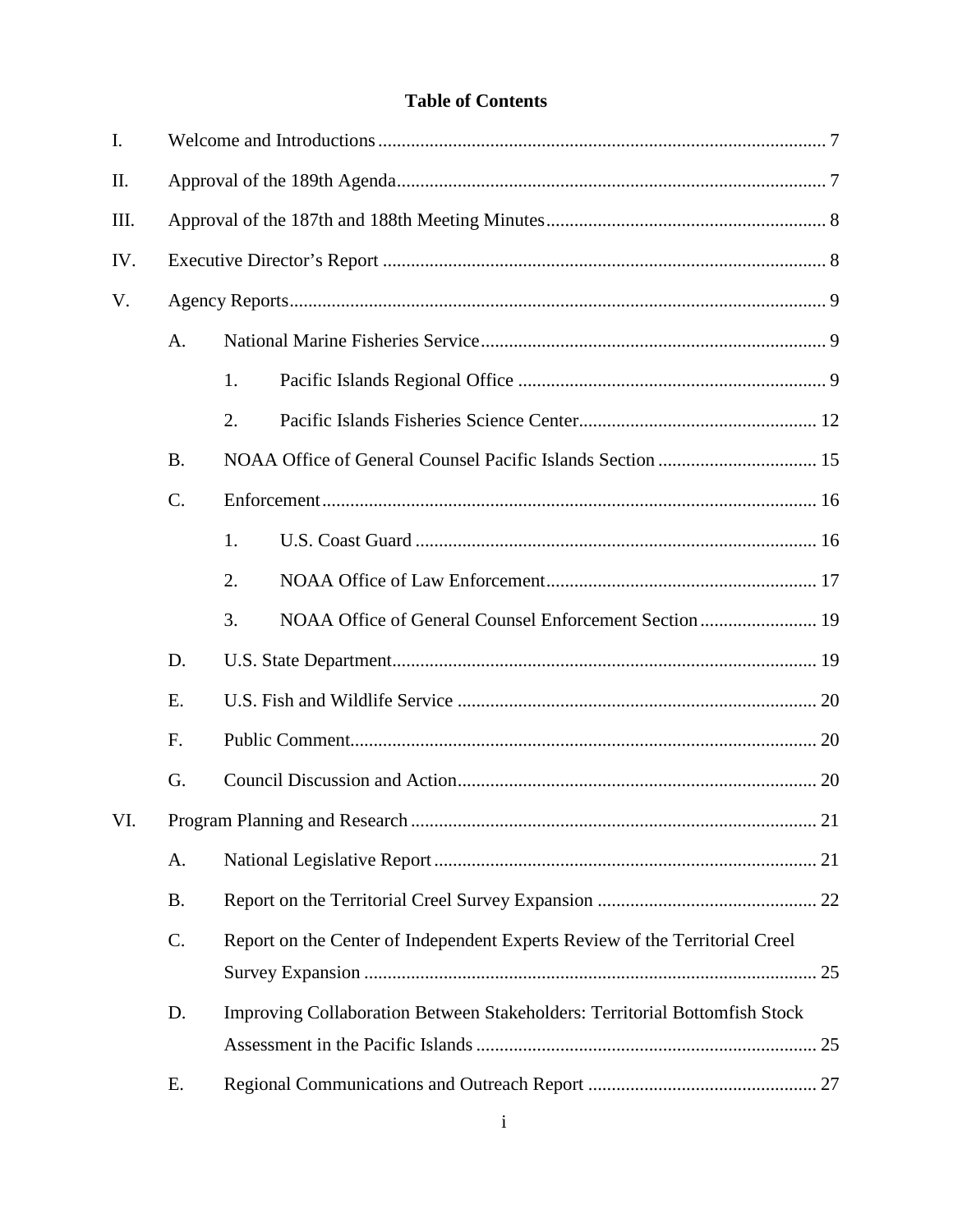# **Table of Contents**

| I.   |           |                                                                             |  |  |  |
|------|-----------|-----------------------------------------------------------------------------|--|--|--|
| II.  |           |                                                                             |  |  |  |
| III. |           |                                                                             |  |  |  |
| IV.  |           |                                                                             |  |  |  |
| V.   |           |                                                                             |  |  |  |
|      | A.        |                                                                             |  |  |  |
|      |           | 1.                                                                          |  |  |  |
|      |           | 2.                                                                          |  |  |  |
|      | <b>B.</b> |                                                                             |  |  |  |
|      | C.        |                                                                             |  |  |  |
|      |           | 1.                                                                          |  |  |  |
|      |           | 2.                                                                          |  |  |  |
|      |           | 3.                                                                          |  |  |  |
|      | D.        |                                                                             |  |  |  |
|      | E.        |                                                                             |  |  |  |
|      | F.        |                                                                             |  |  |  |
|      | G.        |                                                                             |  |  |  |
| VI.  |           |                                                                             |  |  |  |
|      | Α.        |                                                                             |  |  |  |
|      | <b>B.</b> |                                                                             |  |  |  |
|      | C.        | Report on the Center of Independent Experts Review of the Territorial Creel |  |  |  |
|      | D.        | Improving Collaboration Between Stakeholders: Territorial Bottomfish Stock  |  |  |  |
|      | Ε.        |                                                                             |  |  |  |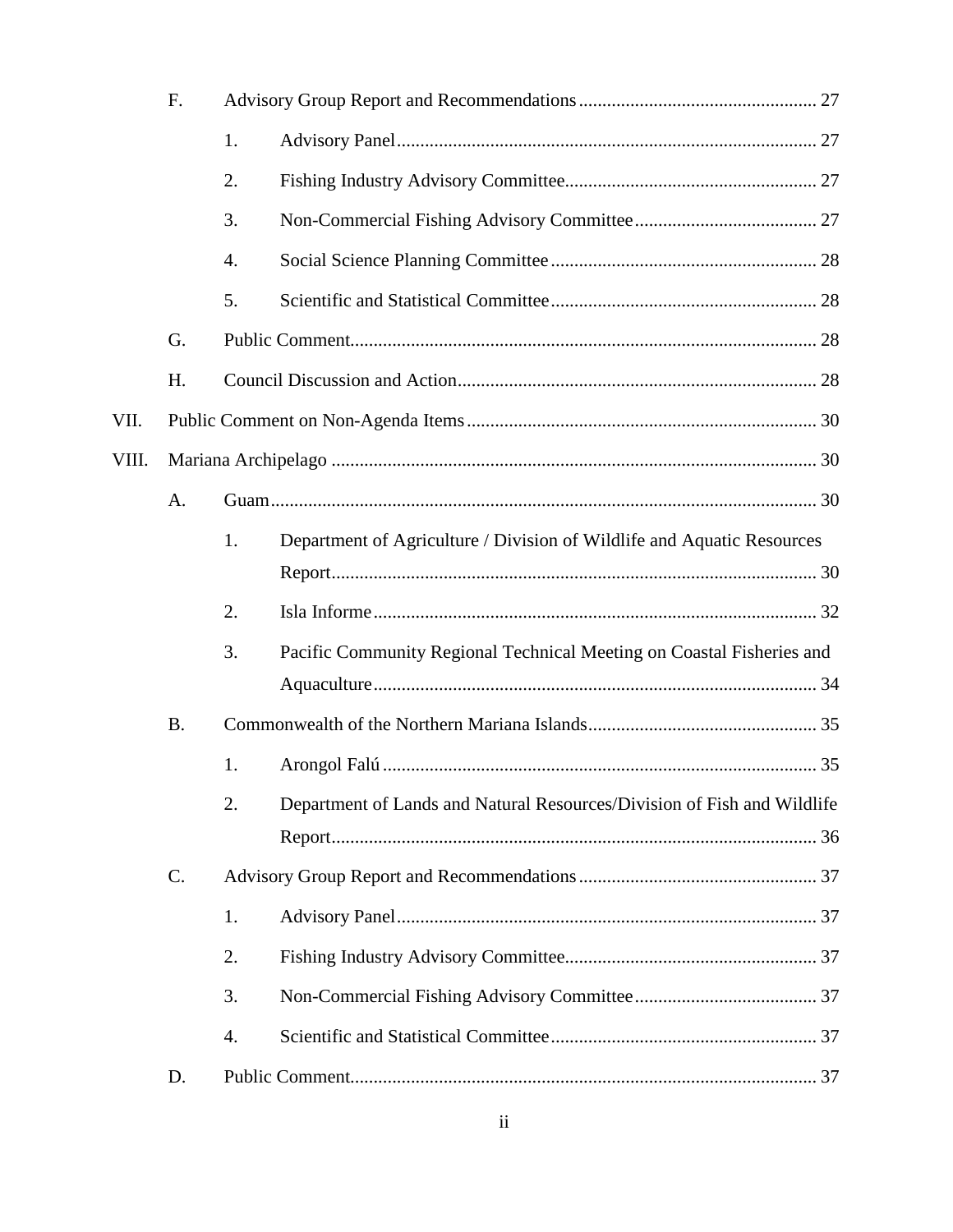|       | F.        |    |                                                                         |  |  |
|-------|-----------|----|-------------------------------------------------------------------------|--|--|
|       |           | 1. |                                                                         |  |  |
|       |           | 2. |                                                                         |  |  |
|       |           | 3. |                                                                         |  |  |
|       |           | 4. |                                                                         |  |  |
|       |           | 5. |                                                                         |  |  |
|       | G.        |    |                                                                         |  |  |
|       | H.        |    |                                                                         |  |  |
| VII.  |           |    |                                                                         |  |  |
| VIII. |           |    |                                                                         |  |  |
|       | A.        |    |                                                                         |  |  |
|       |           | 1. | Department of Agriculture / Division of Wildlife and Aquatic Resources  |  |  |
|       |           |    |                                                                         |  |  |
|       |           | 2. |                                                                         |  |  |
|       |           | 3. | Pacific Community Regional Technical Meeting on Coastal Fisheries and   |  |  |
|       | <b>B.</b> |    |                                                                         |  |  |
|       |           | 1. |                                                                         |  |  |
|       |           | 2. | Department of Lands and Natural Resources/Division of Fish and Wildlife |  |  |
|       |           |    |                                                                         |  |  |
|       | C.        |    |                                                                         |  |  |
|       |           | 1. |                                                                         |  |  |
|       |           | 2. |                                                                         |  |  |
|       |           | 3. |                                                                         |  |  |
|       |           | 4. |                                                                         |  |  |
|       | D.        |    |                                                                         |  |  |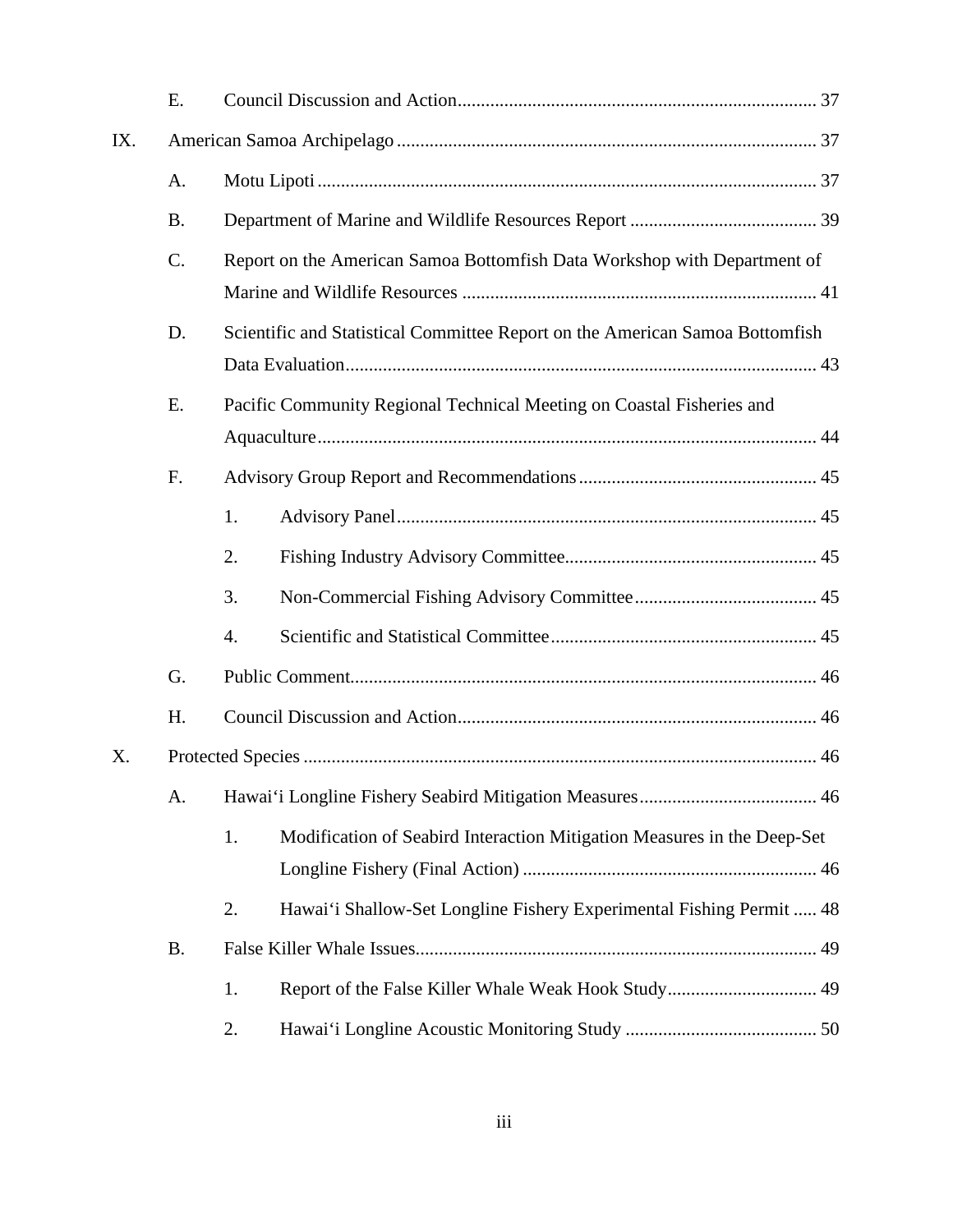|     | E.        |                                                                               |  |  |  |
|-----|-----------|-------------------------------------------------------------------------------|--|--|--|
| IX. |           |                                                                               |  |  |  |
|     | A.        |                                                                               |  |  |  |
|     | <b>B.</b> |                                                                               |  |  |  |
|     | C.        | Report on the American Samoa Bottomfish Data Workshop with Department of      |  |  |  |
|     | D.        | Scientific and Statistical Committee Report on the American Samoa Bottomfish  |  |  |  |
|     | E.        | Pacific Community Regional Technical Meeting on Coastal Fisheries and         |  |  |  |
|     | F.        |                                                                               |  |  |  |
|     |           | 1.                                                                            |  |  |  |
|     |           | 2.                                                                            |  |  |  |
|     |           | 3.                                                                            |  |  |  |
|     |           | 4.                                                                            |  |  |  |
|     | G.        |                                                                               |  |  |  |
|     | H.        |                                                                               |  |  |  |
| X.  |           |                                                                               |  |  |  |
|     | A.        |                                                                               |  |  |  |
|     |           | 1.<br>Modification of Seabird Interaction Mitigation Measures in the Deep-Set |  |  |  |
|     |           | Hawai'i Shallow-Set Longline Fishery Experimental Fishing Permit  48<br>2.    |  |  |  |
|     | <b>B.</b> |                                                                               |  |  |  |
|     |           | 1.                                                                            |  |  |  |
|     |           | 2.                                                                            |  |  |  |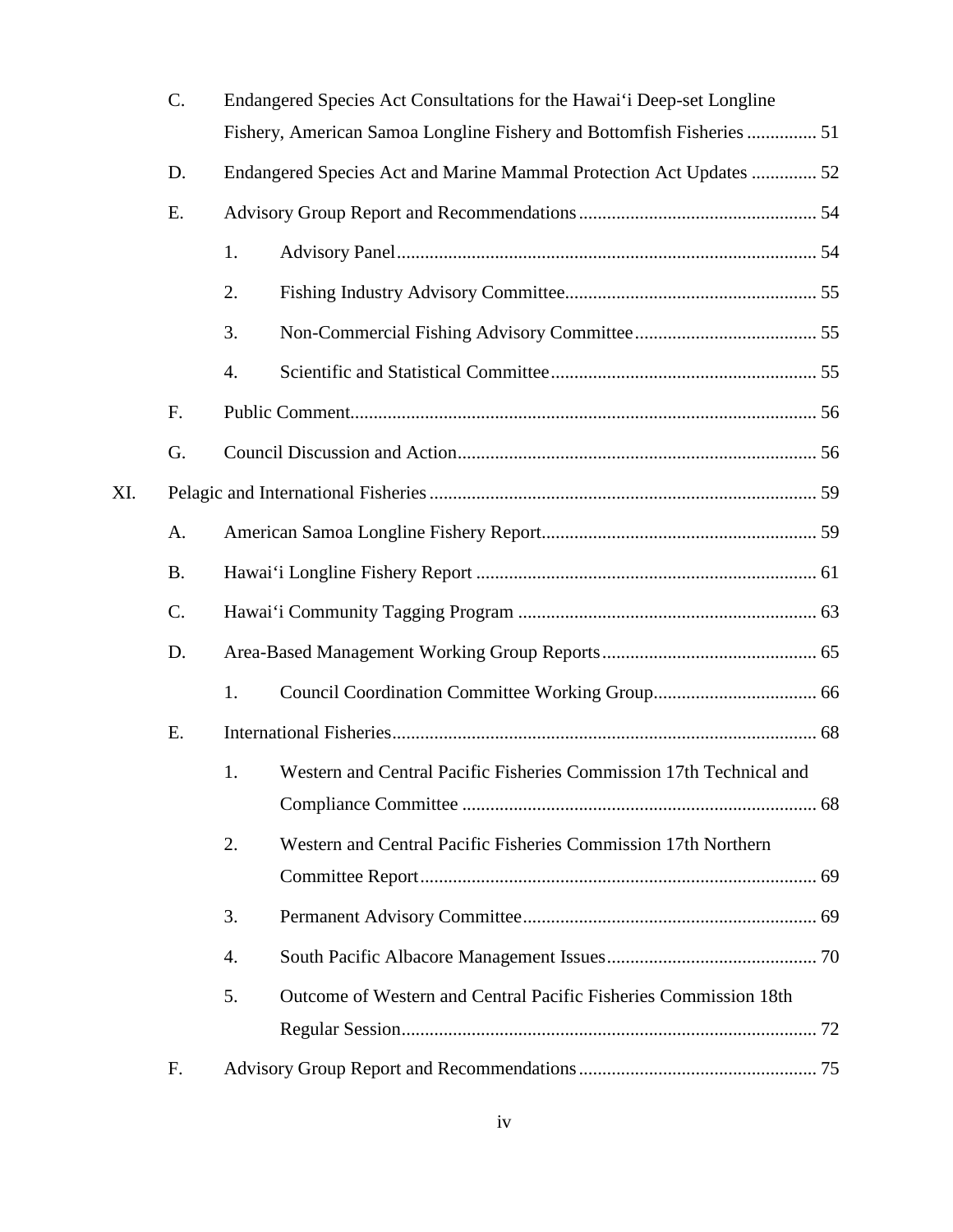|     | C.        | Endangered Species Act Consultations for the Hawai'i Deep-set Longline                                                                                         |                                                                     |  |  |
|-----|-----------|----------------------------------------------------------------------------------------------------------------------------------------------------------------|---------------------------------------------------------------------|--|--|
|     |           | Fishery, American Samoa Longline Fishery and Bottomfish Fisheries  51<br>Endangered Species Act and Marine Mammal Protection Act Updates  52<br>1.<br>2.<br>3. |                                                                     |  |  |
|     | D.        |                                                                                                                                                                |                                                                     |  |  |
|     | E.        |                                                                                                                                                                |                                                                     |  |  |
|     |           |                                                                                                                                                                |                                                                     |  |  |
|     |           |                                                                                                                                                                |                                                                     |  |  |
|     |           |                                                                                                                                                                |                                                                     |  |  |
|     |           | 4.                                                                                                                                                             |                                                                     |  |  |
|     | F.        |                                                                                                                                                                |                                                                     |  |  |
|     | G.        |                                                                                                                                                                |                                                                     |  |  |
| XI. |           |                                                                                                                                                                |                                                                     |  |  |
|     | A.        |                                                                                                                                                                |                                                                     |  |  |
|     | <b>B.</b> |                                                                                                                                                                |                                                                     |  |  |
|     | C.        |                                                                                                                                                                |                                                                     |  |  |
|     | D.        |                                                                                                                                                                |                                                                     |  |  |
|     |           | 1.                                                                                                                                                             |                                                                     |  |  |
|     | Ε.        |                                                                                                                                                                |                                                                     |  |  |
|     |           | 1.                                                                                                                                                             | Western and Central Pacific Fisheries Commission 17th Technical and |  |  |
|     |           | 2.                                                                                                                                                             | Western and Central Pacific Fisheries Commission 17th Northern      |  |  |
|     |           | 3.                                                                                                                                                             |                                                                     |  |  |
|     |           | 4.                                                                                                                                                             |                                                                     |  |  |
|     |           | 5.                                                                                                                                                             | Outcome of Western and Central Pacific Fisheries Commission 18th    |  |  |
|     |           |                                                                                                                                                                |                                                                     |  |  |
|     | F.        |                                                                                                                                                                |                                                                     |  |  |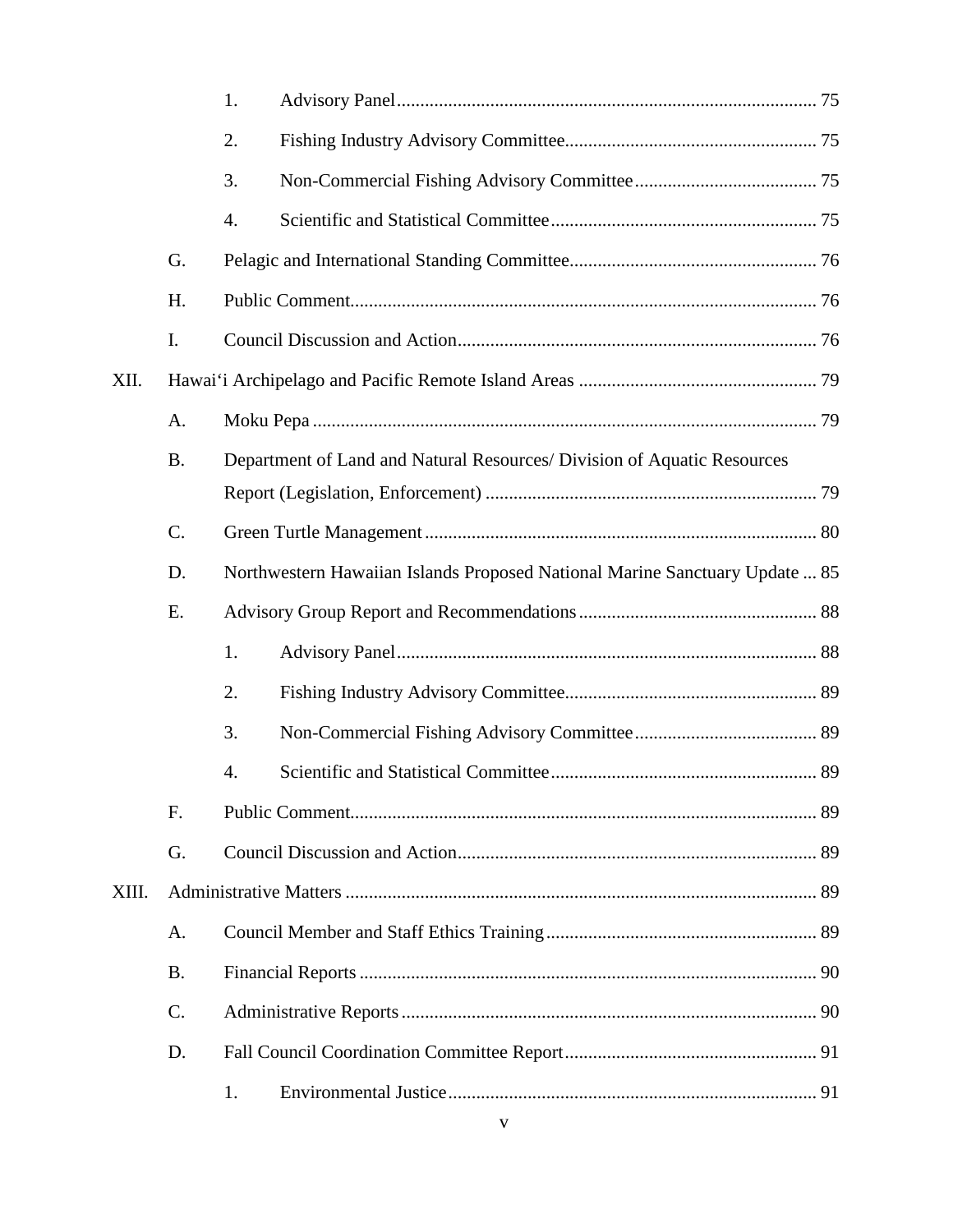|       |                 | 1.                                                                          |  |  |  |  |
|-------|-----------------|-----------------------------------------------------------------------------|--|--|--|--|
|       |                 | 2.                                                                          |  |  |  |  |
|       |                 | 3.                                                                          |  |  |  |  |
|       |                 | 4.                                                                          |  |  |  |  |
|       | G.              |                                                                             |  |  |  |  |
|       | H.              |                                                                             |  |  |  |  |
|       | I.              |                                                                             |  |  |  |  |
| XII.  |                 |                                                                             |  |  |  |  |
|       | A.              |                                                                             |  |  |  |  |
|       | <b>B.</b>       | Department of Land and Natural Resources/ Division of Aquatic Resources     |  |  |  |  |
|       |                 |                                                                             |  |  |  |  |
|       | C.              |                                                                             |  |  |  |  |
|       | D.              | Northwestern Hawaiian Islands Proposed National Marine Sanctuary Update  85 |  |  |  |  |
|       | E.              |                                                                             |  |  |  |  |
|       |                 | 1.                                                                          |  |  |  |  |
|       |                 | 2.                                                                          |  |  |  |  |
|       |                 | 3.                                                                          |  |  |  |  |
|       |                 | 4.                                                                          |  |  |  |  |
|       | F.              |                                                                             |  |  |  |  |
|       | G.              |                                                                             |  |  |  |  |
| XIII. |                 |                                                                             |  |  |  |  |
|       | A.              |                                                                             |  |  |  |  |
|       | <b>B.</b>       |                                                                             |  |  |  |  |
|       | $\mathcal{C}$ . |                                                                             |  |  |  |  |
|       | D.              |                                                                             |  |  |  |  |
|       |                 | 1.                                                                          |  |  |  |  |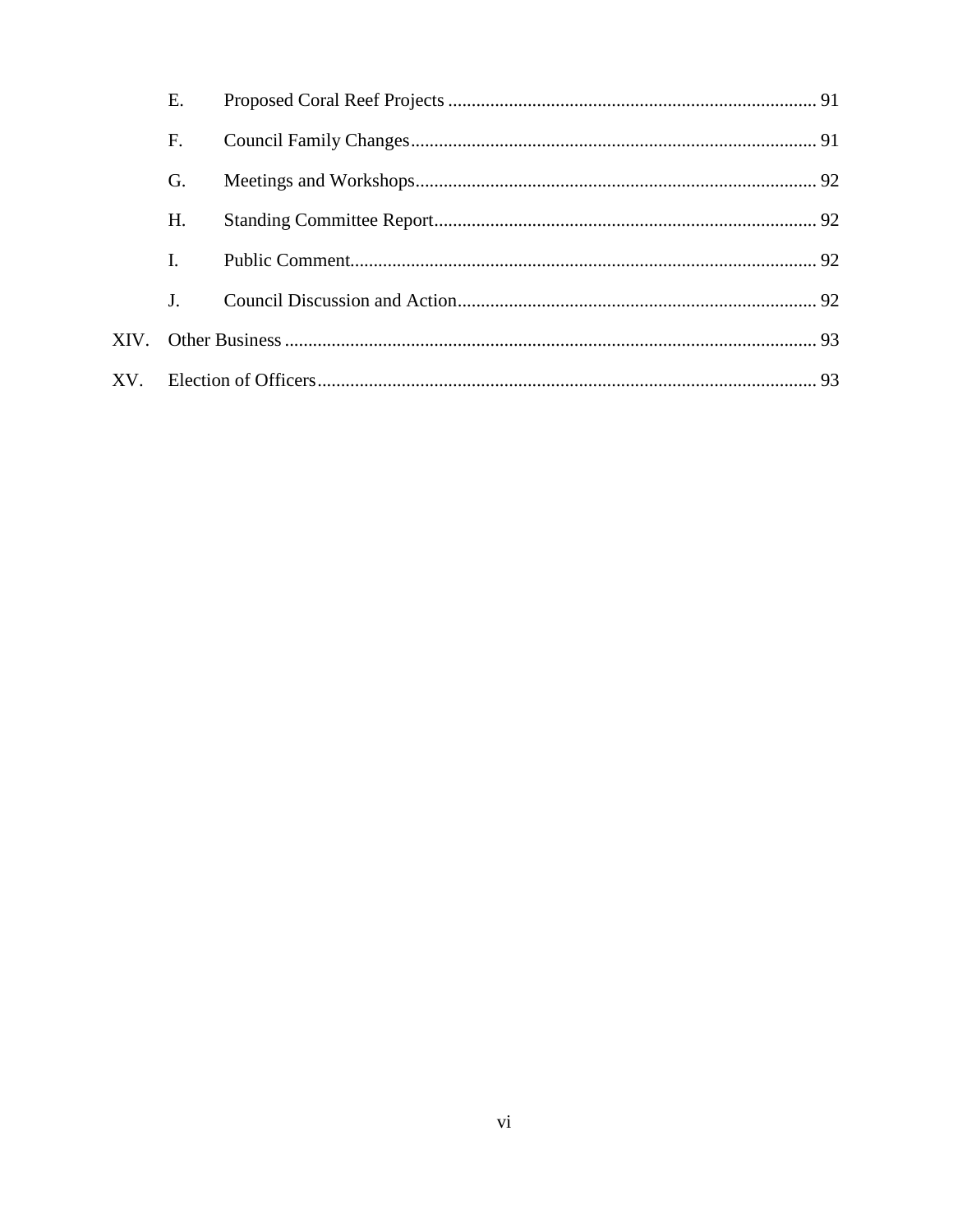| Е.             |  |  |
|----------------|--|--|
| F.             |  |  |
| G.             |  |  |
| H.             |  |  |
| I.             |  |  |
| J <sub>1</sub> |  |  |
|                |  |  |
|                |  |  |
|                |  |  |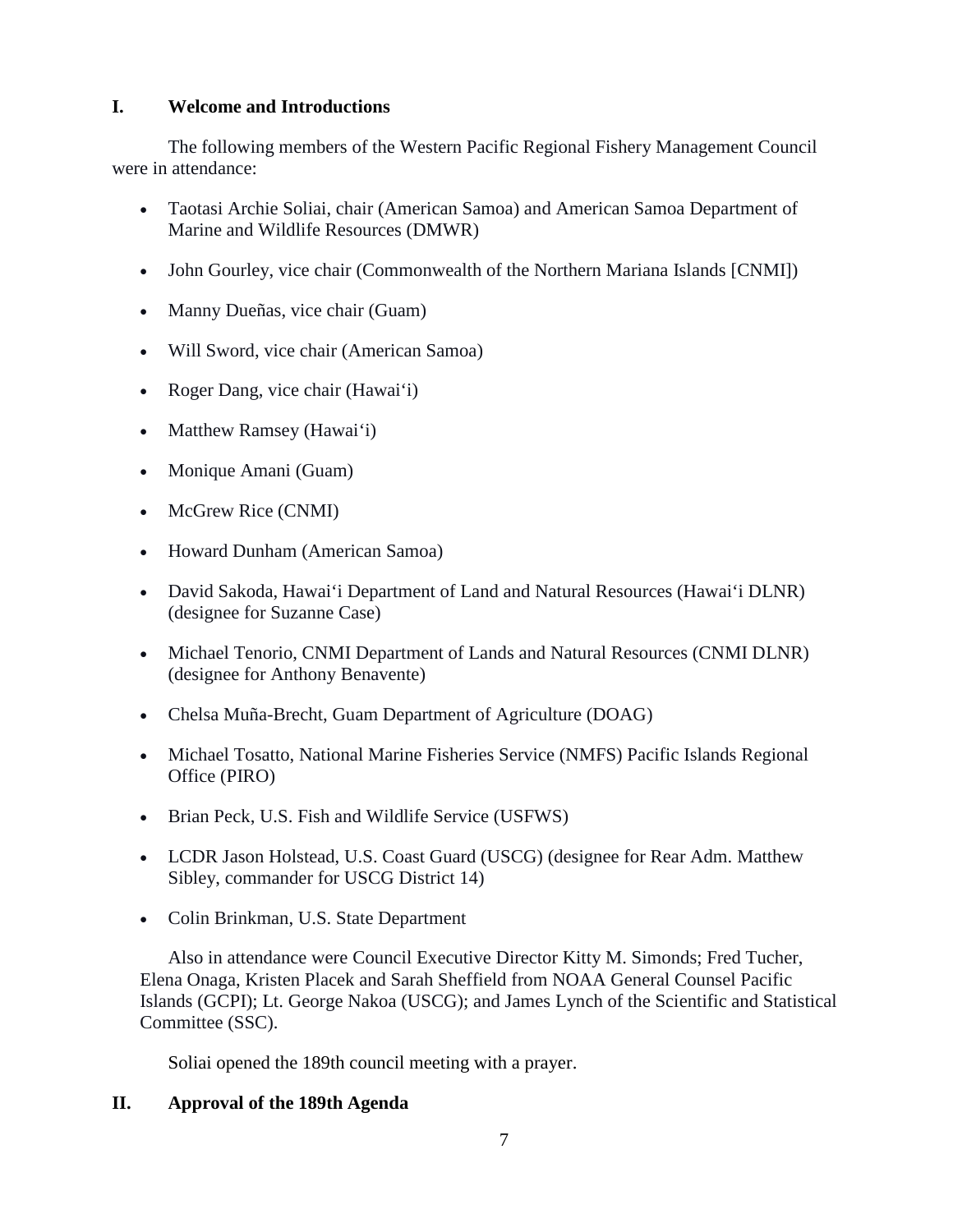## **I. Welcome and Introductions**

The following members of the Western Pacific Regional Fishery Management Council were in attendance:

- Taotasi Archie Soliai, chair (American Samoa) and American Samoa Department of Marine and Wildlife Resources (DMWR)
- John Gourley, vice chair (Commonwealth of the Northern Mariana Islands [CNMI])
- Manny Dueñas, vice chair (Guam)
- Will Sword, vice chair (American Samoa)
- Roger Dang, vice chair (Hawai'i)
- Matthew Ramsey (Hawai'i)
- Monique Amani (Guam)
- McGrew Rice (CNMI)
- Howard Dunham (American Samoa)
- David Sakoda, Hawai'i Department of Land and Natural Resources (Hawai'i DLNR) (designee for Suzanne Case)
- Michael Tenorio, CNMI Department of Lands and Natural Resources (CNMI DLNR) (designee for Anthony Benavente)
- Chelsa Muña-Brecht, Guam Department of Agriculture (DOAG)
- Michael Tosatto, National Marine Fisheries Service (NMFS) Pacific Islands Regional Office (PIRO)
- Brian Peck, U.S. Fish and Wildlife Service (USFWS)
- LCDR Jason Holstead, U.S. Coast Guard (USCG) (designee for Rear Adm. Matthew Sibley, commander for USCG District 14)
- Colin Brinkman, U.S. State Department

Also in attendance were Council Executive Director Kitty M. Simonds; Fred Tucher, Elena Onaga, Kristen Placek and Sarah Sheffield from NOAA General Counsel Pacific Islands (GCPI); Lt. George Nakoa (USCG); and James Lynch of the Scientific and Statistical Committee (SSC).

Soliai opened the 189th council meeting with a prayer.

# **II. Approval of the 189th Agenda**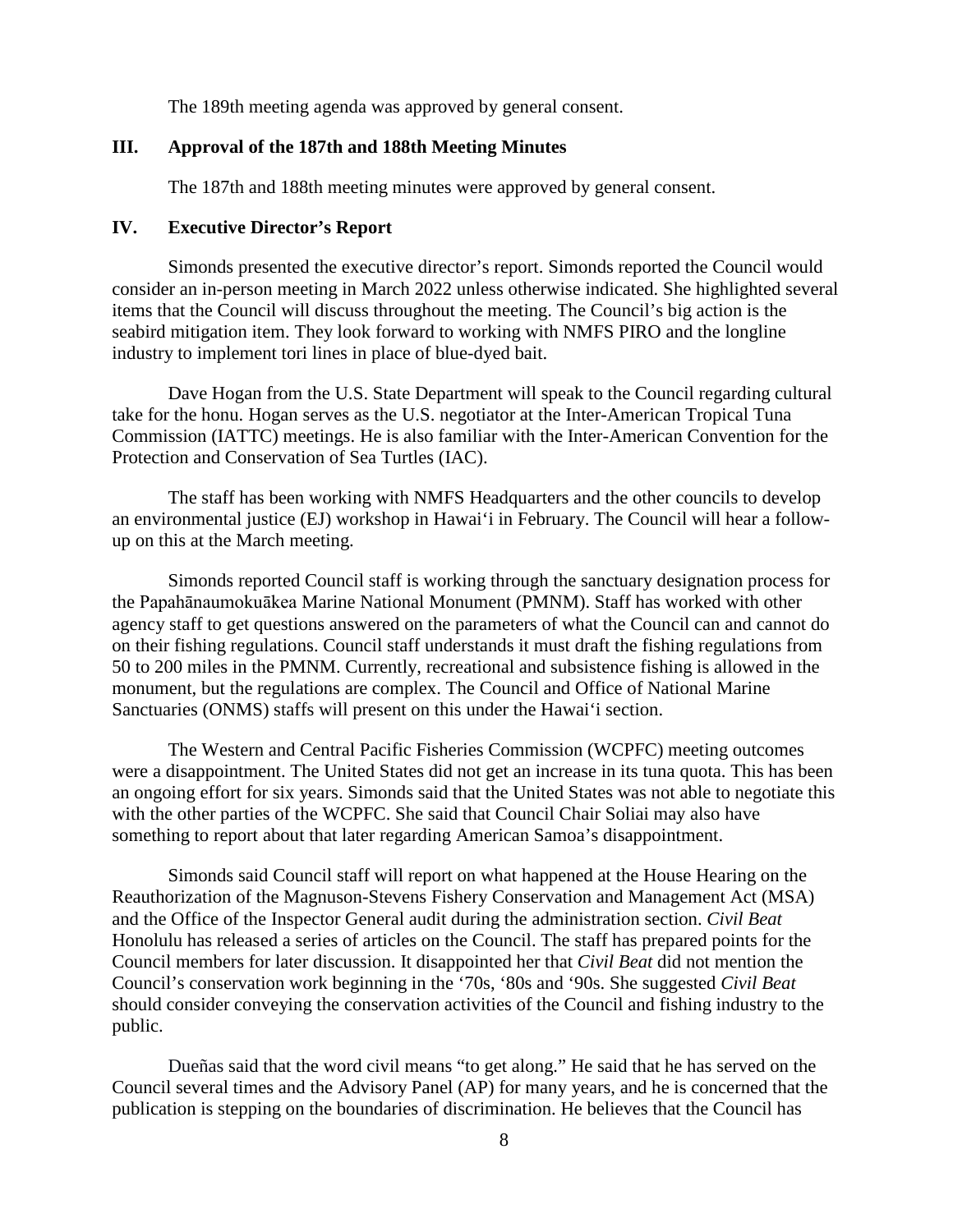The 189th meeting agenda was approved by general consent.

## **III. Approval of the 187th and 188th Meeting Minutes**

The 187th and 188th meeting minutes were approved by general consent.

#### **IV. Executive Director's Report**

Simonds presented the executive director's report. Simonds reported the Council would consider an in-person meeting in March 2022 unless otherwise indicated. She highlighted several items that the Council will discuss throughout the meeting. The Council's big action is the seabird mitigation item. They look forward to working with NMFS PIRO and the longline industry to implement tori lines in place of blue-dyed bait.

Dave Hogan from the U.S. State Department will speak to the Council regarding cultural take for the honu. Hogan serves as the U.S. negotiator at the Inter-American Tropical Tuna Commission (IATTC) meetings. He is also familiar with the Inter-American Convention for the Protection and Conservation of Sea Turtles (IAC).

The staff has been working with NMFS Headquarters and the other councils to develop an environmental justice (EJ) workshop in Hawai'i in February. The Council will hear a followup on this at the March meeting.

Simonds reported Council staff is working through the sanctuary designation process for the Papahānaumokuākea Marine National Monument (PMNM). Staff has worked with other agency staff to get questions answered on the parameters of what the Council can and cannot do on their fishing regulations. Council staff understands it must draft the fishing regulations from 50 to 200 miles in the PMNM. Currently, recreational and subsistence fishing is allowed in the monument, but the regulations are complex. The Council and Office of National Marine Sanctuaries (ONMS) staffs will present on this under the Hawai'i section.

The Western and Central Pacific Fisheries Commission (WCPFC) meeting outcomes were a disappointment. The United States did not get an increase in its tuna quota. This has been an ongoing effort for six years. Simonds said that the United States was not able to negotiate this with the other parties of the WCPFC. She said that Council Chair Soliai may also have something to report about that later regarding American Samoa's disappointment.

Simonds said Council staff will report on what happened at the House Hearing on the Reauthorization of the Magnuson-Stevens Fishery Conservation and Management Act (MSA) and the Office of the Inspector General audit during the administration section. *Civil Beat* Honolulu has released a series of articles on the Council. The staff has prepared points for the Council members for later discussion. It disappointed her that *Civil Beat* did not mention the Council's conservation work beginning in the '70s, '80s and '90s. She suggested *Civil Beat* should consider conveying the conservation activities of the Council and fishing industry to the public.

Dueñas said that the word civil means "to get along." He said that he has served on the Council several times and the Advisory Panel (AP) for many years, and he is concerned that the publication is stepping on the boundaries of discrimination. He believes that the Council has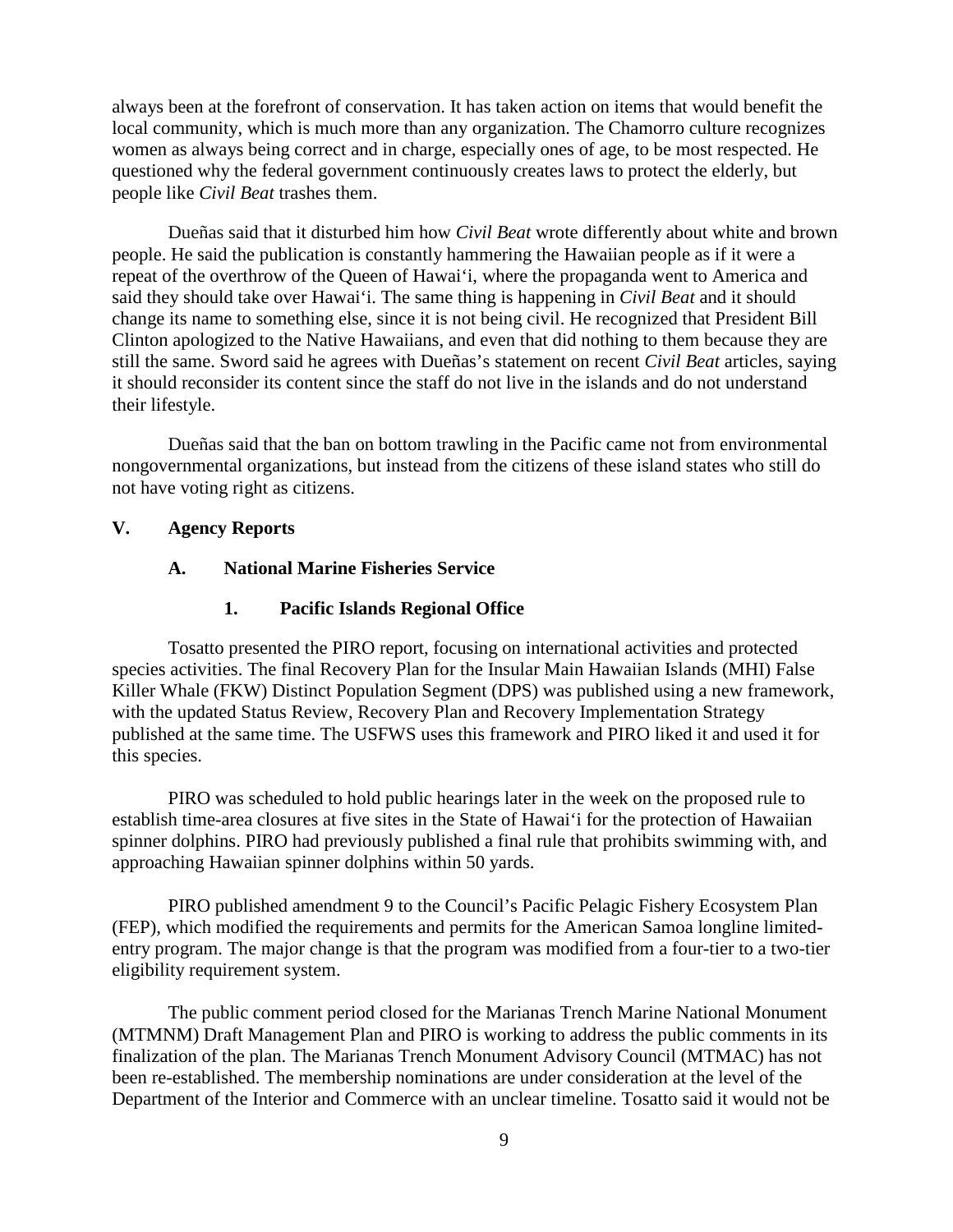always been at the forefront of conservation. It has taken action on items that would benefit the local community, which is much more than any organization. The Chamorro culture recognizes women as always being correct and in charge, especially ones of age, to be most respected. He questioned why the federal government continuously creates laws to protect the elderly, but people like *Civil Beat* trashes them.

Dueñas said that it disturbed him how *Civil Beat* wrote differently about white and brown people. He said the publication is constantly hammering the Hawaiian people as if it were a repeat of the overthrow of the Queen of Hawai'i, where the propaganda went to America and said they should take over Hawai'i. The same thing is happening in *Civil Beat* and it should change its name to something else, since it is not being civil. He recognized that President Bill Clinton apologized to the Native Hawaiians, and even that did nothing to them because they are still the same. Sword said he agrees with Dueñas's statement on recent *Civil Beat* articles, saying it should reconsider its content since the staff do not live in the islands and do not understand their lifestyle.

Dueñas said that the ban on bottom trawling in the Pacific came not from environmental nongovernmental organizations, but instead from the citizens of these island states who still do not have voting right as citizens.

#### **V. Agency Reports**

#### **A. National Marine Fisheries Service**

### **1. Pacific Islands Regional Office**

Tosatto presented the PIRO report, focusing on international activities and protected species activities. The final Recovery Plan for the Insular Main Hawaiian Islands (MHI) False Killer Whale (FKW) Distinct Population Segment (DPS) was published using a new framework, with the updated Status Review, Recovery Plan and Recovery Implementation Strategy published at the same time. The USFWS uses this framework and PIRO liked it and used it for this species.

PIRO was scheduled to hold public hearings later in the week on the proposed rule to establish time-area closures at five sites in the State of Hawai'i for the protection of Hawaiian spinner dolphins. PIRO had previously published a final rule that prohibits swimming with, and approaching Hawaiian spinner dolphins within 50 yards.

 PIRO published amendment 9 to the Council's Pacific Pelagic Fishery Ecosystem Plan (FEP), which modified the requirements and permits for the American Samoa longline limitedentry program. The major change is that the program was modified from a four-tier to a two-tier eligibility requirement system.

 The public comment period closed for the Marianas Trench Marine National Monument (MTMNM) Draft Management Plan and PIRO is working to address the public comments in its finalization of the plan. The Marianas Trench Monument Advisory Council (MTMAC) has not been re-established. The membership nominations are under consideration at the level of the Department of the Interior and Commerce with an unclear timeline. Tosatto said it would not be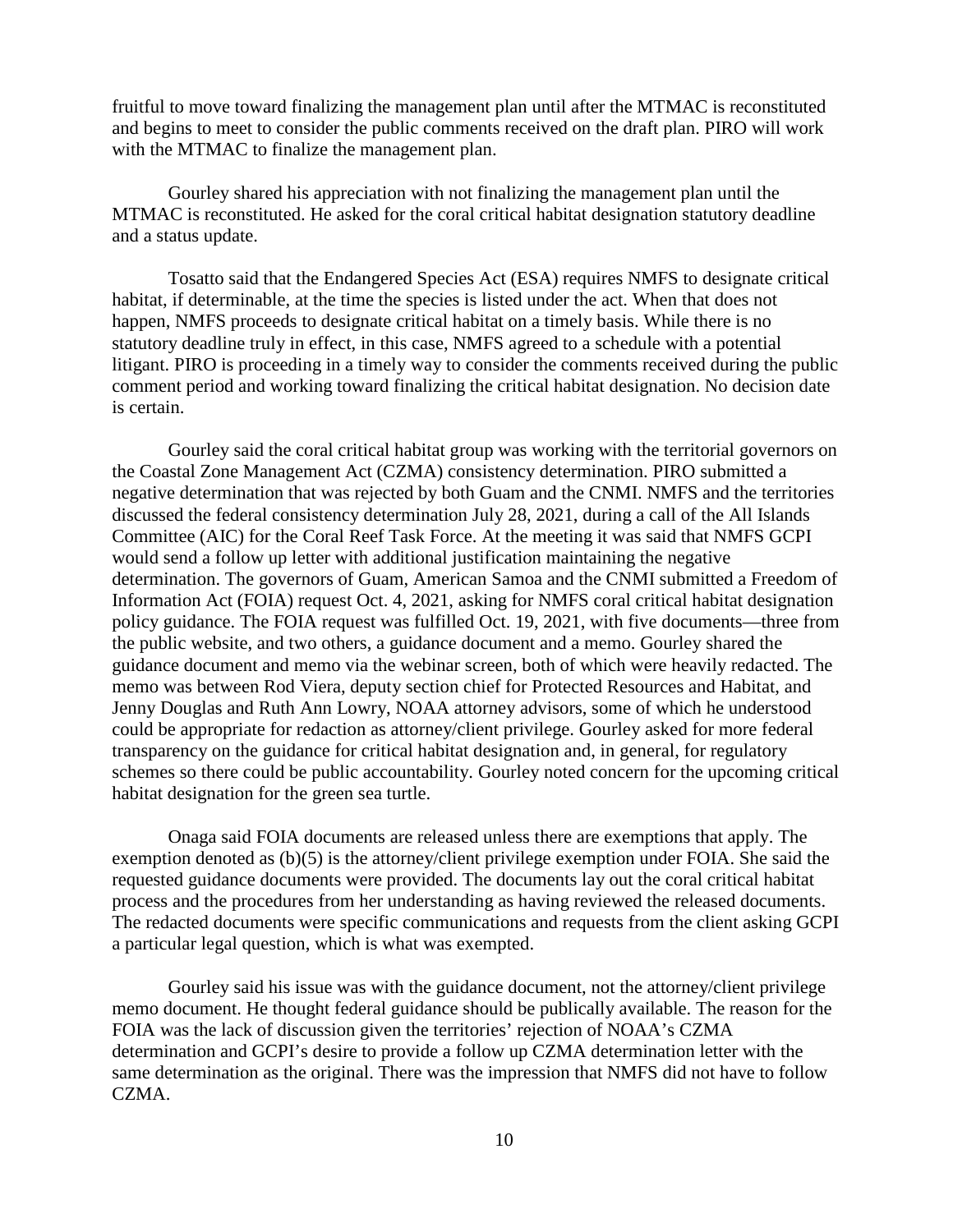fruitful to move toward finalizing the management plan until after the MTMAC is reconstituted and begins to meet to consider the public comments received on the draft plan. PIRO will work with the MTMAC to finalize the management plan.

Gourley shared his appreciation with not finalizing the management plan until the MTMAC is reconstituted. He asked for the coral critical habitat designation statutory deadline and a status update.

Tosatto said that the Endangered Species Act (ESA) requires NMFS to designate critical habitat, if determinable, at the time the species is listed under the act. When that does not happen, NMFS proceeds to designate critical habitat on a timely basis. While there is no statutory deadline truly in effect, in this case, NMFS agreed to a schedule with a potential litigant. PIRO is proceeding in a timely way to consider the comments received during the public comment period and working toward finalizing the critical habitat designation. No decision date is certain.

Gourley said the coral critical habitat group was working with the territorial governors on the Coastal Zone Management Act (CZMA) consistency determination. PIRO submitted a negative determination that was rejected by both Guam and the CNMI. NMFS and the territories discussed the federal consistency determination July 28, 2021, during a call of the All Islands Committee (AIC) for the Coral Reef Task Force. At the meeting it was said that NMFS GCPI would send a follow up letter with additional justification maintaining the negative determination. The governors of Guam, American Samoa and the CNMI submitted a Freedom of Information Act (FOIA) request Oct. 4, 2021, asking for NMFS coral critical habitat designation policy guidance. The FOIA request was fulfilled Oct. 19, 2021, with five documents—three from the public website, and two others, a guidance document and a memo. Gourley shared the guidance document and memo via the webinar screen, both of which were heavily redacted. The memo was between Rod Viera, deputy section chief for Protected Resources and Habitat, and Jenny Douglas and Ruth Ann Lowry, NOAA attorney advisors, some of which he understood could be appropriate for redaction as attorney/client privilege. Gourley asked for more federal transparency on the guidance for critical habitat designation and, in general, for regulatory schemes so there could be public accountability. Gourley noted concern for the upcoming critical habitat designation for the green sea turtle.

 Onaga said FOIA documents are released unless there are exemptions that apply. The exemption denoted as (b)(5) is the attorney/client privilege exemption under FOIA. She said the requested guidance documents were provided. The documents lay out the coral critical habitat process and the procedures from her understanding as having reviewed the released documents. The redacted documents were specific communications and requests from the client asking GCPI a particular legal question, which is what was exempted.

Gourley said his issue was with the guidance document, not the attorney/client privilege memo document. He thought federal guidance should be publically available. The reason for the FOIA was the lack of discussion given the territories' rejection of NOAA's CZMA determination and GCPI's desire to provide a follow up CZMA determination letter with the same determination as the original. There was the impression that NMFS did not have to follow CZMA.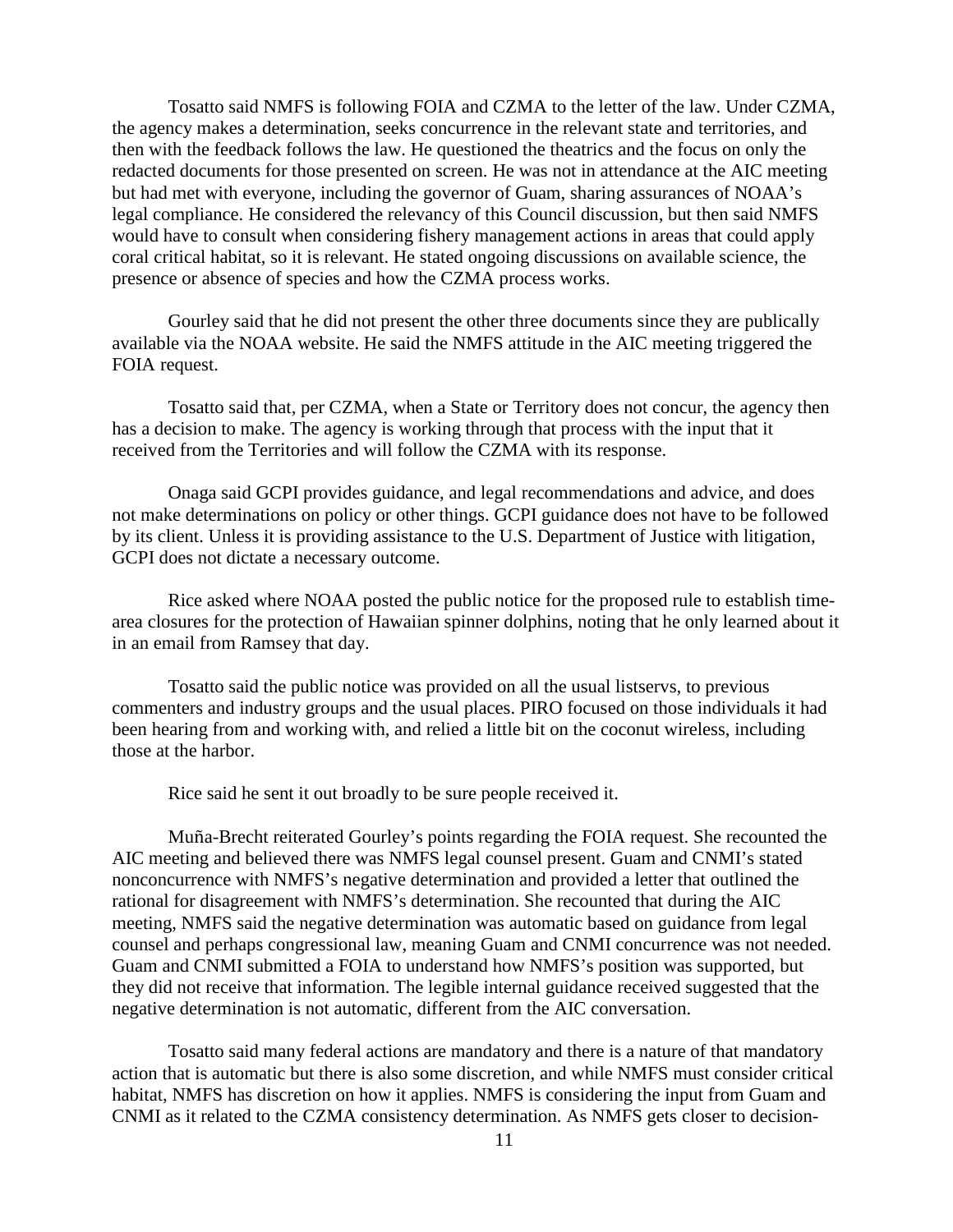Tosatto said NMFS is following FOIA and CZMA to the letter of the law. Under CZMA, the agency makes a determination, seeks concurrence in the relevant state and territories, and then with the feedback follows the law. He questioned the theatrics and the focus on only the redacted documents for those presented on screen. He was not in attendance at the AIC meeting but had met with everyone, including the governor of Guam, sharing assurances of NOAA's legal compliance. He considered the relevancy of this Council discussion, but then said NMFS would have to consult when considering fishery management actions in areas that could apply coral critical habitat, so it is relevant. He stated ongoing discussions on available science, the presence or absence of species and how the CZMA process works.

Gourley said that he did not present the other three documents since they are publically available via the NOAA website. He said the NMFS attitude in the AIC meeting triggered the FOIA request.

Tosatto said that, per CZMA, when a State or Territory does not concur, the agency then has a decision to make. The agency is working through that process with the input that it received from the Territories and will follow the CZMA with its response.

Onaga said GCPI provides guidance, and legal recommendations and advice, and does not make determinations on policy or other things. GCPI guidance does not have to be followed by its client. Unless it is providing assistance to the U.S. Department of Justice with litigation, GCPI does not dictate a necessary outcome.

Rice asked where NOAA posted the public notice for the proposed rule to establish timearea closures for the protection of Hawaiian spinner dolphins, noting that he only learned about it in an email from Ramsey that day.

 Tosatto said the public notice was provided on all the usual listservs, to previous commenters and industry groups and the usual places. PIRO focused on those individuals it had been hearing from and working with, and relied a little bit on the coconut wireless, including those at the harbor.

Rice said he sent it out broadly to be sure people received it.

Muña-Brecht reiterated Gourley's points regarding the FOIA request. She recounted the AIC meeting and believed there was NMFS legal counsel present. Guam and CNMI's stated nonconcurrence with NMFS's negative determination and provided a letter that outlined the rational for disagreement with NMFS's determination. She recounted that during the AIC meeting, NMFS said the negative determination was automatic based on guidance from legal counsel and perhaps congressional law, meaning Guam and CNMI concurrence was not needed. Guam and CNMI submitted a FOIA to understand how NMFS's position was supported, but they did not receive that information. The legible internal guidance received suggested that the negative determination is not automatic, different from the AIC conversation.

Tosatto said many federal actions are mandatory and there is a nature of that mandatory action that is automatic but there is also some discretion, and while NMFS must consider critical habitat, NMFS has discretion on how it applies. NMFS is considering the input from Guam and CNMI as it related to the CZMA consistency determination. As NMFS gets closer to decision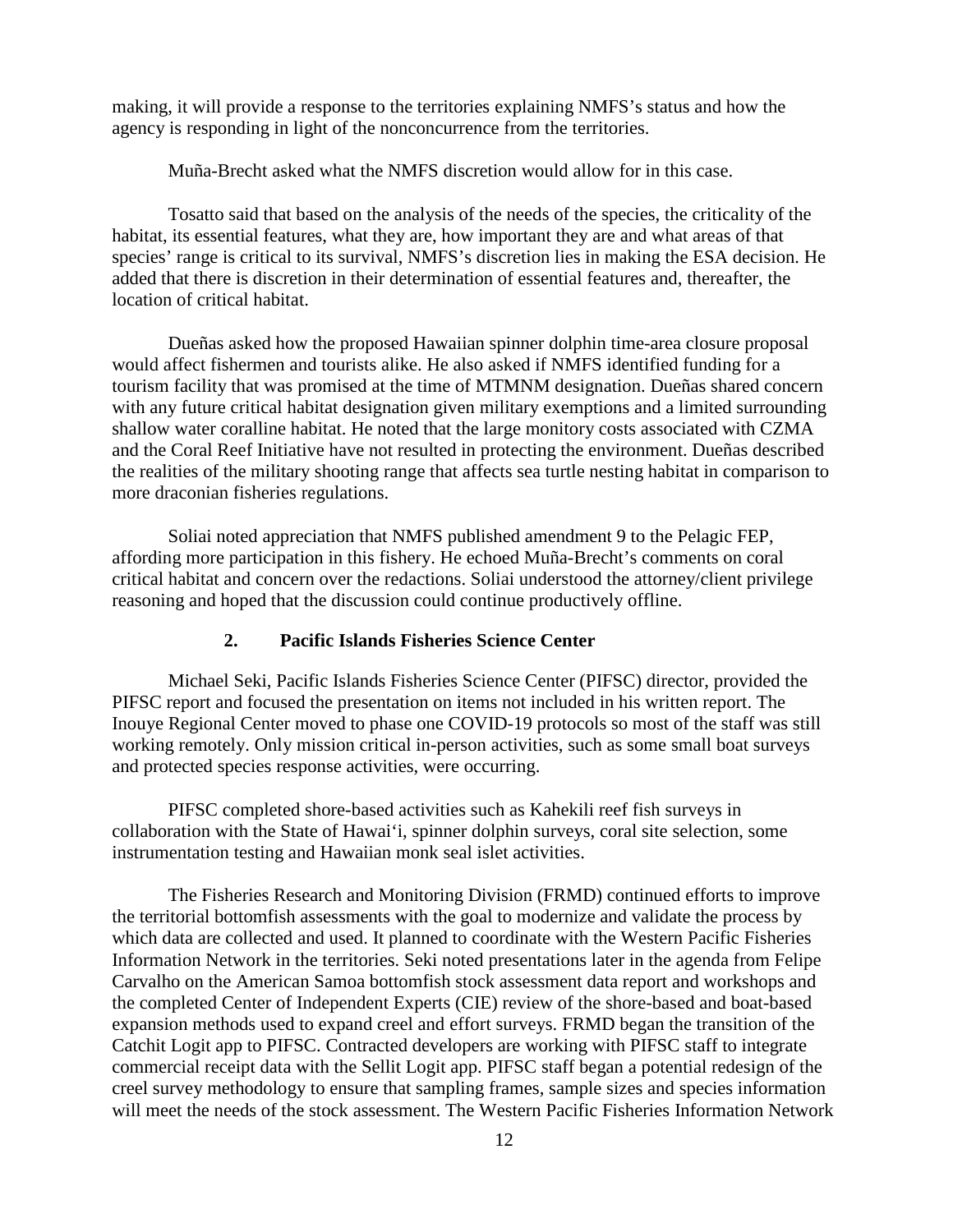making, it will provide a response to the territories explaining NMFS's status and how the agency is responding in light of the nonconcurrence from the territories.

Muña-Brecht asked what the NMFS discretion would allow for in this case.

Tosatto said that based on the analysis of the needs of the species, the criticality of the habitat, its essential features, what they are, how important they are and what areas of that species' range is critical to its survival, NMFS's discretion lies in making the ESA decision. He added that there is discretion in their determination of essential features and, thereafter, the location of critical habitat.

Dueñas asked how the proposed Hawaiian spinner dolphin time-area closure proposal would affect fishermen and tourists alike. He also asked if NMFS identified funding for a tourism facility that was promised at the time of MTMNM designation. Dueñas shared concern with any future critical habitat designation given military exemptions and a limited surrounding shallow water coralline habitat. He noted that the large monitory costs associated with CZMA and the Coral Reef Initiative have not resulted in protecting the environment. Dueñas described the realities of the military shooting range that affects sea turtle nesting habitat in comparison to more draconian fisheries regulations.

Soliai noted appreciation that NMFS published amendment 9 to the Pelagic FEP, affording more participation in this fishery. He echoed Muña-Brecht's comments on coral critical habitat and concern over the redactions. Soliai understood the attorney/client privilege reasoning and hoped that the discussion could continue productively offline.

### **2. Pacific Islands Fisheries Science Center**

Michael Seki, Pacific Islands Fisheries Science Center (PIFSC) director, provided the PIFSC report and focused the presentation on items not included in his written report. The Inouye Regional Center moved to phase one COVID-19 protocols so most of the staff was still working remotely. Only mission critical in-person activities, such as some small boat surveys and protected species response activities, were occurring.

PIFSC completed shore-based activities such as Kahekili reef fish surveys in collaboration with the State of Hawai'i, spinner dolphin surveys, coral site selection, some instrumentation testing and Hawaiian monk seal islet activities.

The Fisheries Research and Monitoring Division (FRMD) continued efforts to improve the territorial bottomfish assessments with the goal to modernize and validate the process by which data are collected and used. It planned to coordinate with the Western Pacific Fisheries Information Network in the territories. Seki noted presentations later in the agenda from Felipe Carvalho on the American Samoa bottomfish stock assessment data report and workshops and the completed Center of Independent Experts (CIE) review of the shore-based and boat-based expansion methods used to expand creel and effort surveys. FRMD began the transition of the Catchit Logit app to PIFSC. Contracted developers are working with PIFSC staff to integrate commercial receipt data with the Sellit Logit app. PIFSC staff began a potential redesign of the creel survey methodology to ensure that sampling frames, sample sizes and species information will meet the needs of the stock assessment. The Western Pacific Fisheries Information Network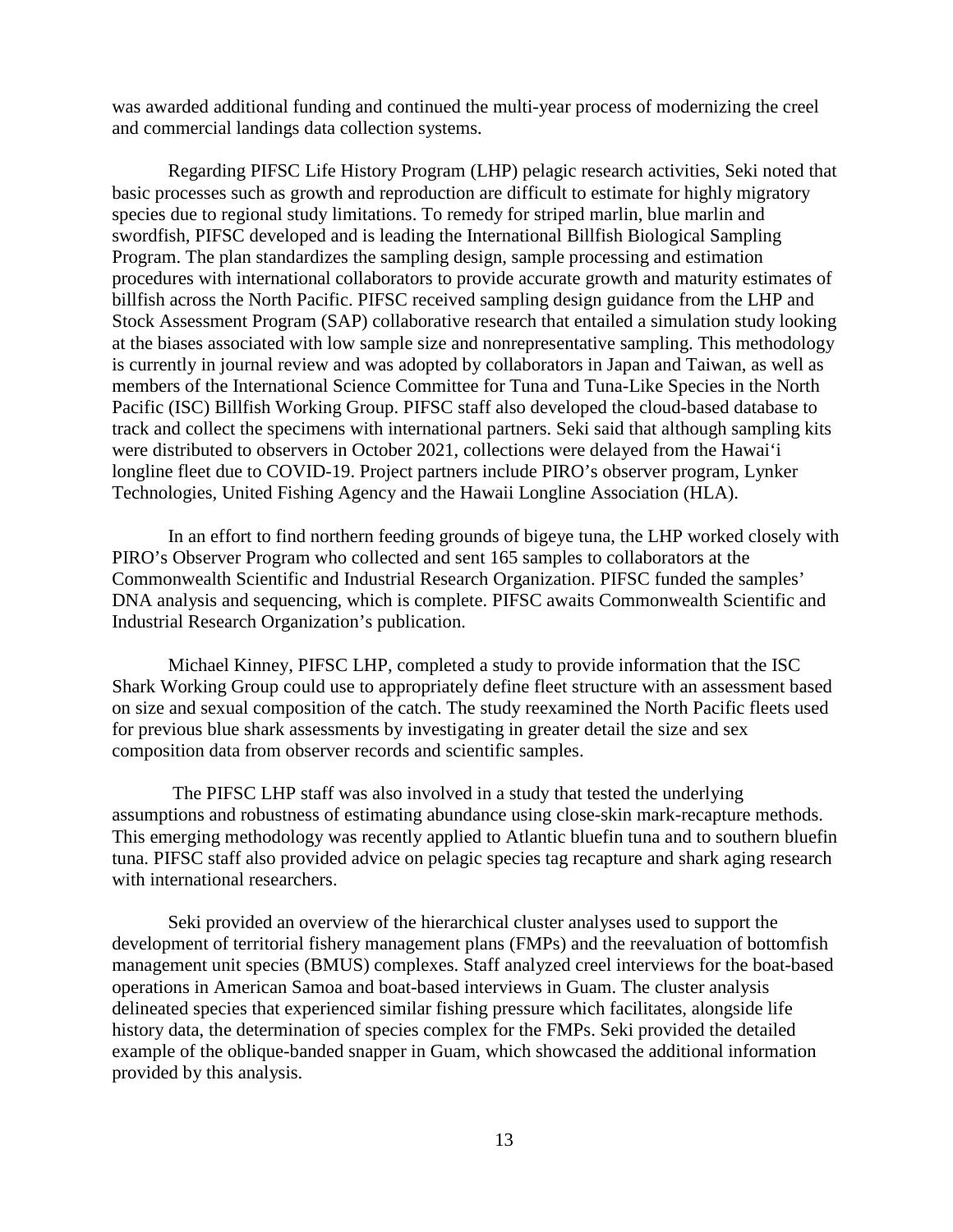was awarded additional funding and continued the multi-year process of modernizing the creel and commercial landings data collection systems.

Regarding PIFSC Life History Program (LHP) pelagic research activities, Seki noted that basic processes such as growth and reproduction are difficult to estimate for highly migratory species due to regional study limitations. To remedy for striped marlin, blue marlin and swordfish, PIFSC developed and is leading the International Billfish Biological Sampling Program. The plan standardizes the sampling design, sample processing and estimation procedures with international collaborators to provide accurate growth and maturity estimates of billfish across the North Pacific. PIFSC received sampling design guidance from the LHP and Stock Assessment Program (SAP) collaborative research that entailed a simulation study looking at the biases associated with low sample size and nonrepresentative sampling. This methodology is currently in journal review and was adopted by collaborators in Japan and Taiwan, as well as members of the International Science Committee for Tuna and Tuna-Like Species in the North Pacific (ISC) Billfish Working Group. PIFSC staff also developed the cloud-based database to track and collect the specimens with international partners. Seki said that although sampling kits were distributed to observers in October 2021, collections were delayed from the Hawai'i longline fleet due to COVID-19. Project partners include PIRO's observer program, Lynker Technologies, United Fishing Agency and the Hawaii Longline Association (HLA).

In an effort to find northern feeding grounds of bigeye tuna, the LHP worked closely with PIRO's Observer Program who collected and sent 165 samples to collaborators at the Commonwealth Scientific and Industrial Research Organization. PIFSC funded the samples' DNA analysis and sequencing, which is complete. PIFSC awaits Commonwealth Scientific and Industrial Research Organization's publication.

Michael Kinney, PIFSC LHP, completed a study to provide information that the ISC Shark Working Group could use to appropriately define fleet structure with an assessment based on size and sexual composition of the catch. The study reexamined the North Pacific fleets used for previous blue shark assessments by investigating in greater detail the size and sex composition data from observer records and scientific samples.

The PIFSC LHP staff was also involved in a study that tested the underlying assumptions and robustness of estimating abundance using close-skin mark-recapture methods. This emerging methodology was recently applied to Atlantic bluefin tuna and to southern bluefin tuna. PIFSC staff also provided advice on pelagic species tag recapture and shark aging research with international researchers.

 Seki provided an overview of the hierarchical cluster analyses used to support the development of territorial fishery management plans (FMPs) and the reevaluation of bottomfish management unit species (BMUS) complexes. Staff analyzed creel interviews for the boat-based operations in American Samoa and boat-based interviews in Guam. The cluster analysis delineated species that experienced similar fishing pressure which facilitates, alongside life history data, the determination of species complex for the FMPs. Seki provided the detailed example of the oblique-banded snapper in Guam, which showcased the additional information provided by this analysis.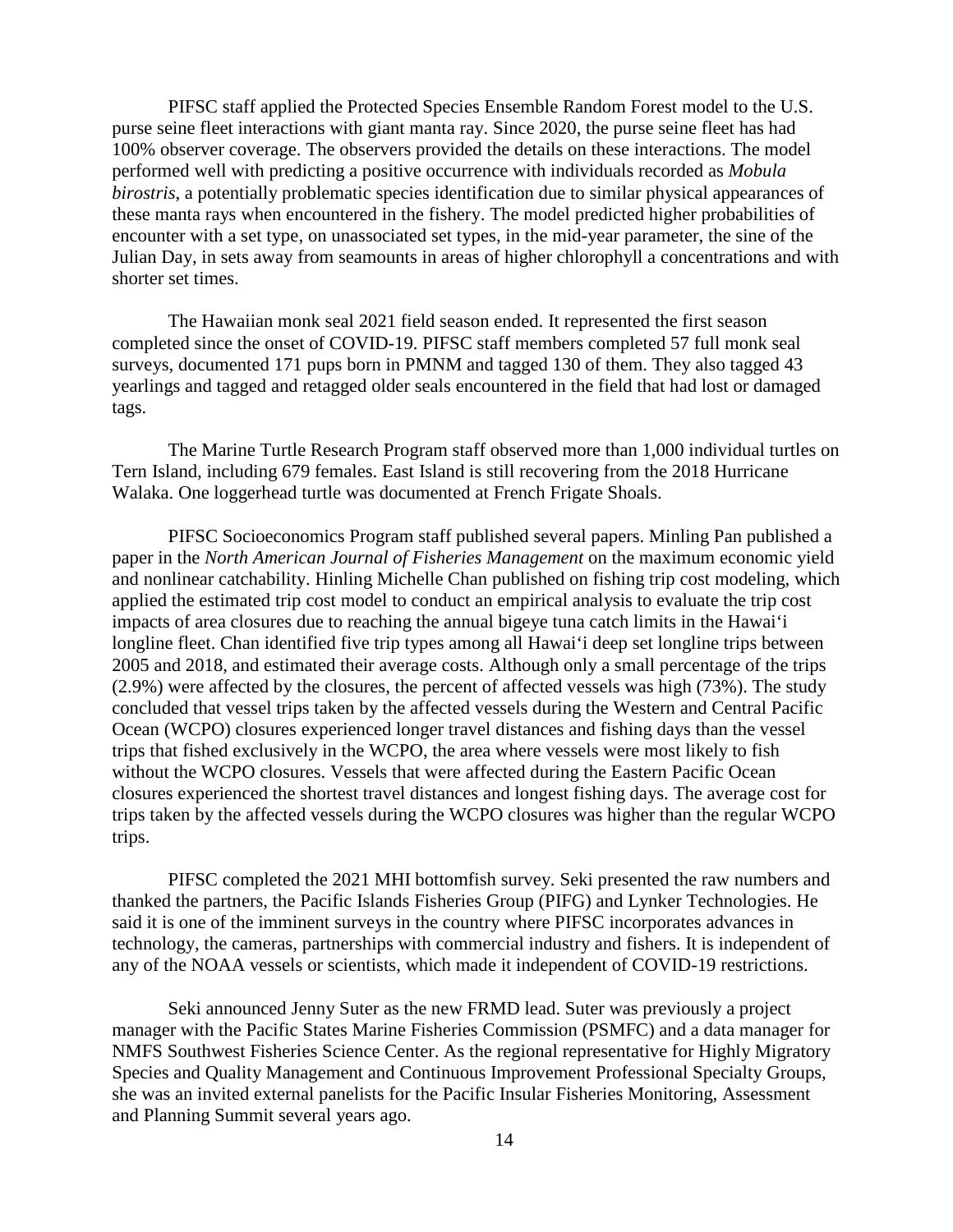PIFSC staff applied the Protected Species Ensemble Random Forest model to the U.S. purse seine fleet interactions with giant manta ray. Since 2020, the purse seine fleet has had 100% observer coverage. The observers provided the details on these interactions. The model performed well with predicting a positive occurrence with individuals recorded as *Mobula birostris*, a potentially problematic species identification due to similar physical appearances of these manta rays when encountered in the fishery. The model predicted higher probabilities of encounter with a set type, on unassociated set types, in the mid-year parameter, the sine of the Julian Day, in sets away from seamounts in areas of higher chlorophyll a concentrations and with shorter set times.

 The Hawaiian monk seal 2021 field season ended. It represented the first season completed since the onset of COVID-19. PIFSC staff members completed 57 full monk seal surveys, documented 171 pups born in PMNM and tagged 130 of them. They also tagged 43 yearlings and tagged and retagged older seals encountered in the field that had lost or damaged tags.

 The Marine Turtle Research Program staff observed more than 1,000 individual turtles on Tern Island, including 679 females. East Island is still recovering from the 2018 Hurricane Walaka. One loggerhead turtle was documented at French Frigate Shoals.

 PIFSC Socioeconomics Program staff published several papers. Minling Pan published a paper in the *North American Journal of Fisheries Management* on the maximum economic yield and nonlinear catchability. Hinling Michelle Chan published on fishing trip cost modeling, which applied the estimated trip cost model to conduct an empirical analysis to evaluate the trip cost impacts of area closures due to reaching the annual bigeye tuna catch limits in the Hawai'i longline fleet. Chan identified five trip types among all Hawai'i deep set longline trips between 2005 and 2018, and estimated their average costs. Although only a small percentage of the trips (2.9%) were affected by the closures, the percent of affected vessels was high (73%). The study concluded that vessel trips taken by the affected vessels during the Western and Central Pacific Ocean (WCPO) closures experienced longer travel distances and fishing days than the vessel trips that fished exclusively in the WCPO, the area where vessels were most likely to fish without the WCPO closures. Vessels that were affected during the Eastern Pacific Ocean closures experienced the shortest travel distances and longest fishing days. The average cost for trips taken by the affected vessels during the WCPO closures was higher than the regular WCPO trips.

 PIFSC completed the 2021 MHI bottomfish survey. Seki presented the raw numbers and thanked the partners, the Pacific Islands Fisheries Group (PIFG) and Lynker Technologies. He said it is one of the imminent surveys in the country where PIFSC incorporates advances in technology, the cameras, partnerships with commercial industry and fishers. It is independent of any of the NOAA vessels or scientists, which made it independent of COVID-19 restrictions.

 Seki announced Jenny Suter as the new FRMD lead. Suter was previously a project manager with the Pacific States Marine Fisheries Commission (PSMFC) and a data manager for NMFS Southwest Fisheries Science Center. As the regional representative for Highly Migratory Species and Quality Management and Continuous Improvement Professional Specialty Groups, she was an invited external panelists for the Pacific Insular Fisheries Monitoring, Assessment and Planning Summit several years ago.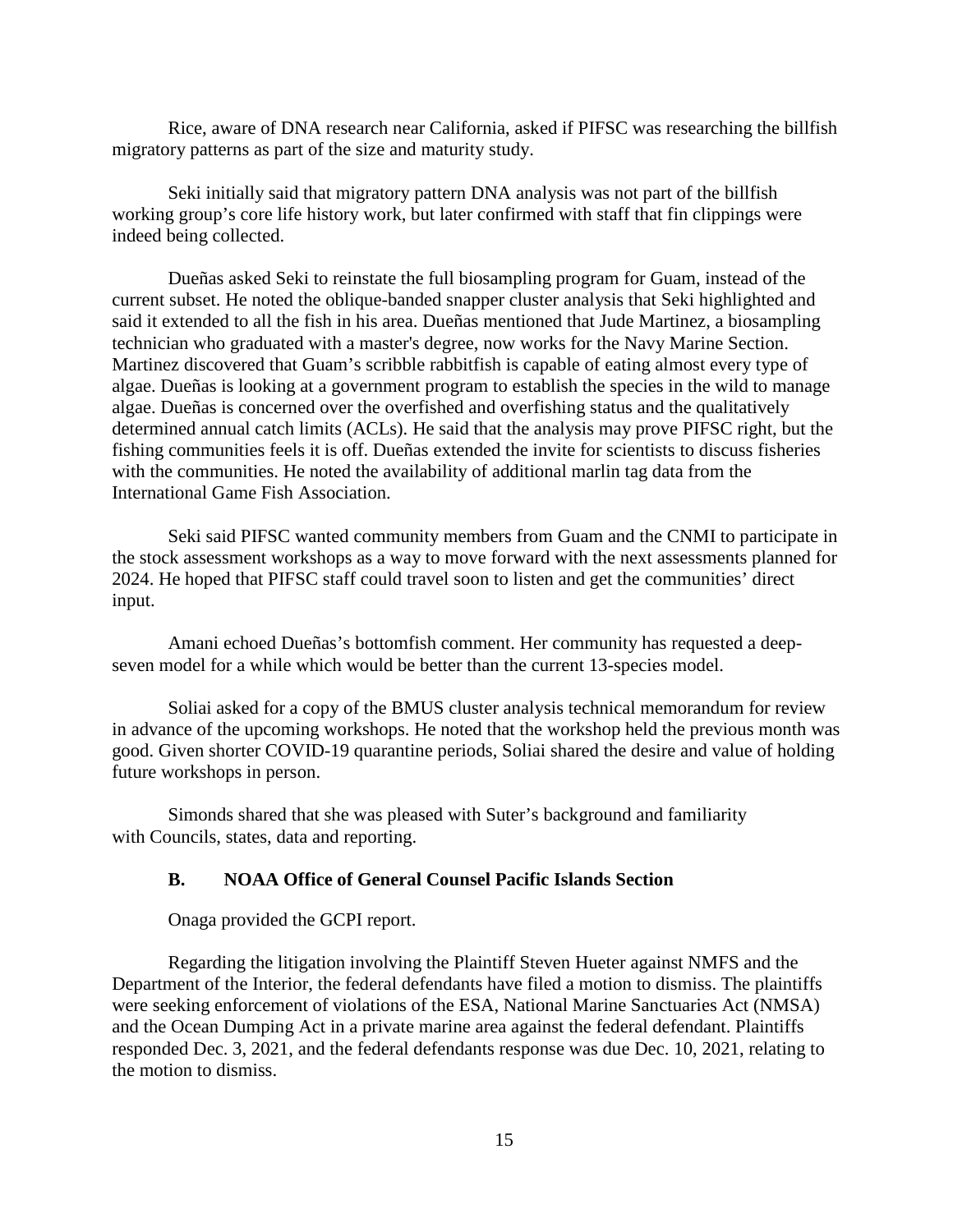Rice, aware of DNA research near California, asked if PIFSC was researching the billfish migratory patterns as part of the size and maturity study.

Seki initially said that migratory pattern DNA analysis was not part of the billfish working group's core life history work, but later confirmed with staff that fin clippings were indeed being collected.

Dueñas asked Seki to reinstate the full biosampling program for Guam, instead of the current subset. He noted the oblique-banded snapper cluster analysis that Seki highlighted and said it extended to all the fish in his area. Dueñas mentioned that Jude Martinez, a biosampling technician who graduated with a master's degree, now works for the Navy Marine Section. Martinez discovered that Guam's scribble rabbitfish is capable of eating almost every type of algae. Dueñas is looking at a government program to establish the species in the wild to manage algae. Dueñas is concerned over the overfished and overfishing status and the qualitatively determined annual catch limits (ACLs). He said that the analysis may prove PIFSC right, but the fishing communities feels it is off. Dueñas extended the invite for scientists to discuss fisheries with the communities. He noted the availability of additional marlin tag data from the International Game Fish Association.

Seki said PIFSC wanted community members from Guam and the CNMI to participate in the stock assessment workshops as a way to move forward with the next assessments planned for 2024. He hoped that PIFSC staff could travel soon to listen and get the communities' direct input.

Amani echoed Dueñas's bottomfish comment. Her community has requested a deepseven model for a while which would be better than the current 13-species model.

Soliai asked for a copy of the BMUS cluster analysis technical memorandum for review in advance of the upcoming workshops. He noted that the workshop held the previous month was good. Given shorter COVID-19 quarantine periods, Soliai shared the desire and value of holding future workshops in person.

 Simonds shared that she was pleased with Suter's background and familiarity with Councils, states, data and reporting.

### **B. NOAA Office of General Counsel Pacific Islands Section**

Onaga provided the GCPI report.

Regarding the litigation involving the Plaintiff Steven Hueter against NMFS and the Department of the Interior, the federal defendants have filed a motion to dismiss. The plaintiffs were seeking enforcement of violations of the ESA, National Marine Sanctuaries Act (NMSA) and the Ocean Dumping Act in a private marine area against the federal defendant. Plaintiffs responded Dec. 3, 2021, and the federal defendants response was due Dec. 10, 2021, relating to the motion to dismiss.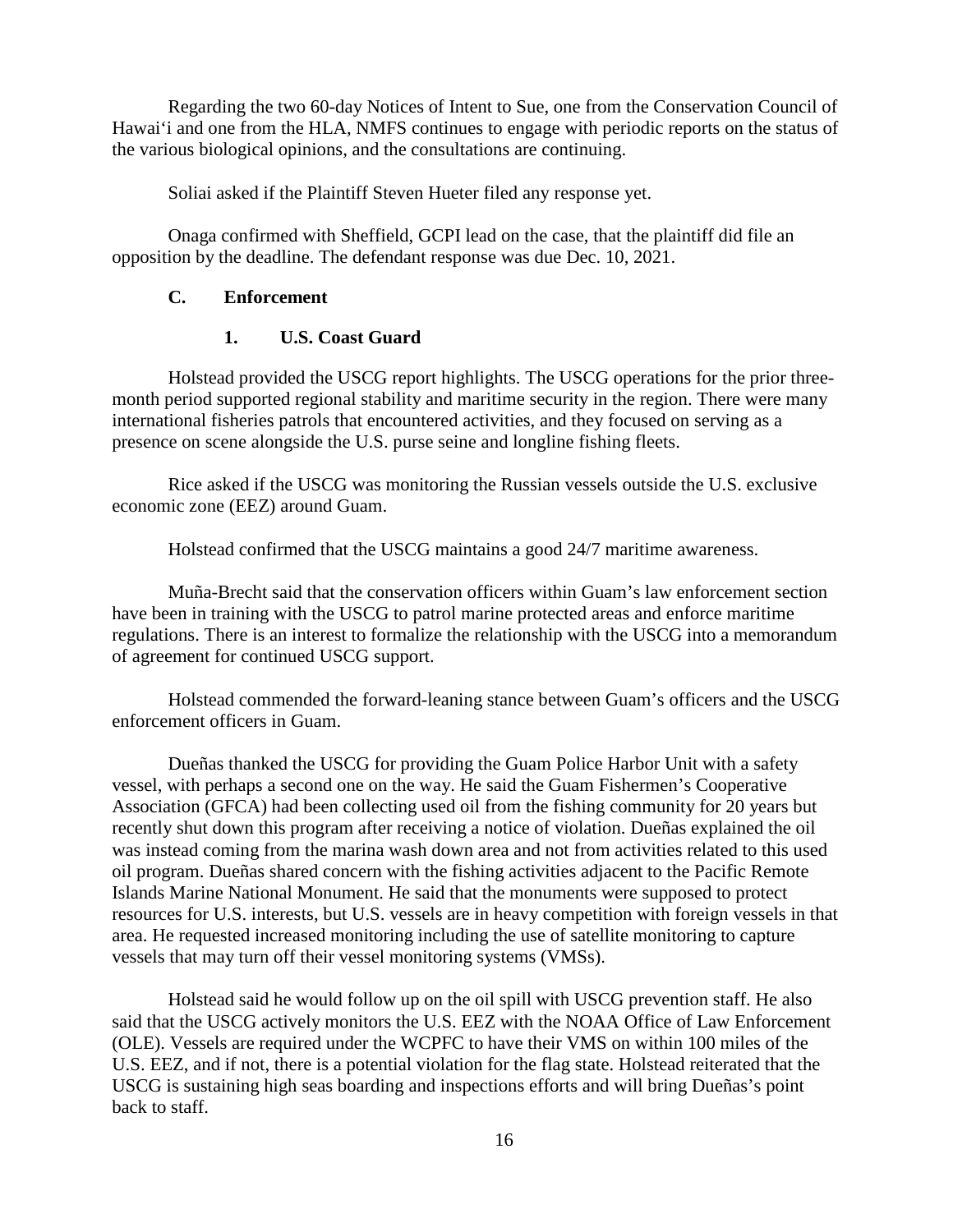Regarding the two 60-day Notices of Intent to Sue, one from the Conservation Council of Hawai'i and one from the HLA, NMFS continues to engage with periodic reports on the status of the various biological opinions, and the consultations are continuing.

Soliai asked if the Plaintiff Steven Hueter filed any response yet.

Onaga confirmed with Sheffield, GCPI lead on the case, that the plaintiff did file an opposition by the deadline. The defendant response was due Dec. 10, 2021.

### **C. Enforcement**

### **1. U.S. Coast Guard**

Holstead provided the USCG report highlights. The USCG operations for the prior threemonth period supported regional stability and maritime security in the region. There were many international fisheries patrols that encountered activities, and they focused on serving as a presence on scene alongside the U.S. purse seine and longline fishing fleets.

Rice asked if the USCG was monitoring the Russian vessels outside the U.S. exclusive economic zone (EEZ) around Guam.

Holstead confirmed that the USCG maintains a good 24/7 maritime awareness.

Muña-Brecht said that the conservation officers within Guam's law enforcement section have been in training with the USCG to patrol marine protected areas and enforce maritime regulations. There is an interest to formalize the relationship with the USCG into a memorandum of agreement for continued USCG support.

Holstead commended the forward-leaning stance between Guam's officers and the USCG enforcement officers in Guam.

Dueñas thanked the USCG for providing the Guam Police Harbor Unit with a safety vessel, with perhaps a second one on the way. He said the Guam Fishermen's Cooperative Association (GFCA) had been collecting used oil from the fishing community for 20 years but recently shut down this program after receiving a notice of violation. Dueñas explained the oil was instead coming from the marina wash down area and not from activities related to this used oil program. Dueñas shared concern with the fishing activities adjacent to the Pacific Remote Islands Marine National Monument. He said that the monuments were supposed to protect resources for U.S. interests, but U.S. vessels are in heavy competition with foreign vessels in that area. He requested increased monitoring including the use of satellite monitoring to capture vessels that may turn off their vessel monitoring systems (VMSs).

Holstead said he would follow up on the oil spill with USCG prevention staff. He also said that the USCG actively monitors the U.S. EEZ with the NOAA Office of Law Enforcement (OLE). Vessels are required under the WCPFC to have their VMS on within 100 miles of the U.S. EEZ, and if not, there is a potential violation for the flag state. Holstead reiterated that the USCG is sustaining high seas boarding and inspections efforts and will bring Dueñas's point back to staff.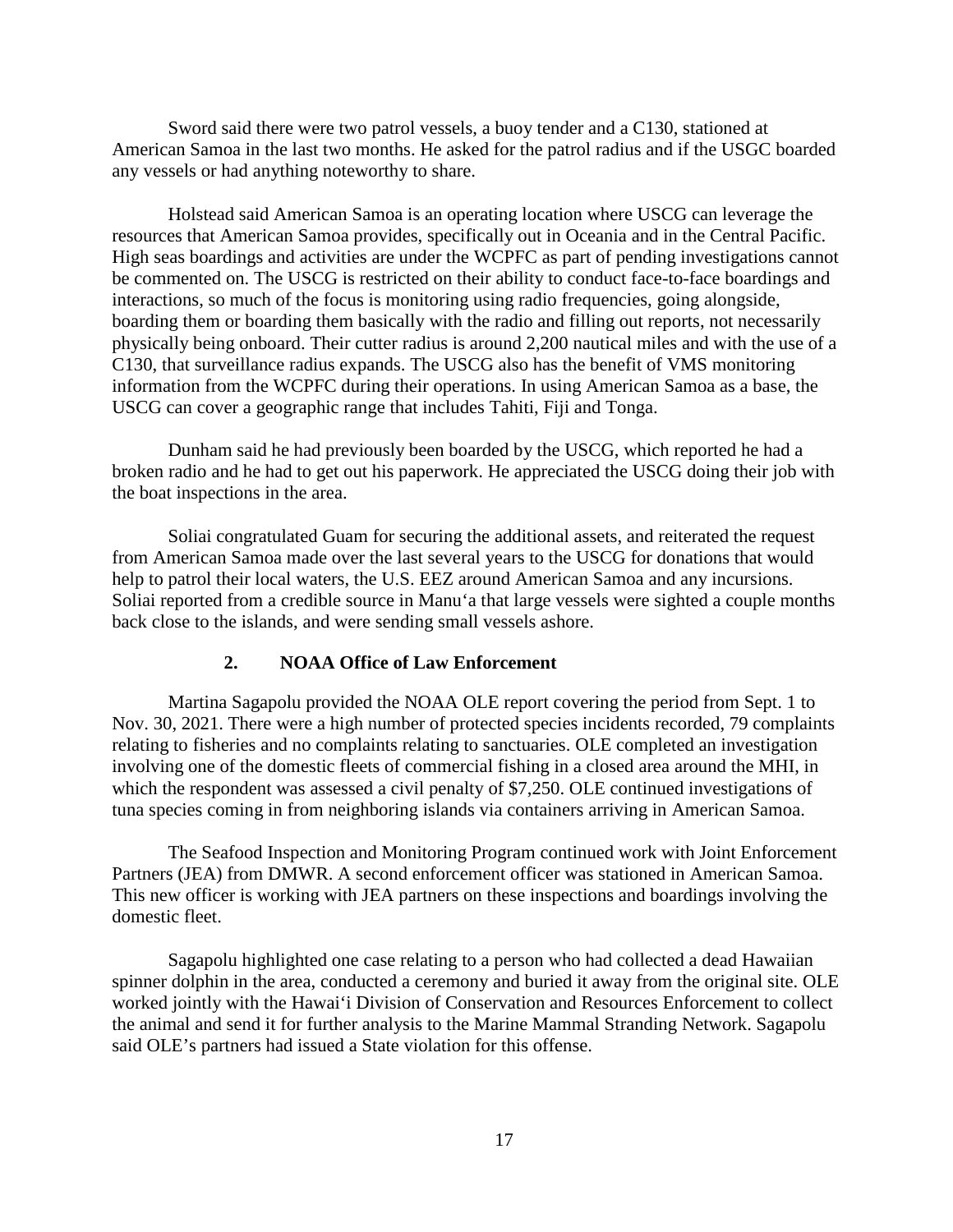Sword said there were two patrol vessels, a buoy tender and a C130, stationed at American Samoa in the last two months. He asked for the patrol radius and if the USGC boarded any vessels or had anything noteworthy to share.

Holstead said American Samoa is an operating location where USCG can leverage the resources that American Samoa provides, specifically out in Oceania and in the Central Pacific. High seas boardings and activities are under the WCPFC as part of pending investigations cannot be commented on. The USCG is restricted on their ability to conduct face-to-face boardings and interactions, so much of the focus is monitoring using radio frequencies, going alongside, boarding them or boarding them basically with the radio and filling out reports, not necessarily physically being onboard. Their cutter radius is around 2,200 nautical miles and with the use of a C130, that surveillance radius expands. The USCG also has the benefit of VMS monitoring information from the WCPFC during their operations. In using American Samoa as a base, the USCG can cover a geographic range that includes Tahiti, Fiji and Tonga.

Dunham said he had previously been boarded by the USCG, which reported he had a broken radio and he had to get out his paperwork. He appreciated the USCG doing their job with the boat inspections in the area.

Soliai congratulated Guam for securing the additional assets, and reiterated the request from American Samoa made over the last several years to the USCG for donations that would help to patrol their local waters, the U.S. EEZ around American Samoa and any incursions. Soliai reported from a credible source in Manu'a that large vessels were sighted a couple months back close to the islands, and were sending small vessels ashore.

#### **2. NOAA Office of Law Enforcement**

Martina Sagapolu provided the NOAA OLE report covering the period from Sept. 1 to Nov. 30, 2021. There were a high number of protected species incidents recorded, 79 complaints relating to fisheries and no complaints relating to sanctuaries. OLE completed an investigation involving one of the domestic fleets of commercial fishing in a closed area around the MHI, in which the respondent was assessed a civil penalty of \$7,250. OLE continued investigations of tuna species coming in from neighboring islands via containers arriving in American Samoa.

The Seafood Inspection and Monitoring Program continued work with Joint Enforcement Partners (JEA) from DMWR. A second enforcement officer was stationed in American Samoa. This new officer is working with JEA partners on these inspections and boardings involving the domestic fleet.

Sagapolu highlighted one case relating to a person who had collected a dead Hawaiian spinner dolphin in the area, conducted a ceremony and buried it away from the original site. OLE worked jointly with the Hawai'i Division of Conservation and Resources Enforcement to collect the animal and send it for further analysis to the Marine Mammal Stranding Network. Sagapolu said OLE's partners had issued a State violation for this offense.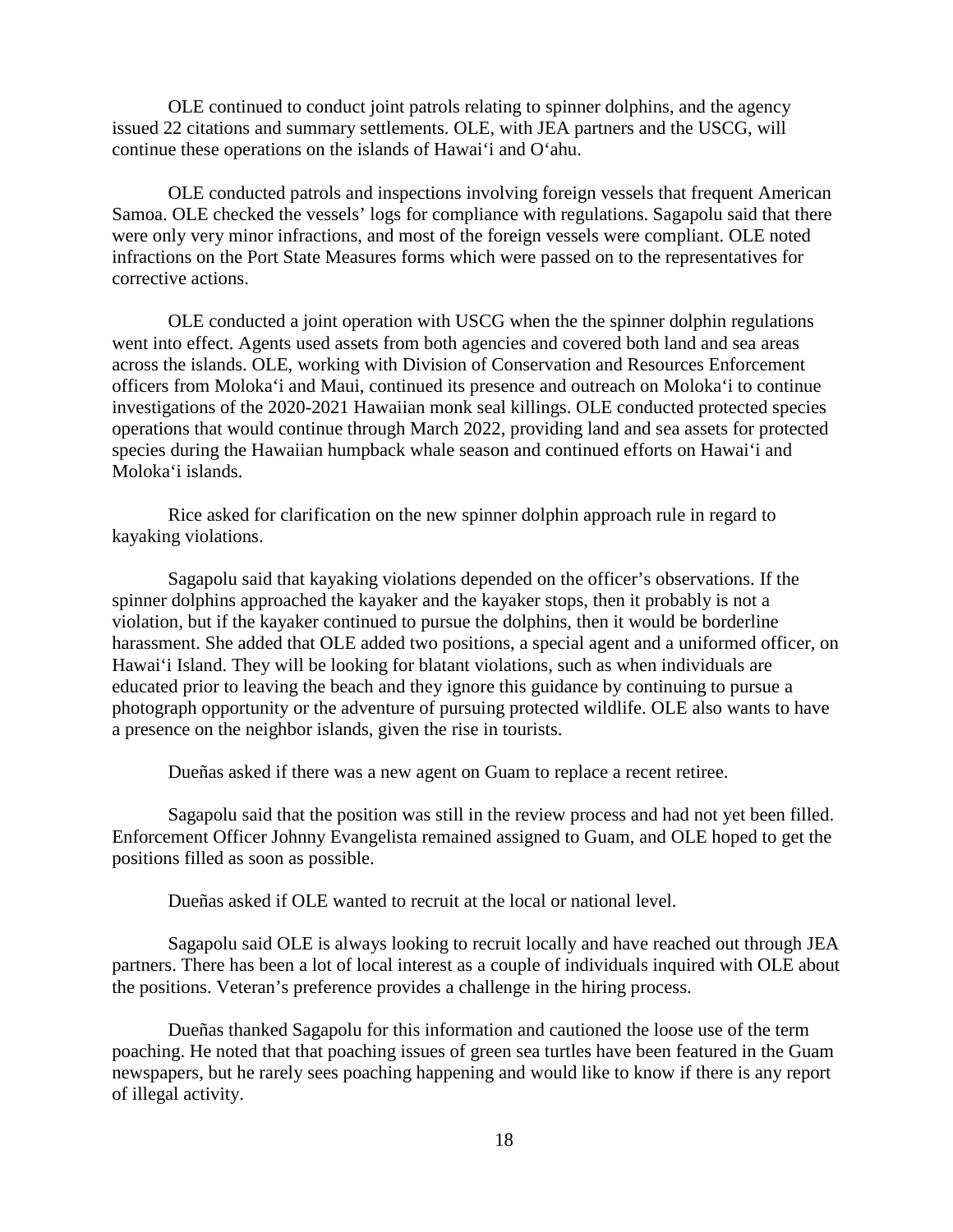OLE continued to conduct joint patrols relating to spinner dolphins, and the agency issued 22 citations and summary settlements. OLE, with JEA partners and the USCG, will continue these operations on the islands of Hawai'i and O'ahu.

OLE conducted patrols and inspections involving foreign vessels that frequent American Samoa. OLE checked the vessels' logs for compliance with regulations. Sagapolu said that there were only very minor infractions, and most of the foreign vessels were compliant. OLE noted infractions on the Port State Measures forms which were passed on to the representatives for corrective actions.

OLE conducted a joint operation with USCG when the the spinner dolphin regulations went into effect. Agents used assets from both agencies and covered both land and sea areas across the islands. OLE, working with Division of Conservation and Resources Enforcement officers from Moloka'i and Maui, continued its presence and outreach on Moloka'i to continue investigations of the 2020-2021 Hawaiian monk seal killings. OLE conducted protected species operations that would continue through March 2022, providing land and sea assets for protected species during the Hawaiian humpback whale season and continued efforts on Hawai'i and Moloka'i islands.

Rice asked for clarification on the new spinner dolphin approach rule in regard to kayaking violations.

Sagapolu said that kayaking violations depended on the officer's observations. If the spinner dolphins approached the kayaker and the kayaker stops, then it probably is not a violation, but if the kayaker continued to pursue the dolphins, then it would be borderline harassment. She added that OLE added two positions, a special agent and a uniformed officer, on Hawai'i Island. They will be looking for blatant violations, such as when individuals are educated prior to leaving the beach and they ignore this guidance by continuing to pursue a photograph opportunity or the adventure of pursuing protected wildlife. OLE also wants to have a presence on the neighbor islands, given the rise in tourists.

Dueñas asked if there was a new agent on Guam to replace a recent retiree.

Sagapolu said that the position was still in the review process and had not yet been filled. Enforcement Officer Johnny Evangelista remained assigned to Guam, and OLE hoped to get the positions filled as soon as possible.

Dueñas asked if OLE wanted to recruit at the local or national level.

Sagapolu said OLE is always looking to recruit locally and have reached out through JEA partners. There has been a lot of local interest as a couple of individuals inquired with OLE about the positions. Veteran's preference provides a challenge in the hiring process.

Dueñas thanked Sagapolu for this information and cautioned the loose use of the term poaching. He noted that that poaching issues of green sea turtles have been featured in the Guam newspapers, but he rarely sees poaching happening and would like to know if there is any report of illegal activity.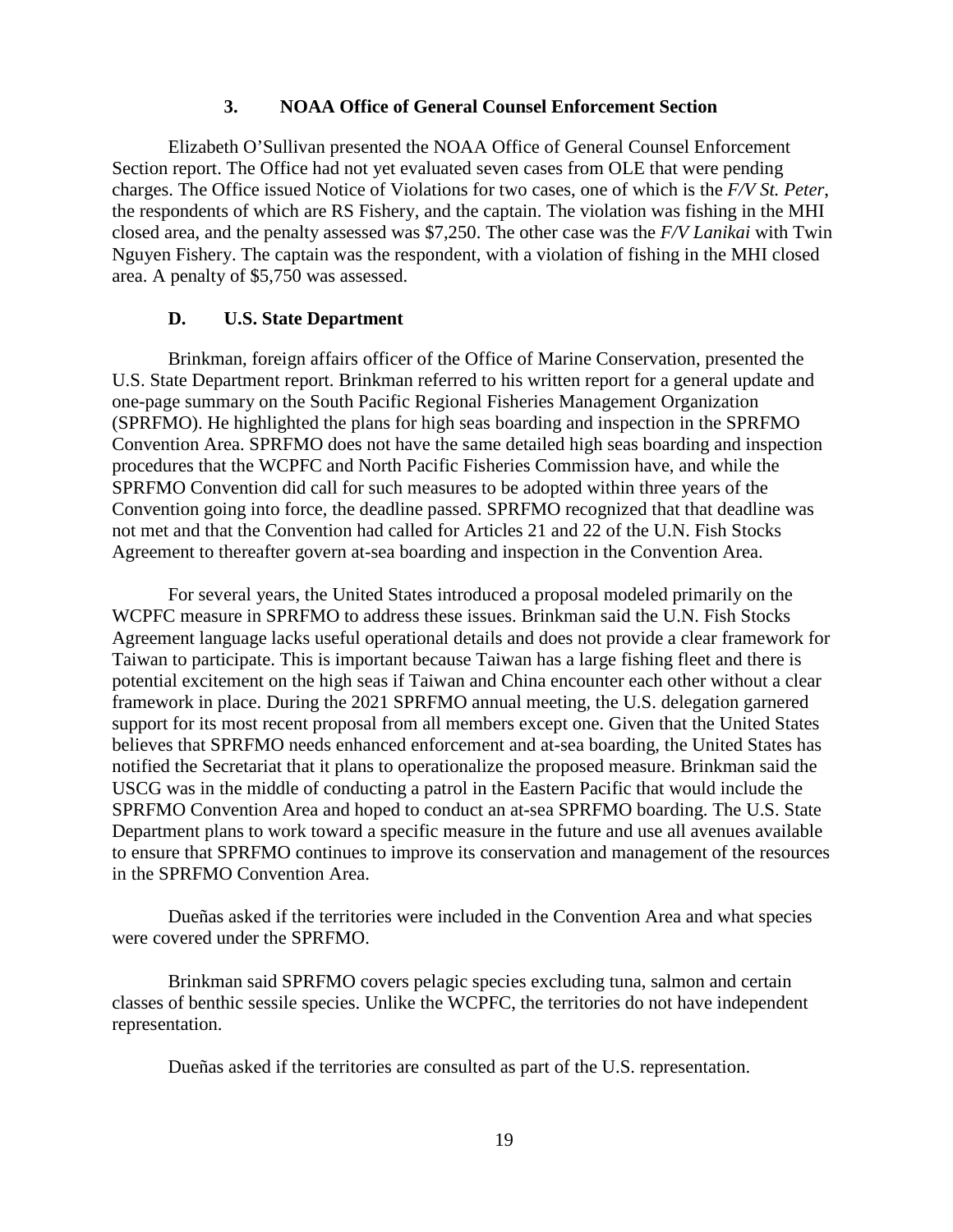#### **3. NOAA Office of General Counsel Enforcement Section**

Elizabeth O'Sullivan presented the NOAA Office of General Counsel Enforcement Section report. The Office had not yet evaluated seven cases from OLE that were pending charges. The Office issued Notice of Violations for two cases, one of which is the *F/V St. Peter*, the respondents of which are RS Fishery, and the captain. The violation was fishing in the MHI closed area, and the penalty assessed was \$7,250. The other case was the *F/V Lanikai* with Twin Nguyen Fishery. The captain was the respondent, with a violation of fishing in the MHI closed area. A penalty of \$5,750 was assessed.

#### **D. U.S. State Department**

Brinkman, foreign affairs officer of the Office of Marine Conservation, presented the U.S. State Department report. Brinkman referred to his written report for a general update and one-page summary on the South Pacific Regional Fisheries Management Organization (SPRFMO). He highlighted the plans for high seas boarding and inspection in the SPRFMO Convention Area. SPRFMO does not have the same detailed high seas boarding and inspection procedures that the WCPFC and North Pacific Fisheries Commission have, and while the SPRFMO Convention did call for such measures to be adopted within three years of the Convention going into force, the deadline passed. SPRFMO recognized that that deadline was not met and that the Convention had called for Articles 21 and 22 of the U.N. Fish Stocks Agreement to thereafter govern at-sea boarding and inspection in the Convention Area.

For several years, the United States introduced a proposal modeled primarily on the WCPFC measure in SPRFMO to address these issues. Brinkman said the U.N. Fish Stocks Agreement language lacks useful operational details and does not provide a clear framework for Taiwan to participate. This is important because Taiwan has a large fishing fleet and there is potential excitement on the high seas if Taiwan and China encounter each other without a clear framework in place. During the 2021 SPRFMO annual meeting, the U.S. delegation garnered support for its most recent proposal from all members except one. Given that the United States believes that SPRFMO needs enhanced enforcement and at-sea boarding, the United States has notified the Secretariat that it plans to operationalize the proposed measure. Brinkman said the USCG was in the middle of conducting a patrol in the Eastern Pacific that would include the SPRFMO Convention Area and hoped to conduct an at-sea SPRFMO boarding. The U.S. State Department plans to work toward a specific measure in the future and use all avenues available to ensure that SPRFMO continues to improve its conservation and management of the resources in the SPRFMO Convention Area.

Dueñas asked if the territories were included in the Convention Area and what species were covered under the SPRFMO.

Brinkman said SPRFMO covers pelagic species excluding tuna, salmon and certain classes of benthic sessile species. Unlike the WCPFC, the territories do not have independent representation.

Dueñas asked if the territories are consulted as part of the U.S. representation.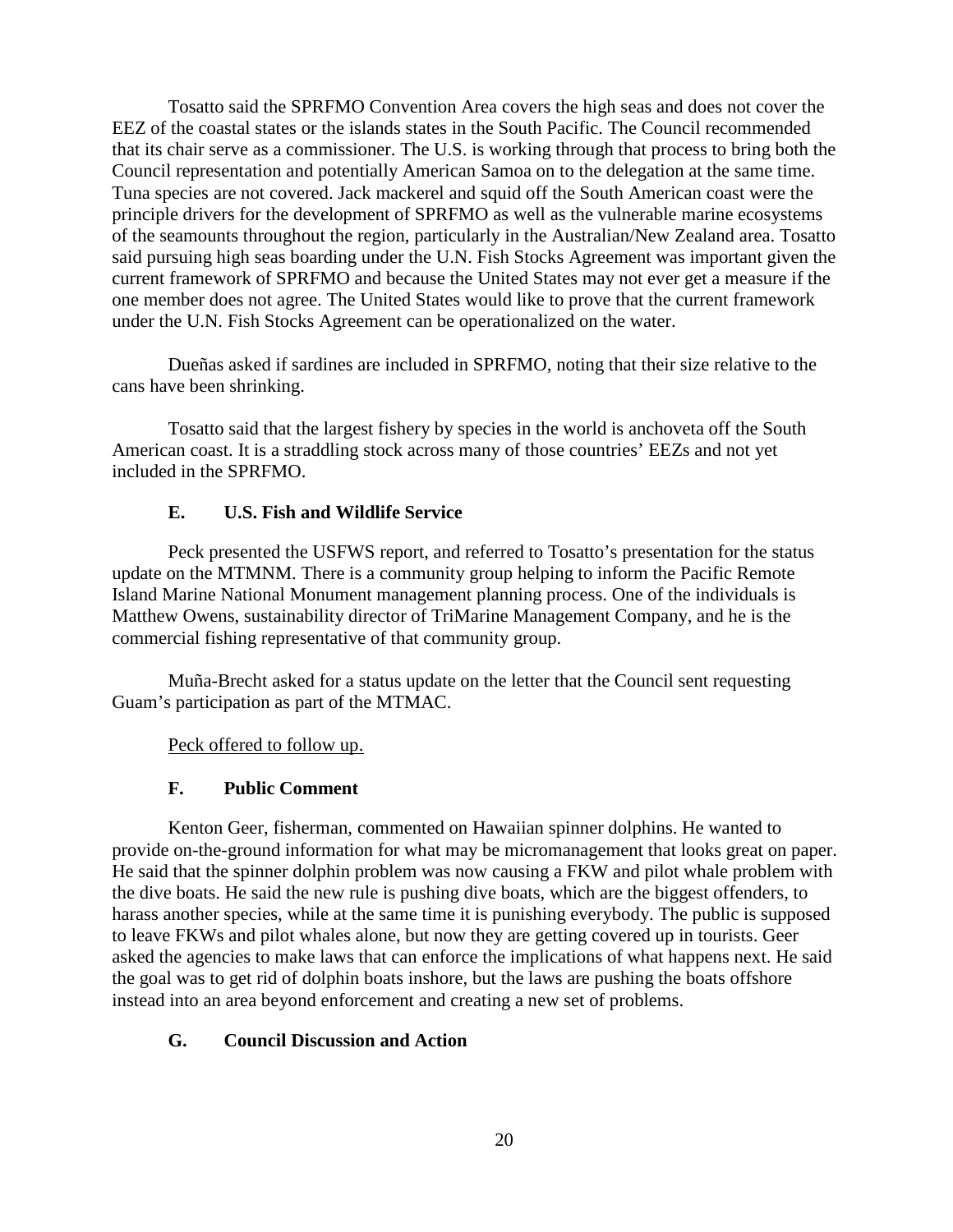Tosatto said the SPRFMO Convention Area covers the high seas and does not cover the EEZ of the coastal states or the islands states in the South Pacific. The Council recommended that its chair serve as a commissioner. The U.S. is working through that process to bring both the Council representation and potentially American Samoa on to the delegation at the same time. Tuna species are not covered. Jack mackerel and squid off the South American coast were the principle drivers for the development of SPRFMO as well as the vulnerable marine ecosystems of the seamounts throughout the region, particularly in the Australian/New Zealand area. Tosatto said pursuing high seas boarding under the U.N. Fish Stocks Agreement was important given the current framework of SPRFMO and because the United States may not ever get a measure if the one member does not agree. The United States would like to prove that the current framework under the U.N. Fish Stocks Agreement can be operationalized on the water.

Dueñas asked if sardines are included in SPRFMO, noting that their size relative to the cans have been shrinking.

Tosatto said that the largest fishery by species in the world is anchoveta off the South American coast. It is a straddling stock across many of those countries' EEZs and not yet included in the SPRFMO.

## **E. U.S. Fish and Wildlife Service**

Peck presented the USFWS report, and referred to Tosatto's presentation for the status update on the MTMNM. There is a community group helping to inform the Pacific Remote Island Marine National Monument management planning process. One of the individuals is Matthew Owens, sustainability director of TriMarine Management Company, and he is the commercial fishing representative of that community group.

Muña-Brecht asked for a status update on the letter that the Council sent requesting Guam's participation as part of the MTMAC.

Peck offered to follow up.

## **F. Public Comment**

Kenton Geer, fisherman, commented on Hawaiian spinner dolphins. He wanted to provide on-the-ground information for what may be micromanagement that looks great on paper. He said that the spinner dolphin problem was now causing a FKW and pilot whale problem with the dive boats. He said the new rule is pushing dive boats, which are the biggest offenders, to harass another species, while at the same time it is punishing everybody. The public is supposed to leave FKWs and pilot whales alone, but now they are getting covered up in tourists. Geer asked the agencies to make laws that can enforce the implications of what happens next. He said the goal was to get rid of dolphin boats inshore, but the laws are pushing the boats offshore instead into an area beyond enforcement and creating a new set of problems.

# **G. Council Discussion and Action**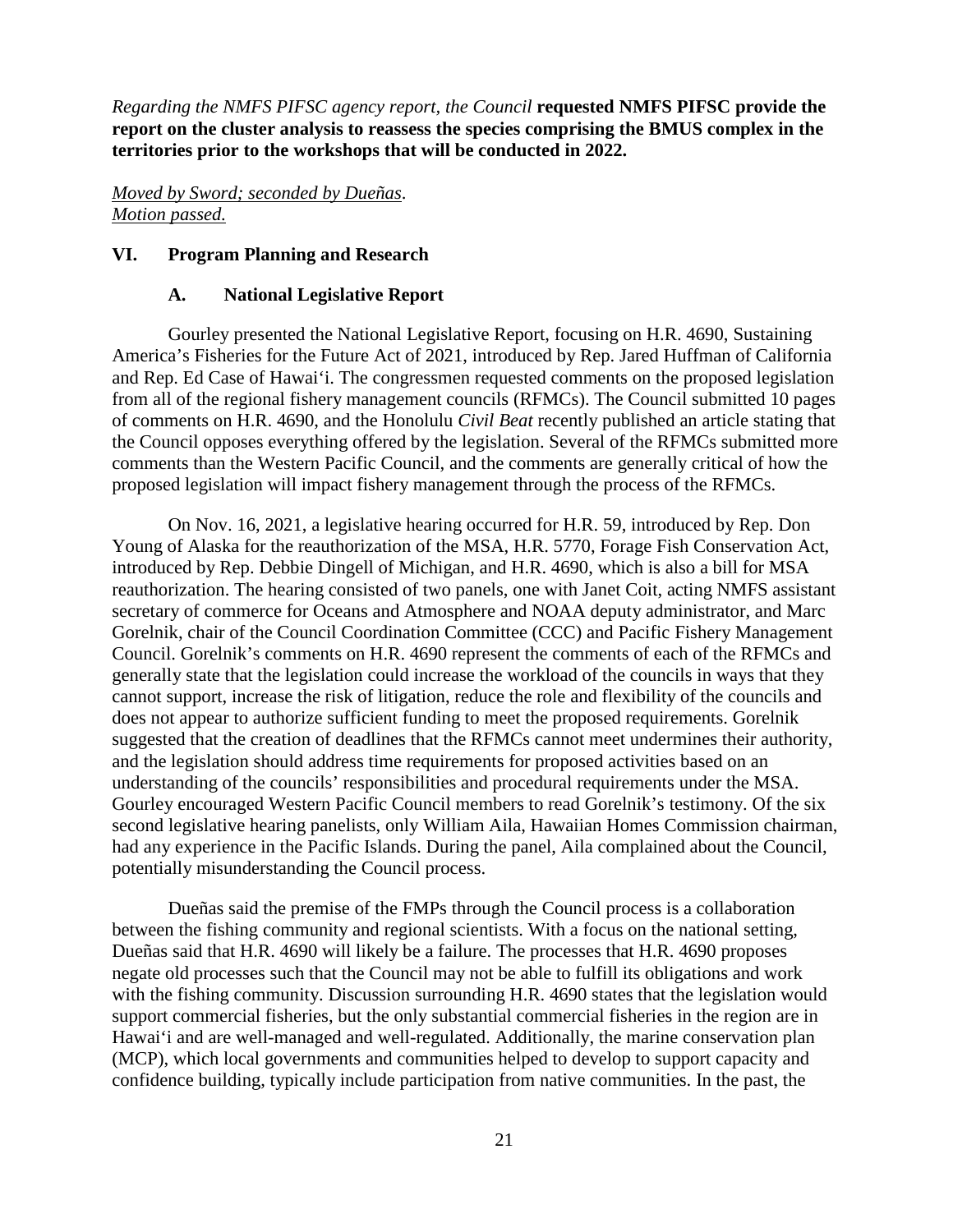*Regarding the NMFS PIFSC agency report, the Council* **requested NMFS PIFSC provide the report on the cluster analysis to reassess the species comprising the BMUS complex in the territories prior to the workshops that will be conducted in 2022.**

*Moved by Sword; seconded by Dueñas*. *Motion passed.*

#### **VI. Program Planning and Research**

#### **A. National Legislative Report**

Gourley presented the National Legislative Report, focusing on H.R. 4690, Sustaining America's Fisheries for the Future Act of 2021, introduced by Rep. Jared Huffman of California and Rep. Ed Case of Hawai'i. The congressmen requested comments on the proposed legislation from all of the regional fishery management councils (RFMCs). The Council submitted 10 pages of comments on H.R. 4690, and the Honolulu *Civil Beat* recently published an article stating that the Council opposes everything offered by the legislation. Several of the RFMCs submitted more comments than the Western Pacific Council, and the comments are generally critical of how the proposed legislation will impact fishery management through the process of the RFMCs.

On Nov. 16, 2021, a legislative hearing occurred for H.R. 59, introduced by Rep. Don Young of Alaska for the reauthorization of the MSA, H.R. 5770, Forage Fish Conservation Act, introduced by Rep. Debbie Dingell of Michigan, and H.R. 4690, which is also a bill for MSA reauthorization. The hearing consisted of two panels, one with Janet Coit, acting NMFS assistant secretary of commerce for Oceans and Atmosphere and NOAA deputy administrator, and Marc Gorelnik, chair of the Council Coordination Committee (CCC) and Pacific Fishery Management Council. Gorelnik's comments on H.R. 4690 represent the comments of each of the RFMCs and generally state that the legislation could increase the workload of the councils in ways that they cannot support, increase the risk of litigation, reduce the role and flexibility of the councils and does not appear to authorize sufficient funding to meet the proposed requirements. Gorelnik suggested that the creation of deadlines that the RFMCs cannot meet undermines their authority, and the legislation should address time requirements for proposed activities based on an understanding of the councils' responsibilities and procedural requirements under the MSA. Gourley encouraged Western Pacific Council members to read Gorelnik's testimony. Of the six second legislative hearing panelists, only William Aila, Hawaiian Homes Commission chairman, had any experience in the Pacific Islands. During the panel, Aila complained about the Council, potentially misunderstanding the Council process.

Dueñas said the premise of the FMPs through the Council process is a collaboration between the fishing community and regional scientists. With a focus on the national setting, Dueñas said that H.R. 4690 will likely be a failure. The processes that H.R. 4690 proposes negate old processes such that the Council may not be able to fulfill its obligations and work with the fishing community. Discussion surrounding H.R. 4690 states that the legislation would support commercial fisheries, but the only substantial commercial fisheries in the region are in Hawai'i and are well-managed and well-regulated. Additionally, the marine conservation plan (MCP), which local governments and communities helped to develop to support capacity and confidence building, typically include participation from native communities. In the past, the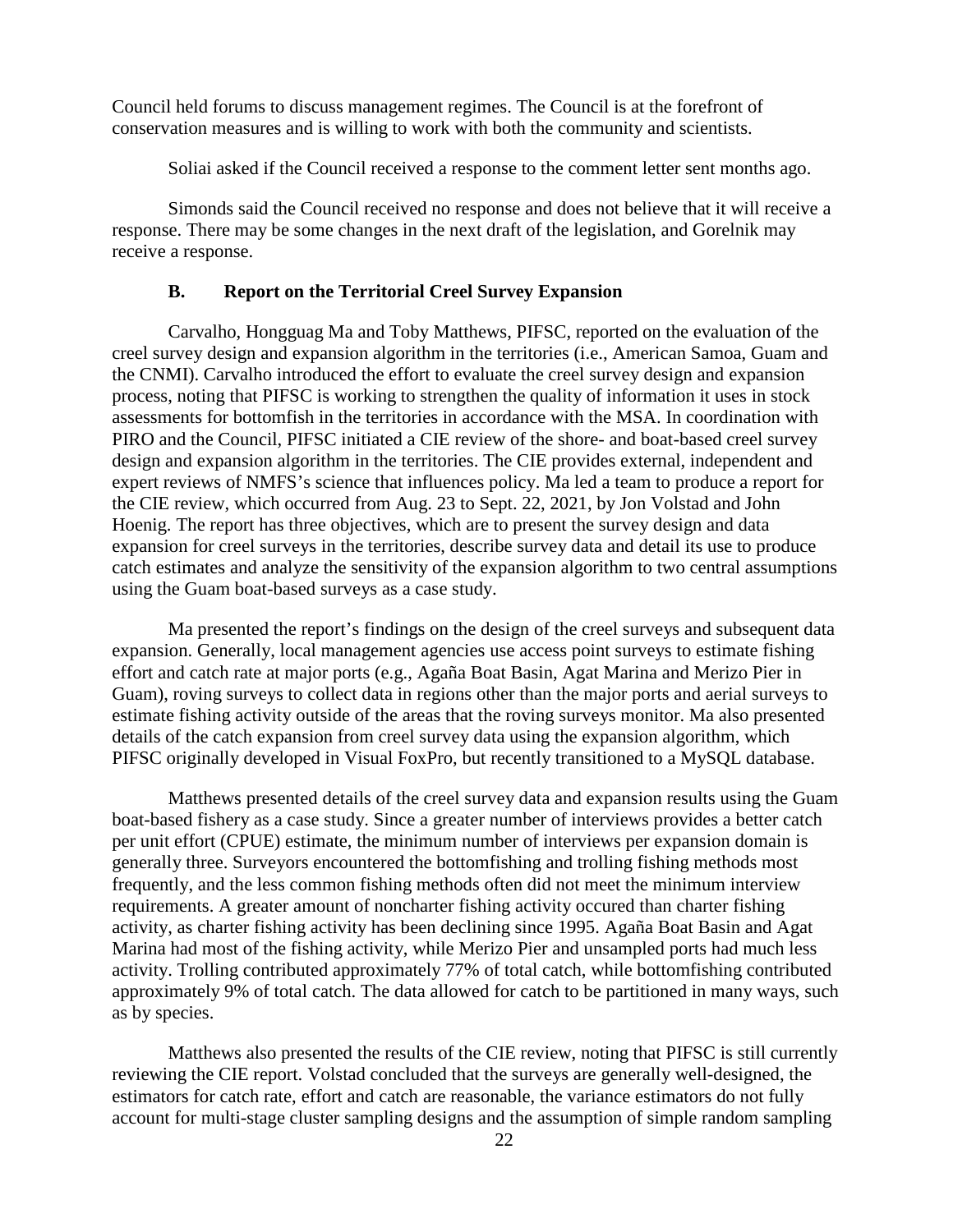Council held forums to discuss management regimes. The Council is at the forefront of conservation measures and is willing to work with both the community and scientists.

Soliai asked if the Council received a response to the comment letter sent months ago.

Simonds said the Council received no response and does not believe that it will receive a response. There may be some changes in the next draft of the legislation, and Gorelnik may receive a response.

### **B. Report on the Territorial Creel Survey Expansion**

Carvalho, Hongguag Ma and Toby Matthews, PIFSC, reported on the evaluation of the creel survey design and expansion algorithm in the territories (i.e., American Samoa, Guam and the CNMI). Carvalho introduced the effort to evaluate the creel survey design and expansion process, noting that PIFSC is working to strengthen the quality of information it uses in stock assessments for bottomfish in the territories in accordance with the MSA. In coordination with PIRO and the Council, PIFSC initiated a CIE review of the shore- and boat-based creel survey design and expansion algorithm in the territories. The CIE provides external, independent and expert reviews of NMFS's science that influences policy. Ma led a team to produce a report for the CIE review, which occurred from Aug. 23 to Sept. 22, 2021, by Jon Volstad and John Hoenig. The report has three objectives, which are to present the survey design and data expansion for creel surveys in the territories, describe survey data and detail its use to produce catch estimates and analyze the sensitivity of the expansion algorithm to two central assumptions using the Guam boat-based surveys as a case study.

Ma presented the report's findings on the design of the creel surveys and subsequent data expansion. Generally, local management agencies use access point surveys to estimate fishing effort and catch rate at major ports (e.g., Agaña Boat Basin, Agat Marina and Merizo Pier in Guam), roving surveys to collect data in regions other than the major ports and aerial surveys to estimate fishing activity outside of the areas that the roving surveys monitor. Ma also presented details of the catch expansion from creel survey data using the expansion algorithm, which PIFSC originally developed in Visual FoxPro, but recently transitioned to a MySQL database.

Matthews presented details of the creel survey data and expansion results using the Guam boat-based fishery as a case study. Since a greater number of interviews provides a better catch per unit effort (CPUE) estimate, the minimum number of interviews per expansion domain is generally three. Surveyors encountered the bottomfishing and trolling fishing methods most frequently, and the less common fishing methods often did not meet the minimum interview requirements. A greater amount of noncharter fishing activity occured than charter fishing activity, as charter fishing activity has been declining since 1995. Agaña Boat Basin and Agat Marina had most of the fishing activity, while Merizo Pier and unsampled ports had much less activity. Trolling contributed approximately 77% of total catch, while bottomfishing contributed approximately 9% of total catch. The data allowed for catch to be partitioned in many ways, such as by species.

Matthews also presented the results of the CIE review, noting that PIFSC is still currently reviewing the CIE report. Volstad concluded that the surveys are generally well-designed, the estimators for catch rate, effort and catch are reasonable, the variance estimators do not fully account for multi-stage cluster sampling designs and the assumption of simple random sampling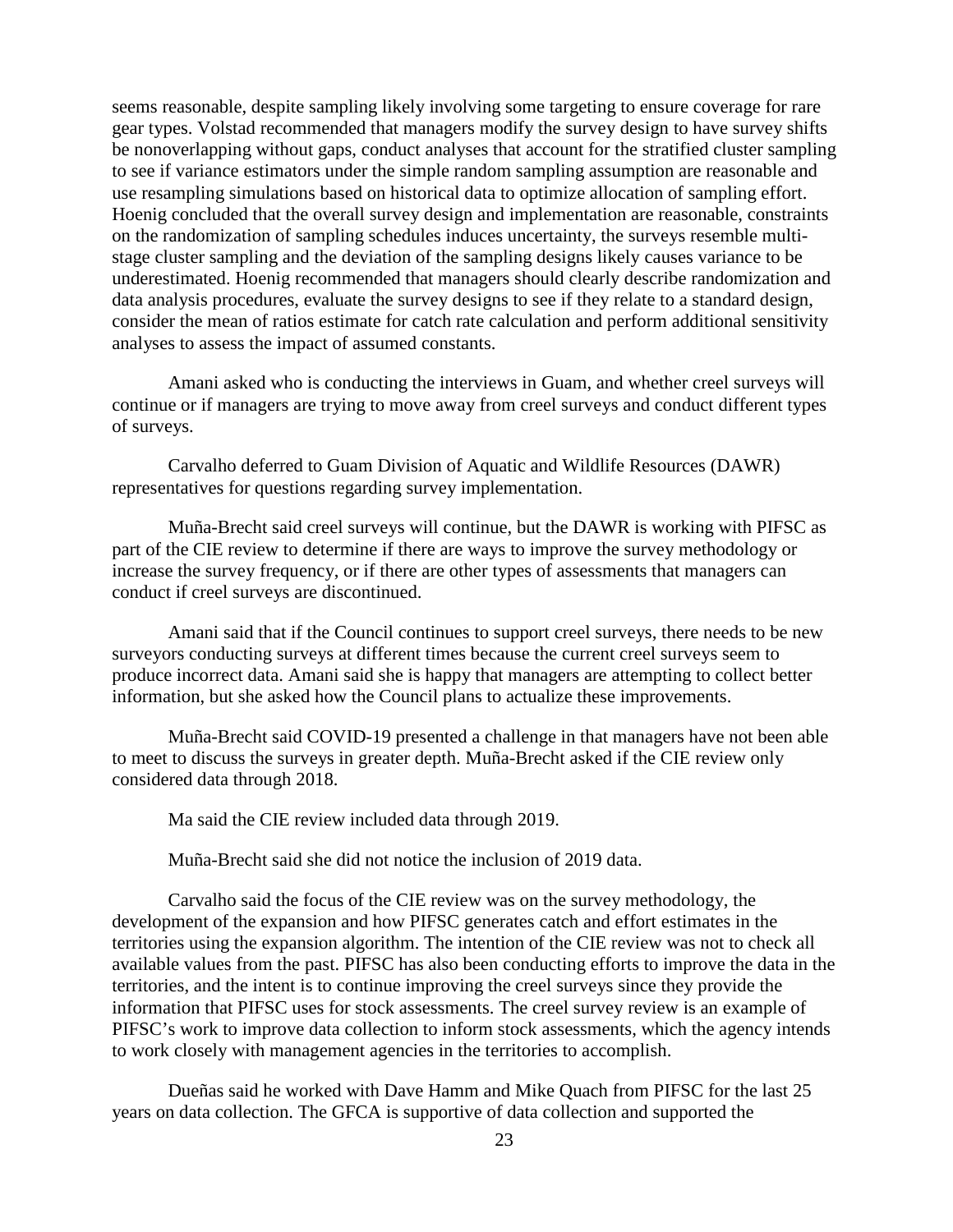seems reasonable, despite sampling likely involving some targeting to ensure coverage for rare gear types. Volstad recommended that managers modify the survey design to have survey shifts be nonoverlapping without gaps, conduct analyses that account for the stratified cluster sampling to see if variance estimators under the simple random sampling assumption are reasonable and use resampling simulations based on historical data to optimize allocation of sampling effort. Hoenig concluded that the overall survey design and implementation are reasonable, constraints on the randomization of sampling schedules induces uncertainty, the surveys resemble multistage cluster sampling and the deviation of the sampling designs likely causes variance to be underestimated. Hoenig recommended that managers should clearly describe randomization and data analysis procedures, evaluate the survey designs to see if they relate to a standard design, consider the mean of ratios estimate for catch rate calculation and perform additional sensitivity analyses to assess the impact of assumed constants.

Amani asked who is conducting the interviews in Guam, and whether creel surveys will continue or if managers are trying to move away from creel surveys and conduct different types of surveys.

Carvalho deferred to Guam Division of Aquatic and Wildlife Resources (DAWR) representatives for questions regarding survey implementation.

Muña-Brecht said creel surveys will continue, but the DAWR is working with PIFSC as part of the CIE review to determine if there are ways to improve the survey methodology or increase the survey frequency, or if there are other types of assessments that managers can conduct if creel surveys are discontinued.

Amani said that if the Council continues to support creel surveys, there needs to be new surveyors conducting surveys at different times because the current creel surveys seem to produce incorrect data. Amani said she is happy that managers are attempting to collect better information, but she asked how the Council plans to actualize these improvements.

Muña-Brecht said COVID-19 presented a challenge in that managers have not been able to meet to discuss the surveys in greater depth. Muña-Brecht asked if the CIE review only considered data through 2018.

Ma said the CIE review included data through 2019.

Muña-Brecht said she did not notice the inclusion of 2019 data.

Carvalho said the focus of the CIE review was on the survey methodology, the development of the expansion and how PIFSC generates catch and effort estimates in the territories using the expansion algorithm. The intention of the CIE review was not to check all available values from the past. PIFSC has also been conducting efforts to improve the data in the territories, and the intent is to continue improving the creel surveys since they provide the information that PIFSC uses for stock assessments. The creel survey review is an example of PIFSC's work to improve data collection to inform stock assessments, which the agency intends to work closely with management agencies in the territories to accomplish.

Dueñas said he worked with Dave Hamm and Mike Quach from PIFSC for the last 25 years on data collection. The GFCA is supportive of data collection and supported the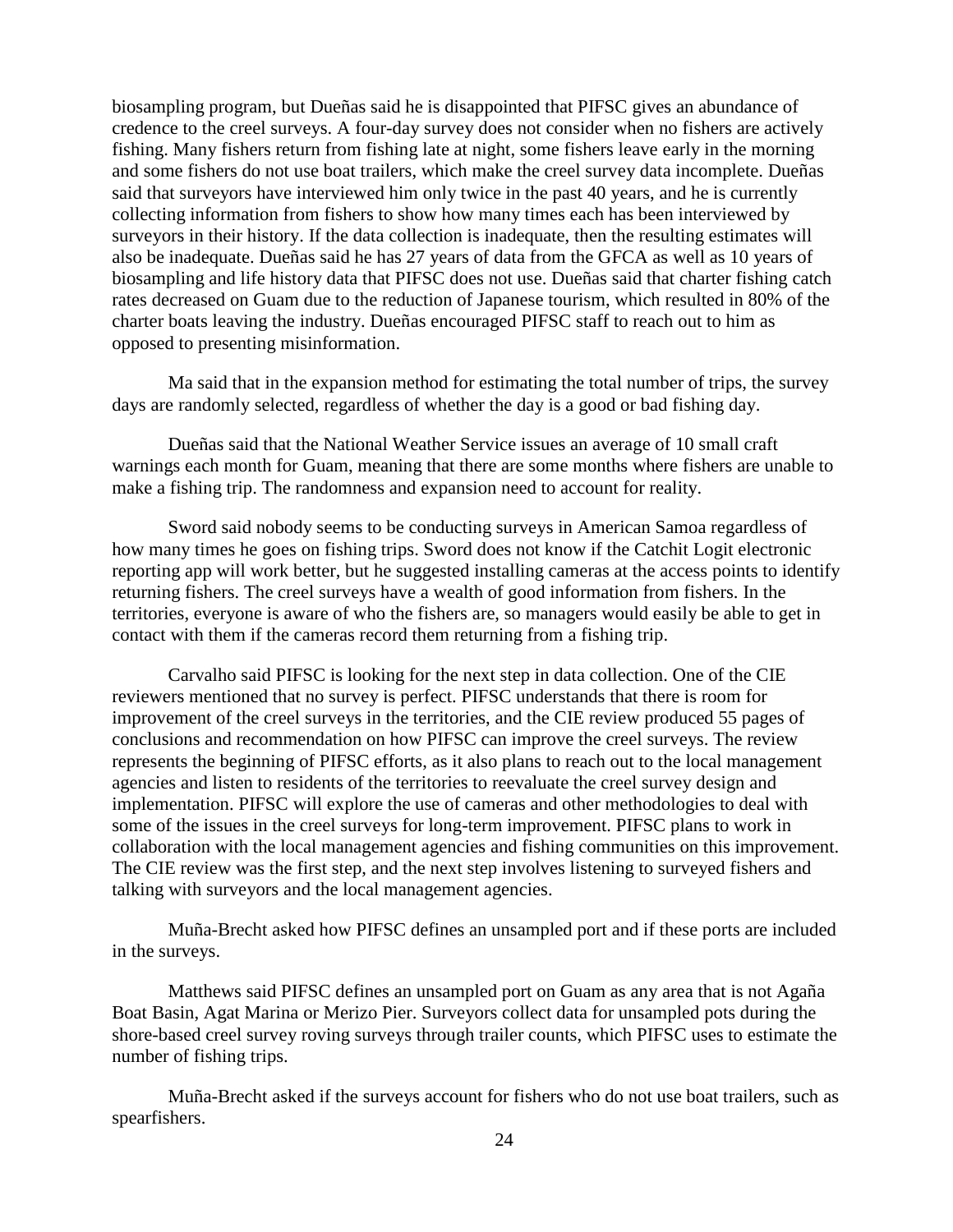biosampling program, but Dueñas said he is disappointed that PIFSC gives an abundance of credence to the creel surveys. A four-day survey does not consider when no fishers are actively fishing. Many fishers return from fishing late at night, some fishers leave early in the morning and some fishers do not use boat trailers, which make the creel survey data incomplete. Dueñas said that surveyors have interviewed him only twice in the past 40 years, and he is currently collecting information from fishers to show how many times each has been interviewed by surveyors in their history. If the data collection is inadequate, then the resulting estimates will also be inadequate. Dueñas said he has 27 years of data from the GFCA as well as 10 years of biosampling and life history data that PIFSC does not use. Dueñas said that charter fishing catch rates decreased on Guam due to the reduction of Japanese tourism, which resulted in 80% of the charter boats leaving the industry. Dueñas encouraged PIFSC staff to reach out to him as opposed to presenting misinformation.

Ma said that in the expansion method for estimating the total number of trips, the survey days are randomly selected, regardless of whether the day is a good or bad fishing day.

Dueñas said that the National Weather Service issues an average of 10 small craft warnings each month for Guam, meaning that there are some months where fishers are unable to make a fishing trip. The randomness and expansion need to account for reality.

Sword said nobody seems to be conducting surveys in American Samoa regardless of how many times he goes on fishing trips. Sword does not know if the Catchit Logit electronic reporting app will work better, but he suggested installing cameras at the access points to identify returning fishers. The creel surveys have a wealth of good information from fishers. In the territories, everyone is aware of who the fishers are, so managers would easily be able to get in contact with them if the cameras record them returning from a fishing trip.

Carvalho said PIFSC is looking for the next step in data collection. One of the CIE reviewers mentioned that no survey is perfect. PIFSC understands that there is room for improvement of the creel surveys in the territories, and the CIE review produced 55 pages of conclusions and recommendation on how PIFSC can improve the creel surveys. The review represents the beginning of PIFSC efforts, as it also plans to reach out to the local management agencies and listen to residents of the territories to reevaluate the creel survey design and implementation. PIFSC will explore the use of cameras and other methodologies to deal with some of the issues in the creel surveys for long-term improvement. PIFSC plans to work in collaboration with the local management agencies and fishing communities on this improvement. The CIE review was the first step, and the next step involves listening to surveyed fishers and talking with surveyors and the local management agencies.

Muña-Brecht asked how PIFSC defines an unsampled port and if these ports are included in the surveys.

Matthews said PIFSC defines an unsampled port on Guam as any area that is not Agaña Boat Basin, Agat Marina or Merizo Pier. Surveyors collect data for unsampled pots during the shore-based creel survey roving surveys through trailer counts, which PIFSC uses to estimate the number of fishing trips.

Muña-Brecht asked if the surveys account for fishers who do not use boat trailers, such as spearfishers.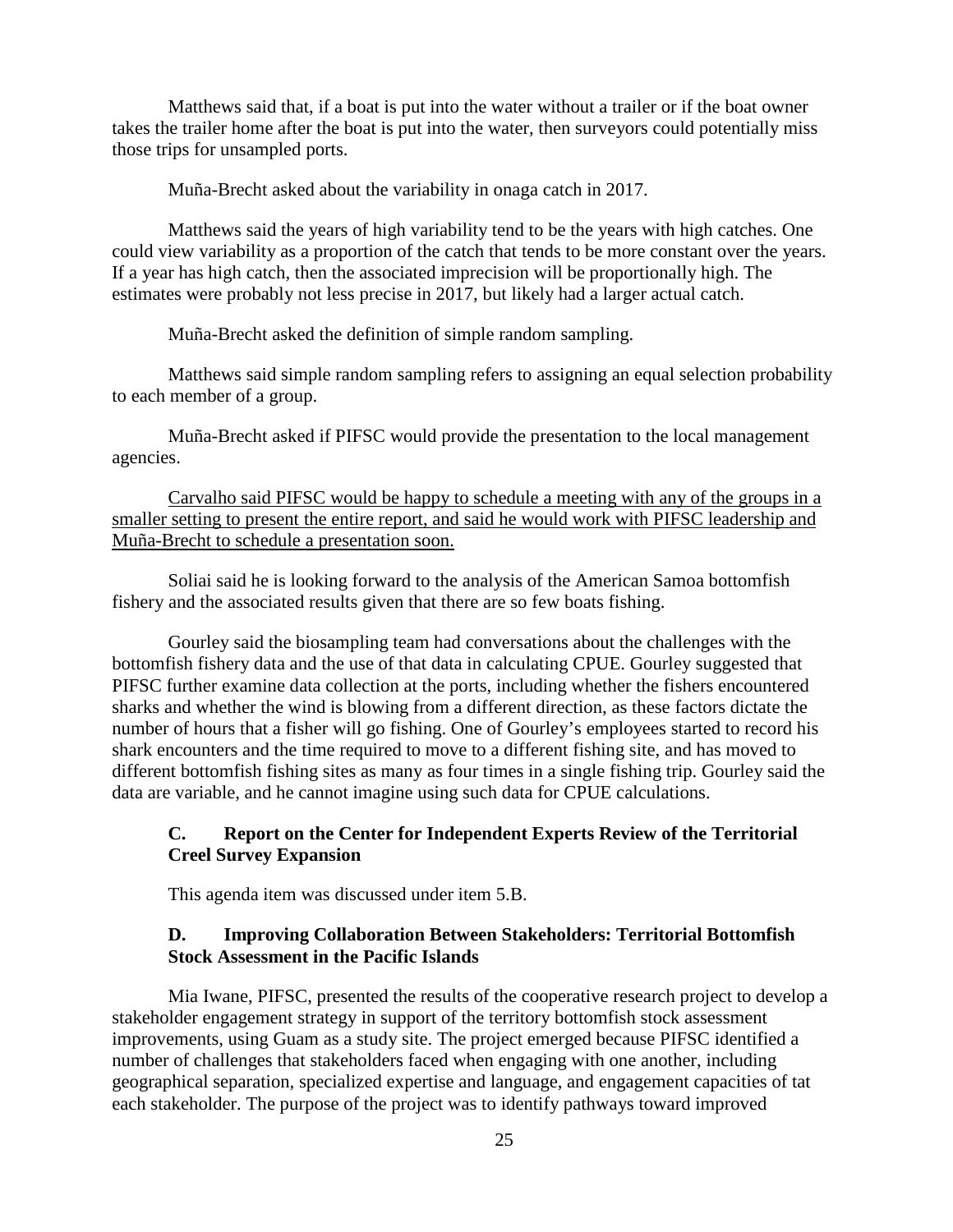Matthews said that, if a boat is put into the water without a trailer or if the boat owner takes the trailer home after the boat is put into the water, then surveyors could potentially miss those trips for unsampled ports.

Muña-Brecht asked about the variability in onaga catch in 2017.

Matthews said the years of high variability tend to be the years with high catches. One could view variability as a proportion of the catch that tends to be more constant over the years. If a year has high catch, then the associated imprecision will be proportionally high. The estimates were probably not less precise in 2017, but likely had a larger actual catch.

Muña-Brecht asked the definition of simple random sampling.

Matthews said simple random sampling refers to assigning an equal selection probability to each member of a group.

Muña-Brecht asked if PIFSC would provide the presentation to the local management agencies.

Carvalho said PIFSC would be happy to schedule a meeting with any of the groups in a smaller setting to present the entire report, and said he would work with PIFSC leadership and Muña-Brecht to schedule a presentation soon.

Soliai said he is looking forward to the analysis of the American Samoa bottomfish fishery and the associated results given that there are so few boats fishing.

Gourley said the biosampling team had conversations about the challenges with the bottomfish fishery data and the use of that data in calculating CPUE. Gourley suggested that PIFSC further examine data collection at the ports, including whether the fishers encountered sharks and whether the wind is blowing from a different direction, as these factors dictate the number of hours that a fisher will go fishing. One of Gourley's employees started to record his shark encounters and the time required to move to a different fishing site, and has moved to different bottomfish fishing sites as many as four times in a single fishing trip. Gourley said the data are variable, and he cannot imagine using such data for CPUE calculations.

## **C. Report on the Center for Independent Experts Review of the Territorial Creel Survey Expansion**

This agenda item was discussed under item 5.B.

## **D. Improving Collaboration Between Stakeholders: Territorial Bottomfish Stock Assessment in the Pacific Islands**

Mia Iwane, PIFSC, presented the results of the cooperative research project to develop a stakeholder engagement strategy in support of the territory bottomfish stock assessment improvements, using Guam as a study site. The project emerged because PIFSC identified a number of challenges that stakeholders faced when engaging with one another, including geographical separation, specialized expertise and language, and engagement capacities of tat each stakeholder. The purpose of the project was to identify pathways toward improved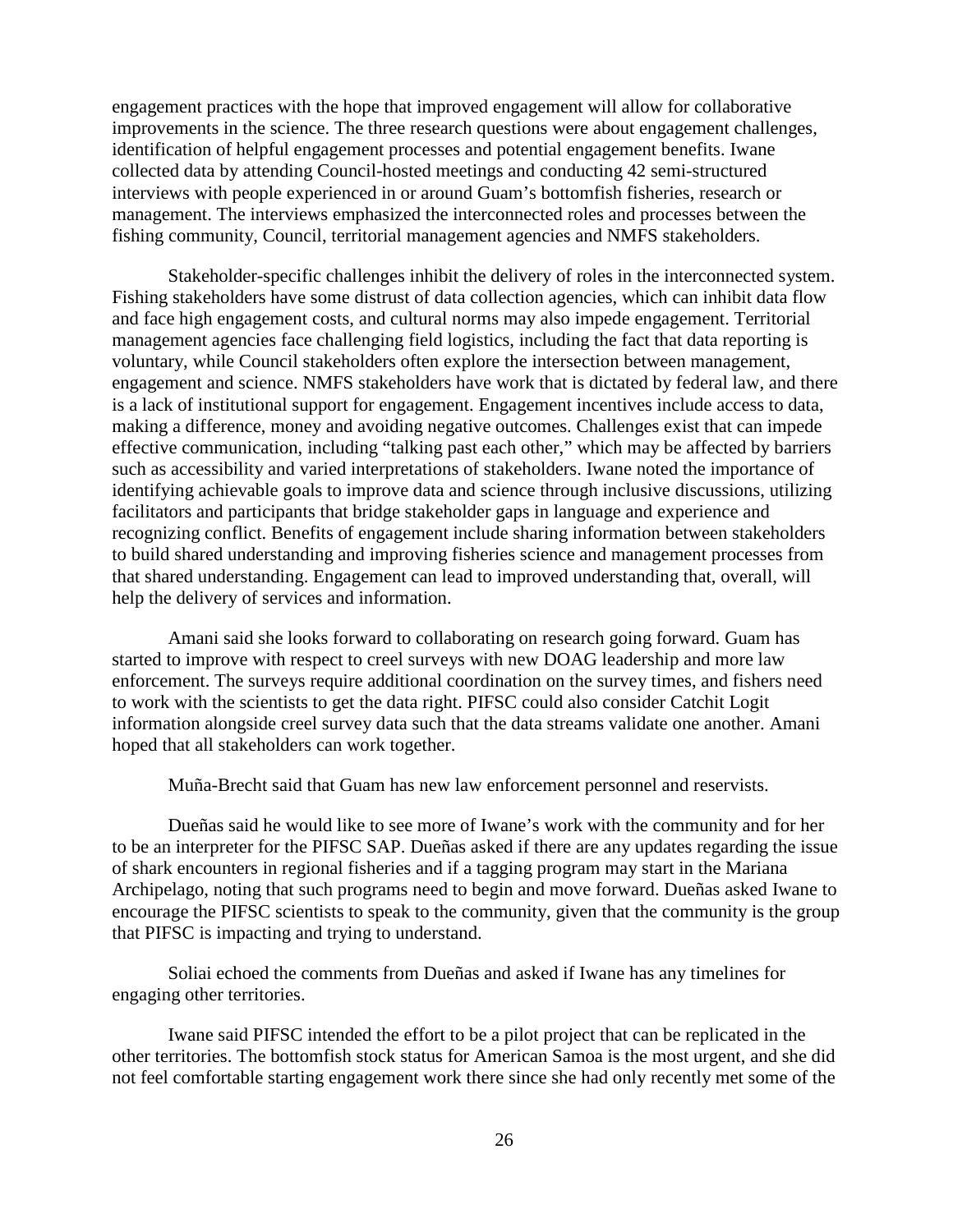engagement practices with the hope that improved engagement will allow for collaborative improvements in the science. The three research questions were about engagement challenges, identification of helpful engagement processes and potential engagement benefits. Iwane collected data by attending Council-hosted meetings and conducting 42 semi-structured interviews with people experienced in or around Guam's bottomfish fisheries, research or management. The interviews emphasized the interconnected roles and processes between the fishing community, Council, territorial management agencies and NMFS stakeholders.

Stakeholder-specific challenges inhibit the delivery of roles in the interconnected system. Fishing stakeholders have some distrust of data collection agencies, which can inhibit data flow and face high engagement costs, and cultural norms may also impede engagement. Territorial management agencies face challenging field logistics, including the fact that data reporting is voluntary, while Council stakeholders often explore the intersection between management, engagement and science. NMFS stakeholders have work that is dictated by federal law, and there is a lack of institutional support for engagement. Engagement incentives include access to data, making a difference, money and avoiding negative outcomes. Challenges exist that can impede effective communication, including "talking past each other," which may be affected by barriers such as accessibility and varied interpretations of stakeholders. Iwane noted the importance of identifying achievable goals to improve data and science through inclusive discussions, utilizing facilitators and participants that bridge stakeholder gaps in language and experience and recognizing conflict. Benefits of engagement include sharing information between stakeholders to build shared understanding and improving fisheries science and management processes from that shared understanding. Engagement can lead to improved understanding that, overall, will help the delivery of services and information.

Amani said she looks forward to collaborating on research going forward. Guam has started to improve with respect to creel surveys with new DOAG leadership and more law enforcement. The surveys require additional coordination on the survey times, and fishers need to work with the scientists to get the data right. PIFSC could also consider Catchit Logit information alongside creel survey data such that the data streams validate one another. Amani hoped that all stakeholders can work together.

Muña-Brecht said that Guam has new law enforcement personnel and reservists.

Dueñas said he would like to see more of Iwane's work with the community and for her to be an interpreter for the PIFSC SAP. Dueñas asked if there are any updates regarding the issue of shark encounters in regional fisheries and if a tagging program may start in the Mariana Archipelago, noting that such programs need to begin and move forward. Dueñas asked Iwane to encourage the PIFSC scientists to speak to the community, given that the community is the group that PIFSC is impacting and trying to understand.

Soliai echoed the comments from Dueñas and asked if Iwane has any timelines for engaging other territories.

Iwane said PIFSC intended the effort to be a pilot project that can be replicated in the other territories. The bottomfish stock status for American Samoa is the most urgent, and she did not feel comfortable starting engagement work there since she had only recently met some of the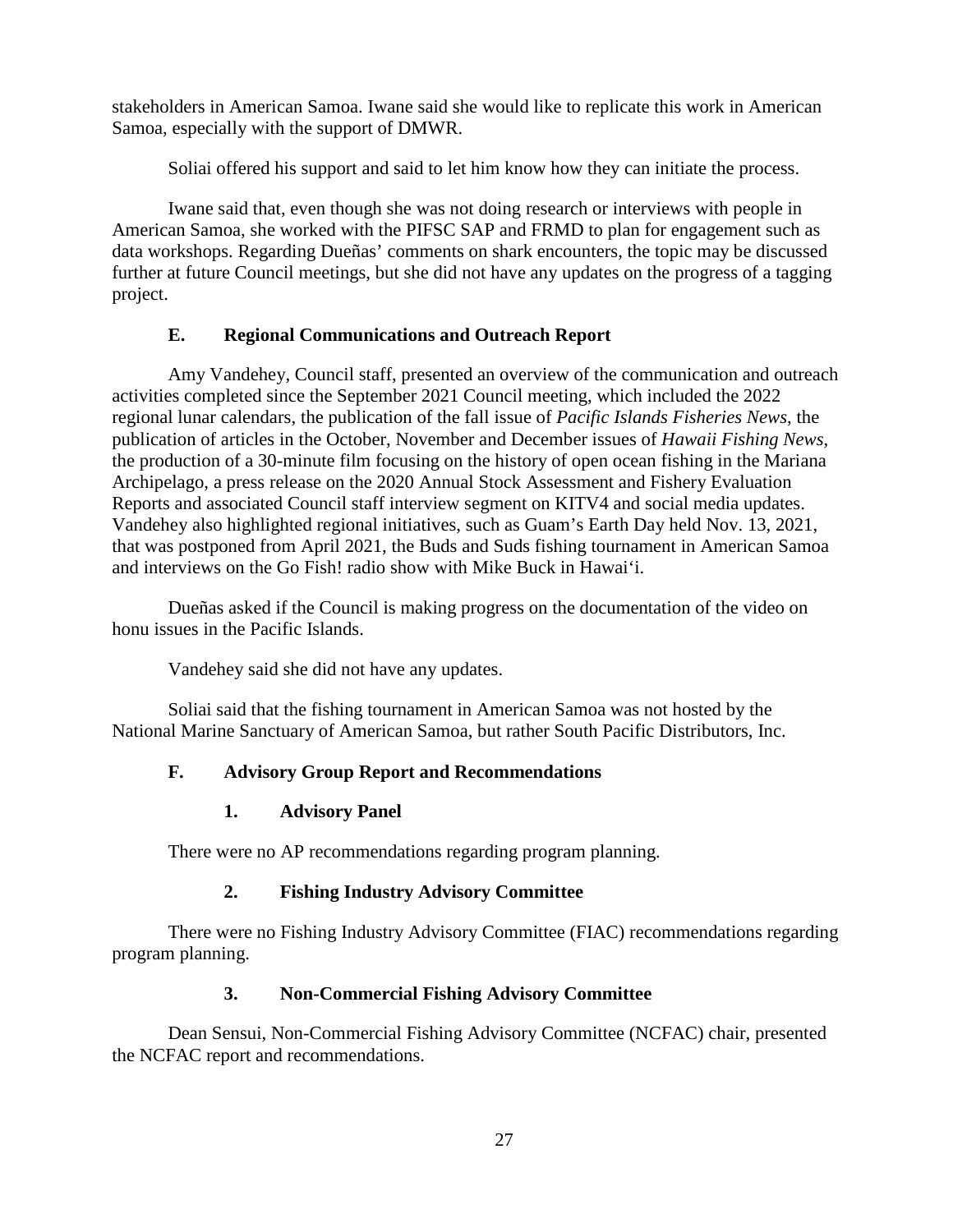stakeholders in American Samoa. Iwane said she would like to replicate this work in American Samoa, especially with the support of DMWR.

Soliai offered his support and said to let him know how they can initiate the process.

Iwane said that, even though she was not doing research or interviews with people in American Samoa, she worked with the PIFSC SAP and FRMD to plan for engagement such as data workshops. Regarding Dueñas' comments on shark encounters, the topic may be discussed further at future Council meetings, but she did not have any updates on the progress of a tagging project.

# **E. Regional Communications and Outreach Report**

Amy Vandehey, Council staff, presented an overview of the communication and outreach activities completed since the September 2021 Council meeting, which included the 2022 regional lunar calendars, the publication of the fall issue of *Pacific Islands Fisheries News*, the publication of articles in the October, November and December issues of *Hawaii Fishing News*, the production of a 30-minute film focusing on the history of open ocean fishing in the Mariana Archipelago, a press release on the 2020 Annual Stock Assessment and Fishery Evaluation Reports and associated Council staff interview segment on KITV4 and social media updates. Vandehey also highlighted regional initiatives, such as Guam's Earth Day held Nov. 13, 2021, that was postponed from April 2021, the Buds and Suds fishing tournament in American Samoa and interviews on the Go Fish! radio show with Mike Buck in Hawai'i.

Dueñas asked if the Council is making progress on the documentation of the video on honu issues in the Pacific Islands.

Vandehey said she did not have any updates.

Soliai said that the fishing tournament in American Samoa was not hosted by the National Marine Sanctuary of American Samoa, but rather South Pacific Distributors, Inc.

# **F. Advisory Group Report and Recommendations**

# **1. Advisory Panel**

There were no AP recommendations regarding program planning.

# **2. Fishing Industry Advisory Committee**

There were no Fishing Industry Advisory Committee (FIAC) recommendations regarding program planning.

# **3. Non-Commercial Fishing Advisory Committee**

Dean Sensui, Non-Commercial Fishing Advisory Committee (NCFAC) chair, presented the NCFAC report and recommendations.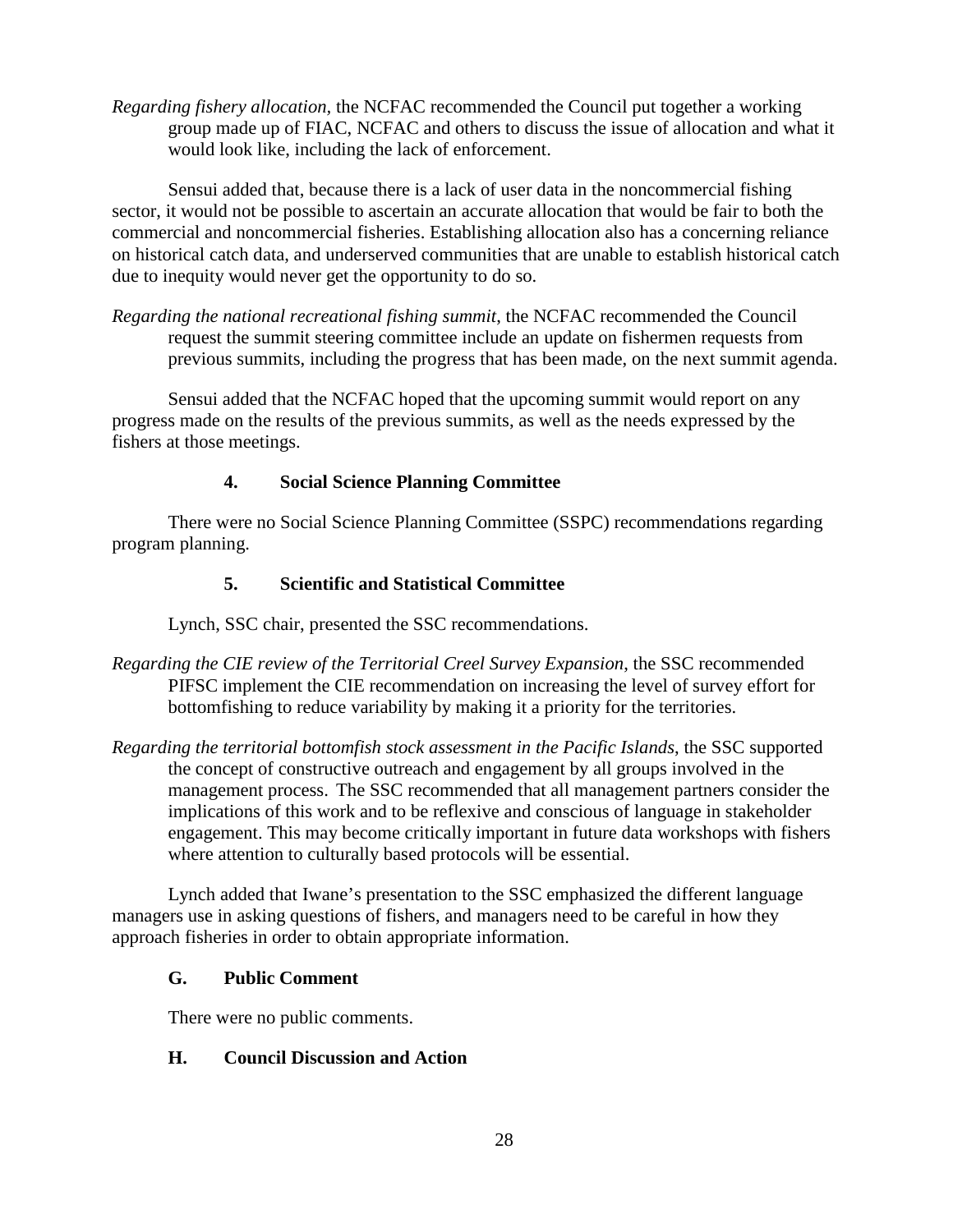*Regarding fishery allocation,* the NCFAC recommended the Council put together a working group made up of FIAC, NCFAC and others to discuss the issue of allocation and what it would look like, including the lack of enforcement.

Sensui added that, because there is a lack of user data in the noncommercial fishing sector, it would not be possible to ascertain an accurate allocation that would be fair to both the commercial and noncommercial fisheries. Establishing allocation also has a concerning reliance on historical catch data, and underserved communities that are unable to establish historical catch due to inequity would never get the opportunity to do so.

*Regarding the national recreational fishing summit*, the NCFAC recommended the Council request the summit steering committee include an update on fishermen requests from previous summits, including the progress that has been made, on the next summit agenda.

Sensui added that the NCFAC hoped that the upcoming summit would report on any progress made on the results of the previous summits, as well as the needs expressed by the fishers at those meetings.

# **4. Social Science Planning Committee**

There were no Social Science Planning Committee (SSPC) recommendations regarding program planning.

# **5. Scientific and Statistical Committee**

Lynch, SSC chair, presented the SSC recommendations.

- *Regarding the CIE review of the Territorial Creel Survey Expansion*, the SSC recommended PIFSC implement the CIE recommendation on increasing the level of survey effort for bottomfishing to reduce variability by making it a priority for the territories.
- *Regarding the territorial bottomfish stock assessment in the Pacific Islands*, the SSC supported the concept of constructive outreach and engagement by all groups involved in the management process. The SSC recommended that all management partners consider the implications of this work and to be reflexive and conscious of language in stakeholder engagement. This may become critically important in future data workshops with fishers where attention to culturally based protocols will be essential.

Lynch added that Iwane's presentation to the SSC emphasized the different language managers use in asking questions of fishers, and managers need to be careful in how they approach fisheries in order to obtain appropriate information.

# **G. Public Comment**

There were no public comments.

# **H. Council Discussion and Action**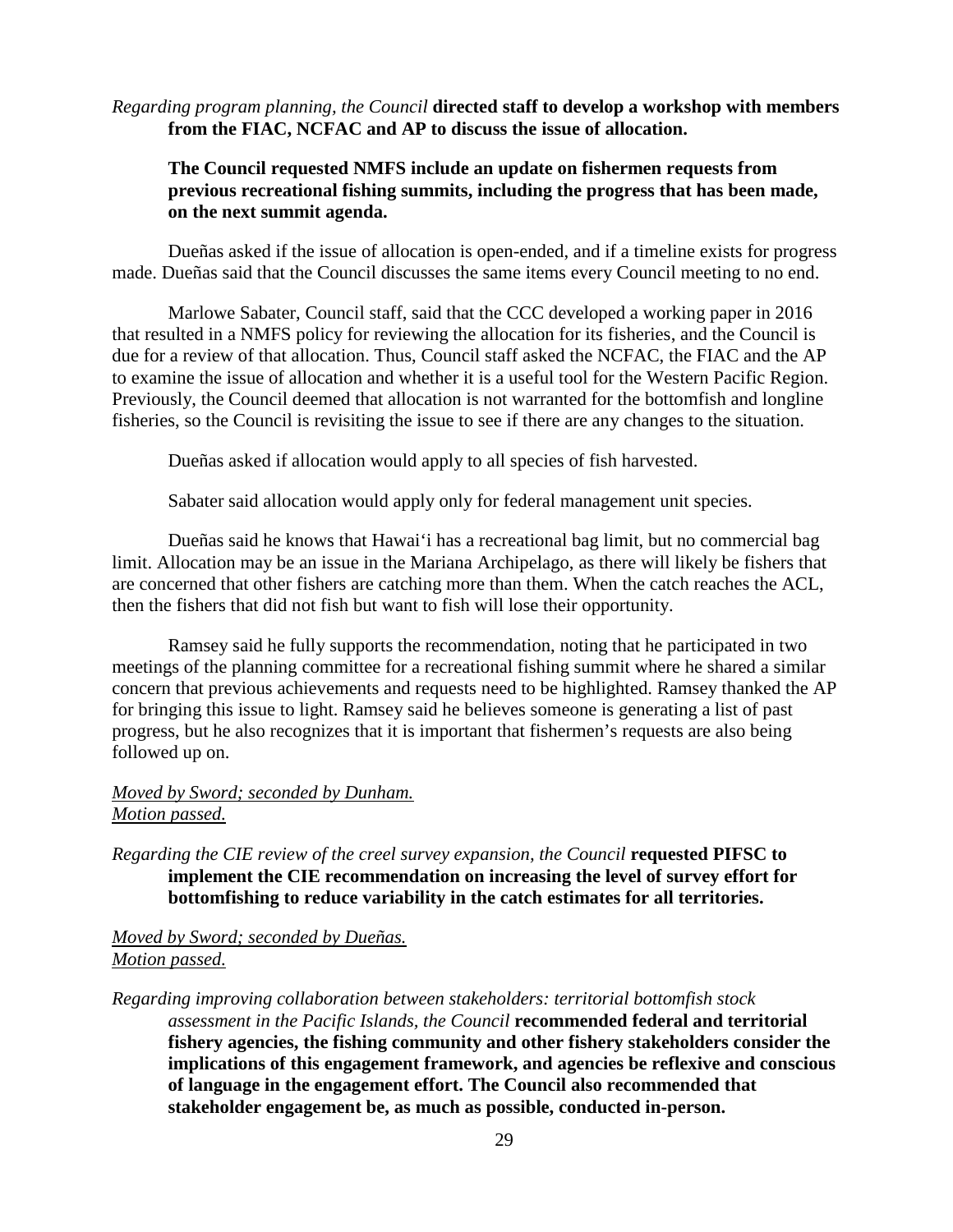*Regarding program planning, the Council* **directed staff to develop a workshop with members from the FIAC, NCFAC and AP to discuss the issue of allocation.**

## **The Council requested NMFS include an update on fishermen requests from previous recreational fishing summits, including the progress that has been made, on the next summit agenda.**

Dueñas asked if the issue of allocation is open-ended, and if a timeline exists for progress made. Dueñas said that the Council discusses the same items every Council meeting to no end.

Marlowe Sabater, Council staff, said that the CCC developed a working paper in 2016 that resulted in a NMFS policy for reviewing the allocation for its fisheries, and the Council is due for a review of that allocation. Thus, Council staff asked the NCFAC, the FIAC and the AP to examine the issue of allocation and whether it is a useful tool for the Western Pacific Region. Previously, the Council deemed that allocation is not warranted for the bottomfish and longline fisheries, so the Council is revisiting the issue to see if there are any changes to the situation.

Dueñas asked if allocation would apply to all species of fish harvested.

Sabater said allocation would apply only for federal management unit species.

Dueñas said he knows that Hawai'i has a recreational bag limit, but no commercial bag limit. Allocation may be an issue in the Mariana Archipelago, as there will likely be fishers that are concerned that other fishers are catching more than them. When the catch reaches the ACL, then the fishers that did not fish but want to fish will lose their opportunity.

Ramsey said he fully supports the recommendation, noting that he participated in two meetings of the planning committee for a recreational fishing summit where he shared a similar concern that previous achievements and requests need to be highlighted. Ramsey thanked the AP for bringing this issue to light. Ramsey said he believes someone is generating a list of past progress, but he also recognizes that it is important that fishermen's requests are also being followed up on.

## *Moved by Sword; seconded by Dunham. Motion passed.*

*Regarding the CIE review of the creel survey expansion, the Council requested PIFSC to* **implement the CIE recommendation on increasing the level of survey effort for bottomfishing to reduce variability in the catch estimates for all territories.**

### *Moved by Sword; seconded by Dueñas. Motion passed.*

*Regarding improving collaboration between stakeholders: territorial bottomfish stock assessment in the Pacific Islands, the Council* **recommended federal and territorial fishery agencies, the fishing community and other fishery stakeholders consider the implications of this engagement framework, and agencies be reflexive and conscious of language in the engagement effort. The Council also recommended that stakeholder engagement be, as much as possible, conducted in-person.**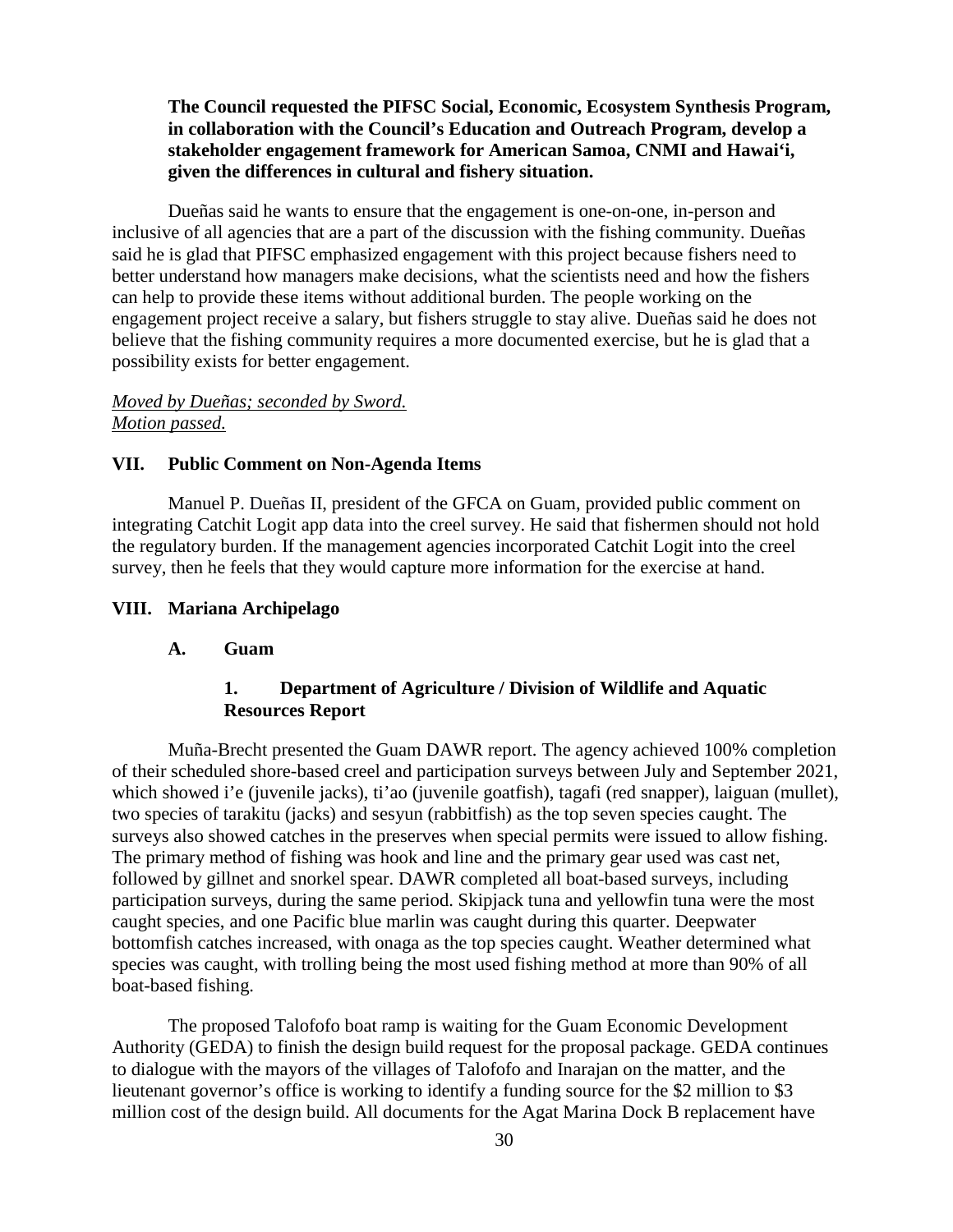## **The Council requested the PIFSC Social, Economic, Ecosystem Synthesis Program, in collaboration with the Council's Education and Outreach Program, develop a stakeholder engagement framework for American Samoa, CNMI and Hawai'i, given the differences in cultural and fishery situation.**

Dueñas said he wants to ensure that the engagement is one-on-one, in-person and inclusive of all agencies that are a part of the discussion with the fishing community. Dueñas said he is glad that PIFSC emphasized engagement with this project because fishers need to better understand how managers make decisions, what the scientists need and how the fishers can help to provide these items without additional burden. The people working on the engagement project receive a salary, but fishers struggle to stay alive. Dueñas said he does not believe that the fishing community requires a more documented exercise, but he is glad that a possibility exists for better engagement.

## *Moved by Dueñas; seconded by Sword. Motion passed.*

### **VII. Public Comment on Non-Agenda Items**

Manuel P. Dueñas II, president of the GFCA on Guam, provided public comment on integrating Catchit Logit app data into the creel survey. He said that fishermen should not hold the regulatory burden. If the management agencies incorporated Catchit Logit into the creel survey, then he feels that they would capture more information for the exercise at hand.

#### **VIII. Mariana Archipelago**

#### **A. Guam**

## **1. Department of Agriculture / Division of Wildlife and Aquatic Resources Report**

Muña-Brecht presented the Guam DAWR report. The agency achieved 100% completion of their scheduled shore-based creel and participation surveys between July and September 2021, which showed i'e (juvenile jacks), ti'ao (juvenile goatfish), tagafi (red snapper), laiguan (mullet), two species of tarakitu (jacks) and sesyun (rabbitfish) as the top seven species caught. The surveys also showed catches in the preserves when special permits were issued to allow fishing. The primary method of fishing was hook and line and the primary gear used was cast net, followed by gillnet and snorkel spear. DAWR completed all boat-based surveys, including participation surveys, during the same period. Skipjack tuna and yellowfin tuna were the most caught species, and one Pacific blue marlin was caught during this quarter. Deepwater bottomfish catches increased, with onaga as the top species caught. Weather determined what species was caught, with trolling being the most used fishing method at more than 90% of all boat-based fishing.

The proposed Talofofo boat ramp is waiting for the Guam Economic Development Authority (GEDA) to finish the design build request for the proposal package. GEDA continues to dialogue with the mayors of the villages of Talofofo and Inarajan on the matter, and the lieutenant governor's office is working to identify a funding source for the \$2 million to \$3 million cost of the design build. All documents for the Agat Marina Dock B replacement have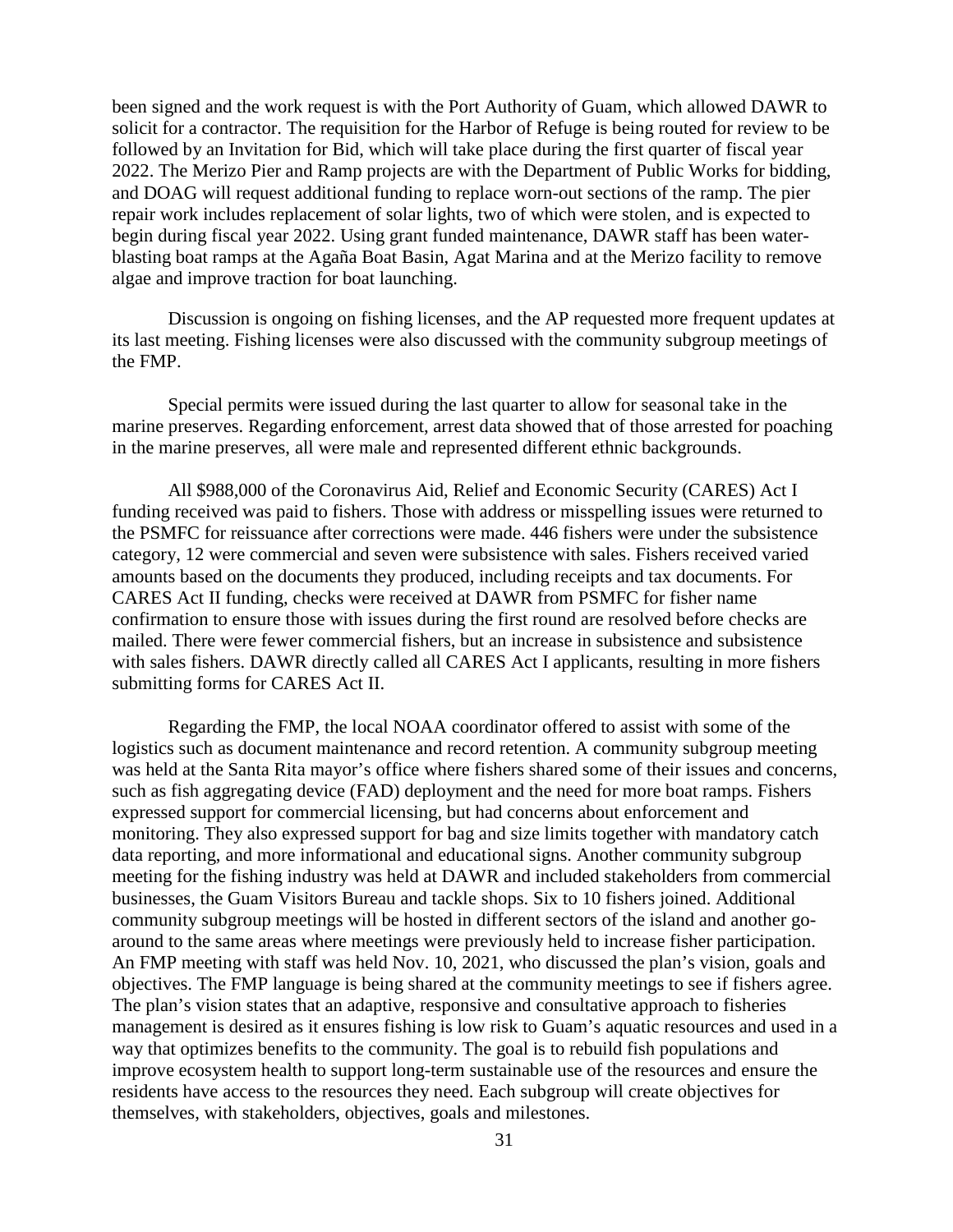been signed and the work request is with the Port Authority of Guam, which allowed DAWR to solicit for a contractor. The requisition for the Harbor of Refuge is being routed for review to be followed by an Invitation for Bid, which will take place during the first quarter of fiscal year 2022. The Merizo Pier and Ramp projects are with the Department of Public Works for bidding, and DOAG will request additional funding to replace worn-out sections of the ramp. The pier repair work includes replacement of solar lights, two of which were stolen, and is expected to begin during fiscal year 2022. Using grant funded maintenance, DAWR staff has been waterblasting boat ramps at the Agaña Boat Basin, Agat Marina and at the Merizo facility to remove algae and improve traction for boat launching.

Discussion is ongoing on fishing licenses, and the AP requested more frequent updates at its last meeting. Fishing licenses were also discussed with the community subgroup meetings of the FMP.

Special permits were issued during the last quarter to allow for seasonal take in the marine preserves. Regarding enforcement, arrest data showed that of those arrested for poaching in the marine preserves, all were male and represented different ethnic backgrounds.

All \$988,000 of the Coronavirus Aid, Relief and Economic Security (CARES) Act I funding received was paid to fishers. Those with address or misspelling issues were returned to the PSMFC for reissuance after corrections were made. 446 fishers were under the subsistence category, 12 were commercial and seven were subsistence with sales. Fishers received varied amounts based on the documents they produced, including receipts and tax documents. For CARES Act II funding, checks were received at DAWR from PSMFC for fisher name confirmation to ensure those with issues during the first round are resolved before checks are mailed. There were fewer commercial fishers, but an increase in subsistence and subsistence with sales fishers. DAWR directly called all CARES Act I applicants, resulting in more fishers submitting forms for CARES Act II.

Regarding the FMP, the local NOAA coordinator offered to assist with some of the logistics such as document maintenance and record retention. A community subgroup meeting was held at the Santa Rita mayor's office where fishers shared some of their issues and concerns, such as fish aggregating device (FAD) deployment and the need for more boat ramps. Fishers expressed support for commercial licensing, but had concerns about enforcement and monitoring. They also expressed support for bag and size limits together with mandatory catch data reporting, and more informational and educational signs. Another community subgroup meeting for the fishing industry was held at DAWR and included stakeholders from commercial businesses, the Guam Visitors Bureau and tackle shops. Six to 10 fishers joined. Additional community subgroup meetings will be hosted in different sectors of the island and another goaround to the same areas where meetings were previously held to increase fisher participation. An FMP meeting with staff was held Nov. 10, 2021, who discussed the plan's vision, goals and objectives. The FMP language is being shared at the community meetings to see if fishers agree. The plan's vision states that an adaptive, responsive and consultative approach to fisheries management is desired as it ensures fishing is low risk to Guam's aquatic resources and used in a way that optimizes benefits to the community. The goal is to rebuild fish populations and improve ecosystem health to support long-term sustainable use of the resources and ensure the residents have access to the resources they need. Each subgroup will create objectives for themselves, with stakeholders, objectives, goals and milestones.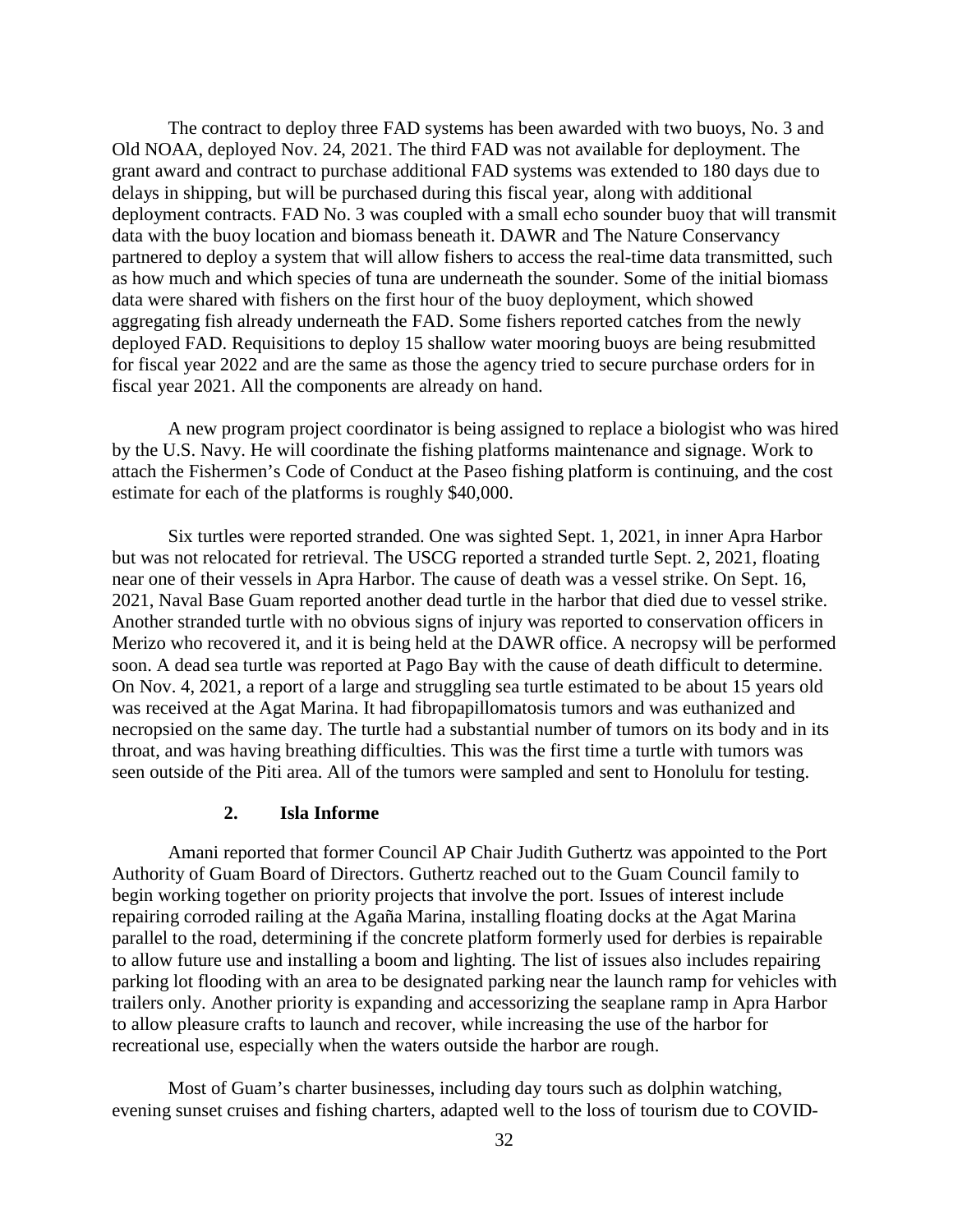The contract to deploy three FAD systems has been awarded with two buoys, No. 3 and Old NOAA, deployed Nov. 24, 2021. The third FAD was not available for deployment. The grant award and contract to purchase additional FAD systems was extended to 180 days due to delays in shipping, but will be purchased during this fiscal year, along with additional deployment contracts. FAD No. 3 was coupled with a small echo sounder buoy that will transmit data with the buoy location and biomass beneath it. DAWR and The Nature Conservancy partnered to deploy a system that will allow fishers to access the real-time data transmitted, such as how much and which species of tuna are underneath the sounder. Some of the initial biomass data were shared with fishers on the first hour of the buoy deployment, which showed aggregating fish already underneath the FAD. Some fishers reported catches from the newly deployed FAD. Requisitions to deploy 15 shallow water mooring buoys are being resubmitted for fiscal year 2022 and are the same as those the agency tried to secure purchase orders for in fiscal year 2021. All the components are already on hand.

A new program project coordinator is being assigned to replace a biologist who was hired by the U.S. Navy. He will coordinate the fishing platforms maintenance and signage. Work to attach the Fishermen's Code of Conduct at the Paseo fishing platform is continuing, and the cost estimate for each of the platforms is roughly \$40,000.

Six turtles were reported stranded. One was sighted Sept. 1, 2021, in inner Apra Harbor but was not relocated for retrieval. The USCG reported a stranded turtle Sept. 2, 2021, floating near one of their vessels in Apra Harbor. The cause of death was a vessel strike. On Sept. 16, 2021, Naval Base Guam reported another dead turtle in the harbor that died due to vessel strike. Another stranded turtle with no obvious signs of injury was reported to conservation officers in Merizo who recovered it, and it is being held at the DAWR office. A necropsy will be performed soon. A dead sea turtle was reported at Pago Bay with the cause of death difficult to determine. On Nov. 4, 2021, a report of a large and struggling sea turtle estimated to be about 15 years old was received at the Agat Marina. It had fibropapillomatosis tumors and was euthanized and necropsied on the same day. The turtle had a substantial number of tumors on its body and in its throat, and was having breathing difficulties. This was the first time a turtle with tumors was seen outside of the Piti area. All of the tumors were sampled and sent to Honolulu for testing.

### **2. Isla Informe**

Amani reported that former Council AP Chair Judith Guthertz was appointed to the Port Authority of Guam Board of Directors. Guthertz reached out to the Guam Council family to begin working together on priority projects that involve the port. Issues of interest include repairing corroded railing at the Agaña Marina, installing floating docks at the Agat Marina parallel to the road, determining if the concrete platform formerly used for derbies is repairable to allow future use and installing a boom and lighting. The list of issues also includes repairing parking lot flooding with an area to be designated parking near the launch ramp for vehicles with trailers only. Another priority is expanding and accessorizing the seaplane ramp in Apra Harbor to allow pleasure crafts to launch and recover, while increasing the use of the harbor for recreational use, especially when the waters outside the harbor are rough.

Most of Guam's charter businesses, including day tours such as dolphin watching, evening sunset cruises and fishing charters, adapted well to the loss of tourism due to COVID-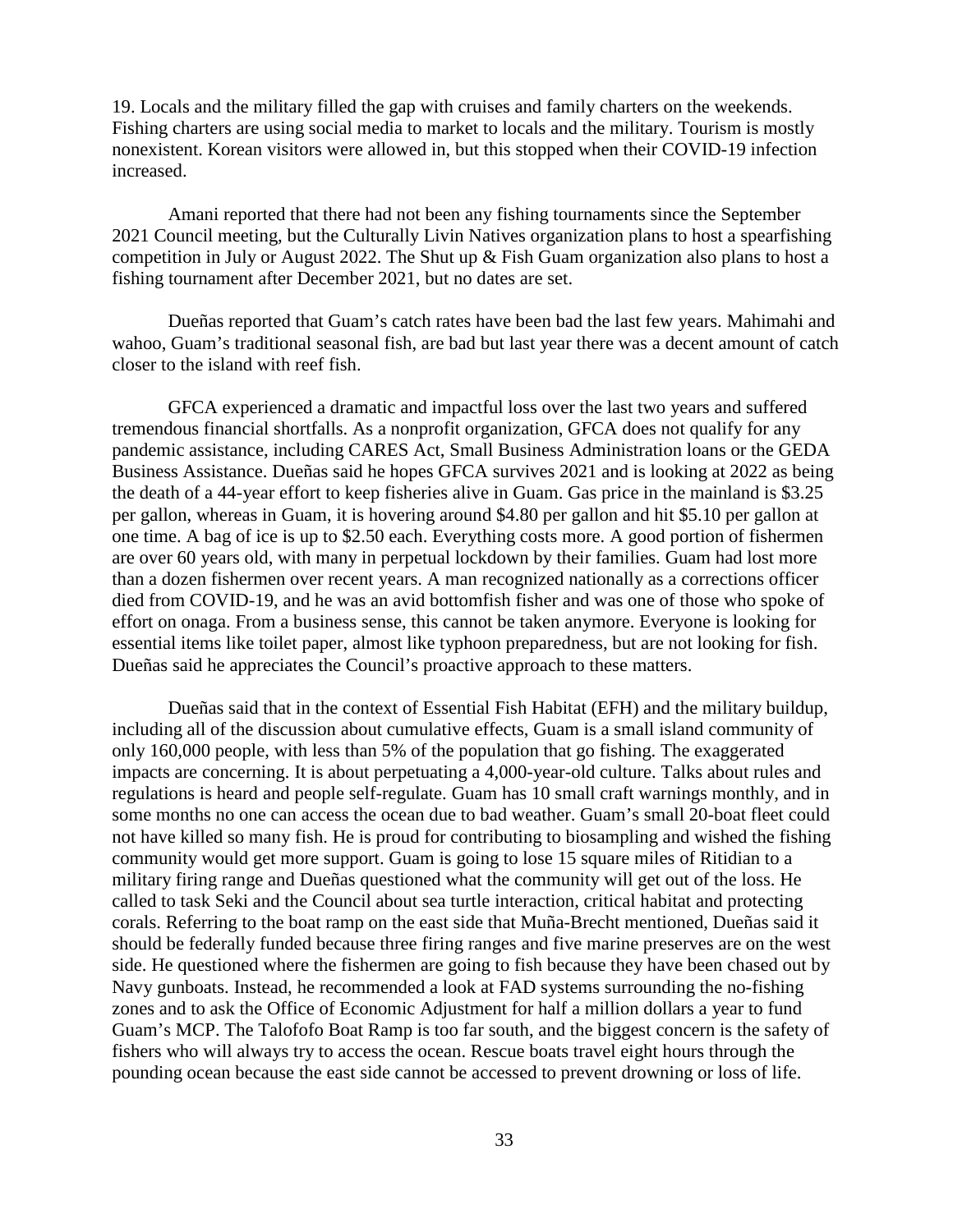19. Locals and the military filled the gap with cruises and family charters on the weekends. Fishing charters are using social media to market to locals and the military. Tourism is mostly nonexistent. Korean visitors were allowed in, but this stopped when their COVID-19 infection increased.

Amani reported that there had not been any fishing tournaments since the September 2021 Council meeting, but the Culturally Livin Natives organization plans to host a spearfishing competition in July or August 2022. The Shut up & Fish Guam organization also plans to host a fishing tournament after December 2021, but no dates are set.

Dueñas reported that Guam's catch rates have been bad the last few years. Mahimahi and wahoo, Guam's traditional seasonal fish, are bad but last year there was a decent amount of catch closer to the island with reef fish.

GFCA experienced a dramatic and impactful loss over the last two years and suffered tremendous financial shortfalls. As a nonprofit organization, GFCA does not qualify for any pandemic assistance, including CARES Act, Small Business Administration loans or the GEDA Business Assistance. Dueñas said he hopes GFCA survives 2021 and is looking at 2022 as being the death of a 44-year effort to keep fisheries alive in Guam. Gas price in the mainland is \$3.25 per gallon, whereas in Guam, it is hovering around \$4.80 per gallon and hit \$5.10 per gallon at one time. A bag of ice is up to \$2.50 each. Everything costs more. A good portion of fishermen are over 60 years old, with many in perpetual lockdown by their families. Guam had lost more than a dozen fishermen over recent years. A man recognized nationally as a corrections officer died from COVID-19, and he was an avid bottomfish fisher and was one of those who spoke of effort on onaga. From a business sense, this cannot be taken anymore. Everyone is looking for essential items like toilet paper, almost like typhoon preparedness, but are not looking for fish. Dueñas said he appreciates the Council's proactive approach to these matters.

Dueñas said that in the context of Essential Fish Habitat (EFH) and the military buildup, including all of the discussion about cumulative effects, Guam is a small island community of only 160,000 people, with less than 5% of the population that go fishing. The exaggerated impacts are concerning. It is about perpetuating a 4,000-year-old culture. Talks about rules and regulations is heard and people self-regulate. Guam has 10 small craft warnings monthly, and in some months no one can access the ocean due to bad weather. Guam's small 20-boat fleet could not have killed so many fish. He is proud for contributing to biosampling and wished the fishing community would get more support. Guam is going to lose 15 square miles of Ritidian to a military firing range and Dueñas questioned what the community will get out of the loss. He called to task Seki and the Council about sea turtle interaction, critical habitat and protecting corals. Referring to the boat ramp on the east side that Muña-Brecht mentioned, Dueñas said it should be federally funded because three firing ranges and five marine preserves are on the west side. He questioned where the fishermen are going to fish because they have been chased out by Navy gunboats. Instead, he recommended a look at FAD systems surrounding the no-fishing zones and to ask the Office of Economic Adjustment for half a million dollars a year to fund Guam's MCP. The Talofofo Boat Ramp is too far south, and the biggest concern is the safety of fishers who will always try to access the ocean. Rescue boats travel eight hours through the pounding ocean because the east side cannot be accessed to prevent drowning or loss of life.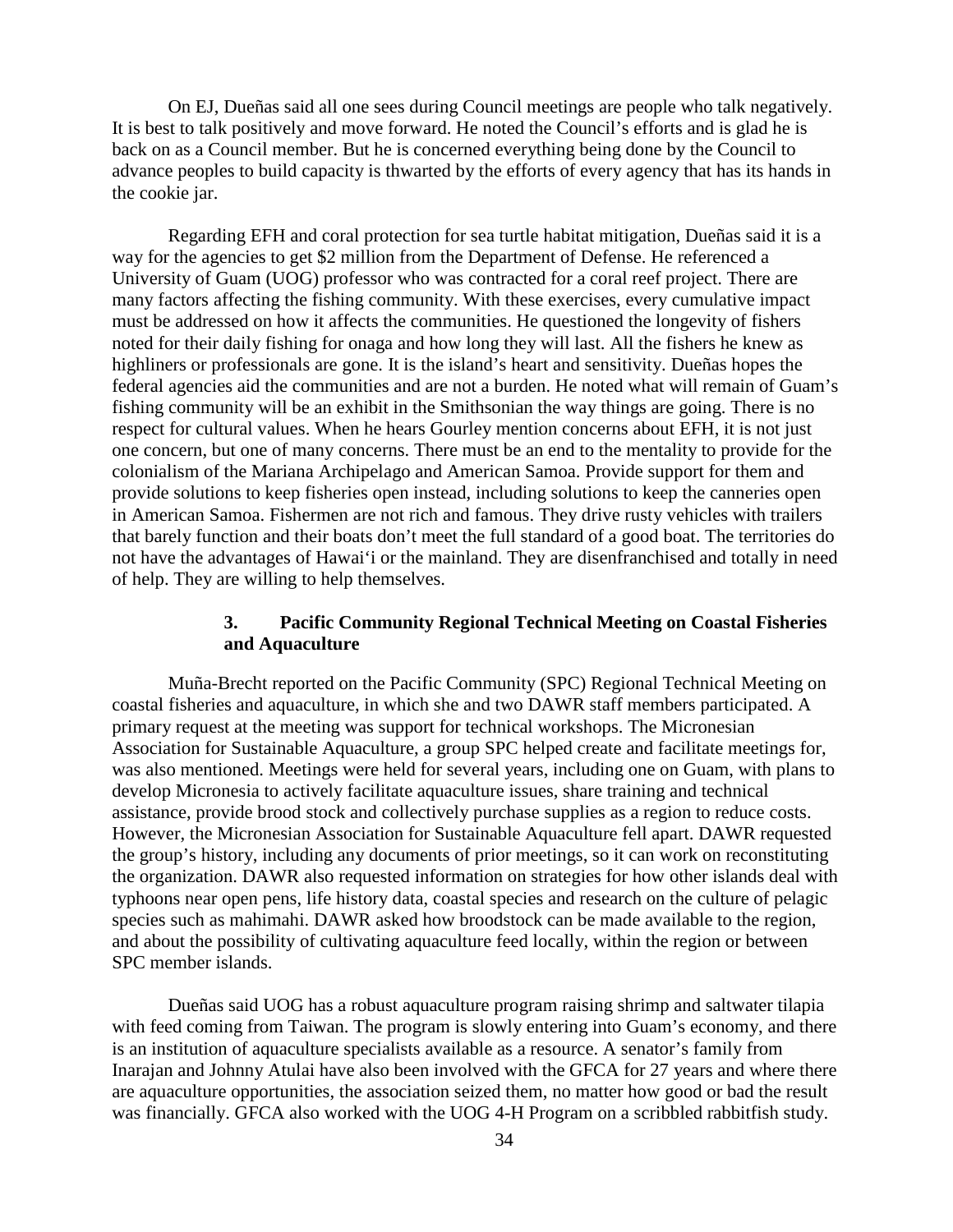On EJ, Dueñas said all one sees during Council meetings are people who talk negatively. It is best to talk positively and move forward. He noted the Council's efforts and is glad he is back on as a Council member. But he is concerned everything being done by the Council to advance peoples to build capacity is thwarted by the efforts of every agency that has its hands in the cookie jar.

Regarding EFH and coral protection for sea turtle habitat mitigation, Dueñas said it is a way for the agencies to get \$2 million from the Department of Defense. He referenced a University of Guam (UOG) professor who was contracted for a coral reef project. There are many factors affecting the fishing community. With these exercises, every cumulative impact must be addressed on how it affects the communities. He questioned the longevity of fishers noted for their daily fishing for onaga and how long they will last. All the fishers he knew as highliners or professionals are gone. It is the island's heart and sensitivity. Dueñas hopes the federal agencies aid the communities and are not a burden. He noted what will remain of Guam's fishing community will be an exhibit in the Smithsonian the way things are going. There is no respect for cultural values. When he hears Gourley mention concerns about EFH, it is not just one concern, but one of many concerns. There must be an end to the mentality to provide for the colonialism of the Mariana Archipelago and American Samoa. Provide support for them and provide solutions to keep fisheries open instead, including solutions to keep the canneries open in American Samoa. Fishermen are not rich and famous. They drive rusty vehicles with trailers that barely function and their boats don't meet the full standard of a good boat. The territories do not have the advantages of Hawai'i or the mainland. They are disenfranchised and totally in need of help. They are willing to help themselves.

### **3. Pacific Community Regional Technical Meeting on Coastal Fisheries and Aquaculture**

Muña-Brecht reported on the Pacific Community (SPC) Regional Technical Meeting on coastal fisheries and aquaculture, in which she and two DAWR staff members participated. A primary request at the meeting was support for technical workshops. The Micronesian Association for Sustainable Aquaculture, a group SPC helped create and facilitate meetings for, was also mentioned. Meetings were held for several years, including one on Guam, with plans to develop Micronesia to actively facilitate aquaculture issues, share training and technical assistance, provide brood stock and collectively purchase supplies as a region to reduce costs. However, the Micronesian Association for Sustainable Aquaculture fell apart. DAWR requested the group's history, including any documents of prior meetings, so it can work on reconstituting the organization. DAWR also requested information on strategies for how other islands deal with typhoons near open pens, life history data, coastal species and research on the culture of pelagic species such as mahimahi. DAWR asked how broodstock can be made available to the region, and about the possibility of cultivating aquaculture feed locally, within the region or between SPC member islands.

Dueñas said UOG has a robust aquaculture program raising shrimp and saltwater tilapia with feed coming from Taiwan. The program is slowly entering into Guam's economy, and there is an institution of aquaculture specialists available as a resource. A senator's family from Inarajan and Johnny Atulai have also been involved with the GFCA for 27 years and where there are aquaculture opportunities, the association seized them, no matter how good or bad the result was financially. GFCA also worked with the UOG 4-H Program on a scribbled rabbitfish study.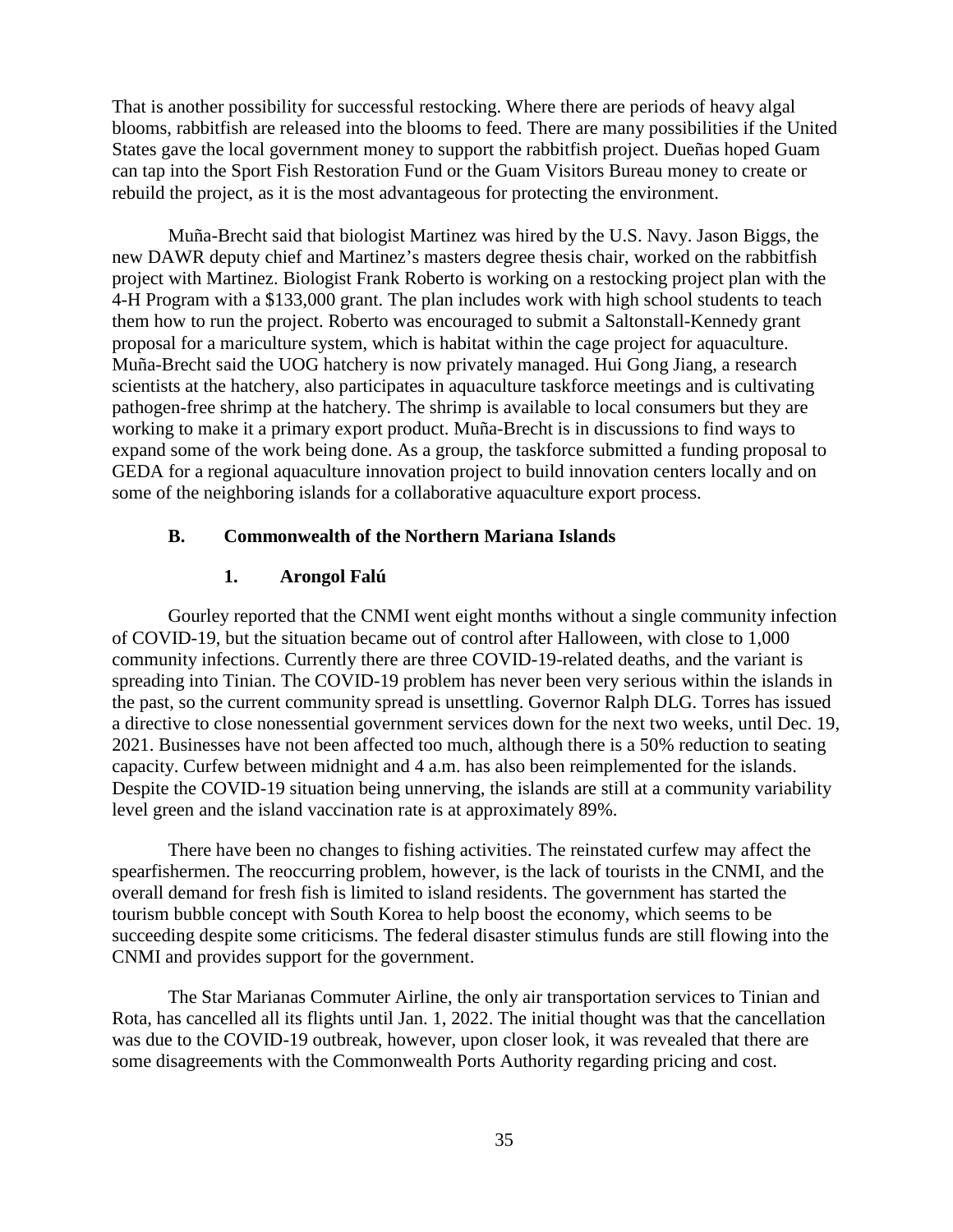That is another possibility for successful restocking. Where there are periods of heavy algal blooms, rabbitfish are released into the blooms to feed. There are many possibilities if the United States gave the local government money to support the rabbitfish project. Dueñas hoped Guam can tap into the Sport Fish Restoration Fund or the Guam Visitors Bureau money to create or rebuild the project, as it is the most advantageous for protecting the environment.

Muña-Brecht said that biologist Martinez was hired by the U.S. Navy. Jason Biggs, the new DAWR deputy chief and Martinez's masters degree thesis chair, worked on the rabbitfish project with Martinez. Biologist Frank Roberto is working on a restocking project plan with the 4-H Program with a \$133,000 grant. The plan includes work with high school students to teach them how to run the project. Roberto was encouraged to submit a Saltonstall-Kennedy grant proposal for a mariculture system, which is habitat within the cage project for aquaculture. Muña-Brecht said the UOG hatchery is now privately managed. Hui Gong Jiang, a research scientists at the hatchery, also participates in aquaculture taskforce meetings and is cultivating pathogen-free shrimp at the hatchery. The shrimp is available to local consumers but they are working to make it a primary export product. Muña-Brecht is in discussions to find ways to expand some of the work being done. As a group, the taskforce submitted a funding proposal to GEDA for a regional aquaculture innovation project to build innovation centers locally and on some of the neighboring islands for a collaborative aquaculture export process.

#### **B. Commonwealth of the Northern Mariana Islands**

#### **1. Arongol Falú**

Gourley reported that the CNMI went eight months without a single community infection of COVID-19, but the situation became out of control after Halloween, with close to 1,000 community infections. Currently there are three COVID-19-related deaths, and the variant is spreading into Tinian. The COVID-19 problem has never been very serious within the islands in the past, so the current community spread is unsettling. Governor Ralph DLG. Torres has issued a directive to close nonessential government services down for the next two weeks, until Dec. 19, 2021. Businesses have not been affected too much, although there is a 50% reduction to seating capacity. Curfew between midnight and 4 a.m. has also been reimplemented for the islands. Despite the COVID-19 situation being unnerving, the islands are still at a community variability level green and the island vaccination rate is at approximately 89%.

There have been no changes to fishing activities. The reinstated curfew may affect the spearfishermen. The reoccurring problem, however, is the lack of tourists in the CNMI, and the overall demand for fresh fish is limited to island residents. The government has started the tourism bubble concept with South Korea to help boost the economy, which seems to be succeeding despite some criticisms. The federal disaster stimulus funds are still flowing into the CNMI and provides support for the government.

The Star Marianas Commuter Airline, the only air transportation services to Tinian and Rota, has cancelled all its flights until Jan. 1, 2022. The initial thought was that the cancellation was due to the COVID-19 outbreak, however, upon closer look, it was revealed that there are some disagreements with the Commonwealth Ports Authority regarding pricing and cost.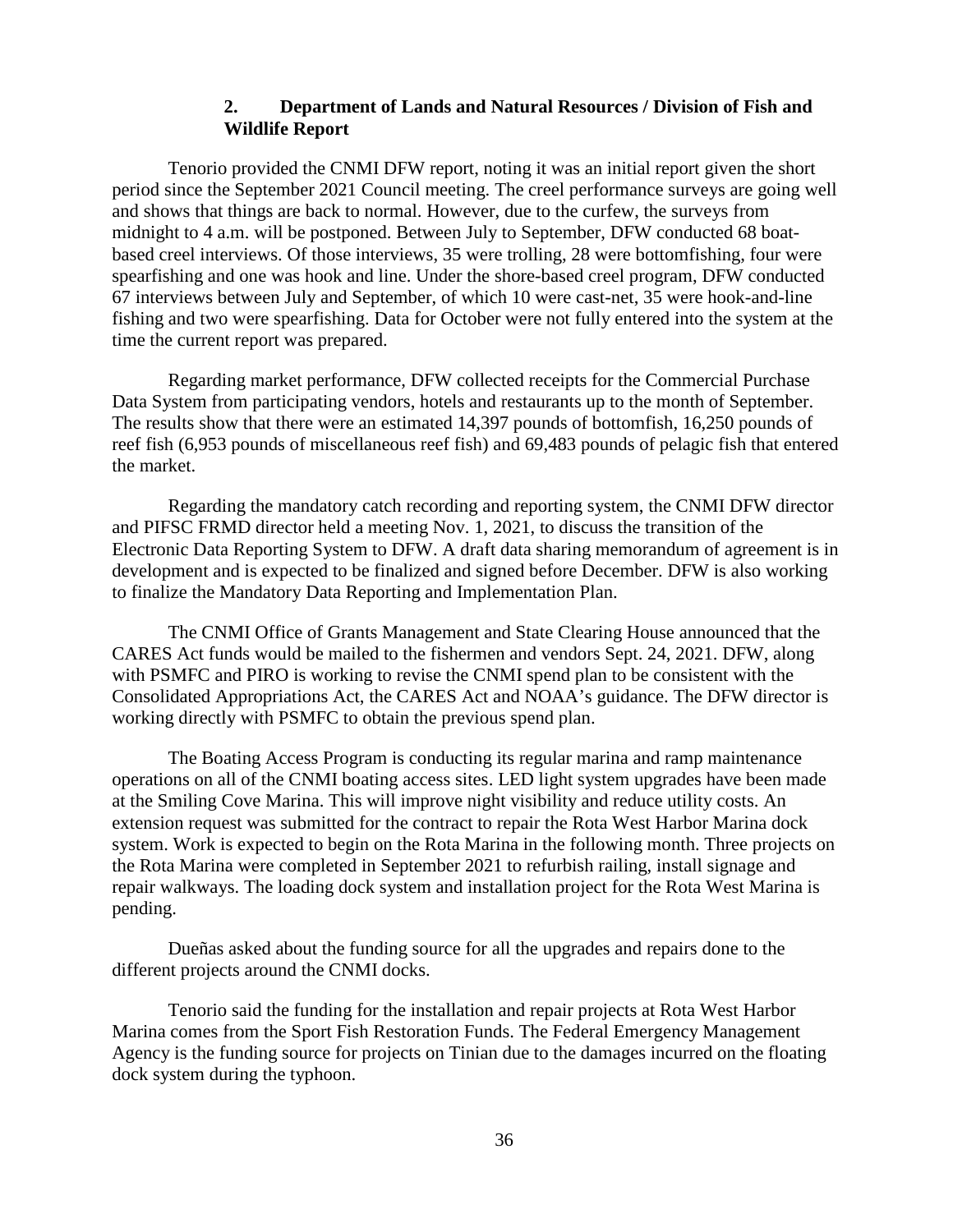### **2. Department of Lands and Natural Resources / Division of Fish and Wildlife Report**

Tenorio provided the CNMI DFW report, noting it was an initial report given the short period since the September 2021 Council meeting. The creel performance surveys are going well and shows that things are back to normal. However, due to the curfew, the surveys from midnight to 4 a.m. will be postponed. Between July to September, DFW conducted 68 boatbased creel interviews. Of those interviews, 35 were trolling, 28 were bottomfishing, four were spearfishing and one was hook and line. Under the shore-based creel program, DFW conducted 67 interviews between July and September, of which 10 were cast-net, 35 were hook-and-line fishing and two were spearfishing. Data for October were not fully entered into the system at the time the current report was prepared.

Regarding market performance, DFW collected receipts for the Commercial Purchase Data System from participating vendors, hotels and restaurants up to the month of September. The results show that there were an estimated 14,397 pounds of bottomfish, 16,250 pounds of reef fish (6,953 pounds of miscellaneous reef fish) and 69,483 pounds of pelagic fish that entered the market.

Regarding the mandatory catch recording and reporting system, the CNMI DFW director and PIFSC FRMD director held a meeting Nov. 1, 2021, to discuss the transition of the Electronic Data Reporting System to DFW. A draft data sharing memorandum of agreement is in development and is expected to be finalized and signed before December. DFW is also working to finalize the Mandatory Data Reporting and Implementation Plan.

The CNMI Office of Grants Management and State Clearing House announced that the CARES Act funds would be mailed to the fishermen and vendors Sept. 24, 2021. DFW, along with PSMFC and PIRO is working to revise the CNMI spend plan to be consistent with the Consolidated Appropriations Act, the CARES Act and NOAA's guidance. The DFW director is working directly with PSMFC to obtain the previous spend plan.

The Boating Access Program is conducting its regular marina and ramp maintenance operations on all of the CNMI boating access sites. LED light system upgrades have been made at the Smiling Cove Marina. This will improve night visibility and reduce utility costs. An extension request was submitted for the contract to repair the Rota West Harbor Marina dock system. Work is expected to begin on the Rota Marina in the following month. Three projects on the Rota Marina were completed in September 2021 to refurbish railing, install signage and repair walkways. The loading dock system and installation project for the Rota West Marina is pending.

Dueñas asked about the funding source for all the upgrades and repairs done to the different projects around the CNMI docks.

Tenorio said the funding for the installation and repair projects at Rota West Harbor Marina comes from the Sport Fish Restoration Funds. The Federal Emergency Management Agency is the funding source for projects on Tinian due to the damages incurred on the floating dock system during the typhoon.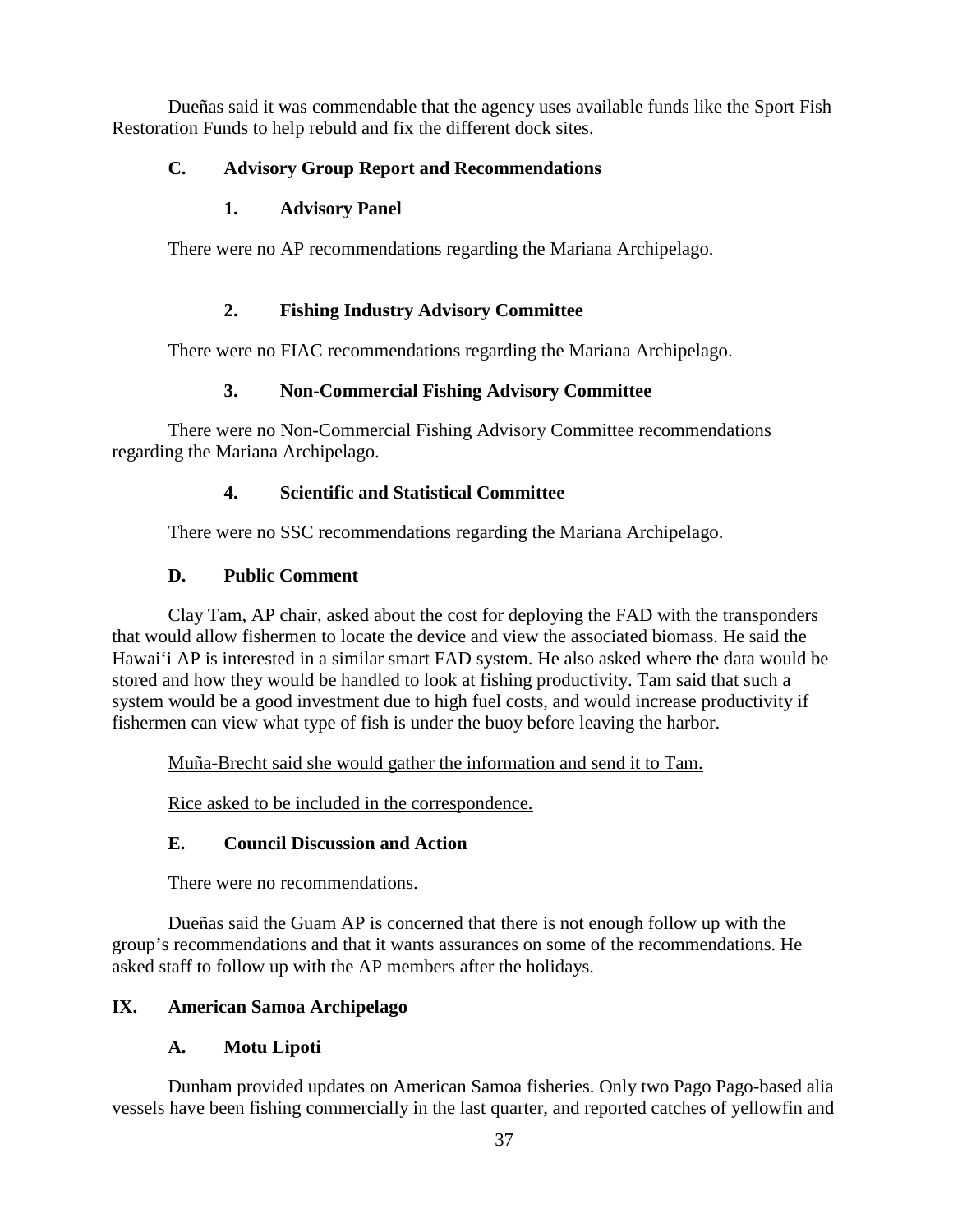Dueñas said it was commendable that the agency uses available funds like the Sport Fish Restoration Funds to help rebuld and fix the different dock sites.

# **C. Advisory Group Report and Recommendations**

# **1. Advisory Panel**

There were no AP recommendations regarding the Mariana Archipelago.

# **2. Fishing Industry Advisory Committee**

There were no FIAC recommendations regarding the Mariana Archipelago.

# **3. Non-Commercial Fishing Advisory Committee**

There were no Non-Commercial Fishing Advisory Committee recommendations regarding the Mariana Archipelago.

# **4. Scientific and Statistical Committee**

There were no SSC recommendations regarding the Mariana Archipelago.

# **D. Public Comment**

Clay Tam, AP chair, asked about the cost for deploying the FAD with the transponders that would allow fishermen to locate the device and view the associated biomass. He said the Hawai'i AP is interested in a similar smart FAD system. He also asked where the data would be stored and how they would be handled to look at fishing productivity. Tam said that such a system would be a good investment due to high fuel costs, and would increase productivity if fishermen can view what type of fish is under the buoy before leaving the harbor.

Muña-Brecht said she would gather the information and send it to Tam.

Rice asked to be included in the correspondence.

# **E. Council Discussion and Action**

There were no recommendations.

Dueñas said the Guam AP is concerned that there is not enough follow up with the group's recommendations and that it wants assurances on some of the recommendations. He asked staff to follow up with the AP members after the holidays.

# **IX. American Samoa Archipelago**

# **A. Motu Lipoti**

Dunham provided updates on American Samoa fisheries. Only two Pago Pago-based alia vessels have been fishing commercially in the last quarter, and reported catches of yellowfin and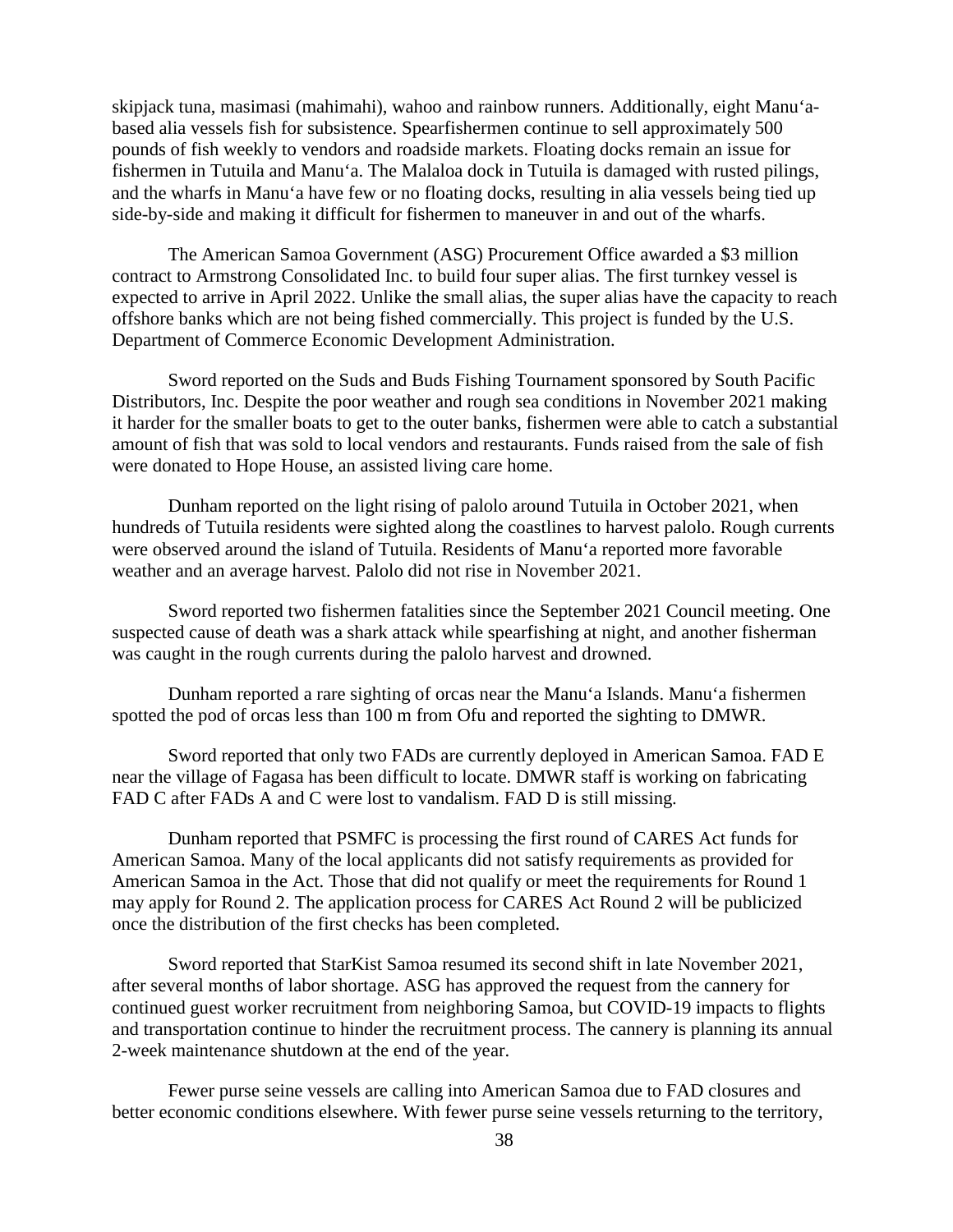skipjack tuna, masimasi (mahimahi), wahoo and rainbow runners. Additionally, eight Manu'abased alia vessels fish for subsistence. Spearfishermen continue to sell approximately 500 pounds of fish weekly to vendors and roadside markets. Floating docks remain an issue for fishermen in Tutuila and Manu'a. The Malaloa dock in Tutuila is damaged with rusted pilings, and the wharfs in Manu'a have few or no floating docks, resulting in alia vessels being tied up side-by-side and making it difficult for fishermen to maneuver in and out of the wharfs.

The American Samoa Government (ASG) Procurement Office awarded a \$3 million contract to Armstrong Consolidated Inc. to build four super alias. The first turnkey vessel is expected to arrive in April 2022. Unlike the small alias, the super alias have the capacity to reach offshore banks which are not being fished commercially. This project is funded by the U.S. Department of Commerce Economic Development Administration.

Sword reported on the Suds and Buds Fishing Tournament sponsored by South Pacific Distributors, Inc. Despite the poor weather and rough sea conditions in November 2021 making it harder for the smaller boats to get to the outer banks, fishermen were able to catch a substantial amount of fish that was sold to local vendors and restaurants. Funds raised from the sale of fish were donated to Hope House, an assisted living care home.

Dunham reported on the light rising of palolo around Tutuila in October 2021, when hundreds of Tutuila residents were sighted along the coastlines to harvest palolo. Rough currents were observed around the island of Tutuila. Residents of Manu'a reported more favorable weather and an average harvest. Palolo did not rise in November 2021.

Sword reported two fishermen fatalities since the September 2021 Council meeting. One suspected cause of death was a shark attack while spearfishing at night, and another fisherman was caught in the rough currents during the palolo harvest and drowned.

Dunham reported a rare sighting of orcas near the Manu'a Islands. Manu'a fishermen spotted the pod of orcas less than 100 m from Ofu and reported the sighting to DMWR.

Sword reported that only two FADs are currently deployed in American Samoa. FAD E near the village of Fagasa has been difficult to locate. DMWR staff is working on fabricating FAD C after FADs A and C were lost to vandalism. FAD D is still missing.

Dunham reported that PSMFC is processing the first round of CARES Act funds for American Samoa. Many of the local applicants did not satisfy requirements as provided for American Samoa in the Act. Those that did not qualify or meet the requirements for Round 1 may apply for Round 2. The application process for CARES Act Round 2 will be publicized once the distribution of the first checks has been completed.

Sword reported that StarKist Samoa resumed its second shift in late November 2021, after several months of labor shortage. ASG has approved the request from the cannery for continued guest worker recruitment from neighboring Samoa, but COVID-19 impacts to flights and transportation continue to hinder the recruitment process. The cannery is planning its annual 2-week maintenance shutdown at the end of the year.

Fewer purse seine vessels are calling into American Samoa due to FAD closures and better economic conditions elsewhere. With fewer purse seine vessels returning to the territory,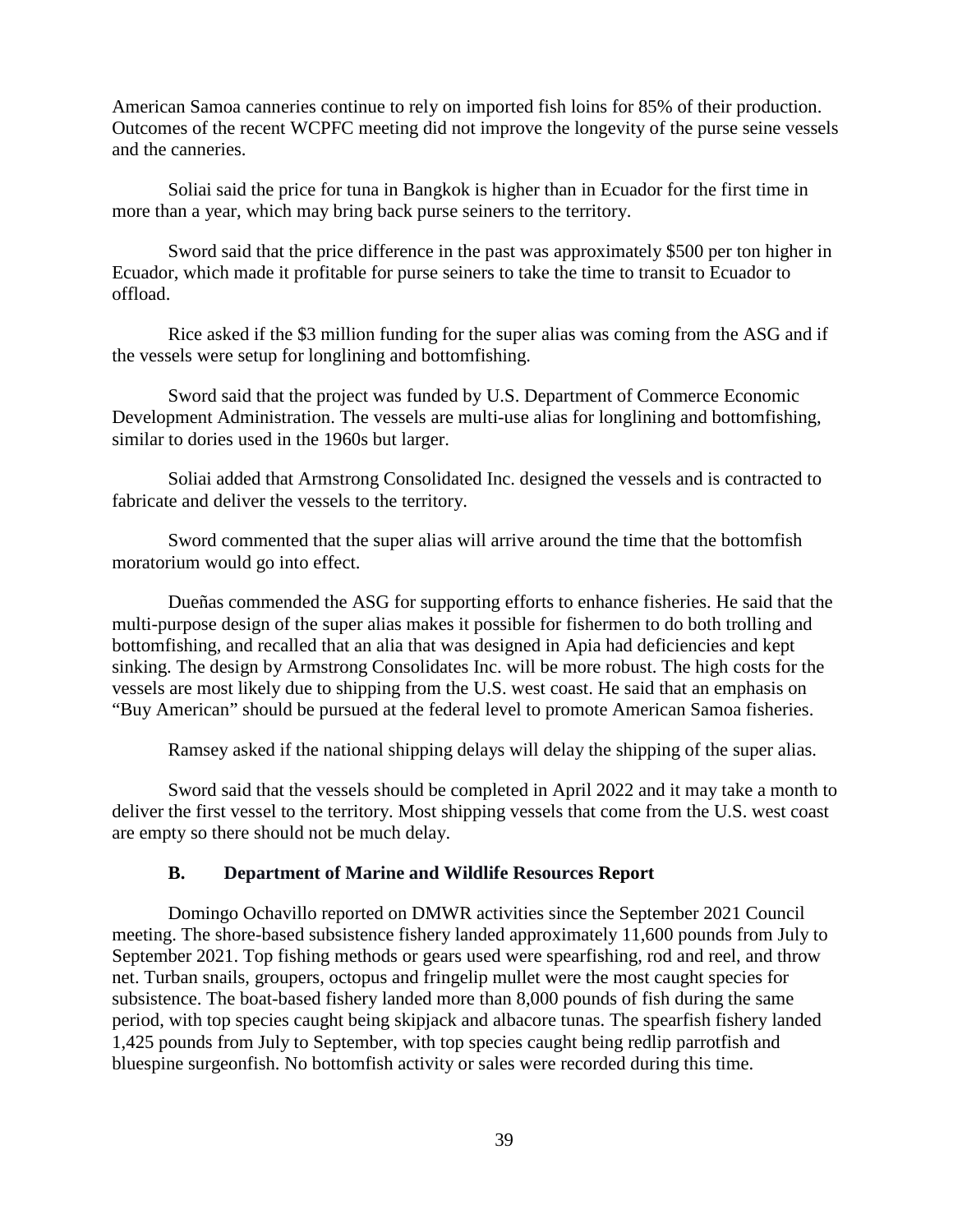American Samoa canneries continue to rely on imported fish loins for 85% of their production. Outcomes of the recent WCPFC meeting did not improve the longevity of the purse seine vessels and the canneries.

Soliai said the price for tuna in Bangkok is higher than in Ecuador for the first time in more than a year, which may bring back purse seiners to the territory.

Sword said that the price difference in the past was approximately \$500 per ton higher in Ecuador, which made it profitable for purse seiners to take the time to transit to Ecuador to offload.

Rice asked if the \$3 million funding for the super alias was coming from the ASG and if the vessels were setup for longlining and bottomfishing.

Sword said that the project was funded by U.S. Department of Commerce Economic Development Administration. The vessels are multi-use alias for longlining and bottomfishing, similar to dories used in the 1960s but larger.

Soliai added that Armstrong Consolidated Inc. designed the vessels and is contracted to fabricate and deliver the vessels to the territory.

Sword commented that the super alias will arrive around the time that the bottomfish moratorium would go into effect.

Dueñas commended the ASG for supporting efforts to enhance fisheries. He said that the multi-purpose design of the super alias makes it possible for fishermen to do both trolling and bottomfishing, and recalled that an alia that was designed in Apia had deficiencies and kept sinking. The design by Armstrong Consolidates Inc. will be more robust. The high costs for the vessels are most likely due to shipping from the U.S. west coast. He said that an emphasis on "Buy American" should be pursued at the federal level to promote American Samoa fisheries.

Ramsey asked if the national shipping delays will delay the shipping of the super alias.

Sword said that the vessels should be completed in April 2022 and it may take a month to deliver the first vessel to the territory. Most shipping vessels that come from the U.S. west coast are empty so there should not be much delay.

#### **B. Department of Marine and Wildlife Resources Report**

Domingo Ochavillo reported on DMWR activities since the September 2021 Council meeting. The shore-based subsistence fishery landed approximately 11,600 pounds from July to September 2021. Top fishing methods or gears used were spearfishing, rod and reel, and throw net. Turban snails, groupers, octopus and fringelip mullet were the most caught species for subsistence. The boat-based fishery landed more than 8,000 pounds of fish during the same period, with top species caught being skipjack and albacore tunas. The spearfish fishery landed 1,425 pounds from July to September, with top species caught being redlip parrotfish and bluespine surgeonfish. No bottomfish activity or sales were recorded during this time.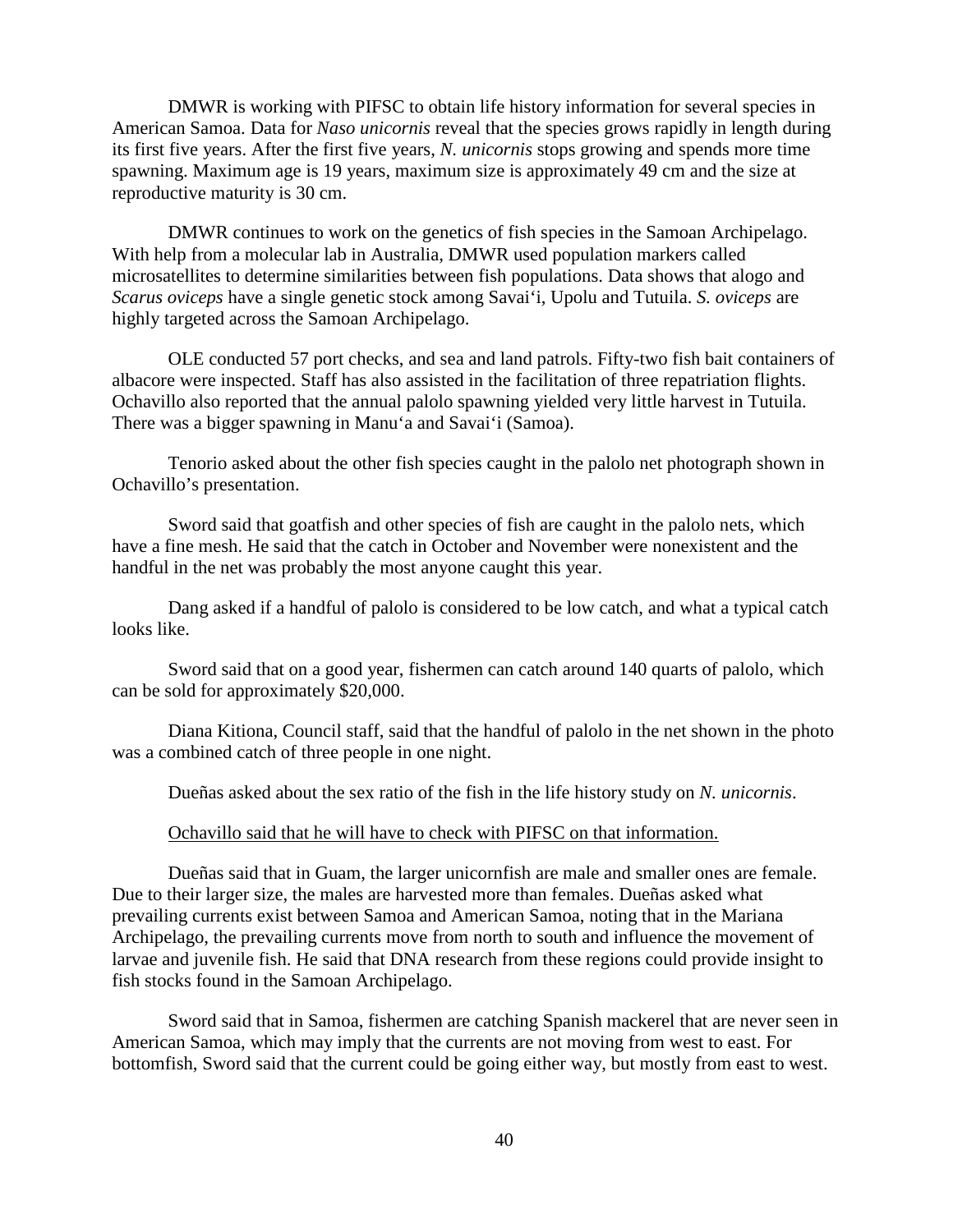DMWR is working with PIFSC to obtain life history information for several species in American Samoa. Data for *Naso unicornis* reveal that the species grows rapidly in length during its first five years. After the first five years, *N. unicornis* stops growing and spends more time spawning. Maximum age is 19 years, maximum size is approximately 49 cm and the size at reproductive maturity is 30 cm.

DMWR continues to work on the genetics of fish species in the Samoan Archipelago. With help from a molecular lab in Australia, DMWR used population markers called microsatellites to determine similarities between fish populations. Data shows that alogo and *Scarus oviceps* have a single genetic stock among Savai'i, Upolu and Tutuila. *S. oviceps* are highly targeted across the Samoan Archipelago.

OLE conducted 57 port checks, and sea and land patrols. Fifty-two fish bait containers of albacore were inspected. Staff has also assisted in the facilitation of three repatriation flights. Ochavillo also reported that the annual palolo spawning yielded very little harvest in Tutuila. There was a bigger spawning in Manu'a and Savai'i (Samoa).

Tenorio asked about the other fish species caught in the palolo net photograph shown in Ochavillo's presentation.

Sword said that goatfish and other species of fish are caught in the palolo nets, which have a fine mesh. He said that the catch in October and November were nonexistent and the handful in the net was probably the most anyone caught this year.

Dang asked if a handful of palolo is considered to be low catch, and what a typical catch looks like.

Sword said that on a good year, fishermen can catch around 140 quarts of palolo, which can be sold for approximately \$20,000.

Diana Kitiona, Council staff, said that the handful of palolo in the net shown in the photo was a combined catch of three people in one night.

Dueñas asked about the sex ratio of the fish in the life history study on *N. unicornis*.

#### Ochavillo said that he will have to check with PIFSC on that information.

Dueñas said that in Guam, the larger unicornfish are male and smaller ones are female. Due to their larger size, the males are harvested more than females. Dueñas asked what prevailing currents exist between Samoa and American Samoa, noting that in the Mariana Archipelago, the prevailing currents move from north to south and influence the movement of larvae and juvenile fish. He said that DNA research from these regions could provide insight to fish stocks found in the Samoan Archipelago.

Sword said that in Samoa, fishermen are catching Spanish mackerel that are never seen in American Samoa, which may imply that the currents are not moving from west to east. For bottomfish, Sword said that the current could be going either way, but mostly from east to west.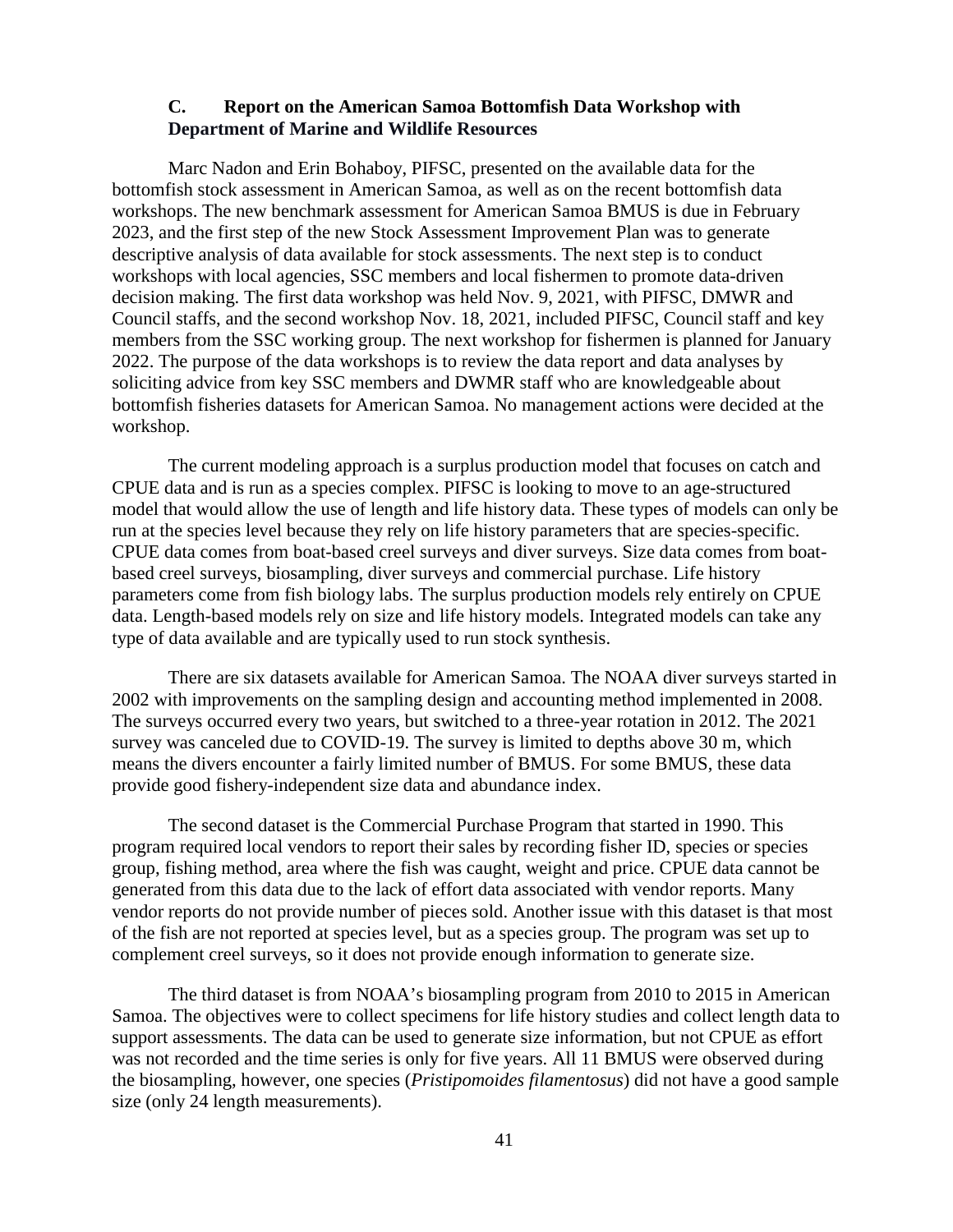#### **C. Report on the American Samoa Bottomfish Data Workshop with Department of Marine and Wildlife Resources**

Marc Nadon and Erin Bohaboy, PIFSC, presented on the available data for the bottomfish stock assessment in American Samoa, as well as on the recent bottomfish data workshops. The new benchmark assessment for American Samoa BMUS is due in February 2023, and the first step of the new Stock Assessment Improvement Plan was to generate descriptive analysis of data available for stock assessments. The next step is to conduct workshops with local agencies, SSC members and local fishermen to promote data-driven decision making. The first data workshop was held Nov. 9, 2021, with PIFSC, DMWR and Council staffs, and the second workshop Nov. 18, 2021, included PIFSC, Council staff and key members from the SSC working group. The next workshop for fishermen is planned for January 2022. The purpose of the data workshops is to review the data report and data analyses by soliciting advice from key SSC members and DWMR staff who are knowledgeable about bottomfish fisheries datasets for American Samoa. No management actions were decided at the workshop.

The current modeling approach is a surplus production model that focuses on catch and CPUE data and is run as a species complex. PIFSC is looking to move to an age-structured model that would allow the use of length and life history data. These types of models can only be run at the species level because they rely on life history parameters that are species-specific. CPUE data comes from boat-based creel surveys and diver surveys. Size data comes from boatbased creel surveys, biosampling, diver surveys and commercial purchase. Life history parameters come from fish biology labs. The surplus production models rely entirely on CPUE data. Length-based models rely on size and life history models. Integrated models can take any type of data available and are typically used to run stock synthesis.

There are six datasets available for American Samoa. The NOAA diver surveys started in 2002 with improvements on the sampling design and accounting method implemented in 2008. The surveys occurred every two years, but switched to a three-year rotation in 2012. The 2021 survey was canceled due to COVID-19. The survey is limited to depths above 30 m, which means the divers encounter a fairly limited number of BMUS. For some BMUS, these data provide good fishery-independent size data and abundance index.

The second dataset is the Commercial Purchase Program that started in 1990. This program required local vendors to report their sales by recording fisher ID, species or species group, fishing method, area where the fish was caught, weight and price. CPUE data cannot be generated from this data due to the lack of effort data associated with vendor reports. Many vendor reports do not provide number of pieces sold. Another issue with this dataset is that most of the fish are not reported at species level, but as a species group. The program was set up to complement creel surveys, so it does not provide enough information to generate size.

The third dataset is from NOAA's biosampling program from 2010 to 2015 in American Samoa. The objectives were to collect specimens for life history studies and collect length data to support assessments. The data can be used to generate size information, but not CPUE as effort was not recorded and the time series is only for five years. All 11 BMUS were observed during the biosampling, however, one species (*Pristipomoides filamentosus*) did not have a good sample size (only 24 length measurements).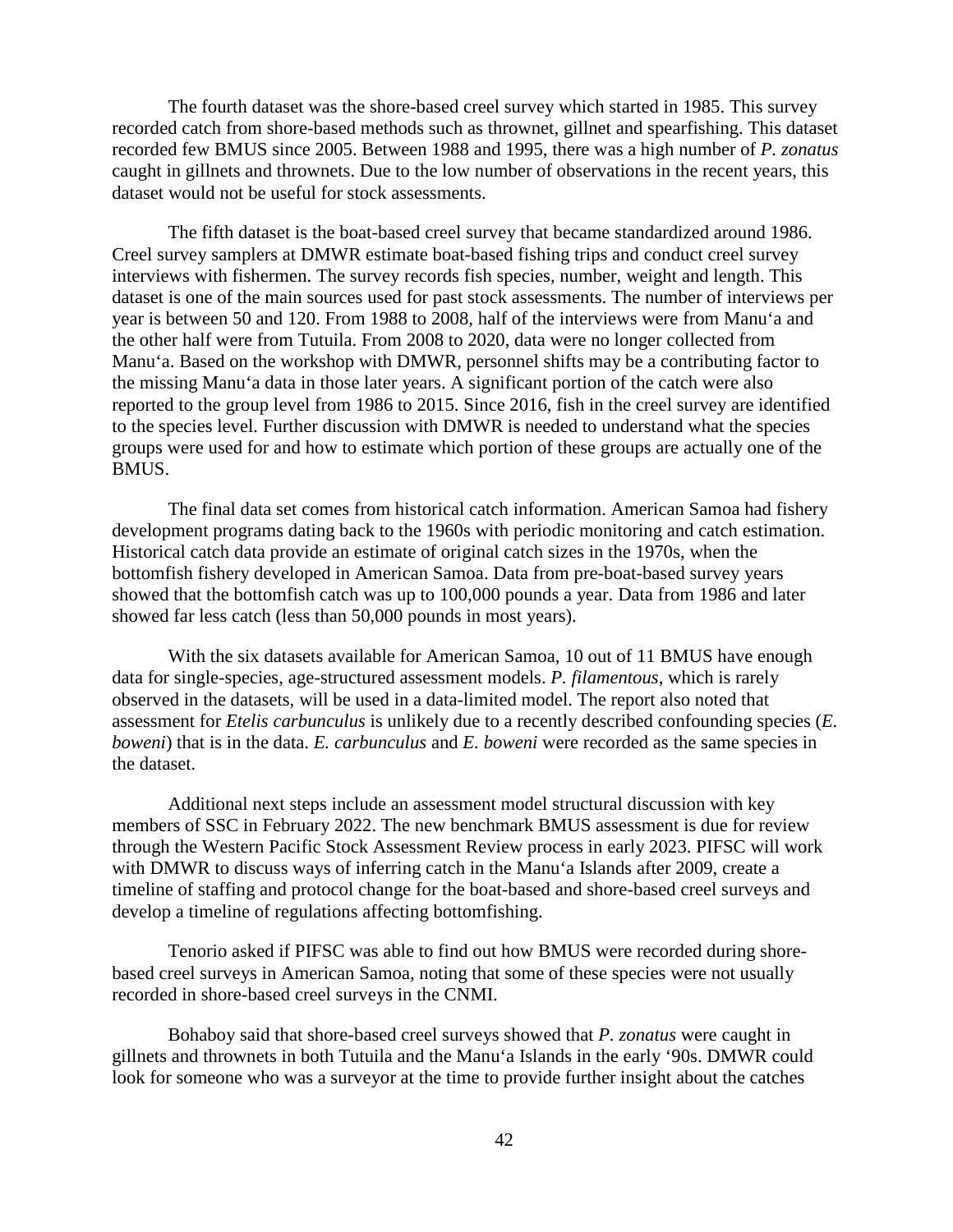The fourth dataset was the shore-based creel survey which started in 1985. This survey recorded catch from shore-based methods such as thrownet, gillnet and spearfishing. This dataset recorded few BMUS since 2005. Between 1988 and 1995, there was a high number of *P. zonatus* caught in gillnets and thrownets. Due to the low number of observations in the recent years, this dataset would not be useful for stock assessments.

The fifth dataset is the boat-based creel survey that became standardized around 1986. Creel survey samplers at DMWR estimate boat-based fishing trips and conduct creel survey interviews with fishermen. The survey records fish species, number, weight and length. This dataset is one of the main sources used for past stock assessments. The number of interviews per year is between 50 and 120. From 1988 to 2008, half of the interviews were from Manu'a and the other half were from Tutuila. From 2008 to 2020, data were no longer collected from Manu'a. Based on the workshop with DMWR, personnel shifts may be a contributing factor to the missing Manu'a data in those later years. A significant portion of the catch were also reported to the group level from 1986 to 2015. Since 2016, fish in the creel survey are identified to the species level. Further discussion with DMWR is needed to understand what the species groups were used for and how to estimate which portion of these groups are actually one of the BMUS.

The final data set comes from historical catch information. American Samoa had fishery development programs dating back to the 1960s with periodic monitoring and catch estimation. Historical catch data provide an estimate of original catch sizes in the 1970s, when the bottomfish fishery developed in American Samoa. Data from pre-boat-based survey years showed that the bottomfish catch was up to 100,000 pounds a year. Data from 1986 and later showed far less catch (less than 50,000 pounds in most years).

With the six datasets available for American Samoa, 10 out of 11 BMUS have enough data for single-species, age-structured assessment models. *P. filamentous*, which is rarely observed in the datasets, will be used in a data-limited model. The report also noted that assessment for *Etelis carbunculus* is unlikely due to a recently described confounding species (*E. boweni*) that is in the data. *E. carbunculus* and *E. boweni* were recorded as the same species in the dataset.

Additional next steps include an assessment model structural discussion with key members of SSC in February 2022. The new benchmark BMUS assessment is due for review through the Western Pacific Stock Assessment Review process in early 2023. PIFSC will work with DMWR to discuss ways of inferring catch in the Manu'a Islands after 2009, create a timeline of staffing and protocol change for the boat-based and shore-based creel surveys and develop a timeline of regulations affecting bottomfishing.

Tenorio asked if PIFSC was able to find out how BMUS were recorded during shorebased creel surveys in American Samoa, noting that some of these species were not usually recorded in shore-based creel surveys in the CNMI.

Bohaboy said that shore-based creel surveys showed that *P. zonatus* were caught in gillnets and thrownets in both Tutuila and the Manu'a Islands in the early '90s. DMWR could look for someone who was a surveyor at the time to provide further insight about the catches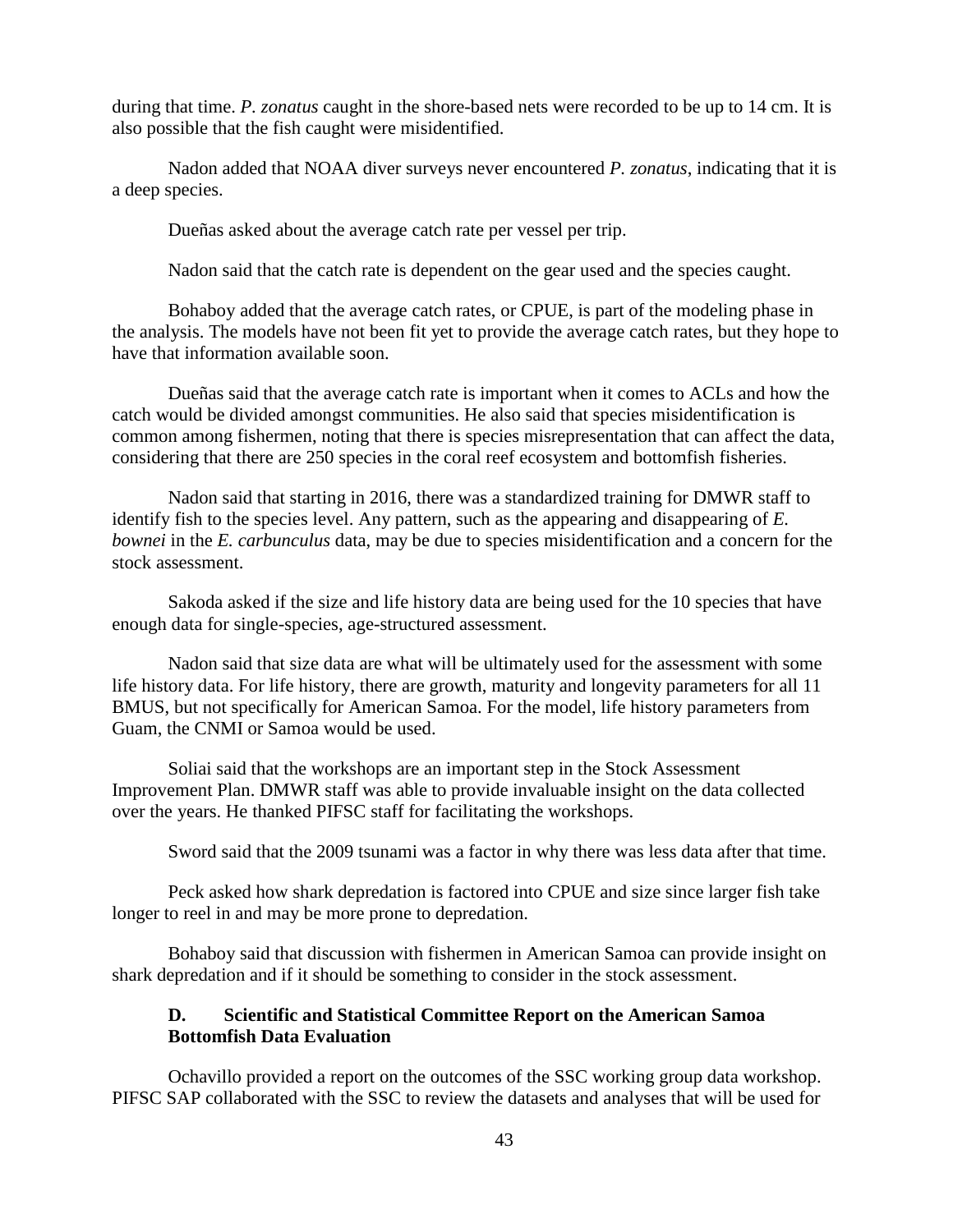during that time. *P. zonatus* caught in the shore-based nets were recorded to be up to 14 cm. It is also possible that the fish caught were misidentified.

Nadon added that NOAA diver surveys never encountered *P. zonatus*, indicating that it is a deep species.

Dueñas asked about the average catch rate per vessel per trip.

Nadon said that the catch rate is dependent on the gear used and the species caught.

Bohaboy added that the average catch rates, or CPUE, is part of the modeling phase in the analysis. The models have not been fit yet to provide the average catch rates, but they hope to have that information available soon.

Dueñas said that the average catch rate is important when it comes to ACLs and how the catch would be divided amongst communities. He also said that species misidentification is common among fishermen, noting that there is species misrepresentation that can affect the data, considering that there are 250 species in the coral reef ecosystem and bottomfish fisheries.

Nadon said that starting in 2016, there was a standardized training for DMWR staff to identify fish to the species level. Any pattern, such as the appearing and disappearing of *E. bownei* in the *E. carbunculus* data, may be due to species misidentification and a concern for the stock assessment.

Sakoda asked if the size and life history data are being used for the 10 species that have enough data for single-species, age-structured assessment.

Nadon said that size data are what will be ultimately used for the assessment with some life history data. For life history, there are growth, maturity and longevity parameters for all 11 BMUS, but not specifically for American Samoa. For the model, life history parameters from Guam, the CNMI or Samoa would be used.

Soliai said that the workshops are an important step in the Stock Assessment Improvement Plan. DMWR staff was able to provide invaluable insight on the data collected over the years. He thanked PIFSC staff for facilitating the workshops.

Sword said that the 2009 tsunami was a factor in why there was less data after that time.

Peck asked how shark depredation is factored into CPUE and size since larger fish take longer to reel in and may be more prone to depredation.

Bohaboy said that discussion with fishermen in American Samoa can provide insight on shark depredation and if it should be something to consider in the stock assessment.

#### **D. Scientific and Statistical Committee Report on the American Samoa Bottomfish Data Evaluation**

Ochavillo provided a report on the outcomes of the SSC working group data workshop. PIFSC SAP collaborated with the SSC to review the datasets and analyses that will be used for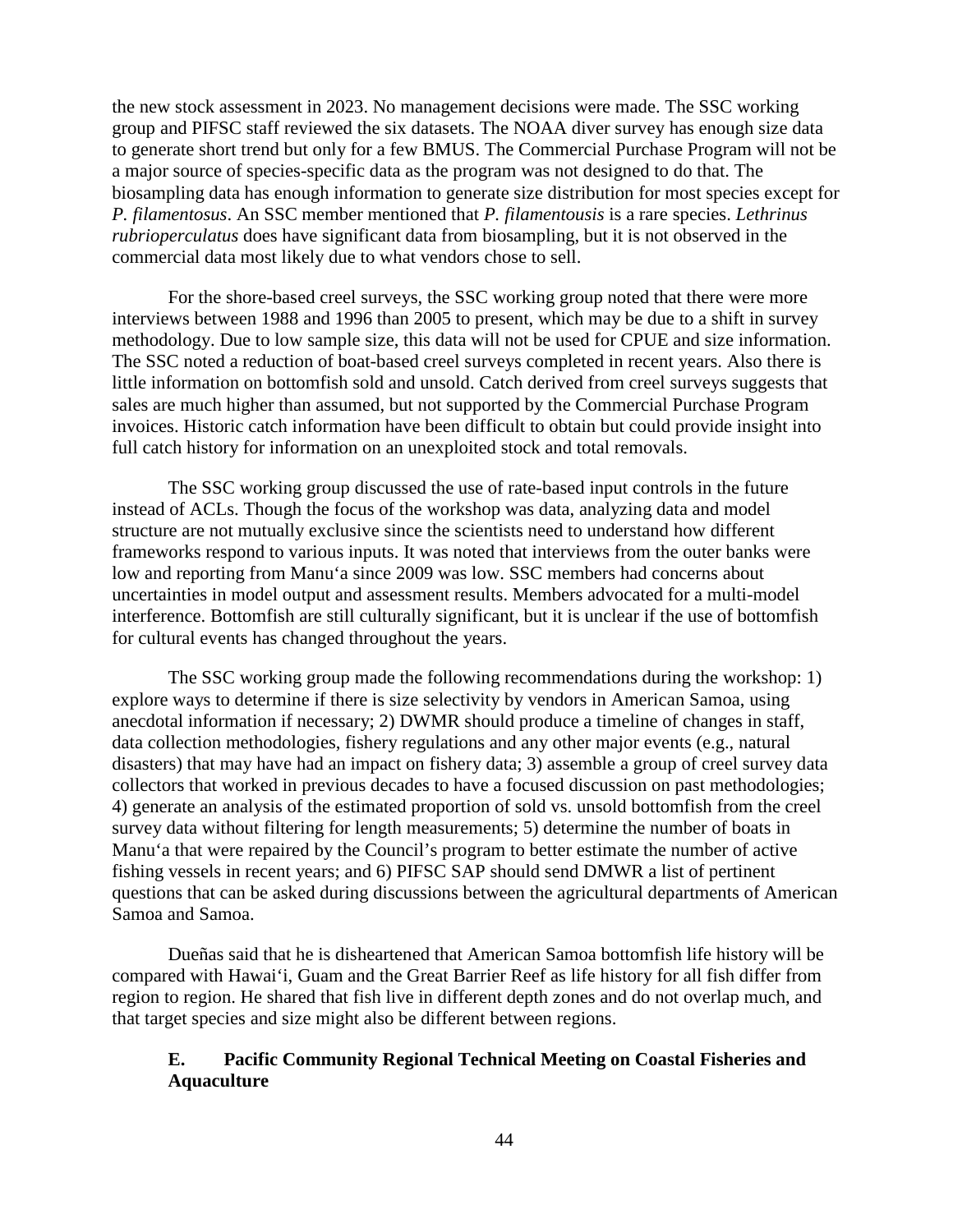the new stock assessment in 2023. No management decisions were made. The SSC working group and PIFSC staff reviewed the six datasets. The NOAA diver survey has enough size data to generate short trend but only for a few BMUS. The Commercial Purchase Program will not be a major source of species-specific data as the program was not designed to do that. The biosampling data has enough information to generate size distribution for most species except for *P. filamentosus*. An SSC member mentioned that *P. filamentousis* is a rare species. *Lethrinus rubrioperculatus* does have significant data from biosampling, but it is not observed in the commercial data most likely due to what vendors chose to sell.

For the shore-based creel surveys, the SSC working group noted that there were more interviews between 1988 and 1996 than 2005 to present, which may be due to a shift in survey methodology. Due to low sample size, this data will not be used for CPUE and size information. The SSC noted a reduction of boat-based creel surveys completed in recent years. Also there is little information on bottomfish sold and unsold. Catch derived from creel surveys suggests that sales are much higher than assumed, but not supported by the Commercial Purchase Program invoices. Historic catch information have been difficult to obtain but could provide insight into full catch history for information on an unexploited stock and total removals.

The SSC working group discussed the use of rate-based input controls in the future instead of ACLs. Though the focus of the workshop was data, analyzing data and model structure are not mutually exclusive since the scientists need to understand how different frameworks respond to various inputs. It was noted that interviews from the outer banks were low and reporting from Manu'a since 2009 was low. SSC members had concerns about uncertainties in model output and assessment results. Members advocated for a multi-model interference. Bottomfish are still culturally significant, but it is unclear if the use of bottomfish for cultural events has changed throughout the years.

The SSC working group made the following recommendations during the workshop: 1) explore ways to determine if there is size selectivity by vendors in American Samoa, using anecdotal information if necessary; 2) DWMR should produce a timeline of changes in staff, data collection methodologies, fishery regulations and any other major events (e.g., natural disasters) that may have had an impact on fishery data; 3) assemble a group of creel survey data collectors that worked in previous decades to have a focused discussion on past methodologies; 4) generate an analysis of the estimated proportion of sold vs. unsold bottomfish from the creel survey data without filtering for length measurements; 5) determine the number of boats in Manu'a that were repaired by the Council's program to better estimate the number of active fishing vessels in recent years; and 6) PIFSC SAP should send DMWR a list of pertinent questions that can be asked during discussions between the agricultural departments of American Samoa and Samoa.

Dueñas said that he is disheartened that American Samoa bottomfish life history will be compared with Hawai'i, Guam and the Great Barrier Reef as life history for all fish differ from region to region. He shared that fish live in different depth zones and do not overlap much, and that target species and size might also be different between regions.

# **E. Pacific Community Regional Technical Meeting on Coastal Fisheries and Aquaculture**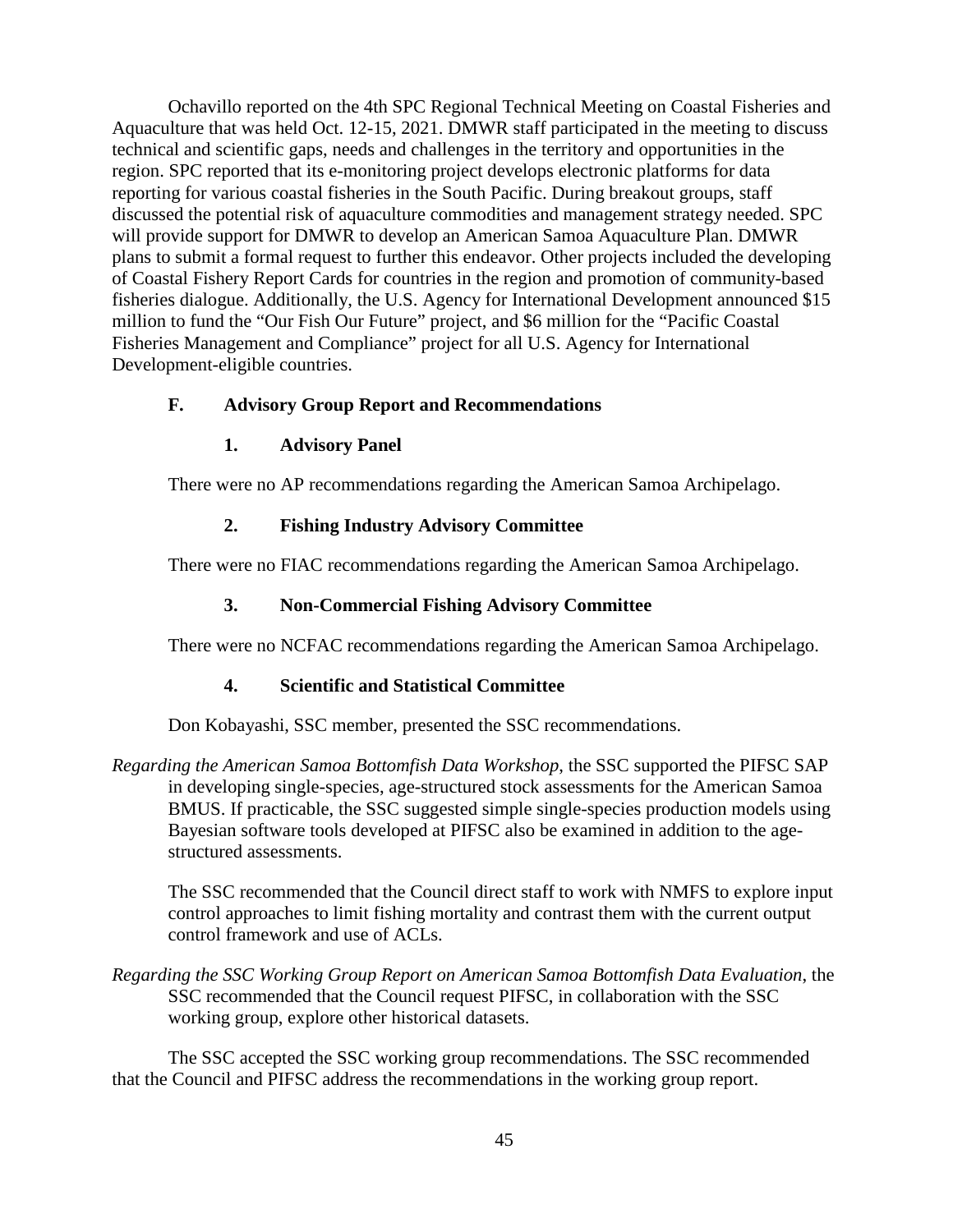Ochavillo reported on the 4th SPC Regional Technical Meeting on Coastal Fisheries and Aquaculture that was held Oct. 12-15, 2021. DMWR staff participated in the meeting to discuss technical and scientific gaps, needs and challenges in the territory and opportunities in the region. SPC reported that its e-monitoring project develops electronic platforms for data reporting for various coastal fisheries in the South Pacific. During breakout groups, staff discussed the potential risk of aquaculture commodities and management strategy needed. SPC will provide support for DMWR to develop an American Samoa Aquaculture Plan. DMWR plans to submit a formal request to further this endeavor. Other projects included the developing of Coastal Fishery Report Cards for countries in the region and promotion of community-based fisheries dialogue. Additionally, the U.S. Agency for International Development announced \$15 million to fund the "Our Fish Our Future" project, and \$6 million for the "Pacific Coastal Fisheries Management and Compliance" project for all U.S. Agency for International Development-eligible countries.

# **F. Advisory Group Report and Recommendations**

## **1. Advisory Panel**

There were no AP recommendations regarding the American Samoa Archipelago.

## **2. Fishing Industry Advisory Committee**

There were no FIAC recommendations regarding the American Samoa Archipelago.

## **3. Non-Commercial Fishing Advisory Committee**

There were no NCFAC recommendations regarding the American Samoa Archipelago.

## **4. Scientific and Statistical Committee**

Don Kobayashi, SSC member, presented the SSC recommendations.

*Regarding the American Samoa Bottomfish Data Workshop*, the SSC supported the PIFSC SAP in developing single-species, age-structured stock assessments for the American Samoa BMUS. If practicable, the SSC suggested simple single-species production models using Bayesian software tools developed at PIFSC also be examined in addition to the agestructured assessments.

The SSC recommended that the Council direct staff to work with NMFS to explore input control approaches to limit fishing mortality and contrast them with the current output control framework and use of ACLs.

*Regarding the SSC Working Group Report on American Samoa Bottomfish Data Evaluation*, the SSC recommended that the Council request PIFSC, in collaboration with the SSC working group, explore other historical datasets.

The SSC accepted the SSC working group recommendations. The SSC recommended that the Council and PIFSC address the recommendations in the working group report.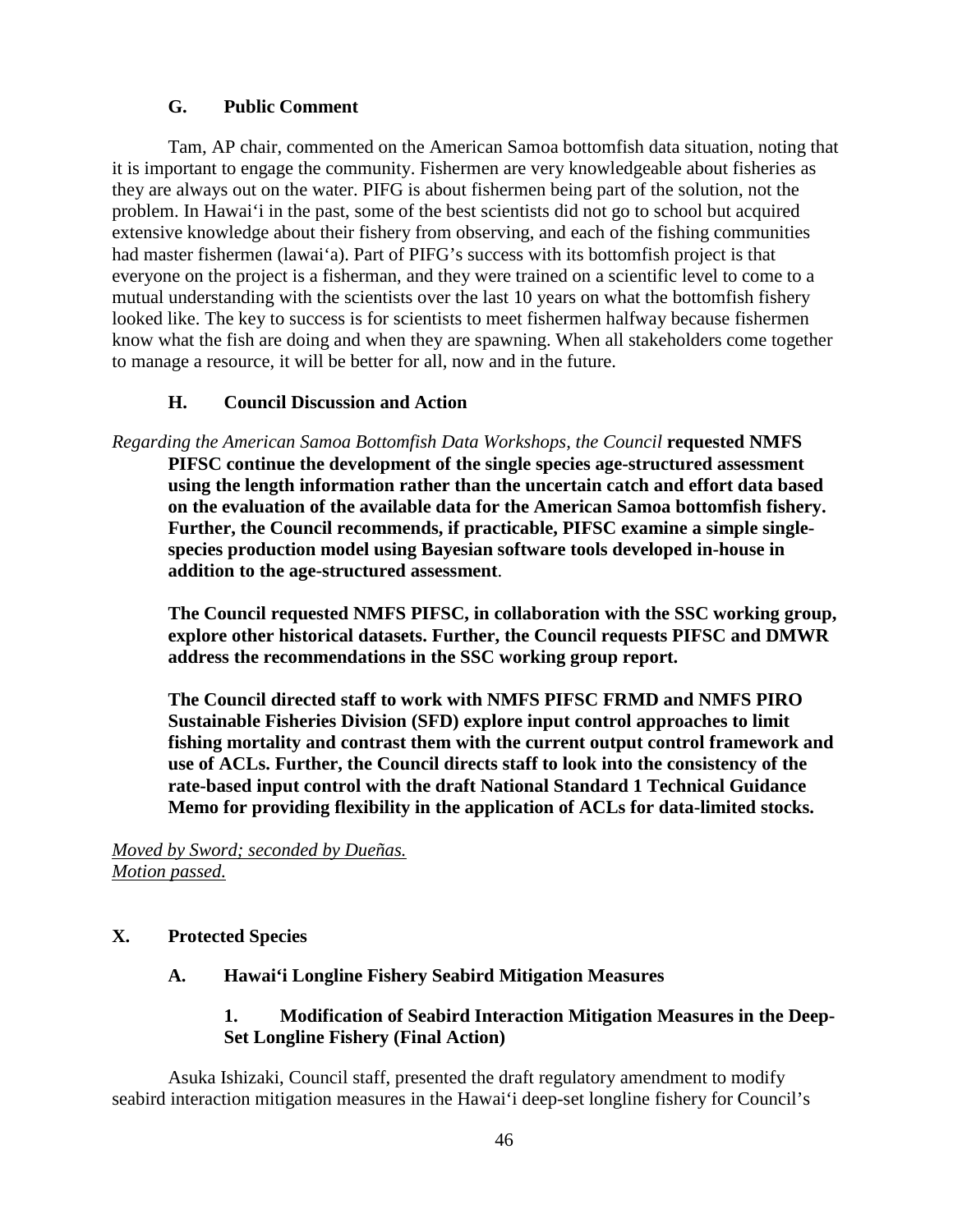# **G. Public Comment**

Tam, AP chair, commented on the American Samoa bottomfish data situation, noting that it is important to engage the community. Fishermen are very knowledgeable about fisheries as they are always out on the water. PIFG is about fishermen being part of the solution, not the problem. In Hawai'i in the past, some of the best scientists did not go to school but acquired extensive knowledge about their fishery from observing, and each of the fishing communities had master fishermen (lawai'a). Part of PIFG's success with its bottomfish project is that everyone on the project is a fisherman, and they were trained on a scientific level to come to a mutual understanding with the scientists over the last 10 years on what the bottomfish fishery looked like. The key to success is for scientists to meet fishermen halfway because fishermen know what the fish are doing and when they are spawning. When all stakeholders come together to manage a resource, it will be better for all, now and in the future.

# **H. Council Discussion and Action**

*Regarding the American Samoa Bottomfish Data Workshops, the Council* **requested NMFS PIFSC continue the development of the single species age-structured assessment using the length information rather than the uncertain catch and effort data based on the evaluation of the available data for the American Samoa bottomfish fishery. Further, the Council recommends, if practicable, PIFSC examine a simple singlespecies production model using Bayesian software tools developed in-house in addition to the age-structured assessment**.

**The Council requested NMFS PIFSC, in collaboration with the SSC working group, explore other historical datasets. Further, the Council requests PIFSC and DMWR address the recommendations in the SSC working group report.**

**The Council directed staff to work with NMFS PIFSC FRMD and NMFS PIRO Sustainable Fisheries Division (SFD) explore input control approaches to limit fishing mortality and contrast them with the current output control framework and use of ACLs. Further, the Council directs staff to look into the consistency of the rate-based input control with the draft National Standard 1 Technical Guidance Memo for providing flexibility in the application of ACLs for data-limited stocks.**

*Moved by Sword; seconded by Dueñas. Motion passed.*

# **X. Protected Species**

## **A. Hawai'i Longline Fishery Seabird Mitigation Measures**

# **1. Modification of Seabird Interaction Mitigation Measures in the Deep-Set Longline Fishery (Final Action)**

Asuka Ishizaki, Council staff, presented the draft regulatory amendment to modify seabird interaction mitigation measures in the Hawai'i deep-set longline fishery for Council's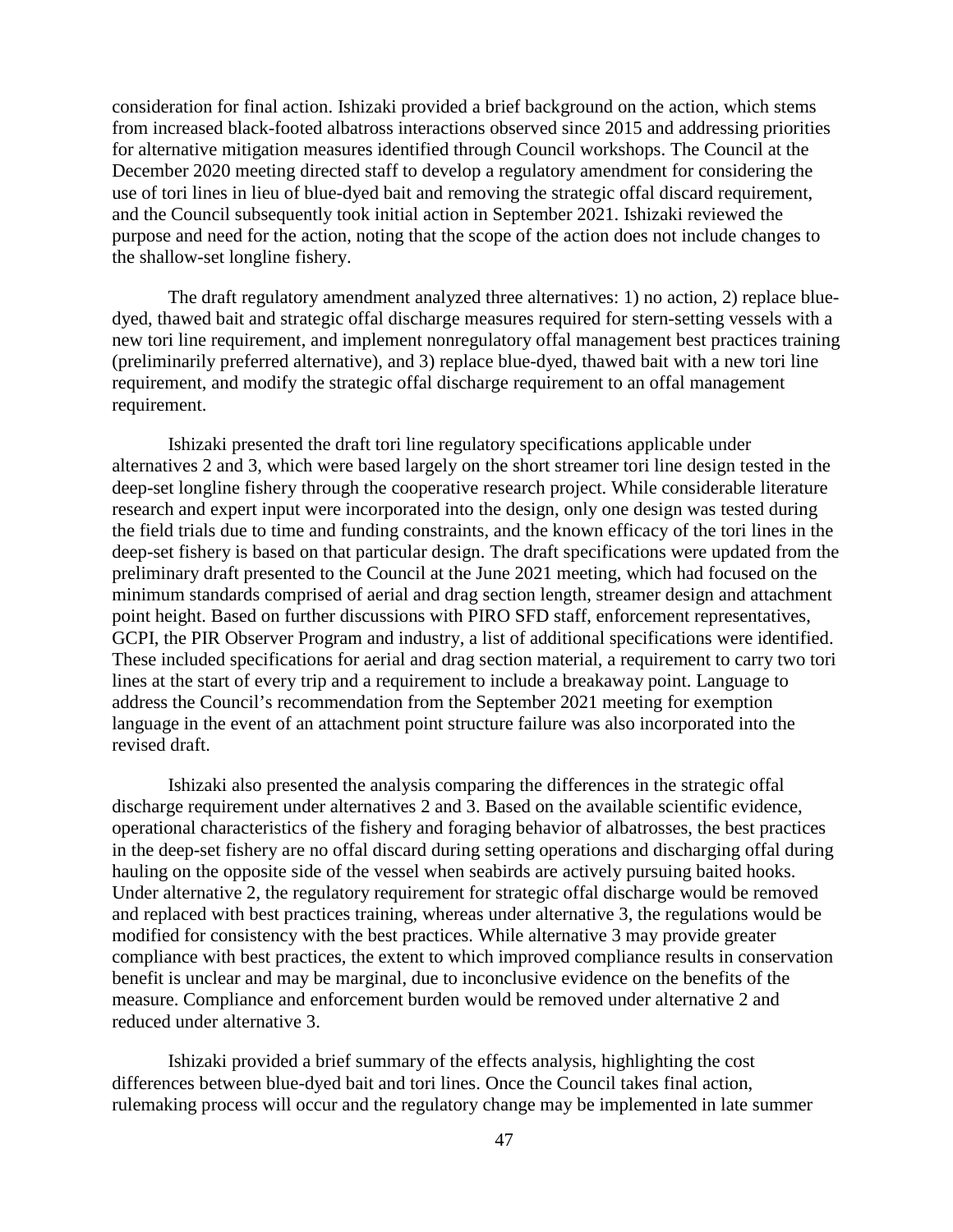consideration for final action. Ishizaki provided a brief background on the action, which stems from increased black-footed albatross interactions observed since 2015 and addressing priorities for alternative mitigation measures identified through Council workshops. The Council at the December 2020 meeting directed staff to develop a regulatory amendment for considering the use of tori lines in lieu of blue-dyed bait and removing the strategic offal discard requirement, and the Council subsequently took initial action in September 2021. Ishizaki reviewed the purpose and need for the action, noting that the scope of the action does not include changes to the shallow-set longline fishery.

The draft regulatory amendment analyzed three alternatives: 1) no action, 2) replace bluedyed, thawed bait and strategic offal discharge measures required for stern-setting vessels with a new tori line requirement, and implement nonregulatory offal management best practices training (preliminarily preferred alternative), and 3) replace blue-dyed, thawed bait with a new tori line requirement, and modify the strategic offal discharge requirement to an offal management requirement.

Ishizaki presented the draft tori line regulatory specifications applicable under alternatives 2 and 3, which were based largely on the short streamer tori line design tested in the deep-set longline fishery through the cooperative research project. While considerable literature research and expert input were incorporated into the design, only one design was tested during the field trials due to time and funding constraints, and the known efficacy of the tori lines in the deep-set fishery is based on that particular design. The draft specifications were updated from the preliminary draft presented to the Council at the June 2021 meeting, which had focused on the minimum standards comprised of aerial and drag section length, streamer design and attachment point height. Based on further discussions with PIRO SFD staff, enforcement representatives, GCPI, the PIR Observer Program and industry, a list of additional specifications were identified. These included specifications for aerial and drag section material, a requirement to carry two tori lines at the start of every trip and a requirement to include a breakaway point. Language to address the Council's recommendation from the September 2021 meeting for exemption language in the event of an attachment point structure failure was also incorporated into the revised draft.

Ishizaki also presented the analysis comparing the differences in the strategic offal discharge requirement under alternatives 2 and 3. Based on the available scientific evidence, operational characteristics of the fishery and foraging behavior of albatrosses, the best practices in the deep-set fishery are no offal discard during setting operations and discharging offal during hauling on the opposite side of the vessel when seabirds are actively pursuing baited hooks. Under alternative 2, the regulatory requirement for strategic offal discharge would be removed and replaced with best practices training, whereas under alternative 3, the regulations would be modified for consistency with the best practices. While alternative 3 may provide greater compliance with best practices, the extent to which improved compliance results in conservation benefit is unclear and may be marginal, due to inconclusive evidence on the benefits of the measure. Compliance and enforcement burden would be removed under alternative 2 and reduced under alternative 3.

Ishizaki provided a brief summary of the effects analysis, highlighting the cost differences between blue-dyed bait and tori lines. Once the Council takes final action, rulemaking process will occur and the regulatory change may be implemented in late summer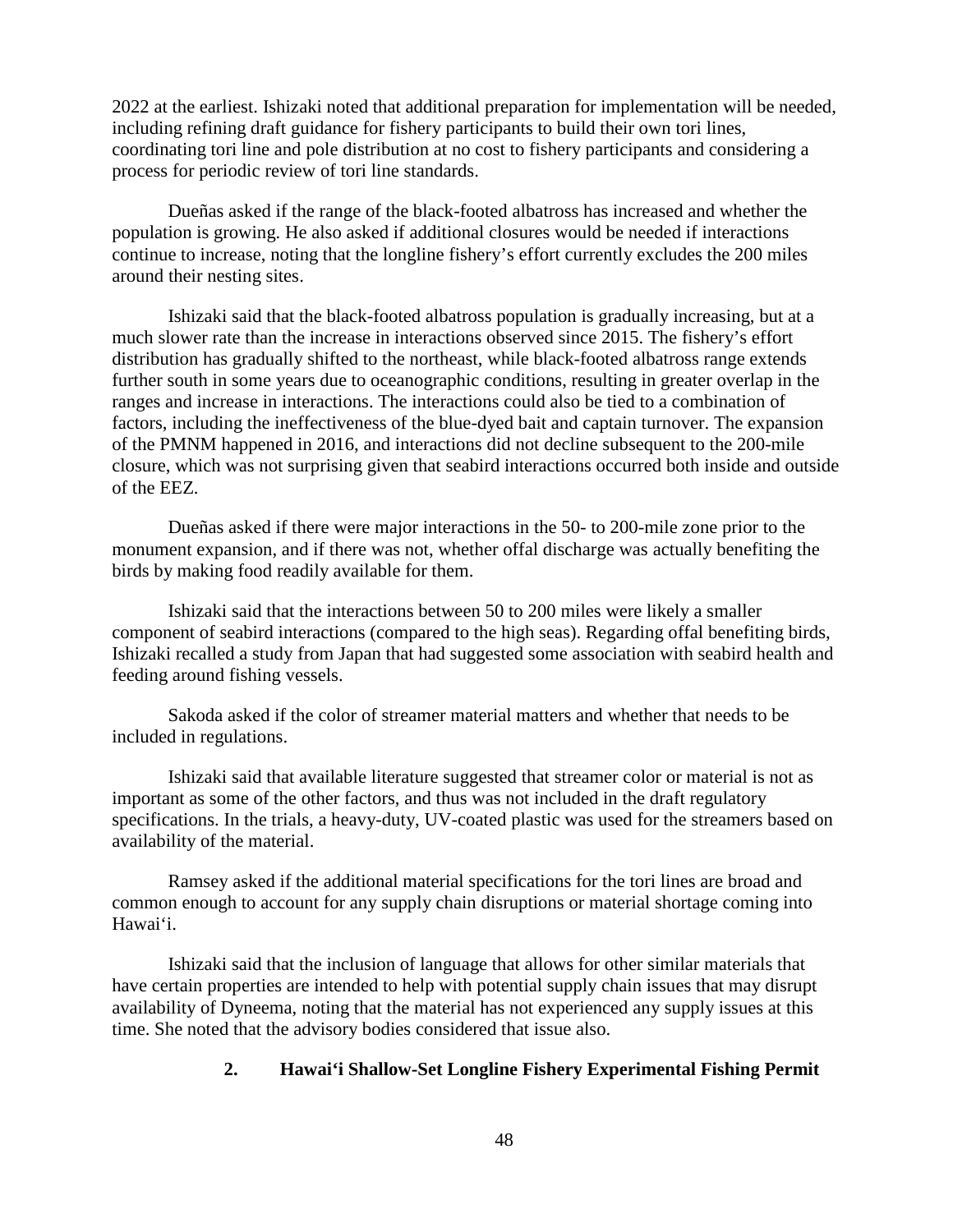2022 at the earliest. Ishizaki noted that additional preparation for implementation will be needed, including refining draft guidance for fishery participants to build their own tori lines, coordinating tori line and pole distribution at no cost to fishery participants and considering a process for periodic review of tori line standards.

Dueñas asked if the range of the black-footed albatross has increased and whether the population is growing. He also asked if additional closures would be needed if interactions continue to increase, noting that the longline fishery's effort currently excludes the 200 miles around their nesting sites.

Ishizaki said that the black-footed albatross population is gradually increasing, but at a much slower rate than the increase in interactions observed since 2015. The fishery's effort distribution has gradually shifted to the northeast, while black-footed albatross range extends further south in some years due to oceanographic conditions, resulting in greater overlap in the ranges and increase in interactions. The interactions could also be tied to a combination of factors, including the ineffectiveness of the blue-dyed bait and captain turnover. The expansion of the PMNM happened in 2016, and interactions did not decline subsequent to the 200-mile closure, which was not surprising given that seabird interactions occurred both inside and outside of the EEZ.

Dueñas asked if there were major interactions in the 50- to 200-mile zone prior to the monument expansion, and if there was not, whether offal discharge was actually benefiting the birds by making food readily available for them.

Ishizaki said that the interactions between 50 to 200 miles were likely a smaller component of seabird interactions (compared to the high seas). Regarding offal benefiting birds, Ishizaki recalled a study from Japan that had suggested some association with seabird health and feeding around fishing vessels.

Sakoda asked if the color of streamer material matters and whether that needs to be included in regulations.

Ishizaki said that available literature suggested that streamer color or material is not as important as some of the other factors, and thus was not included in the draft regulatory specifications. In the trials, a heavy-duty, UV-coated plastic was used for the streamers based on availability of the material.

Ramsey asked if the additional material specifications for the tori lines are broad and common enough to account for any supply chain disruptions or material shortage coming into Hawai'i.

Ishizaki said that the inclusion of language that allows for other similar materials that have certain properties are intended to help with potential supply chain issues that may disrupt availability of Dyneema, noting that the material has not experienced any supply issues at this time. She noted that the advisory bodies considered that issue also.

## **2. Hawai'i Shallow-Set Longline Fishery Experimental Fishing Permit**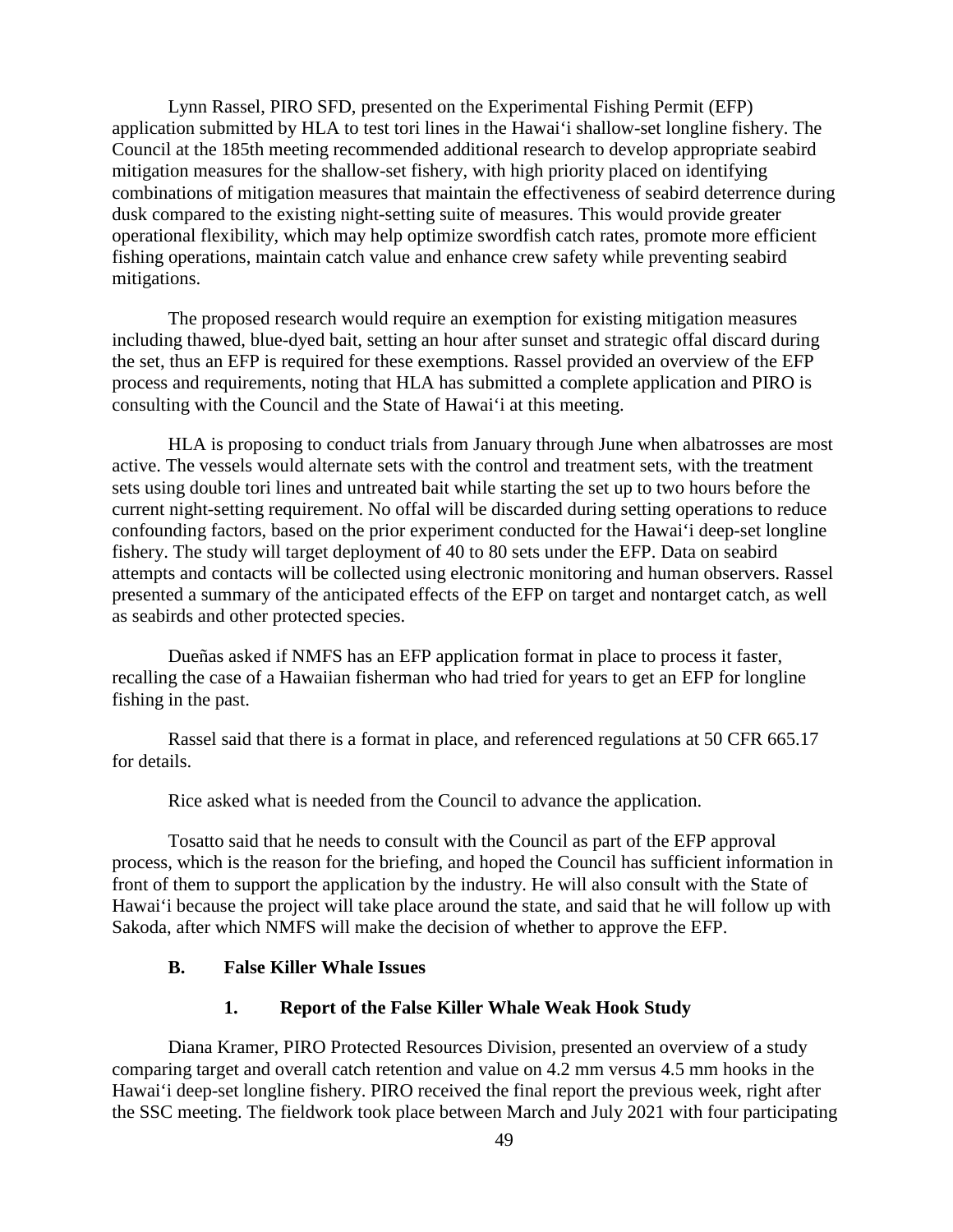Lynn Rassel, PIRO SFD, presented on the Experimental Fishing Permit (EFP) application submitted by HLA to test tori lines in the Hawai'i shallow-set longline fishery. The Council at the 185th meeting recommended additional research to develop appropriate seabird mitigation measures for the shallow-set fishery, with high priority placed on identifying combinations of mitigation measures that maintain the effectiveness of seabird deterrence during dusk compared to the existing night-setting suite of measures. This would provide greater operational flexibility, which may help optimize swordfish catch rates, promote more efficient fishing operations, maintain catch value and enhance crew safety while preventing seabird mitigations.

The proposed research would require an exemption for existing mitigation measures including thawed, blue-dyed bait, setting an hour after sunset and strategic offal discard during the set, thus an EFP is required for these exemptions. Rassel provided an overview of the EFP process and requirements, noting that HLA has submitted a complete application and PIRO is consulting with the Council and the State of Hawai'i at this meeting.

HLA is proposing to conduct trials from January through June when albatrosses are most active. The vessels would alternate sets with the control and treatment sets, with the treatment sets using double tori lines and untreated bait while starting the set up to two hours before the current night-setting requirement. No offal will be discarded during setting operations to reduce confounding factors, based on the prior experiment conducted for the Hawai'i deep-set longline fishery. The study will target deployment of 40 to 80 sets under the EFP. Data on seabird attempts and contacts will be collected using electronic monitoring and human observers. Rassel presented a summary of the anticipated effects of the EFP on target and nontarget catch, as well as seabirds and other protected species.

Dueñas asked if NMFS has an EFP application format in place to process it faster, recalling the case of a Hawaiian fisherman who had tried for years to get an EFP for longline fishing in the past.

Rassel said that there is a format in place, and referenced regulations at 50 CFR 665.17 for details.

Rice asked what is needed from the Council to advance the application.

Tosatto said that he needs to consult with the Council as part of the EFP approval process, which is the reason for the briefing, and hoped the Council has sufficient information in front of them to support the application by the industry. He will also consult with the State of Hawai'i because the project will take place around the state, and said that he will follow up with Sakoda, after which NMFS will make the decision of whether to approve the EFP.

### **B. False Killer Whale Issues**

#### **1. Report of the False Killer Whale Weak Hook Study**

Diana Kramer, PIRO Protected Resources Division, presented an overview of a study comparing target and overall catch retention and value on 4.2 mm versus 4.5 mm hooks in the Hawai'i deep-set longline fishery. PIRO received the final report the previous week, right after the SSC meeting. The fieldwork took place between March and July 2021 with four participating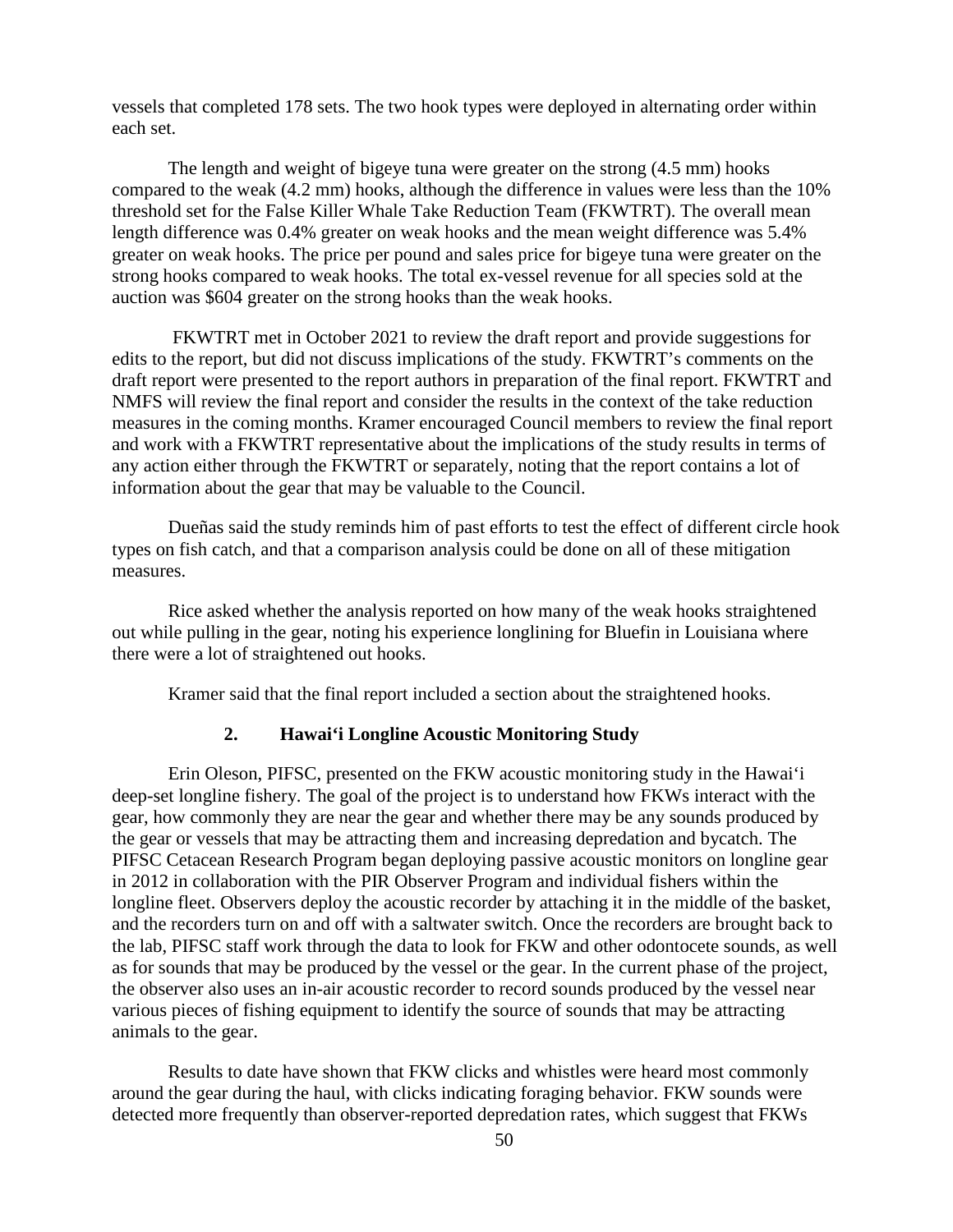vessels that completed 178 sets. The two hook types were deployed in alternating order within each set.

The length and weight of bigeye tuna were greater on the strong (4.5 mm) hooks compared to the weak (4.2 mm) hooks, although the difference in values were less than the 10% threshold set for the False Killer Whale Take Reduction Team (FKWTRT). The overall mean length difference was 0.4% greater on weak hooks and the mean weight difference was 5.4% greater on weak hooks. The price per pound and sales price for bigeye tuna were greater on the strong hooks compared to weak hooks. The total ex-vessel revenue for all species sold at the auction was \$604 greater on the strong hooks than the weak hooks.

FKWTRT met in October 2021 to review the draft report and provide suggestions for edits to the report, but did not discuss implications of the study. FKWTRT's comments on the draft report were presented to the report authors in preparation of the final report. FKWTRT and NMFS will review the final report and consider the results in the context of the take reduction measures in the coming months. Kramer encouraged Council members to review the final report and work with a FKWTRT representative about the implications of the study results in terms of any action either through the FKWTRT or separately, noting that the report contains a lot of information about the gear that may be valuable to the Council.

Dueñas said the study reminds him of past efforts to test the effect of different circle hook types on fish catch, and that a comparison analysis could be done on all of these mitigation measures.

Rice asked whether the analysis reported on how many of the weak hooks straightened out while pulling in the gear, noting his experience longlining for Bluefin in Louisiana where there were a lot of straightened out hooks.

Kramer said that the final report included a section about the straightened hooks.

### **2. Hawai'i Longline Acoustic Monitoring Study**

Erin Oleson, PIFSC, presented on the FKW acoustic monitoring study in the Hawai'i deep-set longline fishery. The goal of the project is to understand how FKWs interact with the gear, how commonly they are near the gear and whether there may be any sounds produced by the gear or vessels that may be attracting them and increasing depredation and bycatch. The PIFSC Cetacean Research Program began deploying passive acoustic monitors on longline gear in 2012 in collaboration with the PIR Observer Program and individual fishers within the longline fleet. Observers deploy the acoustic recorder by attaching it in the middle of the basket, and the recorders turn on and off with a saltwater switch. Once the recorders are brought back to the lab, PIFSC staff work through the data to look for FKW and other odontocete sounds, as well as for sounds that may be produced by the vessel or the gear. In the current phase of the project, the observer also uses an in-air acoustic recorder to record sounds produced by the vessel near various pieces of fishing equipment to identify the source of sounds that may be attracting animals to the gear.

Results to date have shown that FKW clicks and whistles were heard most commonly around the gear during the haul, with clicks indicating foraging behavior. FKW sounds were detected more frequently than observer-reported depredation rates, which suggest that FKWs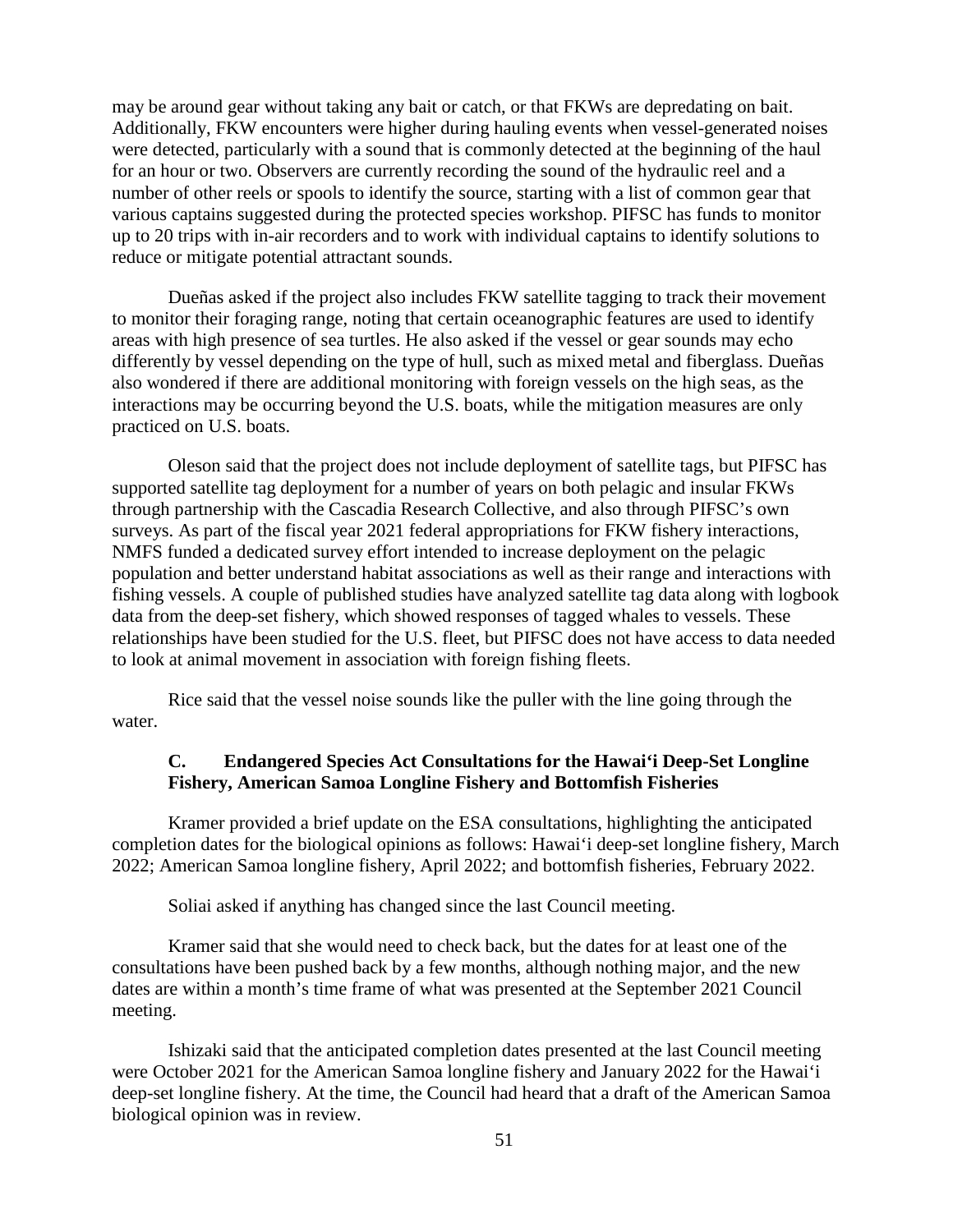may be around gear without taking any bait or catch, or that FKWs are depredating on bait. Additionally, FKW encounters were higher during hauling events when vessel-generated noises were detected, particularly with a sound that is commonly detected at the beginning of the haul for an hour or two. Observers are currently recording the sound of the hydraulic reel and a number of other reels or spools to identify the source, starting with a list of common gear that various captains suggested during the protected species workshop. PIFSC has funds to monitor up to 20 trips with in-air recorders and to work with individual captains to identify solutions to reduce or mitigate potential attractant sounds.

Dueñas asked if the project also includes FKW satellite tagging to track their movement to monitor their foraging range, noting that certain oceanographic features are used to identify areas with high presence of sea turtles. He also asked if the vessel or gear sounds may echo differently by vessel depending on the type of hull, such as mixed metal and fiberglass. Dueñas also wondered if there are additional monitoring with foreign vessels on the high seas, as the interactions may be occurring beyond the U.S. boats, while the mitigation measures are only practiced on U.S. boats.

Oleson said that the project does not include deployment of satellite tags, but PIFSC has supported satellite tag deployment for a number of years on both pelagic and insular FKWs through partnership with the Cascadia Research Collective, and also through PIFSC's own surveys. As part of the fiscal year 2021 federal appropriations for FKW fishery interactions, NMFS funded a dedicated survey effort intended to increase deployment on the pelagic population and better understand habitat associations as well as their range and interactions with fishing vessels. A couple of published studies have analyzed satellite tag data along with logbook data from the deep-set fishery, which showed responses of tagged whales to vessels. These relationships have been studied for the U.S. fleet, but PIFSC does not have access to data needed to look at animal movement in association with foreign fishing fleets.

Rice said that the vessel noise sounds like the puller with the line going through the water.

# **C. Endangered Species Act Consultations for the Hawai'i Deep-Set Longline Fishery, American Samoa Longline Fishery and Bottomfish Fisheries**

Kramer provided a brief update on the ESA consultations, highlighting the anticipated completion dates for the biological opinions as follows: Hawai'i deep-set longline fishery, March 2022; American Samoa longline fishery, April 2022; and bottomfish fisheries, February 2022.

Soliai asked if anything has changed since the last Council meeting.

Kramer said that she would need to check back, but the dates for at least one of the consultations have been pushed back by a few months, although nothing major, and the new dates are within a month's time frame of what was presented at the September 2021 Council meeting.

Ishizaki said that the anticipated completion dates presented at the last Council meeting were October 2021 for the American Samoa longline fishery and January 2022 for the Hawai'i deep-set longline fishery. At the time, the Council had heard that a draft of the American Samoa biological opinion was in review.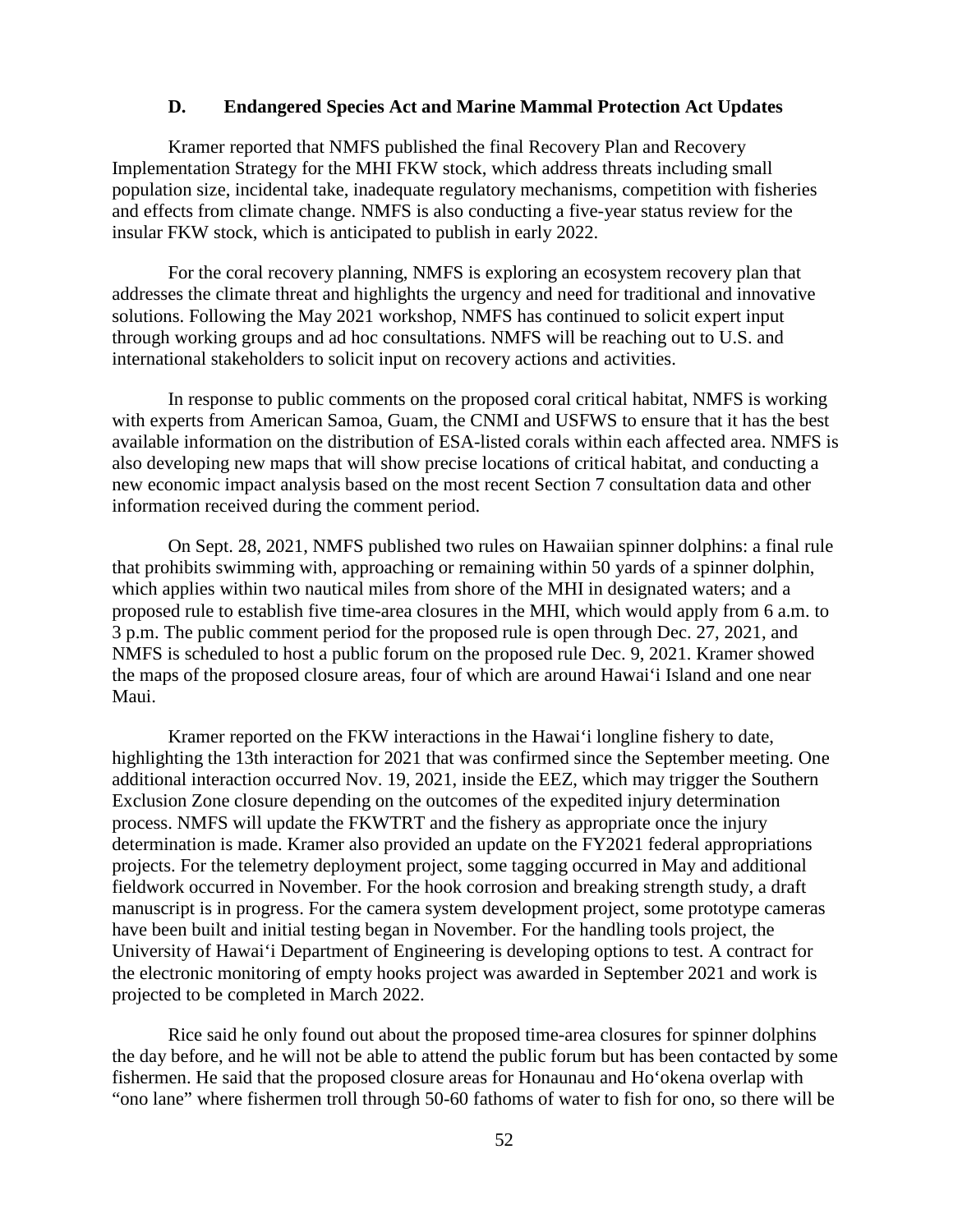#### **D. Endangered Species Act and Marine Mammal Protection Act Updates**

Kramer reported that NMFS published the final Recovery Plan and Recovery Implementation Strategy for the MHI FKW stock, which address threats including small population size, incidental take, inadequate regulatory mechanisms, competition with fisheries and effects from climate change. NMFS is also conducting a five-year status review for the insular FKW stock, which is anticipated to publish in early 2022.

For the coral recovery planning, NMFS is exploring an ecosystem recovery plan that addresses the climate threat and highlights the urgency and need for traditional and innovative solutions. Following the May 2021 workshop, NMFS has continued to solicit expert input through working groups and ad hoc consultations. NMFS will be reaching out to U.S. and international stakeholders to solicit input on recovery actions and activities.

In response to public comments on the proposed coral critical habitat, NMFS is working with experts from American Samoa, Guam, the CNMI and USFWS to ensure that it has the best available information on the distribution of ESA-listed corals within each affected area. NMFS is also developing new maps that will show precise locations of critical habitat, and conducting a new economic impact analysis based on the most recent Section 7 consultation data and other information received during the comment period.

On Sept. 28, 2021, NMFS published two rules on Hawaiian spinner dolphins: a final rule that prohibits swimming with, approaching or remaining within 50 yards of a spinner dolphin, which applies within two nautical miles from shore of the MHI in designated waters; and a proposed rule to establish five time-area closures in the MHI, which would apply from 6 a.m. to 3 p.m. The public comment period for the proposed rule is open through Dec. 27, 2021, and NMFS is scheduled to host a public forum on the proposed rule Dec. 9, 2021. Kramer showed the maps of the proposed closure areas, four of which are around Hawai'i Island and one near Maui.

Kramer reported on the FKW interactions in the Hawai'i longline fishery to date, highlighting the 13th interaction for 2021 that was confirmed since the September meeting. One additional interaction occurred Nov. 19, 2021, inside the EEZ, which may trigger the Southern Exclusion Zone closure depending on the outcomes of the expedited injury determination process. NMFS will update the FKWTRT and the fishery as appropriate once the injury determination is made. Kramer also provided an update on the FY2021 federal appropriations projects. For the telemetry deployment project, some tagging occurred in May and additional fieldwork occurred in November. For the hook corrosion and breaking strength study, a draft manuscript is in progress. For the camera system development project, some prototype cameras have been built and initial testing began in November. For the handling tools project, the University of Hawai'i Department of Engineering is developing options to test. A contract for the electronic monitoring of empty hooks project was awarded in September 2021 and work is projected to be completed in March 2022.

Rice said he only found out about the proposed time-area closures for spinner dolphins the day before, and he will not be able to attend the public forum but has been contacted by some fishermen. He said that the proposed closure areas for Honaunau and Ho'okena overlap with "ono lane" where fishermen troll through 50-60 fathoms of water to fish for ono, so there will be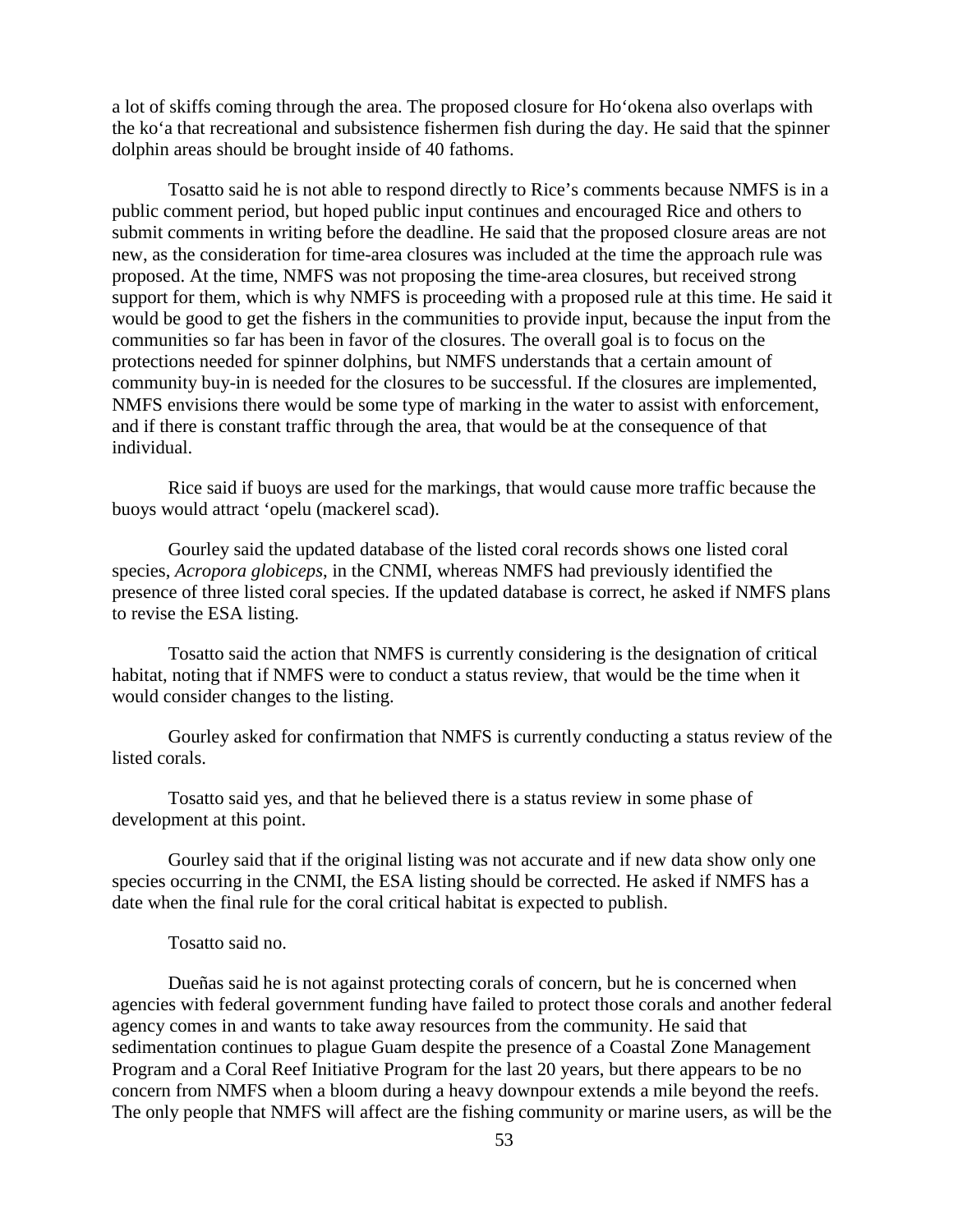a lot of skiffs coming through the area. The proposed closure for Ho'okena also overlaps with the ko'a that recreational and subsistence fishermen fish during the day. He said that the spinner dolphin areas should be brought inside of 40 fathoms.

Tosatto said he is not able to respond directly to Rice's comments because NMFS is in a public comment period, but hoped public input continues and encouraged Rice and others to submit comments in writing before the deadline. He said that the proposed closure areas are not new, as the consideration for time-area closures was included at the time the approach rule was proposed. At the time, NMFS was not proposing the time-area closures, but received strong support for them, which is why NMFS is proceeding with a proposed rule at this time. He said it would be good to get the fishers in the communities to provide input, because the input from the communities so far has been in favor of the closures. The overall goal is to focus on the protections needed for spinner dolphins, but NMFS understands that a certain amount of community buy-in is needed for the closures to be successful. If the closures are implemented, NMFS envisions there would be some type of marking in the water to assist with enforcement, and if there is constant traffic through the area, that would be at the consequence of that individual.

Rice said if buoys are used for the markings, that would cause more traffic because the buoys would attract 'opelu (mackerel scad).

Gourley said the updated database of the listed coral records shows one listed coral species, *Acropora globiceps*, in the CNMI, whereas NMFS had previously identified the presence of three listed coral species. If the updated database is correct, he asked if NMFS plans to revise the ESA listing.

Tosatto said the action that NMFS is currently considering is the designation of critical habitat, noting that if NMFS were to conduct a status review, that would be the time when it would consider changes to the listing.

Gourley asked for confirmation that NMFS is currently conducting a status review of the listed corals.

Tosatto said yes, and that he believed there is a status review in some phase of development at this point.

Gourley said that if the original listing was not accurate and if new data show only one species occurring in the CNMI, the ESA listing should be corrected. He asked if NMFS has a date when the final rule for the coral critical habitat is expected to publish.

#### Tosatto said no.

Dueñas said he is not against protecting corals of concern, but he is concerned when agencies with federal government funding have failed to protect those corals and another federal agency comes in and wants to take away resources from the community. He said that sedimentation continues to plague Guam despite the presence of a Coastal Zone Management Program and a Coral Reef Initiative Program for the last 20 years, but there appears to be no concern from NMFS when a bloom during a heavy downpour extends a mile beyond the reefs. The only people that NMFS will affect are the fishing community or marine users, as will be the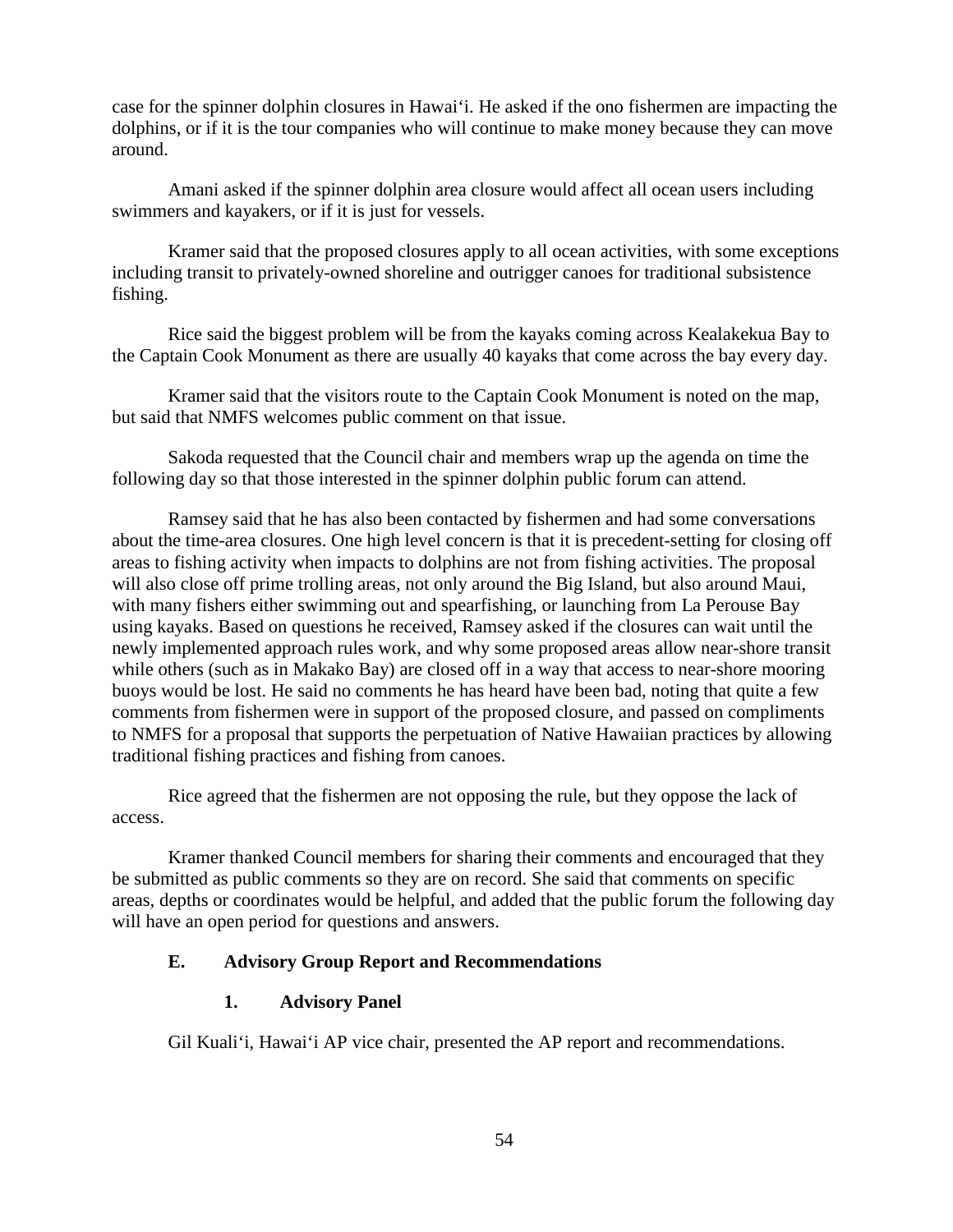case for the spinner dolphin closures in Hawai'i. He asked if the ono fishermen are impacting the dolphins, or if it is the tour companies who will continue to make money because they can move around.

Amani asked if the spinner dolphin area closure would affect all ocean users including swimmers and kayakers, or if it is just for vessels.

Kramer said that the proposed closures apply to all ocean activities, with some exceptions including transit to privately-owned shoreline and outrigger canoes for traditional subsistence fishing.

Rice said the biggest problem will be from the kayaks coming across Kealakekua Bay to the Captain Cook Monument as there are usually 40 kayaks that come across the bay every day.

Kramer said that the visitors route to the Captain Cook Monument is noted on the map, but said that NMFS welcomes public comment on that issue.

Sakoda requested that the Council chair and members wrap up the agenda on time the following day so that those interested in the spinner dolphin public forum can attend.

Ramsey said that he has also been contacted by fishermen and had some conversations about the time-area closures. One high level concern is that it is precedent-setting for closing off areas to fishing activity when impacts to dolphins are not from fishing activities. The proposal will also close off prime trolling areas, not only around the Big Island, but also around Maui, with many fishers either swimming out and spearfishing, or launching from La Perouse Bay using kayaks. Based on questions he received, Ramsey asked if the closures can wait until the newly implemented approach rules work, and why some proposed areas allow near-shore transit while others (such as in Makako Bay) are closed off in a way that access to near-shore mooring buoys would be lost. He said no comments he has heard have been bad, noting that quite a few comments from fishermen were in support of the proposed closure, and passed on compliments to NMFS for a proposal that supports the perpetuation of Native Hawaiian practices by allowing traditional fishing practices and fishing from canoes.

Rice agreed that the fishermen are not opposing the rule, but they oppose the lack of access.

Kramer thanked Council members for sharing their comments and encouraged that they be submitted as public comments so they are on record. She said that comments on specific areas, depths or coordinates would be helpful, and added that the public forum the following day will have an open period for questions and answers.

## **E. Advisory Group Report and Recommendations**

## **1. Advisory Panel**

Gil Kuali'i, Hawai'i AP vice chair, presented the AP report and recommendations.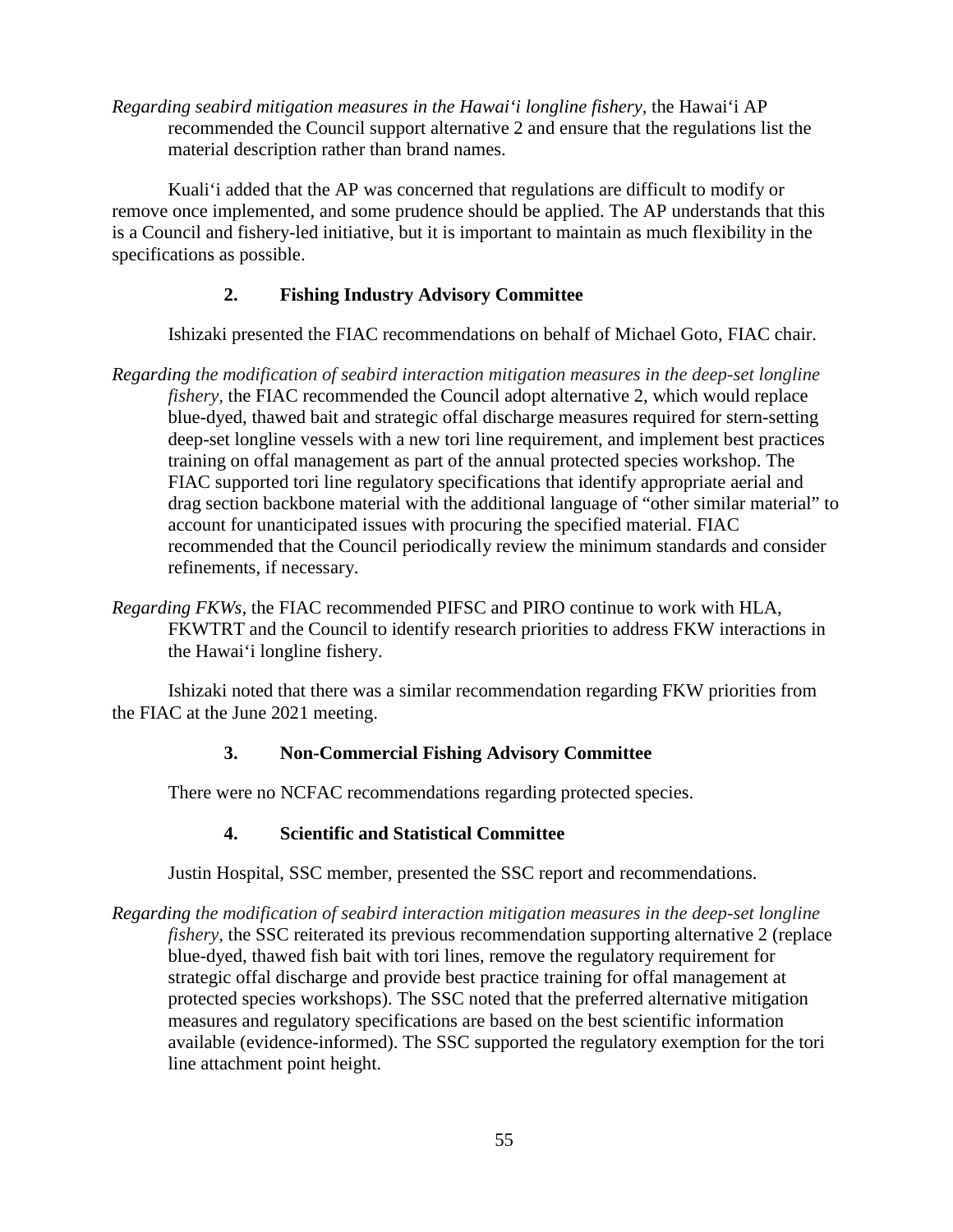*Regarding seabird mitigation measures in the Hawai'i longline fishery,* the Hawai'i AP recommended the Council support alternative 2 and ensure that the regulations list the material description rather than brand names.

Kuali'i added that the AP was concerned that regulations are difficult to modify or remove once implemented, and some prudence should be applied. The AP understands that this is a Council and fishery-led initiative, but it is important to maintain as much flexibility in the specifications as possible.

# **2. Fishing Industry Advisory Committee**

Ishizaki presented the FIAC recommendations on behalf of Michael Goto, FIAC chair.

- *Regarding the modification of seabird interaction mitigation measures in the deep-set longline fishery,* the FIAC recommended the Council adopt alternative 2, which would replace blue-dyed, thawed bait and strategic offal discharge measures required for stern-setting deep-set longline vessels with a new tori line requirement, and implement best practices training on offal management as part of the annual protected species workshop. The FIAC supported tori line regulatory specifications that identify appropriate aerial and drag section backbone material with the additional language of "other similar material" to account for unanticipated issues with procuring the specified material. FIAC recommended that the Council periodically review the minimum standards and consider refinements, if necessary.
- *Regarding FKWs,* the FIAC recommended PIFSC and PIRO continue to work with HLA, FKWTRT and the Council to identify research priorities to address FKW interactions in the Hawai'i longline fishery.

Ishizaki noted that there was a similar recommendation regarding FKW priorities from the FIAC at the June 2021 meeting.

### **3. Non-Commercial Fishing Advisory Committee**

There were no NCFAC recommendations regarding protected species.

### **4. Scientific and Statistical Committee**

Justin Hospital, SSC member, presented the SSC report and recommendations.

*Regarding the modification of seabird interaction mitigation measures in the deep-set longline fishery,* the SSC reiterated its previous recommendation supporting alternative 2 (replace blue-dyed, thawed fish bait with tori lines, remove the regulatory requirement for strategic offal discharge and provide best practice training for offal management at protected species workshops). The SSC noted that the preferred alternative mitigation measures and regulatory specifications are based on the best scientific information available (evidence-informed). The SSC supported the regulatory exemption for the tori line attachment point height.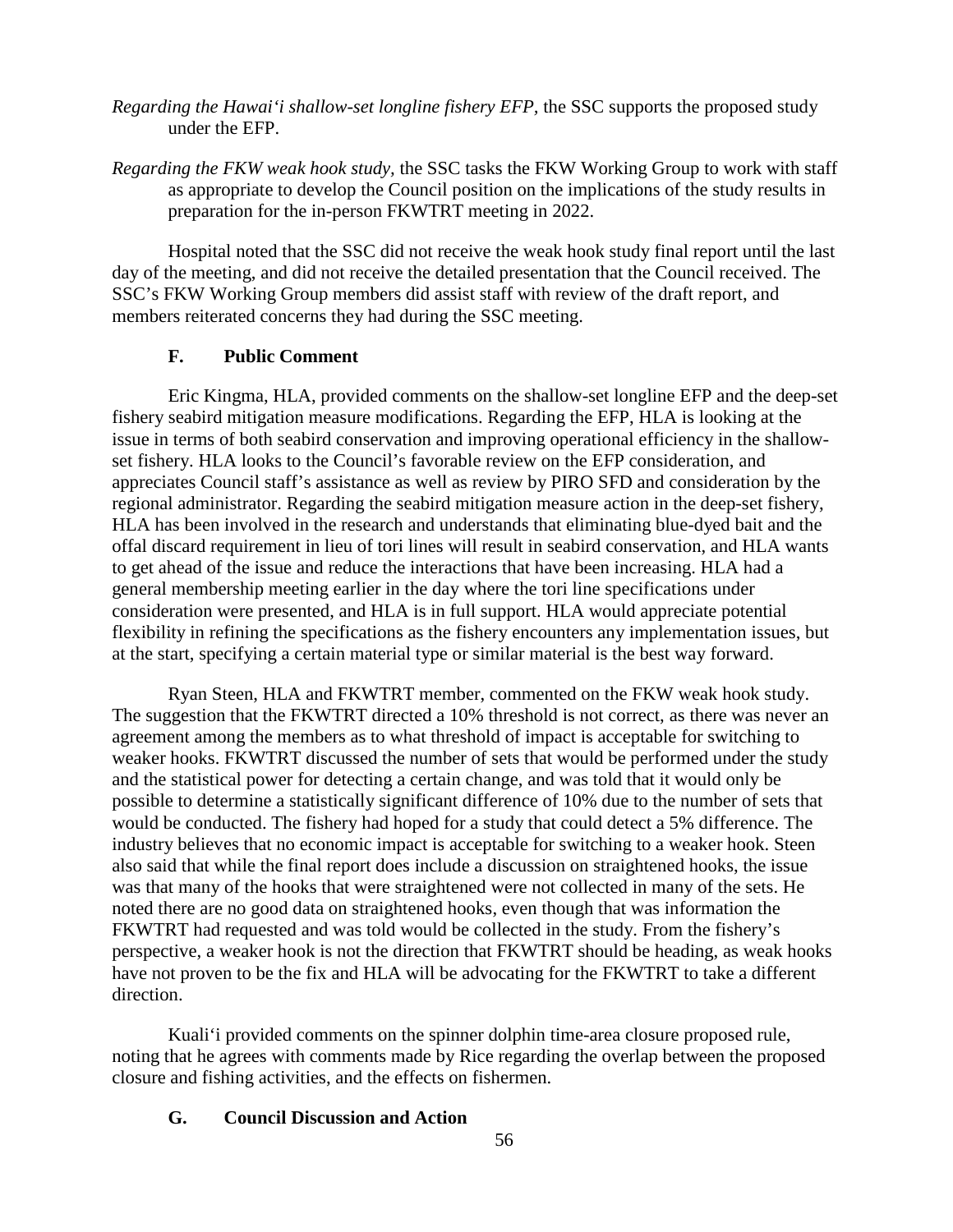- *Regarding the Hawai'i shallow-set longline fishery EFP,* the SSC supports the proposed study under the EFP.
- *Regarding the FKW weak hook study,* the SSC tasks the FKW Working Group to work with staff as appropriate to develop the Council position on the implications of the study results in preparation for the in-person FKWTRT meeting in 2022.

Hospital noted that the SSC did not receive the weak hook study final report until the last day of the meeting, and did not receive the detailed presentation that the Council received. The SSC's FKW Working Group members did assist staff with review of the draft report, and members reiterated concerns they had during the SSC meeting.

# **F. Public Comment**

Eric Kingma, HLA, provided comments on the shallow-set longline EFP and the deep-set fishery seabird mitigation measure modifications. Regarding the EFP, HLA is looking at the issue in terms of both seabird conservation and improving operational efficiency in the shallowset fishery. HLA looks to the Council's favorable review on the EFP consideration, and appreciates Council staff's assistance as well as review by PIRO SFD and consideration by the regional administrator. Regarding the seabird mitigation measure action in the deep-set fishery, HLA has been involved in the research and understands that eliminating blue-dyed bait and the offal discard requirement in lieu of tori lines will result in seabird conservation, and HLA wants to get ahead of the issue and reduce the interactions that have been increasing. HLA had a general membership meeting earlier in the day where the tori line specifications under consideration were presented, and HLA is in full support. HLA would appreciate potential flexibility in refining the specifications as the fishery encounters any implementation issues, but at the start, specifying a certain material type or similar material is the best way forward.

Ryan Steen, HLA and FKWTRT member, commented on the FKW weak hook study. The suggestion that the FKWTRT directed a 10% threshold is not correct, as there was never an agreement among the members as to what threshold of impact is acceptable for switching to weaker hooks. FKWTRT discussed the number of sets that would be performed under the study and the statistical power for detecting a certain change, and was told that it would only be possible to determine a statistically significant difference of 10% due to the number of sets that would be conducted. The fishery had hoped for a study that could detect a 5% difference. The industry believes that no economic impact is acceptable for switching to a weaker hook. Steen also said that while the final report does include a discussion on straightened hooks, the issue was that many of the hooks that were straightened were not collected in many of the sets. He noted there are no good data on straightened hooks, even though that was information the FKWTRT had requested and was told would be collected in the study. From the fishery's perspective, a weaker hook is not the direction that FKWTRT should be heading, as weak hooks have not proven to be the fix and HLA will be advocating for the FKWTRT to take a different direction.

Kuali'i provided comments on the spinner dolphin time-area closure proposed rule, noting that he agrees with comments made by Rice regarding the overlap between the proposed closure and fishing activities, and the effects on fishermen.

# **G. Council Discussion and Action**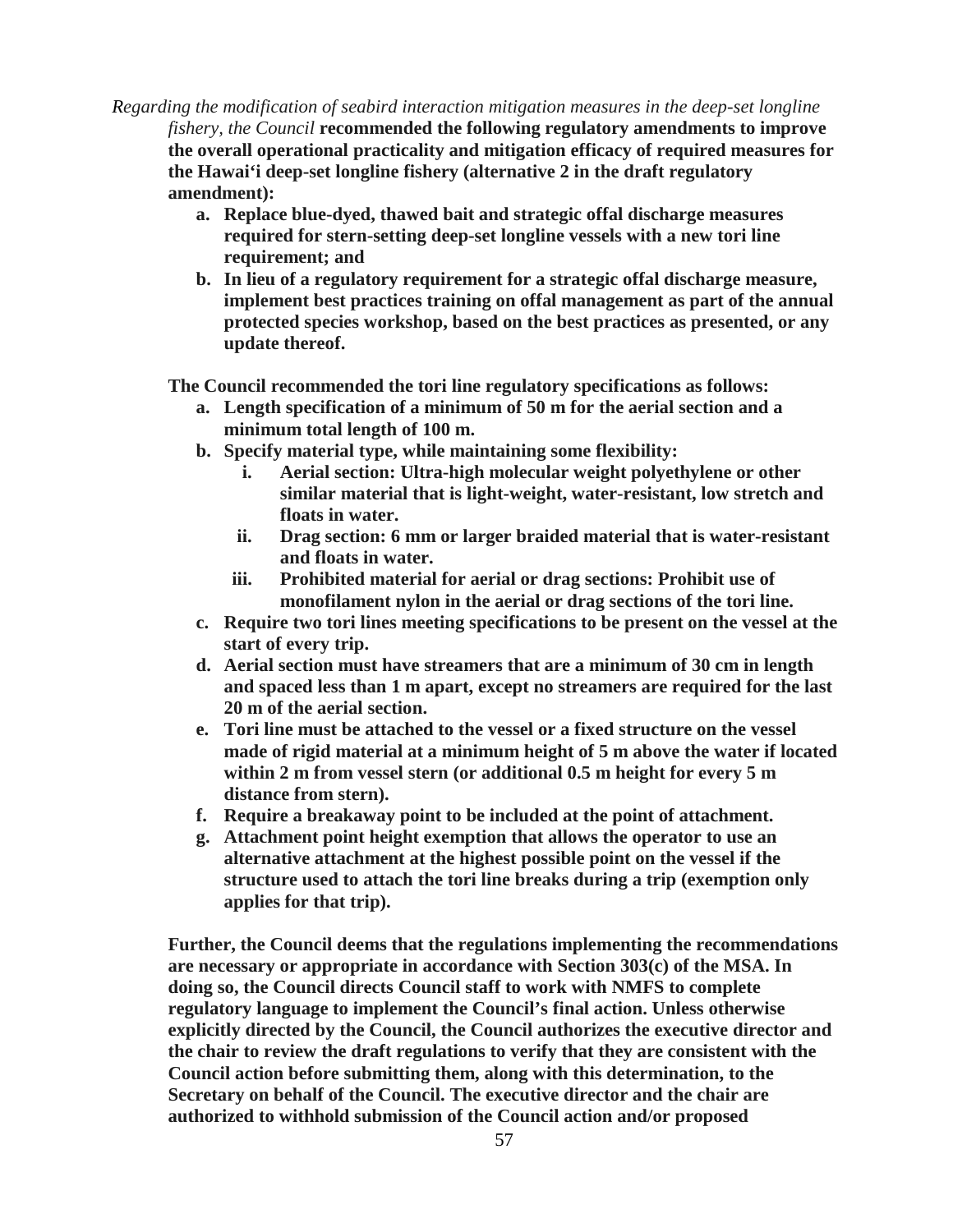*Regarding the modification of seabird interaction mitigation measures in the deep-set longline fishery, the Council* **recommended the following regulatory amendments to improve the overall operational practicality and mitigation efficacy of required measures for the Hawai'i deep-set longline fishery (alternative 2 in the draft regulatory amendment):**

- **a. Replace blue-dyed, thawed bait and strategic offal discharge measures required for stern-setting deep-set longline vessels with a new tori line requirement; and**
- **b. In lieu of a regulatory requirement for a strategic offal discharge measure, implement best practices training on offal management as part of the annual protected species workshop, based on the best practices as presented, or any update thereof.**

**The Council recommended the tori line regulatory specifications as follows:**

- **a. Length specification of a minimum of 50 m for the aerial section and a minimum total length of 100 m.**
- **b. Specify material type, while maintaining some flexibility:**
	- **i. Aerial section: Ultra-high molecular weight polyethylene or other similar material that is light-weight, water-resistant, low stretch and floats in water.**
	- **ii. Drag section: 6 mm or larger braided material that is water-resistant and floats in water.**
	- **iii. Prohibited material for aerial or drag sections: Prohibit use of monofilament nylon in the aerial or drag sections of the tori line.**
- **c. Require two tori lines meeting specifications to be present on the vessel at the start of every trip.**
- **d. Aerial section must have streamers that are a minimum of 30 cm in length and spaced less than 1 m apart, except no streamers are required for the last 20 m of the aerial section.**
- **e. Tori line must be attached to the vessel or a fixed structure on the vessel made of rigid material at a minimum height of 5 m above the water if located within 2 m from vessel stern (or additional 0.5 m height for every 5 m distance from stern).**
- **f. Require a breakaway point to be included at the point of attachment.**
- **g. Attachment point height exemption that allows the operator to use an alternative attachment at the highest possible point on the vessel if the structure used to attach the tori line breaks during a trip (exemption only applies for that trip).**

**Further, the Council deems that the regulations implementing the recommendations are necessary or appropriate in accordance with Section 303(c) of the MSA. In doing so, the Council directs Council staff to work with NMFS to complete regulatory language to implement the Council's final action. Unless otherwise explicitly directed by the Council, the Council authorizes the executive director and the chair to review the draft regulations to verify that they are consistent with the Council action before submitting them, along with this determination, to the Secretary on behalf of the Council. The executive director and the chair are authorized to withhold submission of the Council action and/or proposed**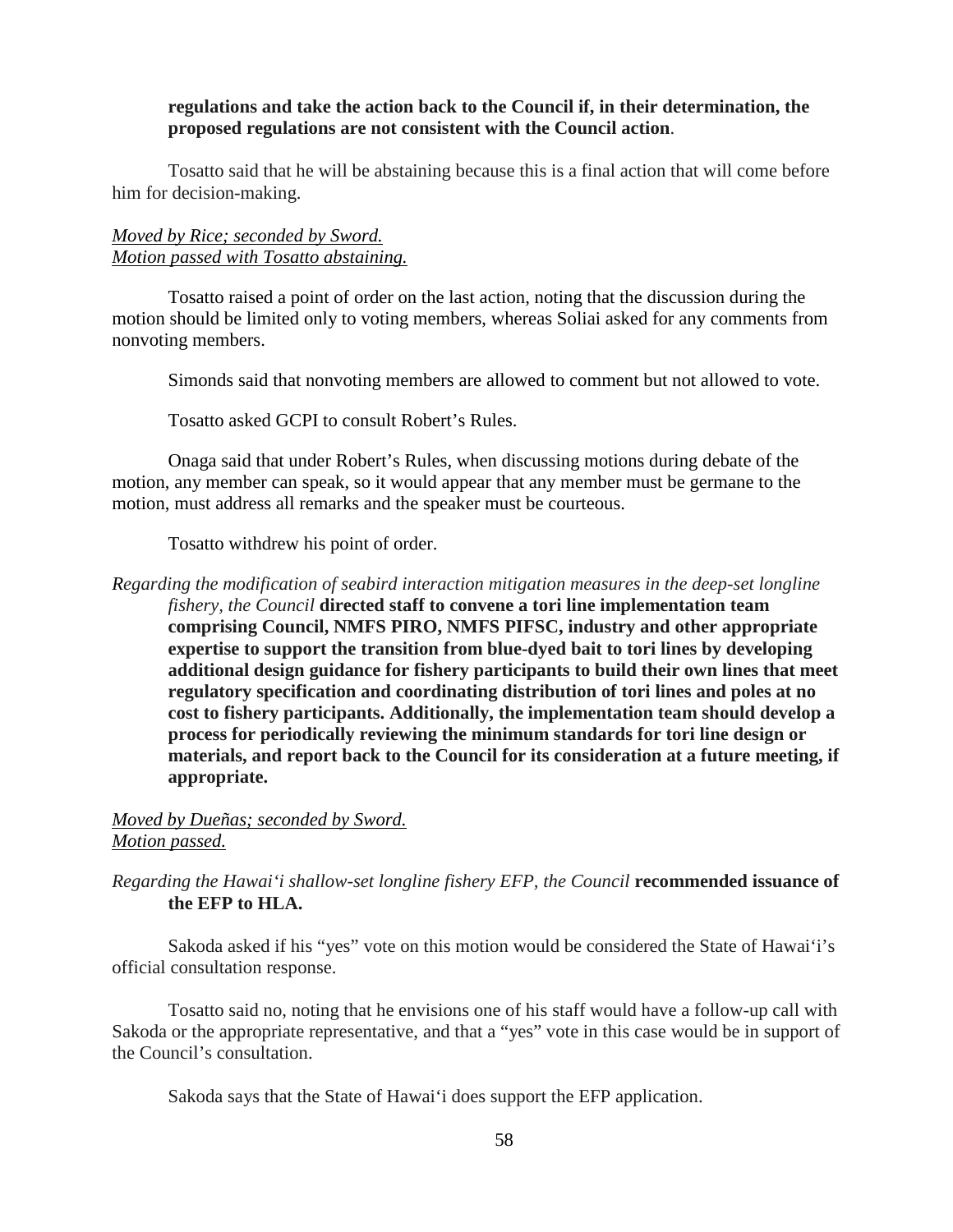### **regulations and take the action back to the Council if, in their determination, the proposed regulations are not consistent with the Council action**.

Tosatto said that he will be abstaining because this is a final action that will come before him for decision-making.

# *Moved by Rice; seconded by Sword. Motion passed with Tosatto abstaining.*

Tosatto raised a point of order on the last action, noting that the discussion during the motion should be limited only to voting members, whereas Soliai asked for any comments from nonvoting members.

Simonds said that nonvoting members are allowed to comment but not allowed to vote.

Tosatto asked GCPI to consult Robert's Rules.

Onaga said that under Robert's Rules, when discussing motions during debate of the motion, any member can speak, so it would appear that any member must be germane to the motion, must address all remarks and the speaker must be courteous.

Tosatto withdrew his point of order.

*Regarding the modification of seabird interaction mitigation measures in the deep-set longline fishery, the Council* **directed staff to convene a tori line implementation team comprising Council, NMFS PIRO, NMFS PIFSC, industry and other appropriate expertise to support the transition from blue-dyed bait to tori lines by developing additional design guidance for fishery participants to build their own lines that meet regulatory specification and coordinating distribution of tori lines and poles at no cost to fishery participants. Additionally, the implementation team should develop a process for periodically reviewing the minimum standards for tori line design or materials, and report back to the Council for its consideration at a future meeting, if appropriate.** 

# *Moved by Dueñas; seconded by Sword. Motion passed.*

# *Regarding the Hawai'i shallow-set longline fishery EFP, the Council* **recommended issuance of the EFP to HLA.**

Sakoda asked if his "yes" vote on this motion would be considered the State of Hawai'i's official consultation response.

Tosatto said no, noting that he envisions one of his staff would have a follow-up call with Sakoda or the appropriate representative, and that a "yes" vote in this case would be in support of the Council's consultation.

Sakoda says that the State of Hawai'i does support the EFP application.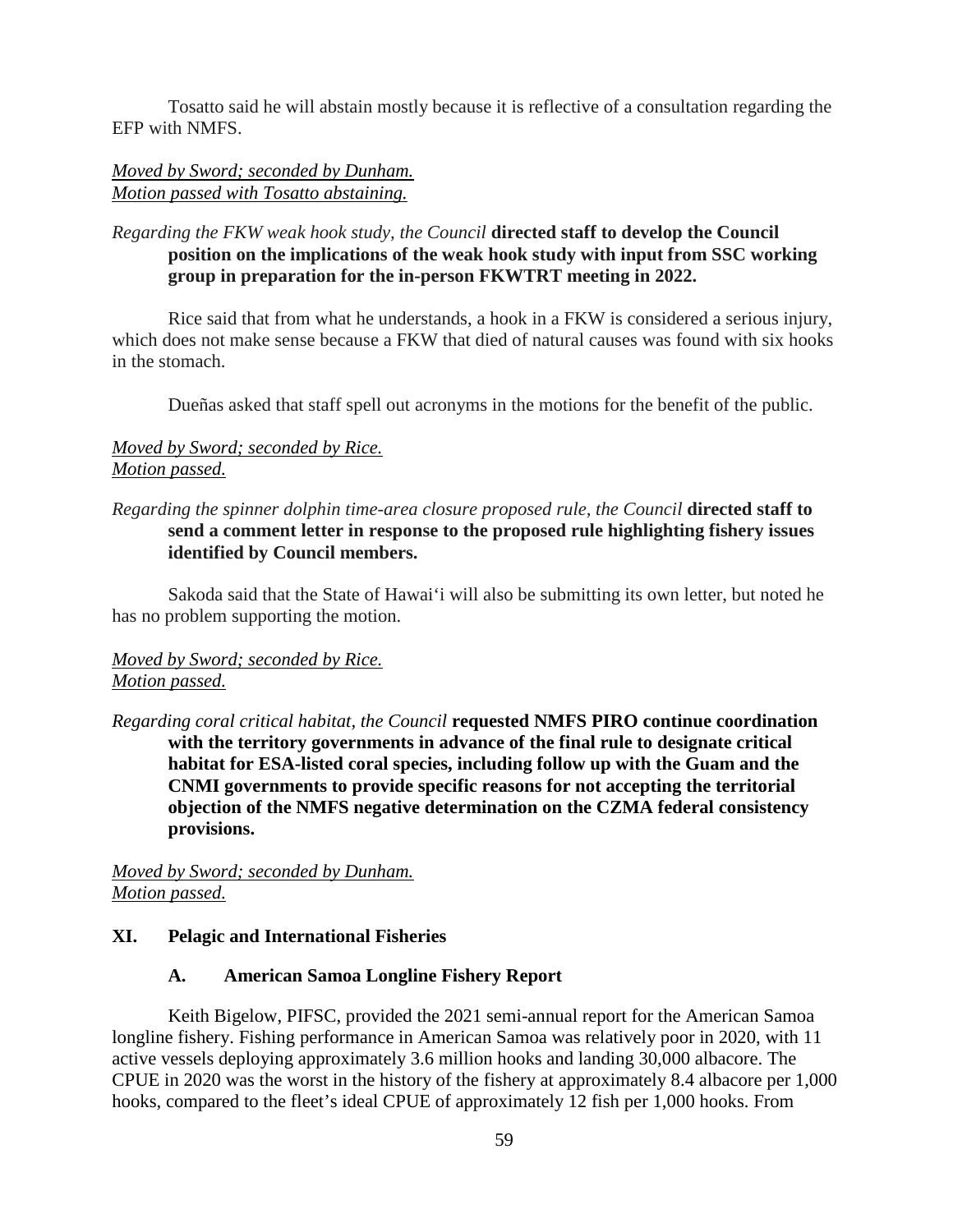Tosatto said he will abstain mostly because it is reflective of a consultation regarding the EFP with NMFS.

## *Moved by Sword; seconded by Dunham. Motion passed with Tosatto abstaining.*

# *Regarding the FKW weak hook study, the Council* **directed staff to develop the Council position on the implications of the weak hook study with input from SSC working group in preparation for the in-person FKWTRT meeting in 2022.**

Rice said that from what he understands, a hook in a FKW is considered a serious injury, which does not make sense because a FKW that died of natural causes was found with six hooks in the stomach.

Dueñas asked that staff spell out acronyms in the motions for the benefit of the public.

## *Moved by Sword; seconded by Rice. Motion passed.*

# *Regarding the spinner dolphin time-area closure proposed rule, the Council* **directed staff to send a comment letter in response to the proposed rule highlighting fishery issues identified by Council members.**

Sakoda said that the State of Hawai'i will also be submitting its own letter, but noted he has no problem supporting the motion.

# *Moved by Sword; seconded by Rice. Motion passed.*

*Regarding coral critical habitat, the Council* **requested NMFS PIRO continue coordination with the territory governments in advance of the final rule to designate critical habitat for ESA-listed coral species, including follow up with the Guam and the CNMI governments to provide specific reasons for not accepting the territorial objection of the NMFS negative determination on the CZMA federal consistency provisions.**

*Moved by Sword; seconded by Dunham. Motion passed.*

# **XI. Pelagic and International Fisheries**

#### **A. American Samoa Longline Fishery Report**

Keith Bigelow, PIFSC, provided the 2021 semi-annual report for the American Samoa longline fishery. Fishing performance in American Samoa was relatively poor in 2020, with 11 active vessels deploying approximately 3.6 million hooks and landing 30,000 albacore. The CPUE in 2020 was the worst in the history of the fishery at approximately 8.4 albacore per 1,000 hooks, compared to the fleet's ideal CPUE of approximately 12 fish per 1,000 hooks. From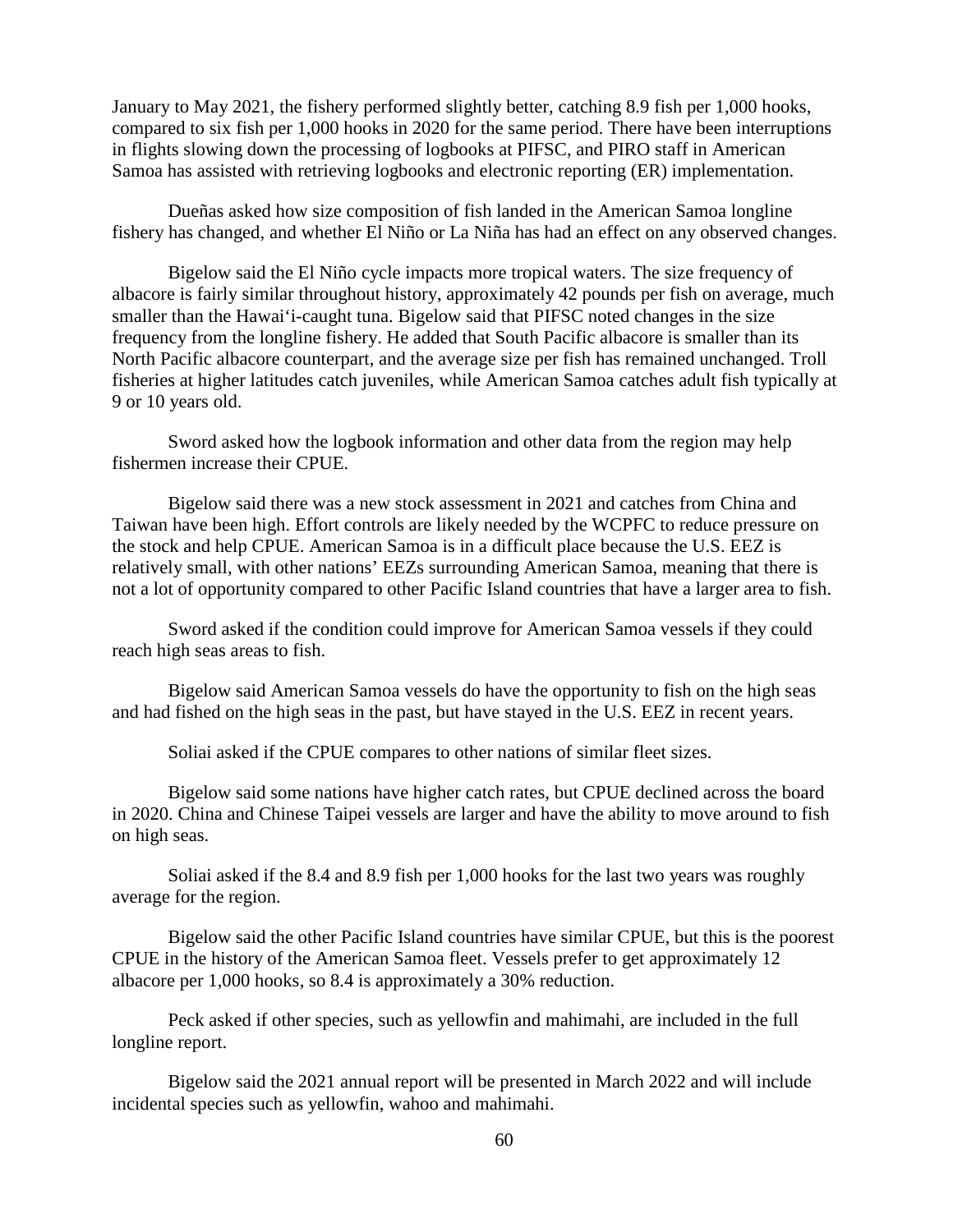January to May 2021, the fishery performed slightly better, catching 8.9 fish per 1,000 hooks, compared to six fish per 1,000 hooks in 2020 for the same period. There have been interruptions in flights slowing down the processing of logbooks at PIFSC, and PIRO staff in American Samoa has assisted with retrieving logbooks and electronic reporting (ER) implementation.

Dueñas asked how size composition of fish landed in the American Samoa longline fishery has changed, and whether El Niño or La Niña has had an effect on any observed changes.

Bigelow said the El Niño cycle impacts more tropical waters. The size frequency of albacore is fairly similar throughout history, approximately 42 pounds per fish on average, much smaller than the Hawai'i-caught tuna. Bigelow said that PIFSC noted changes in the size frequency from the longline fishery. He added that South Pacific albacore is smaller than its North Pacific albacore counterpart, and the average size per fish has remained unchanged. Troll fisheries at higher latitudes catch juveniles, while American Samoa catches adult fish typically at 9 or 10 years old.

Sword asked how the logbook information and other data from the region may help fishermen increase their CPUE.

Bigelow said there was a new stock assessment in 2021 and catches from China and Taiwan have been high. Effort controls are likely needed by the WCPFC to reduce pressure on the stock and help CPUE. American Samoa is in a difficult place because the U.S. EEZ is relatively small, with other nations' EEZs surrounding American Samoa, meaning that there is not a lot of opportunity compared to other Pacific Island countries that have a larger area to fish.

Sword asked if the condition could improve for American Samoa vessels if they could reach high seas areas to fish.

Bigelow said American Samoa vessels do have the opportunity to fish on the high seas and had fished on the high seas in the past, but have stayed in the U.S. EEZ in recent years.

Soliai asked if the CPUE compares to other nations of similar fleet sizes.

Bigelow said some nations have higher catch rates, but CPUE declined across the board in 2020. China and Chinese Taipei vessels are larger and have the ability to move around to fish on high seas.

Soliai asked if the 8.4 and 8.9 fish per 1,000 hooks for the last two years was roughly average for the region.

Bigelow said the other Pacific Island countries have similar CPUE, but this is the poorest CPUE in the history of the American Samoa fleet. Vessels prefer to get approximately 12 albacore per 1,000 hooks, so 8.4 is approximately a 30% reduction.

Peck asked if other species, such as yellowfin and mahimahi, are included in the full longline report.

Bigelow said the 2021 annual report will be presented in March 2022 and will include incidental species such as yellowfin, wahoo and mahimahi.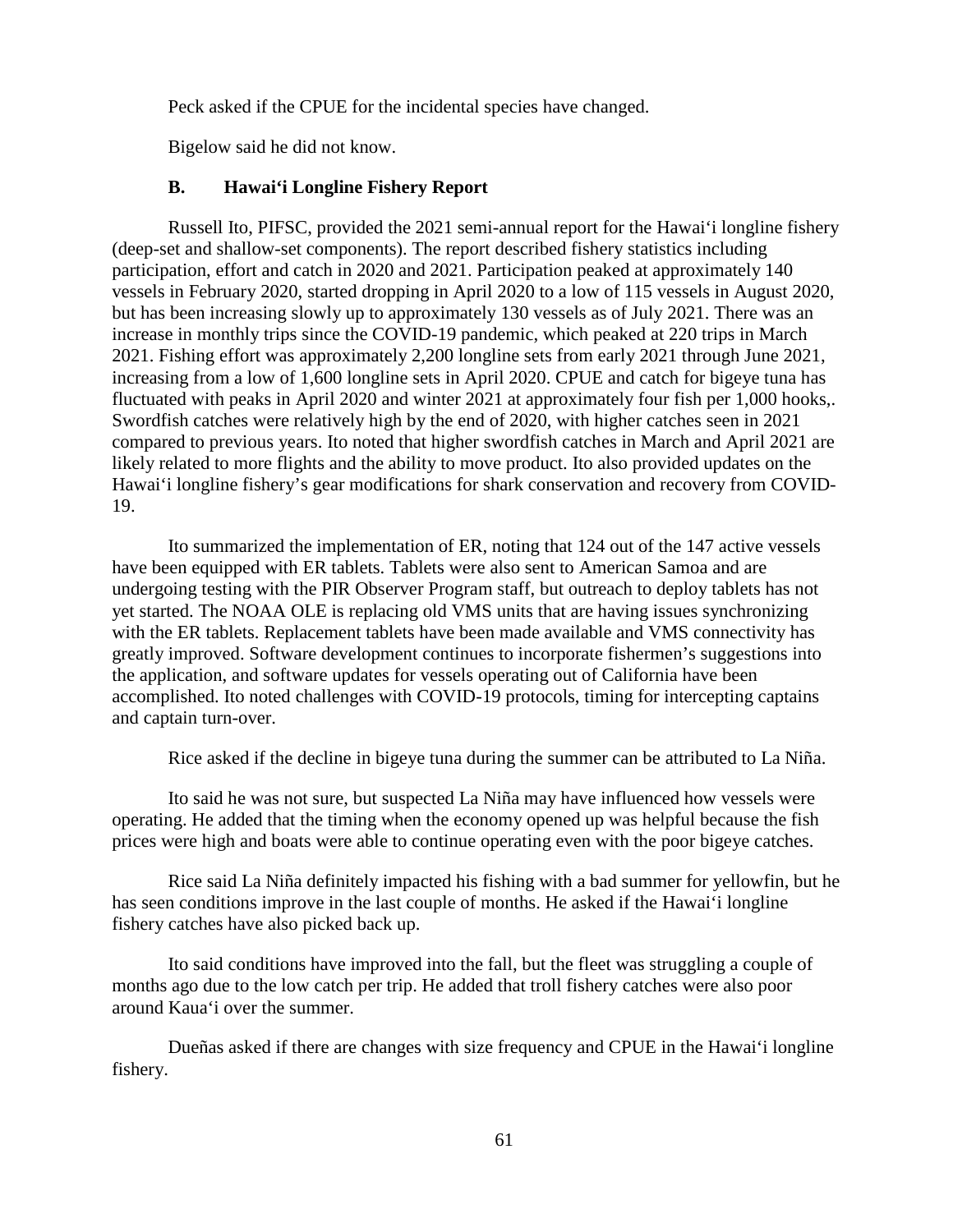Peck asked if the CPUE for the incidental species have changed.

Bigelow said he did not know.

# **B. Hawai'i Longline Fishery Report**

Russell Ito, PIFSC, provided the 2021 semi-annual report for the Hawai'i longline fishery (deep-set and shallow-set components). The report described fishery statistics including participation, effort and catch in 2020 and 2021. Participation peaked at approximately 140 vessels in February 2020, started dropping in April 2020 to a low of 115 vessels in August 2020, but has been increasing slowly up to approximately 130 vessels as of July 2021. There was an increase in monthly trips since the COVID-19 pandemic, which peaked at 220 trips in March 2021. Fishing effort was approximately 2,200 longline sets from early 2021 through June 2021, increasing from a low of 1,600 longline sets in April 2020. CPUE and catch for bigeye tuna has fluctuated with peaks in April 2020 and winter 2021 at approximately four fish per 1,000 hooks,. Swordfish catches were relatively high by the end of 2020, with higher catches seen in 2021 compared to previous years. Ito noted that higher swordfish catches in March and April 2021 are likely related to more flights and the ability to move product. Ito also provided updates on the Hawai'i longline fishery's gear modifications for shark conservation and recovery from COVID-19.

Ito summarized the implementation of ER, noting that 124 out of the 147 active vessels have been equipped with ER tablets. Tablets were also sent to American Samoa and are undergoing testing with the PIR Observer Program staff, but outreach to deploy tablets has not yet started. The NOAA OLE is replacing old VMS units that are having issues synchronizing with the ER tablets. Replacement tablets have been made available and VMS connectivity has greatly improved. Software development continues to incorporate fishermen's suggestions into the application, and software updates for vessels operating out of California have been accomplished. Ito noted challenges with COVID-19 protocols, timing for intercepting captains and captain turn-over.

Rice asked if the decline in bigeye tuna during the summer can be attributed to La Niña.

Ito said he was not sure, but suspected La Niña may have influenced how vessels were operating. He added that the timing when the economy opened up was helpful because the fish prices were high and boats were able to continue operating even with the poor bigeye catches.

Rice said La Niña definitely impacted his fishing with a bad summer for yellowfin, but he has seen conditions improve in the last couple of months. He asked if the Hawai'i longline fishery catches have also picked back up.

Ito said conditions have improved into the fall, but the fleet was struggling a couple of months ago due to the low catch per trip. He added that troll fishery catches were also poor around Kaua'i over the summer.

Dueñas asked if there are changes with size frequency and CPUE in the Hawai'i longline fishery.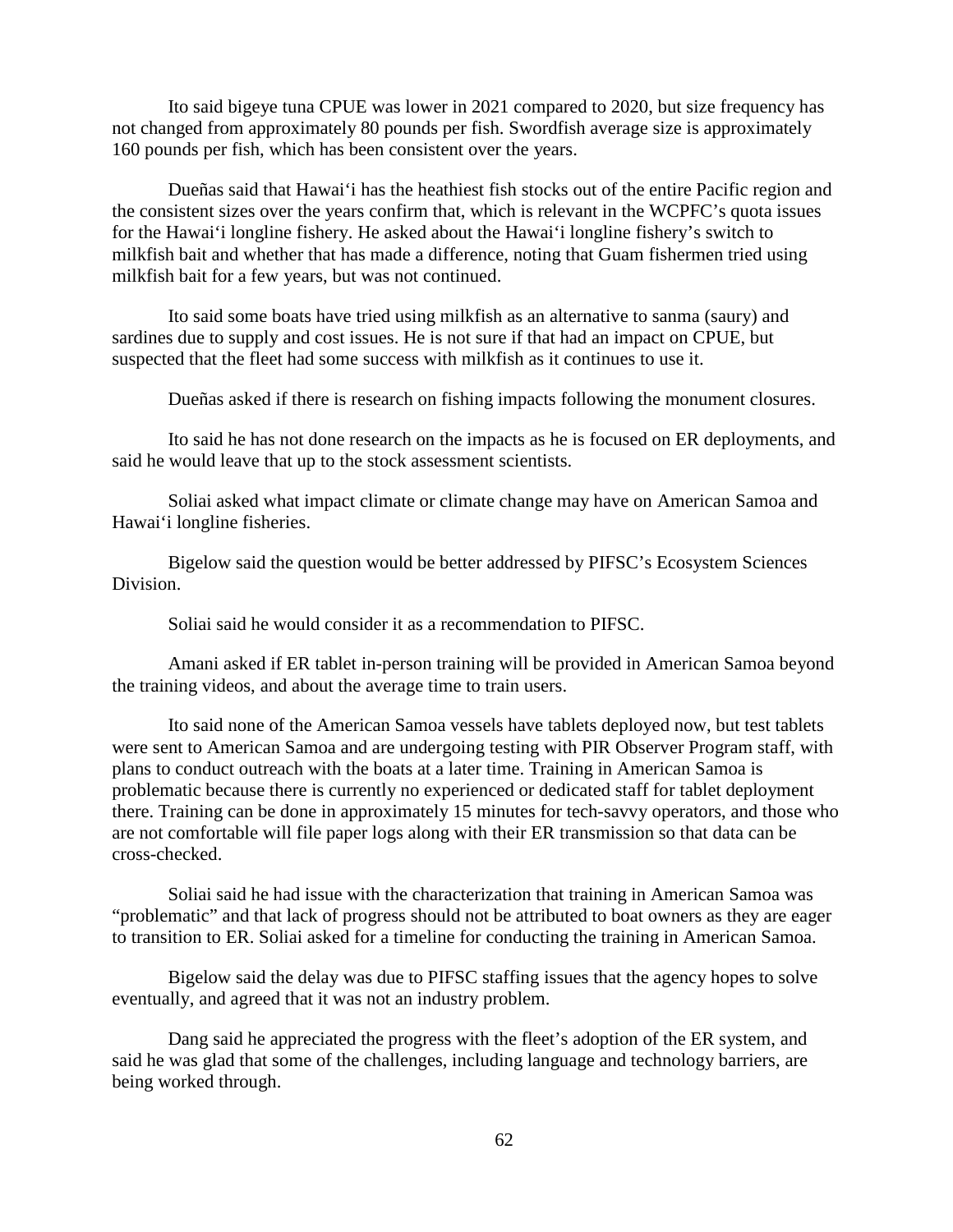Ito said bigeye tuna CPUE was lower in 2021 compared to 2020, but size frequency has not changed from approximately 80 pounds per fish. Swordfish average size is approximately 160 pounds per fish, which has been consistent over the years.

Dueñas said that Hawai'i has the heathiest fish stocks out of the entire Pacific region and the consistent sizes over the years confirm that, which is relevant in the WCPFC's quota issues for the Hawai'i longline fishery. He asked about the Hawai'i longline fishery's switch to milkfish bait and whether that has made a difference, noting that Guam fishermen tried using milkfish bait for a few years, but was not continued.

Ito said some boats have tried using milkfish as an alternative to sanma (saury) and sardines due to supply and cost issues. He is not sure if that had an impact on CPUE, but suspected that the fleet had some success with milkfish as it continues to use it.

Dueñas asked if there is research on fishing impacts following the monument closures.

Ito said he has not done research on the impacts as he is focused on ER deployments, and said he would leave that up to the stock assessment scientists.

Soliai asked what impact climate or climate change may have on American Samoa and Hawai'i longline fisheries.

Bigelow said the question would be better addressed by PIFSC's Ecosystem Sciences Division.

Soliai said he would consider it as a recommendation to PIFSC.

Amani asked if ER tablet in-person training will be provided in American Samoa beyond the training videos, and about the average time to train users.

Ito said none of the American Samoa vessels have tablets deployed now, but test tablets were sent to American Samoa and are undergoing testing with PIR Observer Program staff, with plans to conduct outreach with the boats at a later time. Training in American Samoa is problematic because there is currently no experienced or dedicated staff for tablet deployment there. Training can be done in approximately 15 minutes for tech-savvy operators, and those who are not comfortable will file paper logs along with their ER transmission so that data can be cross-checked.

Soliai said he had issue with the characterization that training in American Samoa was "problematic" and that lack of progress should not be attributed to boat owners as they are eager to transition to ER. Soliai asked for a timeline for conducting the training in American Samoa.

Bigelow said the delay was due to PIFSC staffing issues that the agency hopes to solve eventually, and agreed that it was not an industry problem.

Dang said he appreciated the progress with the fleet's adoption of the ER system, and said he was glad that some of the challenges, including language and technology barriers, are being worked through.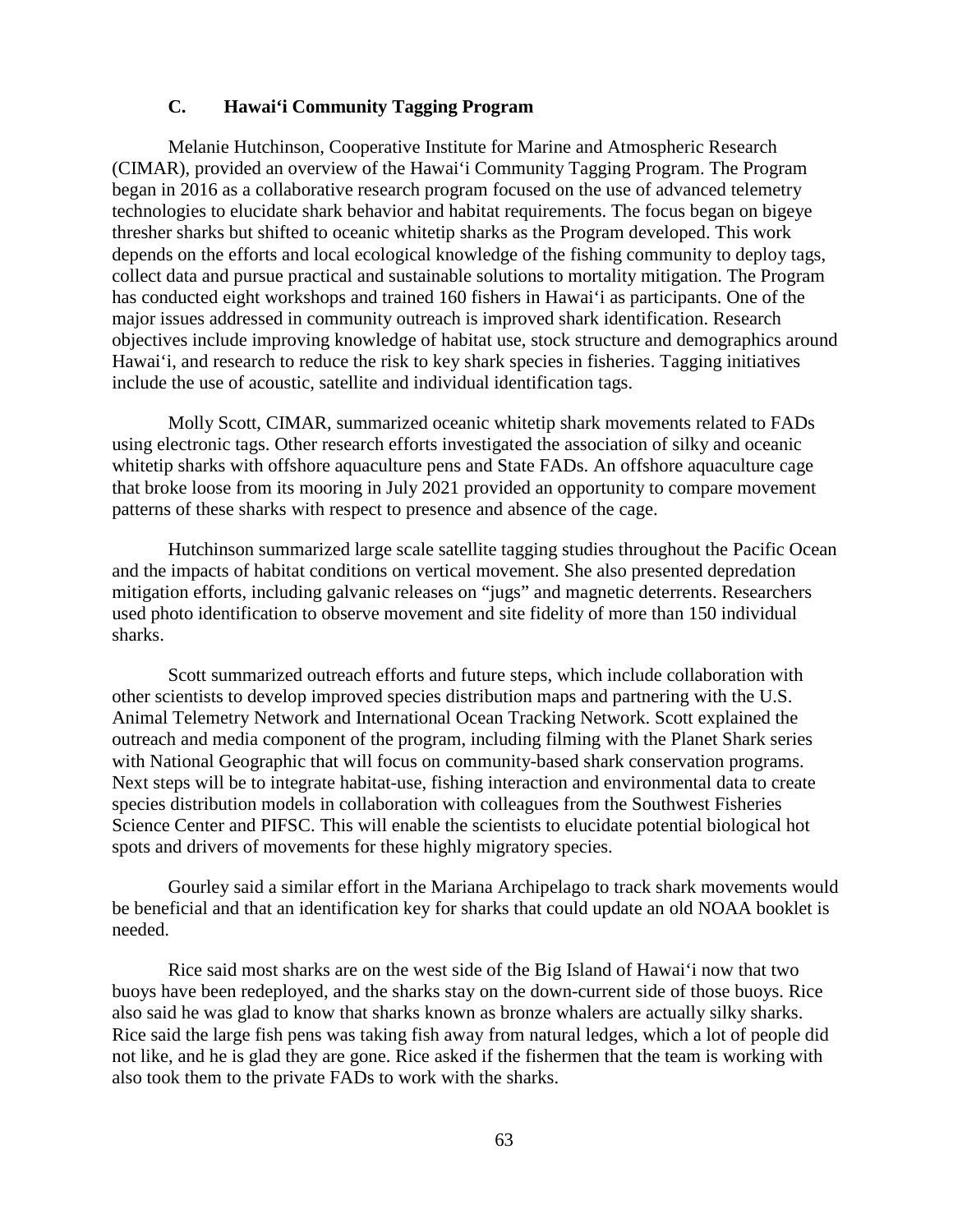## **C. Hawai'i Community Tagging Program**

Melanie Hutchinson, Cooperative Institute for Marine and Atmospheric Research (CIMAR), provided an overview of the Hawai'i Community Tagging Program. The Program began in 2016 as a collaborative research program focused on the use of advanced telemetry technologies to elucidate shark behavior and habitat requirements. The focus began on bigeye thresher sharks but shifted to oceanic whitetip sharks as the Program developed. This work depends on the efforts and local ecological knowledge of the fishing community to deploy tags, collect data and pursue practical and sustainable solutions to mortality mitigation. The Program has conducted eight workshops and trained 160 fishers in Hawai'i as participants. One of the major issues addressed in community outreach is improved shark identification. Research objectives include improving knowledge of habitat use, stock structure and demographics around Hawai'i, and research to reduce the risk to key shark species in fisheries. Tagging initiatives include the use of acoustic, satellite and individual identification tags.

Molly Scott, CIMAR, summarized oceanic whitetip shark movements related to FADs using electronic tags. Other research efforts investigated the association of silky and oceanic whitetip sharks with offshore aquaculture pens and State FADs. An offshore aquaculture cage that broke loose from its mooring in July 2021 provided an opportunity to compare movement patterns of these sharks with respect to presence and absence of the cage.

Hutchinson summarized large scale satellite tagging studies throughout the Pacific Ocean and the impacts of habitat conditions on vertical movement. She also presented depredation mitigation efforts, including galvanic releases on "jugs" and magnetic deterrents. Researchers used photo identification to observe movement and site fidelity of more than 150 individual sharks.

Scott summarized outreach efforts and future steps, which include collaboration with other scientists to develop improved species distribution maps and partnering with the U.S. Animal Telemetry Network and International Ocean Tracking Network. Scott explained the outreach and media component of the program, including filming with the Planet Shark series with National Geographic that will focus on community-based shark conservation programs. Next steps will be to integrate habitat-use, fishing interaction and environmental data to create species distribution models in collaboration with colleagues from the Southwest Fisheries Science Center and PIFSC. This will enable the scientists to elucidate potential biological hot spots and drivers of movements for these highly migratory species.

Gourley said a similar effort in the Mariana Archipelago to track shark movements would be beneficial and that an identification key for sharks that could update an old NOAA booklet is needed.

Rice said most sharks are on the west side of the Big Island of Hawai'i now that two buoys have been redeployed, and the sharks stay on the down-current side of those buoys. Rice also said he was glad to know that sharks known as bronze whalers are actually silky sharks. Rice said the large fish pens was taking fish away from natural ledges, which a lot of people did not like, and he is glad they are gone. Rice asked if the fishermen that the team is working with also took them to the private FADs to work with the sharks.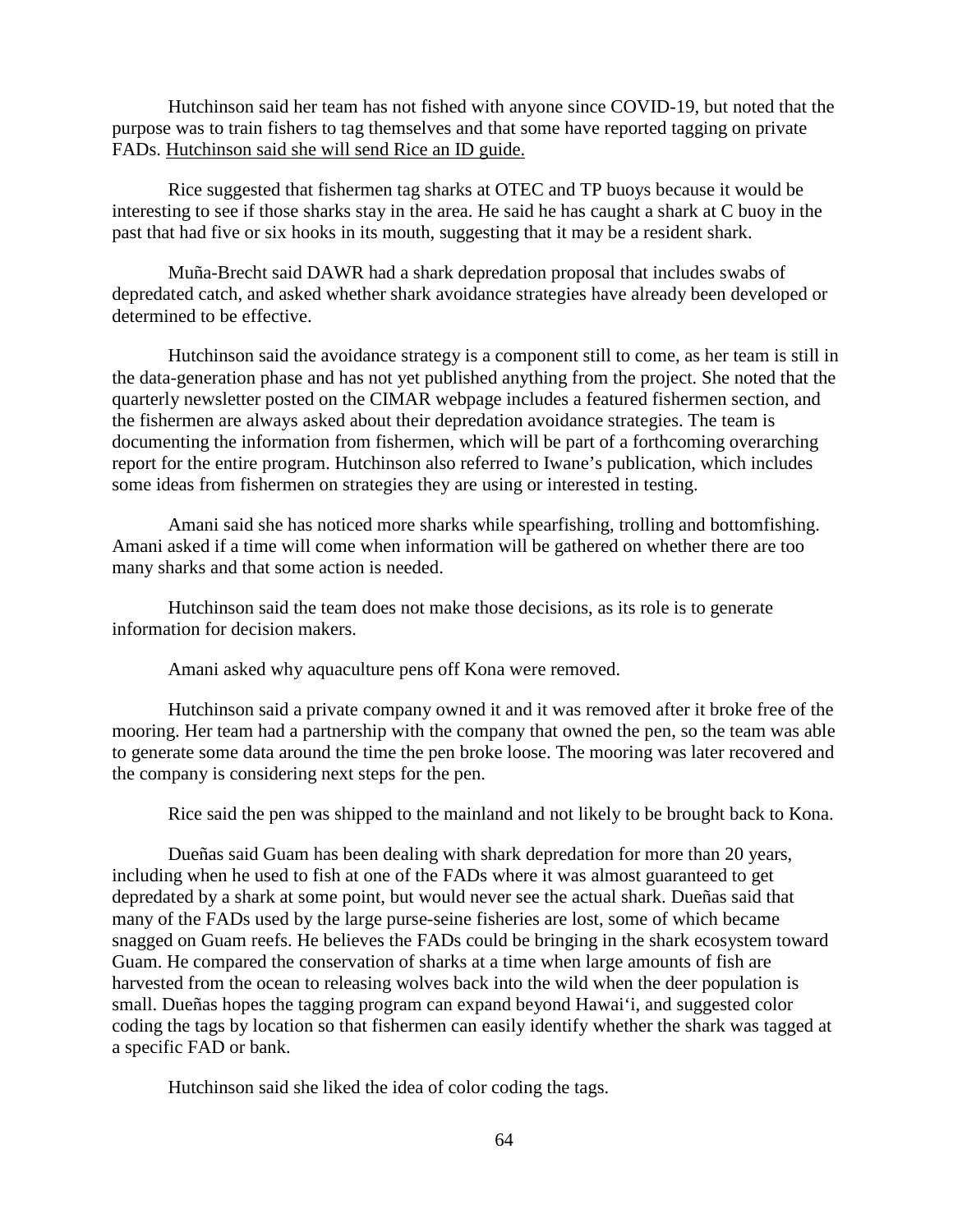Hutchinson said her team has not fished with anyone since COVID-19, but noted that the purpose was to train fishers to tag themselves and that some have reported tagging on private FADs. Hutchinson said she will send Rice an ID guide.

Rice suggested that fishermen tag sharks at OTEC and TP buoys because it would be interesting to see if those sharks stay in the area. He said he has caught a shark at C buoy in the past that had five or six hooks in its mouth, suggesting that it may be a resident shark.

Muña-Brecht said DAWR had a shark depredation proposal that includes swabs of depredated catch, and asked whether shark avoidance strategies have already been developed or determined to be effective.

Hutchinson said the avoidance strategy is a component still to come, as her team is still in the data-generation phase and has not yet published anything from the project. She noted that the quarterly newsletter posted on the CIMAR webpage includes a featured fishermen section, and the fishermen are always asked about their depredation avoidance strategies. The team is documenting the information from fishermen, which will be part of a forthcoming overarching report for the entire program. Hutchinson also referred to Iwane's publication, which includes some ideas from fishermen on strategies they are using or interested in testing.

Amani said she has noticed more sharks while spearfishing, trolling and bottomfishing. Amani asked if a time will come when information will be gathered on whether there are too many sharks and that some action is needed.

Hutchinson said the team does not make those decisions, as its role is to generate information for decision makers.

Amani asked why aquaculture pens off Kona were removed.

Hutchinson said a private company owned it and it was removed after it broke free of the mooring. Her team had a partnership with the company that owned the pen, so the team was able to generate some data around the time the pen broke loose. The mooring was later recovered and the company is considering next steps for the pen.

Rice said the pen was shipped to the mainland and not likely to be brought back to Kona.

Dueñas said Guam has been dealing with shark depredation for more than 20 years, including when he used to fish at one of the FADs where it was almost guaranteed to get depredated by a shark at some point, but would never see the actual shark. Dueñas said that many of the FADs used by the large purse-seine fisheries are lost, some of which became snagged on Guam reefs. He believes the FADs could be bringing in the shark ecosystem toward Guam. He compared the conservation of sharks at a time when large amounts of fish are harvested from the ocean to releasing wolves back into the wild when the deer population is small. Dueñas hopes the tagging program can expand beyond Hawai'i, and suggested color coding the tags by location so that fishermen can easily identify whether the shark was tagged at a specific FAD or bank.

Hutchinson said she liked the idea of color coding the tags.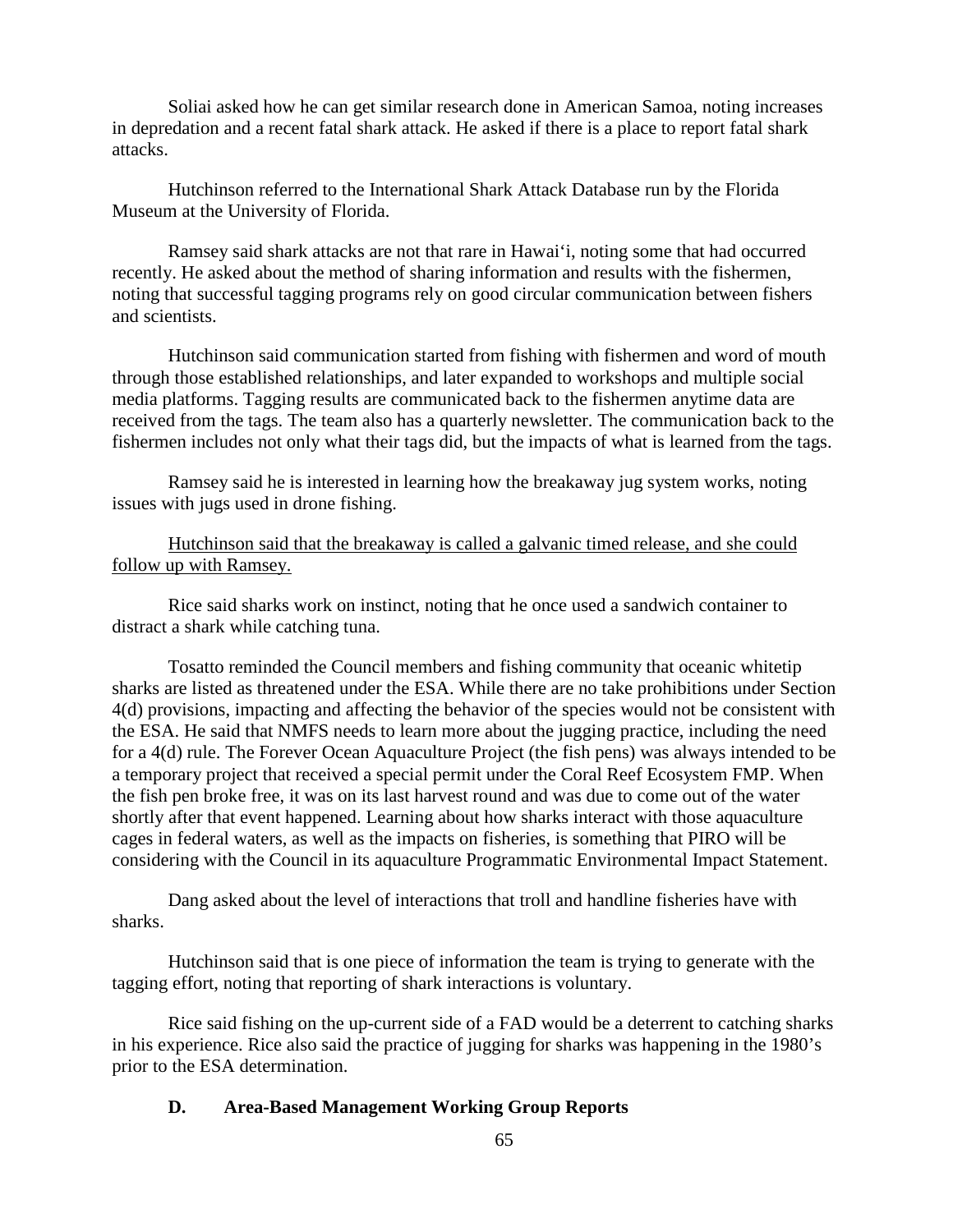Soliai asked how he can get similar research done in American Samoa, noting increases in depredation and a recent fatal shark attack. He asked if there is a place to report fatal shark attacks.

Hutchinson referred to the International Shark Attack Database run by the Florida Museum at the University of Florida.

Ramsey said shark attacks are not that rare in Hawai'i, noting some that had occurred recently. He asked about the method of sharing information and results with the fishermen, noting that successful tagging programs rely on good circular communication between fishers and scientists.

Hutchinson said communication started from fishing with fishermen and word of mouth through those established relationships, and later expanded to workshops and multiple social media platforms. Tagging results are communicated back to the fishermen anytime data are received from the tags. The team also has a quarterly newsletter. The communication back to the fishermen includes not only what their tags did, but the impacts of what is learned from the tags.

Ramsey said he is interested in learning how the breakaway jug system works, noting issues with jugs used in drone fishing.

Hutchinson said that the breakaway is called a galvanic timed release, and she could follow up with Ramsey.

Rice said sharks work on instinct, noting that he once used a sandwich container to distract a shark while catching tuna.

Tosatto reminded the Council members and fishing community that oceanic whitetip sharks are listed as threatened under the ESA. While there are no take prohibitions under Section 4(d) provisions, impacting and affecting the behavior of the species would not be consistent with the ESA. He said that NMFS needs to learn more about the jugging practice, including the need for a 4(d) rule. The Forever Ocean Aquaculture Project (the fish pens) was always intended to be a temporary project that received a special permit under the Coral Reef Ecosystem FMP. When the fish pen broke free, it was on its last harvest round and was due to come out of the water shortly after that event happened. Learning about how sharks interact with those aquaculture cages in federal waters, as well as the impacts on fisheries, is something that PIRO will be considering with the Council in its aquaculture Programmatic Environmental Impact Statement.

Dang asked about the level of interactions that troll and handline fisheries have with sharks.

Hutchinson said that is one piece of information the team is trying to generate with the tagging effort, noting that reporting of shark interactions is voluntary.

Rice said fishing on the up-current side of a FAD would be a deterrent to catching sharks in his experience. Rice also said the practice of jugging for sharks was happening in the 1980's prior to the ESA determination.

#### **D. Area-Based Management Working Group Reports**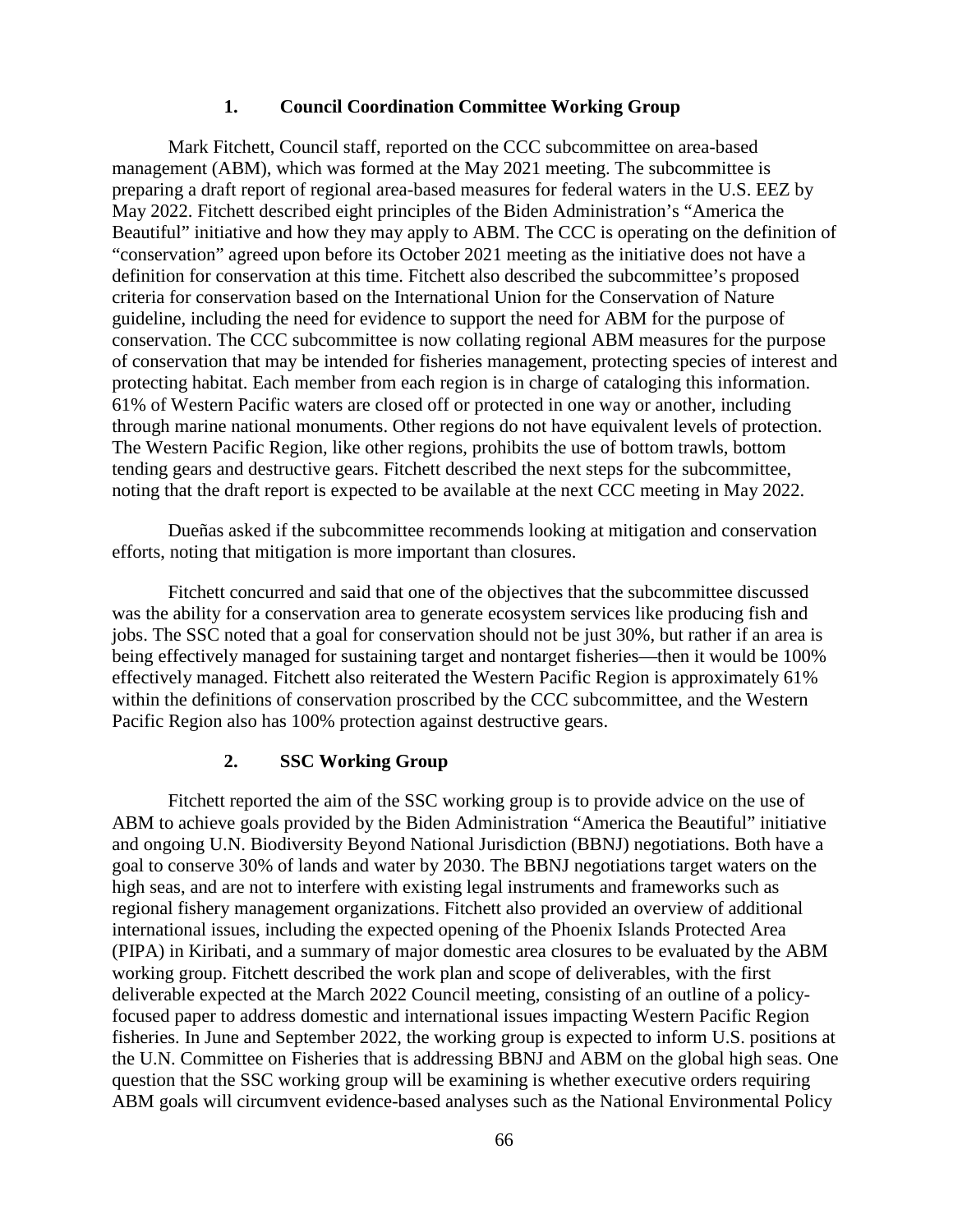#### **1. Council Coordination Committee Working Group**

Mark Fitchett, Council staff, reported on the CCC subcommittee on area-based management (ABM), which was formed at the May 2021 meeting. The subcommittee is preparing a draft report of regional area-based measures for federal waters in the U.S. EEZ by May 2022. Fitchett described eight principles of the Biden Administration's "America the Beautiful" initiative and how they may apply to ABM. The CCC is operating on the definition of "conservation" agreed upon before its October 2021 meeting as the initiative does not have a definition for conservation at this time. Fitchett also described the subcommittee's proposed criteria for conservation based on the International Union for the Conservation of Nature guideline, including the need for evidence to support the need for ABM for the purpose of conservation. The CCC subcommittee is now collating regional ABM measures for the purpose of conservation that may be intended for fisheries management, protecting species of interest and protecting habitat. Each member from each region is in charge of cataloging this information. 61% of Western Pacific waters are closed off or protected in one way or another, including through marine national monuments. Other regions do not have equivalent levels of protection. The Western Pacific Region, like other regions, prohibits the use of bottom trawls, bottom tending gears and destructive gears. Fitchett described the next steps for the subcommittee, noting that the draft report is expected to be available at the next CCC meeting in May 2022.

Dueñas asked if the subcommittee recommends looking at mitigation and conservation efforts, noting that mitigation is more important than closures.

Fitchett concurred and said that one of the objectives that the subcommittee discussed was the ability for a conservation area to generate ecosystem services like producing fish and jobs. The SSC noted that a goal for conservation should not be just 30%, but rather if an area is being effectively managed for sustaining target and nontarget fisheries—then it would be 100% effectively managed. Fitchett also reiterated the Western Pacific Region is approximately 61% within the definitions of conservation proscribed by the CCC subcommittee, and the Western Pacific Region also has 100% protection against destructive gears.

#### **2. SSC Working Group**

Fitchett reported the aim of the SSC working group is to provide advice on the use of ABM to achieve goals provided by the Biden Administration "America the Beautiful" initiative and ongoing U.N. Biodiversity Beyond National Jurisdiction (BBNJ) negotiations. Both have a goal to conserve 30% of lands and water by 2030. The BBNJ negotiations target waters on the high seas, and are not to interfere with existing legal instruments and frameworks such as regional fishery management organizations. Fitchett also provided an overview of additional international issues, including the expected opening of the Phoenix Islands Protected Area (PIPA) in Kiribati, and a summary of major domestic area closures to be evaluated by the ABM working group. Fitchett described the work plan and scope of deliverables, with the first deliverable expected at the March 2022 Council meeting, consisting of an outline of a policyfocused paper to address domestic and international issues impacting Western Pacific Region fisheries. In June and September 2022, the working group is expected to inform U.S. positions at the U.N. Committee on Fisheries that is addressing BBNJ and ABM on the global high seas. One question that the SSC working group will be examining is whether executive orders requiring ABM goals will circumvent evidence-based analyses such as the National Environmental Policy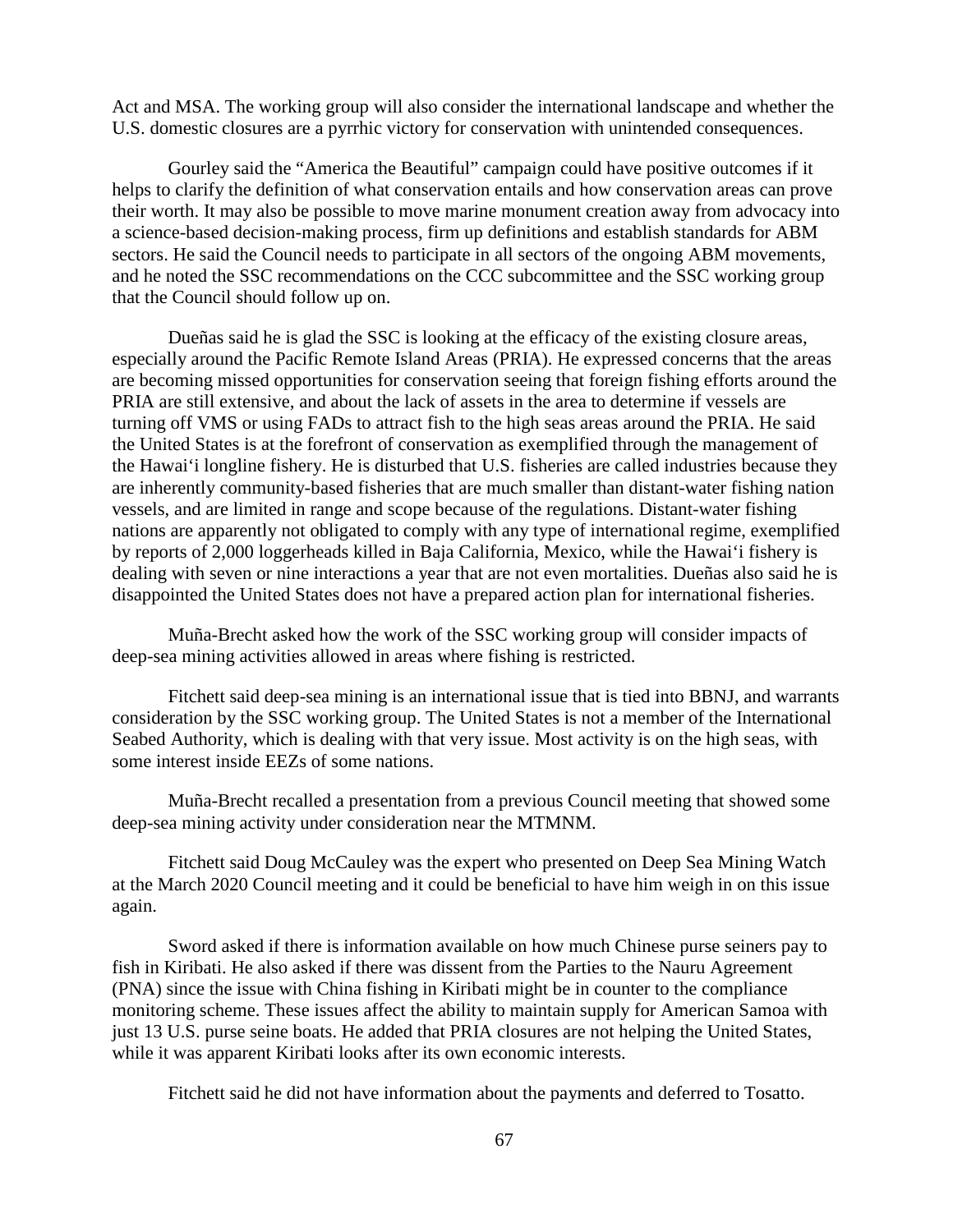Act and MSA. The working group will also consider the international landscape and whether the U.S. domestic closures are a pyrrhic victory for conservation with unintended consequences.

Gourley said the "America the Beautiful" campaign could have positive outcomes if it helps to clarify the definition of what conservation entails and how conservation areas can prove their worth. It may also be possible to move marine monument creation away from advocacy into a science-based decision-making process, firm up definitions and establish standards for ABM sectors. He said the Council needs to participate in all sectors of the ongoing ABM movements, and he noted the SSC recommendations on the CCC subcommittee and the SSC working group that the Council should follow up on.

Dueñas said he is glad the SSC is looking at the efficacy of the existing closure areas, especially around the Pacific Remote Island Areas (PRIA). He expressed concerns that the areas are becoming missed opportunities for conservation seeing that foreign fishing efforts around the PRIA are still extensive, and about the lack of assets in the area to determine if vessels are turning off VMS or using FADs to attract fish to the high seas areas around the PRIA. He said the United States is at the forefront of conservation as exemplified through the management of the Hawai'i longline fishery. He is disturbed that U.S. fisheries are called industries because they are inherently community-based fisheries that are much smaller than distant-water fishing nation vessels, and are limited in range and scope because of the regulations. Distant-water fishing nations are apparently not obligated to comply with any type of international regime, exemplified by reports of 2,000 loggerheads killed in Baja California, Mexico, while the Hawai'i fishery is dealing with seven or nine interactions a year that are not even mortalities. Dueñas also said he is disappointed the United States does not have a prepared action plan for international fisheries.

Muña-Brecht asked how the work of the SSC working group will consider impacts of deep-sea mining activities allowed in areas where fishing is restricted.

Fitchett said deep-sea mining is an international issue that is tied into BBNJ, and warrants consideration by the SSC working group. The United States is not a member of the International Seabed Authority, which is dealing with that very issue. Most activity is on the high seas, with some interest inside EEZs of some nations.

Muña-Brecht recalled a presentation from a previous Council meeting that showed some deep-sea mining activity under consideration near the MTMNM.

Fitchett said Doug McCauley was the expert who presented on Deep Sea Mining Watch at the March 2020 Council meeting and it could be beneficial to have him weigh in on this issue again.

Sword asked if there is information available on how much Chinese purse seiners pay to fish in Kiribati. He also asked if there was dissent from the Parties to the Nauru Agreement (PNA) since the issue with China fishing in Kiribati might be in counter to the compliance monitoring scheme. These issues affect the ability to maintain supply for American Samoa with just 13 U.S. purse seine boats. He added that PRIA closures are not helping the United States, while it was apparent Kiribati looks after its own economic interests.

Fitchett said he did not have information about the payments and deferred to Tosatto.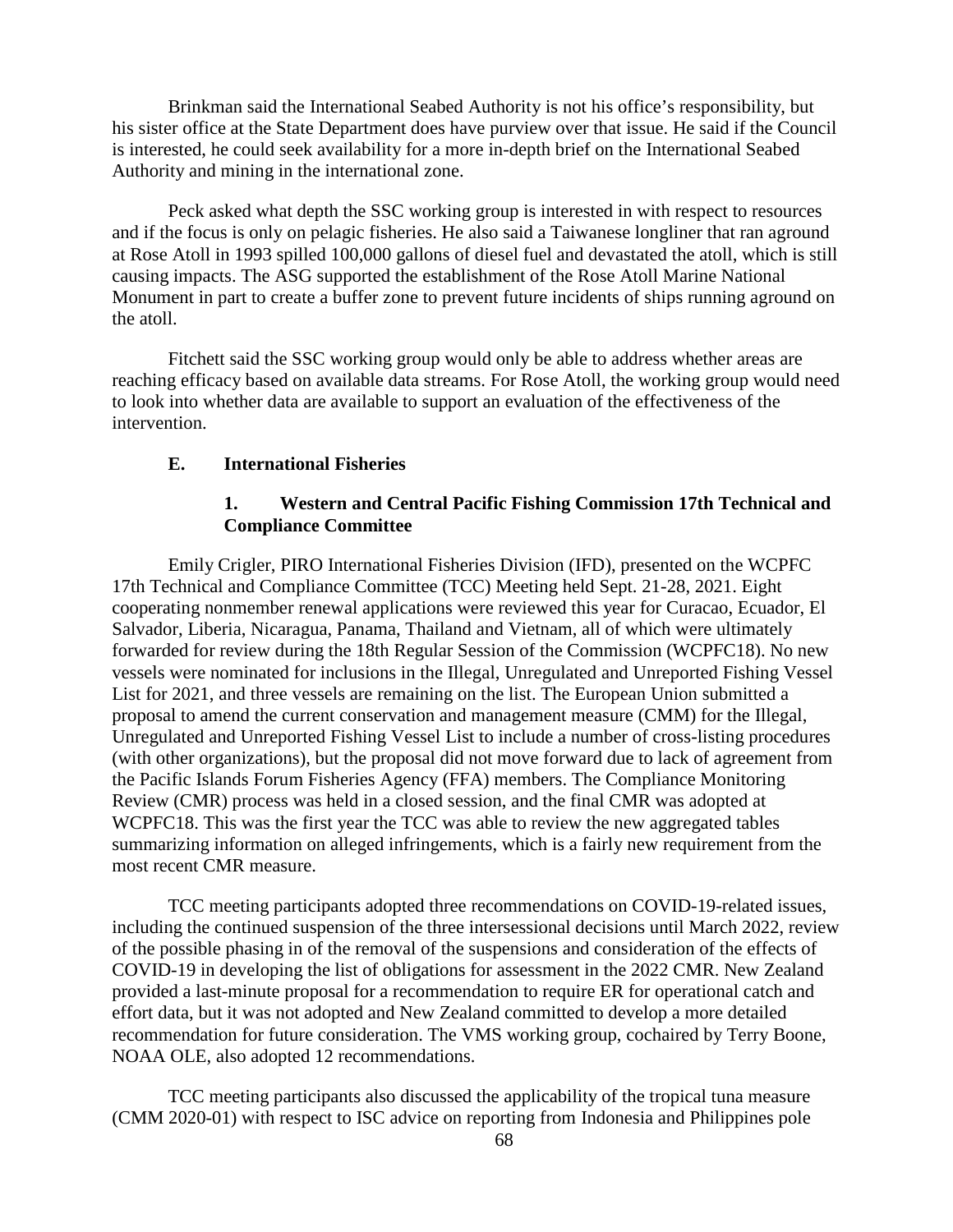Brinkman said the International Seabed Authority is not his office's responsibility, but his sister office at the State Department does have purview over that issue. He said if the Council is interested, he could seek availability for a more in-depth brief on the International Seabed Authority and mining in the international zone.

Peck asked what depth the SSC working group is interested in with respect to resources and if the focus is only on pelagic fisheries. He also said a Taiwanese longliner that ran aground at Rose Atoll in 1993 spilled 100,000 gallons of diesel fuel and devastated the atoll, which is still causing impacts. The ASG supported the establishment of the Rose Atoll Marine National Monument in part to create a buffer zone to prevent future incidents of ships running aground on the atoll.

Fitchett said the SSC working group would only be able to address whether areas are reaching efficacy based on available data streams. For Rose Atoll, the working group would need to look into whether data are available to support an evaluation of the effectiveness of the intervention.

### **E. International Fisheries**

### **1. Western and Central Pacific Fishing Commission 17th Technical and Compliance Committee**

Emily Crigler, PIRO International Fisheries Division (IFD), presented on the WCPFC 17th Technical and Compliance Committee (TCC) Meeting held Sept. 21-28, 2021. Eight cooperating nonmember renewal applications were reviewed this year for Curacao, Ecuador, El Salvador, Liberia, Nicaragua, Panama, Thailand and Vietnam, all of which were ultimately forwarded for review during the 18th Regular Session of the Commission (WCPFC18). No new vessels were nominated for inclusions in the Illegal, Unregulated and Unreported Fishing Vessel List for 2021, and three vessels are remaining on the list. The European Union submitted a proposal to amend the current conservation and management measure (CMM) for the Illegal, Unregulated and Unreported Fishing Vessel List to include a number of cross-listing procedures (with other organizations), but the proposal did not move forward due to lack of agreement from the Pacific Islands Forum Fisheries Agency (FFA) members. The Compliance Monitoring Review (CMR) process was held in a closed session, and the final CMR was adopted at WCPFC18. This was the first year the TCC was able to review the new aggregated tables summarizing information on alleged infringements, which is a fairly new requirement from the most recent CMR measure.

TCC meeting participants adopted three recommendations on COVID-19-related issues, including the continued suspension of the three intersessional decisions until March 2022, review of the possible phasing in of the removal of the suspensions and consideration of the effects of COVID-19 in developing the list of obligations for assessment in the 2022 CMR. New Zealand provided a last-minute proposal for a recommendation to require ER for operational catch and effort data, but it was not adopted and New Zealand committed to develop a more detailed recommendation for future consideration. The VMS working group, cochaired by Terry Boone, NOAA OLE, also adopted 12 recommendations.

TCC meeting participants also discussed the applicability of the tropical tuna measure (CMM 2020-01) with respect to ISC advice on reporting from Indonesia and Philippines pole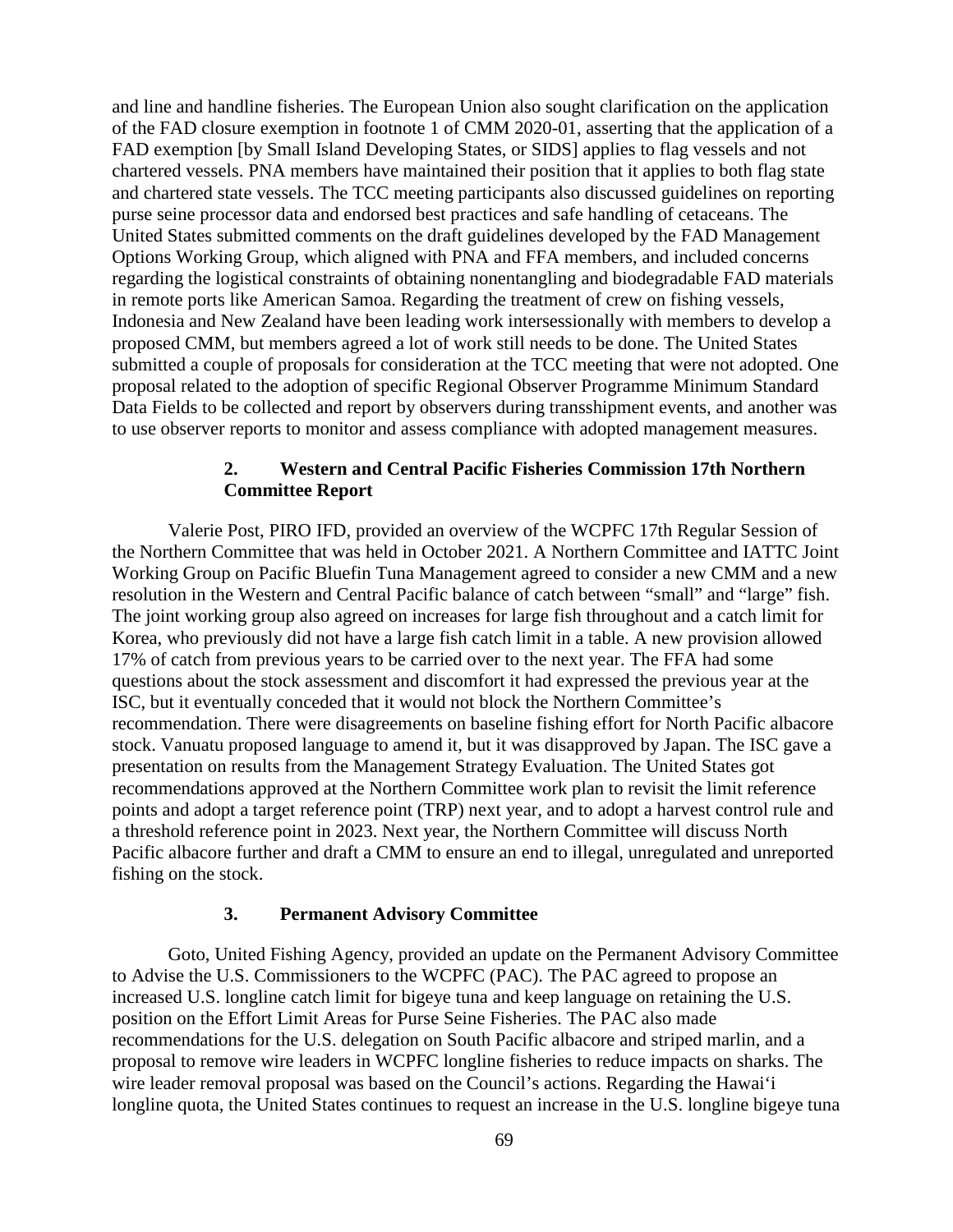and line and handline fisheries. The European Union also sought clarification on the application of the FAD closure exemption in footnote 1 of CMM 2020-01, asserting that the application of a FAD exemption [by Small Island Developing States, or SIDS] applies to flag vessels and not chartered vessels. PNA members have maintained their position that it applies to both flag state and chartered state vessels. The TCC meeting participants also discussed guidelines on reporting purse seine processor data and endorsed best practices and safe handling of cetaceans. The United States submitted comments on the draft guidelines developed by the FAD Management Options Working Group, which aligned with PNA and FFA members, and included concerns regarding the logistical constraints of obtaining nonentangling and biodegradable FAD materials in remote ports like American Samoa. Regarding the treatment of crew on fishing vessels, Indonesia and New Zealand have been leading work intersessionally with members to develop a proposed CMM, but members agreed a lot of work still needs to be done. The United States submitted a couple of proposals for consideration at the TCC meeting that were not adopted. One proposal related to the adoption of specific Regional Observer Programme Minimum Standard Data Fields to be collected and report by observers during transshipment events, and another was to use observer reports to monitor and assess compliance with adopted management measures.

### **2. Western and Central Pacific Fisheries Commission 17th Northern Committee Report**

Valerie Post, PIRO IFD, provided an overview of the WCPFC 17th Regular Session of the Northern Committee that was held in October 2021. A Northern Committee and IATTC Joint Working Group on Pacific Bluefin Tuna Management agreed to consider a new CMM and a new resolution in the Western and Central Pacific balance of catch between "small" and "large" fish. The joint working group also agreed on increases for large fish throughout and a catch limit for Korea, who previously did not have a large fish catch limit in a table. A new provision allowed 17% of catch from previous years to be carried over to the next year. The FFA had some questions about the stock assessment and discomfort it had expressed the previous year at the ISC, but it eventually conceded that it would not block the Northern Committee's recommendation. There were disagreements on baseline fishing effort for North Pacific albacore stock. Vanuatu proposed language to amend it, but it was disapproved by Japan. The ISC gave a presentation on results from the Management Strategy Evaluation. The United States got recommendations approved at the Northern Committee work plan to revisit the limit reference points and adopt a target reference point (TRP) next year, and to adopt a harvest control rule and a threshold reference point in 2023. Next year, the Northern Committee will discuss North Pacific albacore further and draft a CMM to ensure an end to illegal, unregulated and unreported fishing on the stock.

#### **3. Permanent Advisory Committee**

Goto, United Fishing Agency, provided an update on the Permanent Advisory Committee to Advise the U.S. Commissioners to the WCPFC (PAC). The PAC agreed to propose an increased U.S. longline catch limit for bigeye tuna and keep language on retaining the U.S. position on the Effort Limit Areas for Purse Seine Fisheries. The PAC also made recommendations for the U.S. delegation on South Pacific albacore and striped marlin, and a proposal to remove wire leaders in WCPFC longline fisheries to reduce impacts on sharks. The wire leader removal proposal was based on the Council's actions. Regarding the Hawai'i longline quota, the United States continues to request an increase in the U.S. longline bigeye tuna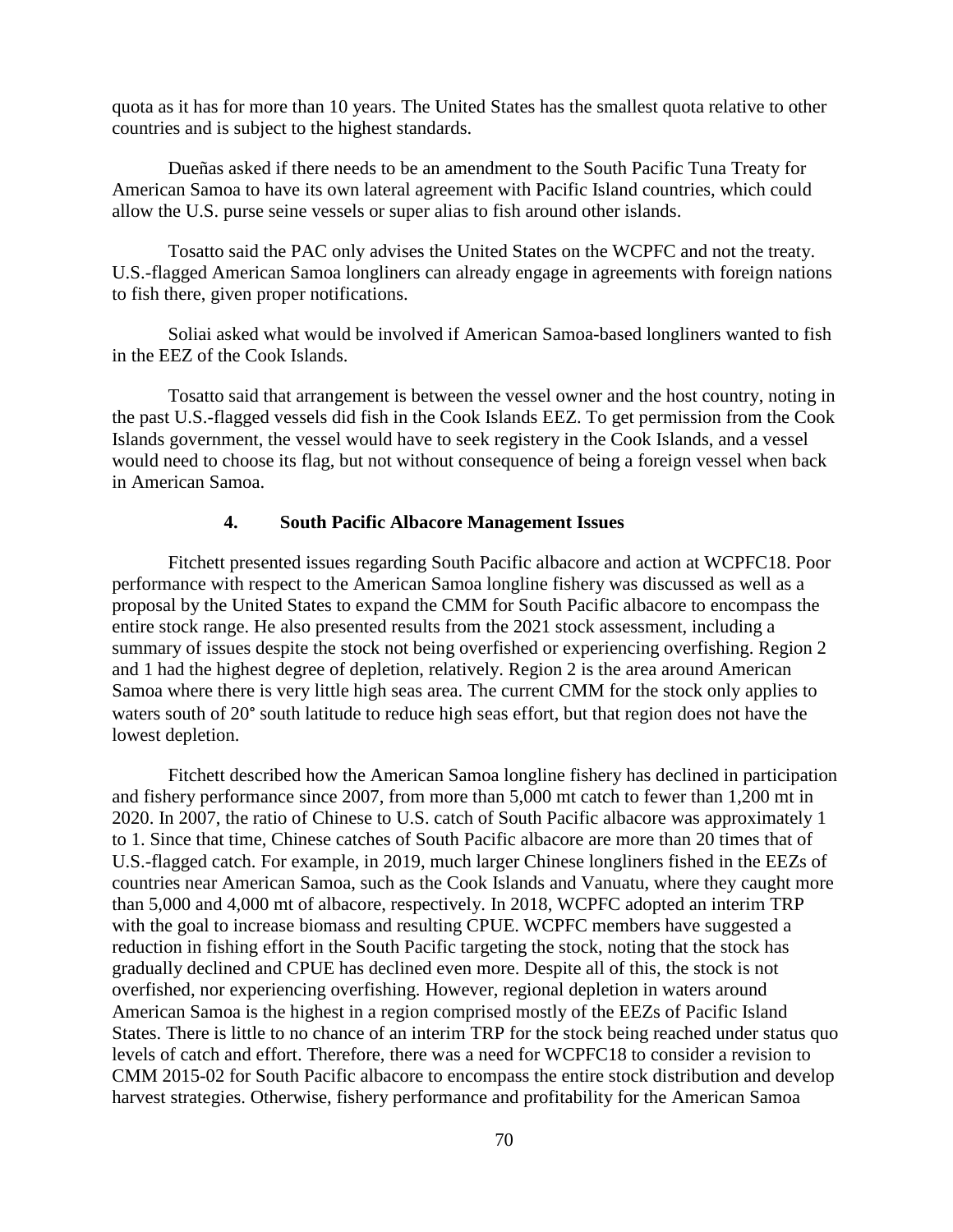quota as it has for more than 10 years. The United States has the smallest quota relative to other countries and is subject to the highest standards.

Dueñas asked if there needs to be an amendment to the South Pacific Tuna Treaty for American Samoa to have its own lateral agreement with Pacific Island countries, which could allow the U.S. purse seine vessels or super alias to fish around other islands.

Tosatto said the PAC only advises the United States on the WCPFC and not the treaty. U.S.-flagged American Samoa longliners can already engage in agreements with foreign nations to fish there, given proper notifications.

Soliai asked what would be involved if American Samoa-based longliners wanted to fish in the EEZ of the Cook Islands.

Tosatto said that arrangement is between the vessel owner and the host country, noting in the past U.S.-flagged vessels did fish in the Cook Islands EEZ. To get permission from the Cook Islands government, the vessel would have to seek registery in the Cook Islands, and a vessel would need to choose its flag, but not without consequence of being a foreign vessel when back in American Samoa.

#### **4. South Pacific Albacore Management Issues**

Fitchett presented issues regarding South Pacific albacore and action at WCPFC18. Poor performance with respect to the American Samoa longline fishery was discussed as well as a proposal by the United States to expand the CMM for South Pacific albacore to encompass the entire stock range. He also presented results from the 2021 stock assessment, including a summary of issues despite the stock not being overfished or experiencing overfishing. Region 2 and 1 had the highest degree of depletion, relatively. Region 2 is the area around American Samoa where there is very little high seas area. The current CMM for the stock only applies to waters south of 20° south latitude to reduce high seas effort, but that region does not have the lowest depletion.

Fitchett described how the American Samoa longline fishery has declined in participation and fishery performance since 2007, from more than 5,000 mt catch to fewer than 1,200 mt in 2020. In 2007, the ratio of Chinese to U.S. catch of South Pacific albacore was approximately 1 to 1. Since that time, Chinese catches of South Pacific albacore are more than 20 times that of U.S.-flagged catch. For example, in 2019, much larger Chinese longliners fished in the EEZs of countries near American Samoa, such as the Cook Islands and Vanuatu, where they caught more than 5,000 and 4,000 mt of albacore, respectively. In 2018, WCPFC adopted an interim TRP with the goal to increase biomass and resulting CPUE. WCPFC members have suggested a reduction in fishing effort in the South Pacific targeting the stock, noting that the stock has gradually declined and CPUE has declined even more. Despite all of this, the stock is not overfished, nor experiencing overfishing. However, regional depletion in waters around American Samoa is the highest in a region comprised mostly of the EEZs of Pacific Island States. There is little to no chance of an interim TRP for the stock being reached under status quo levels of catch and effort. Therefore, there was a need for WCPFC18 to consider a revision to CMM 2015-02 for South Pacific albacore to encompass the entire stock distribution and develop harvest strategies. Otherwise, fishery performance and profitability for the American Samoa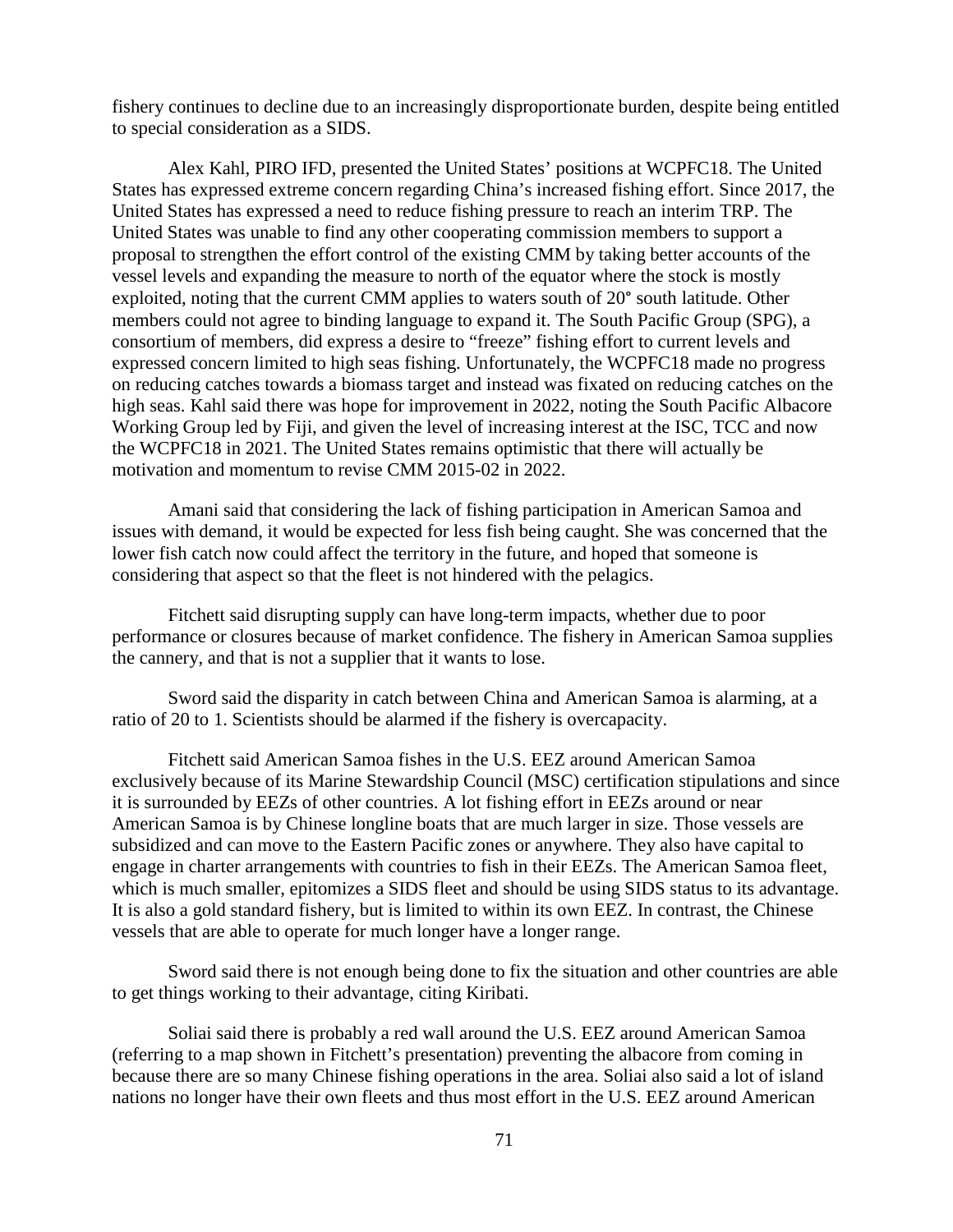fishery continues to decline due to an increasingly disproportionate burden, despite being entitled to special consideration as a SIDS.

Alex Kahl, PIRO IFD, presented the United States' positions at WCPFC18. The United States has expressed extreme concern regarding China's increased fishing effort. Since 2017, the United States has expressed a need to reduce fishing pressure to reach an interim TRP. The United States was unable to find any other cooperating commission members to support a proposal to strengthen the effort control of the existing CMM by taking better accounts of the vessel levels and expanding the measure to north of the equator where the stock is mostly exploited, noting that the current CMM applies to waters south of 20° south latitude. Other members could not agree to binding language to expand it. The South Pacific Group (SPG), a consortium of members, did express a desire to "freeze" fishing effort to current levels and expressed concern limited to high seas fishing. Unfortunately, the WCPFC18 made no progress on reducing catches towards a biomass target and instead was fixated on reducing catches on the high seas. Kahl said there was hope for improvement in 2022, noting the South Pacific Albacore Working Group led by Fiji, and given the level of increasing interest at the ISC, TCC and now the WCPFC18 in 2021. The United States remains optimistic that there will actually be motivation and momentum to revise CMM 2015-02 in 2022.

Amani said that considering the lack of fishing participation in American Samoa and issues with demand, it would be expected for less fish being caught. She was concerned that the lower fish catch now could affect the territory in the future, and hoped that someone is considering that aspect so that the fleet is not hindered with the pelagics.

Fitchett said disrupting supply can have long-term impacts, whether due to poor performance or closures because of market confidence. The fishery in American Samoa supplies the cannery, and that is not a supplier that it wants to lose.

Sword said the disparity in catch between China and American Samoa is alarming, at a ratio of 20 to 1. Scientists should be alarmed if the fishery is overcapacity.

Fitchett said American Samoa fishes in the U.S. EEZ around American Samoa exclusively because of its Marine Stewardship Council (MSC) certification stipulations and since it is surrounded by EEZs of other countries. A lot fishing effort in EEZs around or near American Samoa is by Chinese longline boats that are much larger in size. Those vessels are subsidized and can move to the Eastern Pacific zones or anywhere. They also have capital to engage in charter arrangements with countries to fish in their EEZs. The American Samoa fleet, which is much smaller, epitomizes a SIDS fleet and should be using SIDS status to its advantage. It is also a gold standard fishery, but is limited to within its own EEZ. In contrast, the Chinese vessels that are able to operate for much longer have a longer range.

Sword said there is not enough being done to fix the situation and other countries are able to get things working to their advantage, citing Kiribati.

Soliai said there is probably a red wall around the U.S. EEZ around American Samoa (referring to a map shown in Fitchett's presentation) preventing the albacore from coming in because there are so many Chinese fishing operations in the area. Soliai also said a lot of island nations no longer have their own fleets and thus most effort in the U.S. EEZ around American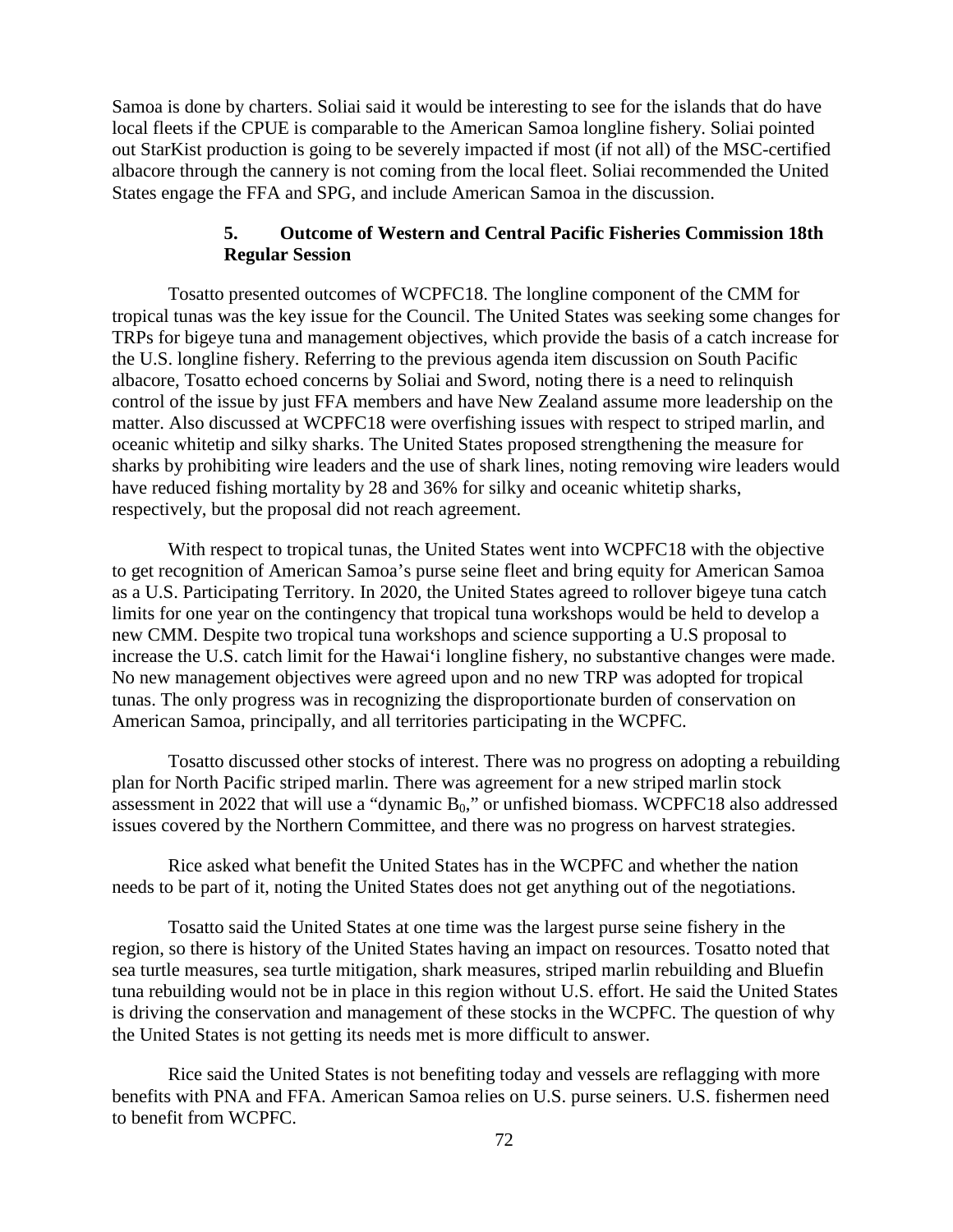Samoa is done by charters. Soliai said it would be interesting to see for the islands that do have local fleets if the CPUE is comparable to the American Samoa longline fishery. Soliai pointed out StarKist production is going to be severely impacted if most (if not all) of the MSC-certified albacore through the cannery is not coming from the local fleet. Soliai recommended the United States engage the FFA and SPG, and include American Samoa in the discussion.

## **5. Outcome of Western and Central Pacific Fisheries Commission 18th Regular Session**

Tosatto presented outcomes of WCPFC18. The longline component of the CMM for tropical tunas was the key issue for the Council. The United States was seeking some changes for TRPs for bigeye tuna and management objectives, which provide the basis of a catch increase for the U.S. longline fishery. Referring to the previous agenda item discussion on South Pacific albacore, Tosatto echoed concerns by Soliai and Sword, noting there is a need to relinquish control of the issue by just FFA members and have New Zealand assume more leadership on the matter. Also discussed at WCPFC18 were overfishing issues with respect to striped marlin, and oceanic whitetip and silky sharks. The United States proposed strengthening the measure for sharks by prohibiting wire leaders and the use of shark lines, noting removing wire leaders would have reduced fishing mortality by 28 and 36% for silky and oceanic whitetip sharks, respectively, but the proposal did not reach agreement.

With respect to tropical tunas, the United States went into WCPFC18 with the objective to get recognition of American Samoa's purse seine fleet and bring equity for American Samoa as a U.S. Participating Territory. In 2020, the United States agreed to rollover bigeye tuna catch limits for one year on the contingency that tropical tuna workshops would be held to develop a new CMM. Despite two tropical tuna workshops and science supporting a U.S proposal to increase the U.S. catch limit for the Hawai'i longline fishery, no substantive changes were made. No new management objectives were agreed upon and no new TRP was adopted for tropical tunas. The only progress was in recognizing the disproportionate burden of conservation on American Samoa, principally, and all territories participating in the WCPFC.

Tosatto discussed other stocks of interest. There was no progress on adopting a rebuilding plan for North Pacific striped marlin. There was agreement for a new striped marlin stock assessment in 2022 that will use a "dynamic  $B_0$ ," or unfished biomass. WCPFC18 also addressed issues covered by the Northern Committee, and there was no progress on harvest strategies.

Rice asked what benefit the United States has in the WCPFC and whether the nation needs to be part of it, noting the United States does not get anything out of the negotiations.

Tosatto said the United States at one time was the largest purse seine fishery in the region, so there is history of the United States having an impact on resources. Tosatto noted that sea turtle measures, sea turtle mitigation, shark measures, striped marlin rebuilding and Bluefin tuna rebuilding would not be in place in this region without U.S. effort. He said the United States is driving the conservation and management of these stocks in the WCPFC. The question of why the United States is not getting its needs met is more difficult to answer.

Rice said the United States is not benefiting today and vessels are reflagging with more benefits with PNA and FFA. American Samoa relies on U.S. purse seiners. U.S. fishermen need to benefit from WCPFC.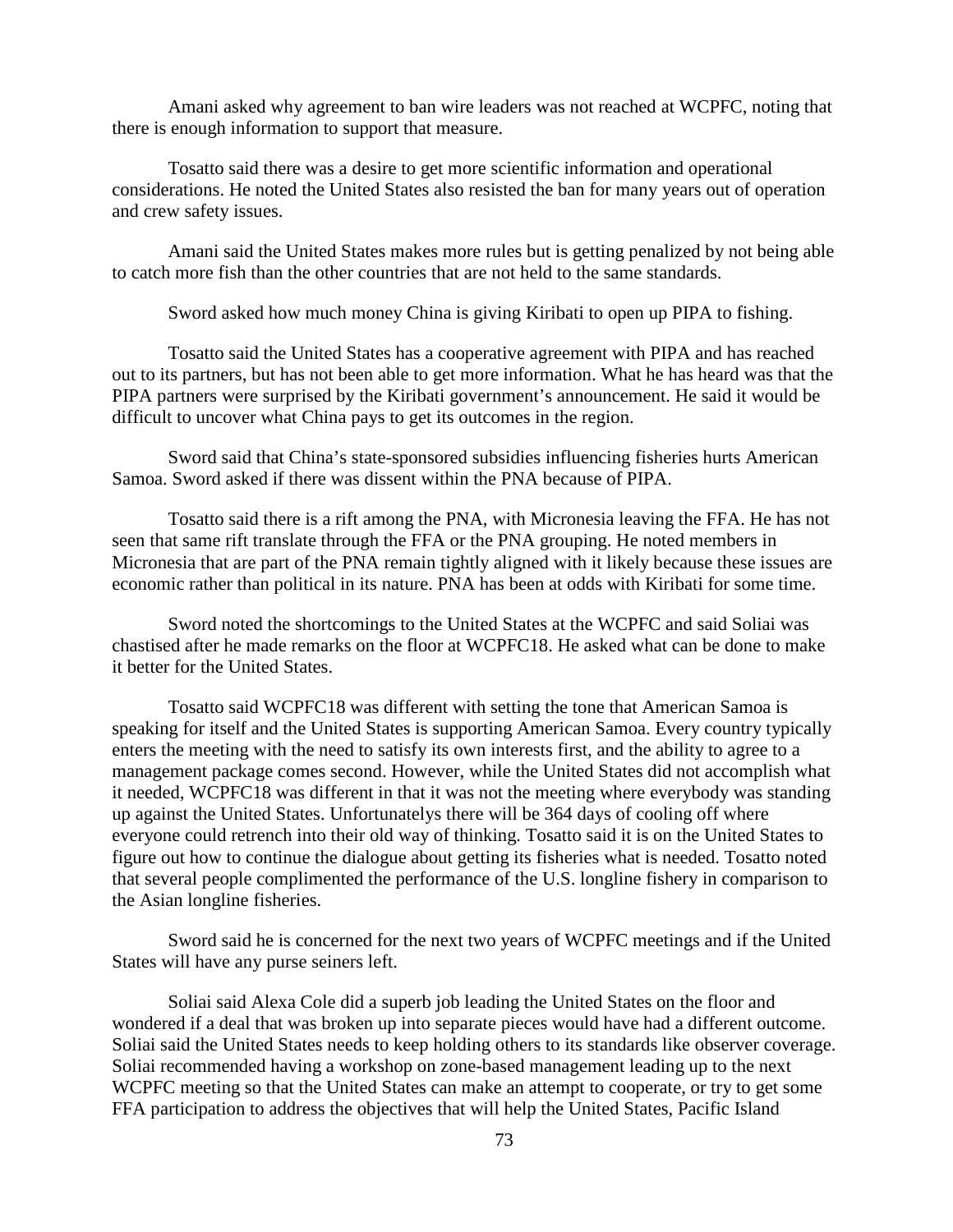Amani asked why agreement to ban wire leaders was not reached at WCPFC, noting that there is enough information to support that measure.

Tosatto said there was a desire to get more scientific information and operational considerations. He noted the United States also resisted the ban for many years out of operation and crew safety issues.

Amani said the United States makes more rules but is getting penalized by not being able to catch more fish than the other countries that are not held to the same standards.

Sword asked how much money China is giving Kiribati to open up PIPA to fishing.

Tosatto said the United States has a cooperative agreement with PIPA and has reached out to its partners, but has not been able to get more information. What he has heard was that the PIPA partners were surprised by the Kiribati government's announcement. He said it would be difficult to uncover what China pays to get its outcomes in the region.

Sword said that China's state-sponsored subsidies influencing fisheries hurts American Samoa. Sword asked if there was dissent within the PNA because of PIPA.

Tosatto said there is a rift among the PNA, with Micronesia leaving the FFA. He has not seen that same rift translate through the FFA or the PNA grouping. He noted members in Micronesia that are part of the PNA remain tightly aligned with it likely because these issues are economic rather than political in its nature. PNA has been at odds with Kiribati for some time.

Sword noted the shortcomings to the United States at the WCPFC and said Soliai was chastised after he made remarks on the floor at WCPFC18. He asked what can be done to make it better for the United States.

Tosatto said WCPFC18 was different with setting the tone that American Samoa is speaking for itself and the United States is supporting American Samoa. Every country typically enters the meeting with the need to satisfy its own interests first, and the ability to agree to a management package comes second. However, while the United States did not accomplish what it needed, WCPFC18 was different in that it was not the meeting where everybody was standing up against the United States. Unfortunatelys there will be 364 days of cooling off where everyone could retrench into their old way of thinking. Tosatto said it is on the United States to figure out how to continue the dialogue about getting its fisheries what is needed. Tosatto noted that several people complimented the performance of the U.S. longline fishery in comparison to the Asian longline fisheries.

Sword said he is concerned for the next two years of WCPFC meetings and if the United States will have any purse seiners left.

Soliai said Alexa Cole did a superb job leading the United States on the floor and wondered if a deal that was broken up into separate pieces would have had a different outcome. Soliai said the United States needs to keep holding others to its standards like observer coverage. Soliai recommended having a workshop on zone-based management leading up to the next WCPFC meeting so that the United States can make an attempt to cooperate, or try to get some FFA participation to address the objectives that will help the United States, Pacific Island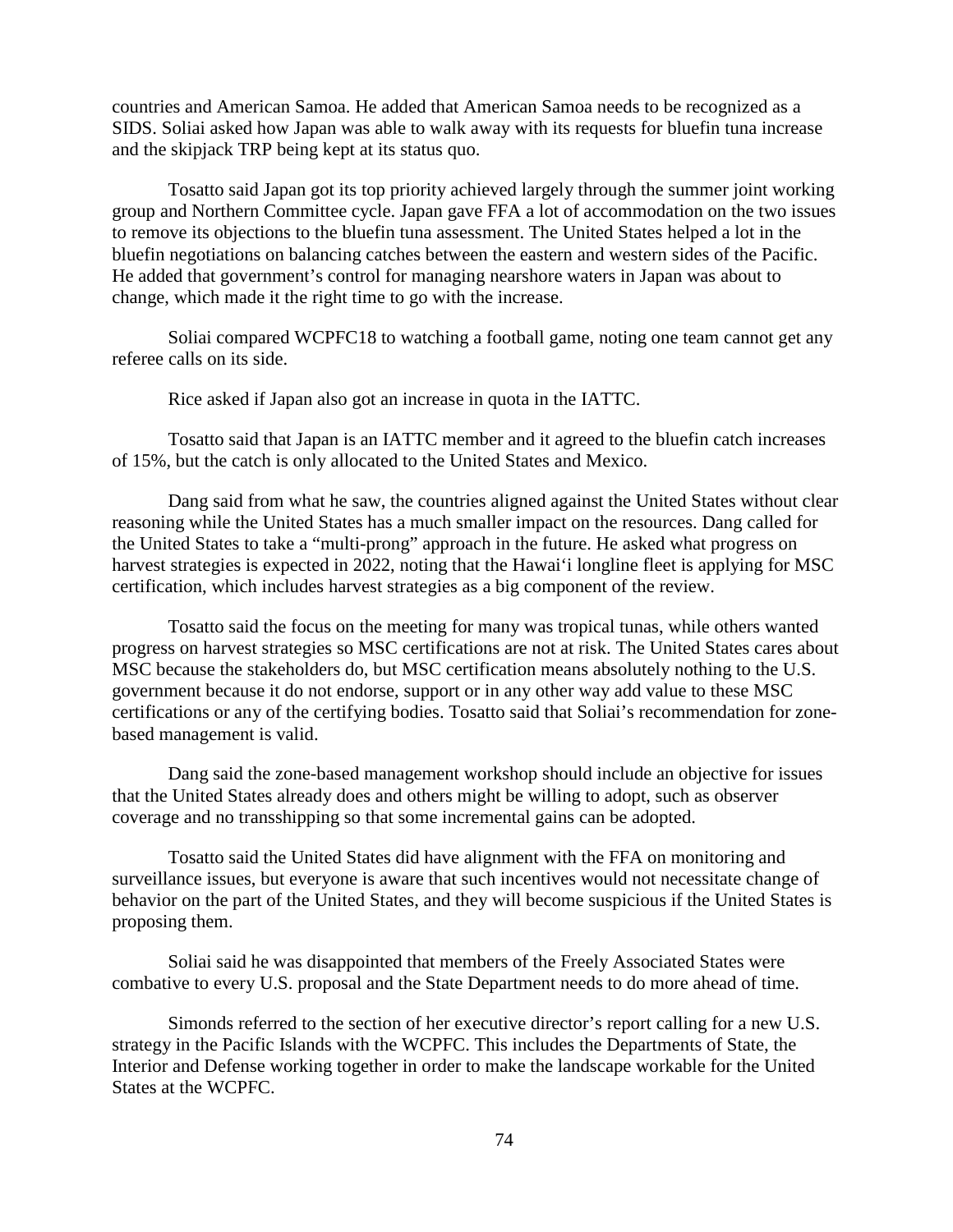countries and American Samoa. He added that American Samoa needs to be recognized as a SIDS. Soliai asked how Japan was able to walk away with its requests for bluefin tuna increase and the skipjack TRP being kept at its status quo.

Tosatto said Japan got its top priority achieved largely through the summer joint working group and Northern Committee cycle. Japan gave FFA a lot of accommodation on the two issues to remove its objections to the bluefin tuna assessment. The United States helped a lot in the bluefin negotiations on balancing catches between the eastern and western sides of the Pacific. He added that government's control for managing nearshore waters in Japan was about to change, which made it the right time to go with the increase.

Soliai compared WCPFC18 to watching a football game, noting one team cannot get any referee calls on its side.

Rice asked if Japan also got an increase in quota in the IATTC.

Tosatto said that Japan is an IATTC member and it agreed to the bluefin catch increases of 15%, but the catch is only allocated to the United States and Mexico.

Dang said from what he saw, the countries aligned against the United States without clear reasoning while the United States has a much smaller impact on the resources. Dang called for the United States to take a "multi-prong" approach in the future. He asked what progress on harvest strategies is expected in 2022, noting that the Hawai'i longline fleet is applying for MSC certification, which includes harvest strategies as a big component of the review.

Tosatto said the focus on the meeting for many was tropical tunas, while others wanted progress on harvest strategies so MSC certifications are not at risk. The United States cares about MSC because the stakeholders do, but MSC certification means absolutely nothing to the U.S. government because it do not endorse, support or in any other way add value to these MSC certifications or any of the certifying bodies. Tosatto said that Soliai's recommendation for zonebased management is valid.

Dang said the zone-based management workshop should include an objective for issues that the United States already does and others might be willing to adopt, such as observer coverage and no transshipping so that some incremental gains can be adopted.

Tosatto said the United States did have alignment with the FFA on monitoring and surveillance issues, but everyone is aware that such incentives would not necessitate change of behavior on the part of the United States, and they will become suspicious if the United States is proposing them.

Soliai said he was disappointed that members of the Freely Associated States were combative to every U.S. proposal and the State Department needs to do more ahead of time.

Simonds referred to the section of her executive director's report calling for a new U.S. strategy in the Pacific Islands with the WCPFC. This includes the Departments of State, the Interior and Defense working together in order to make the landscape workable for the United States at the WCPFC.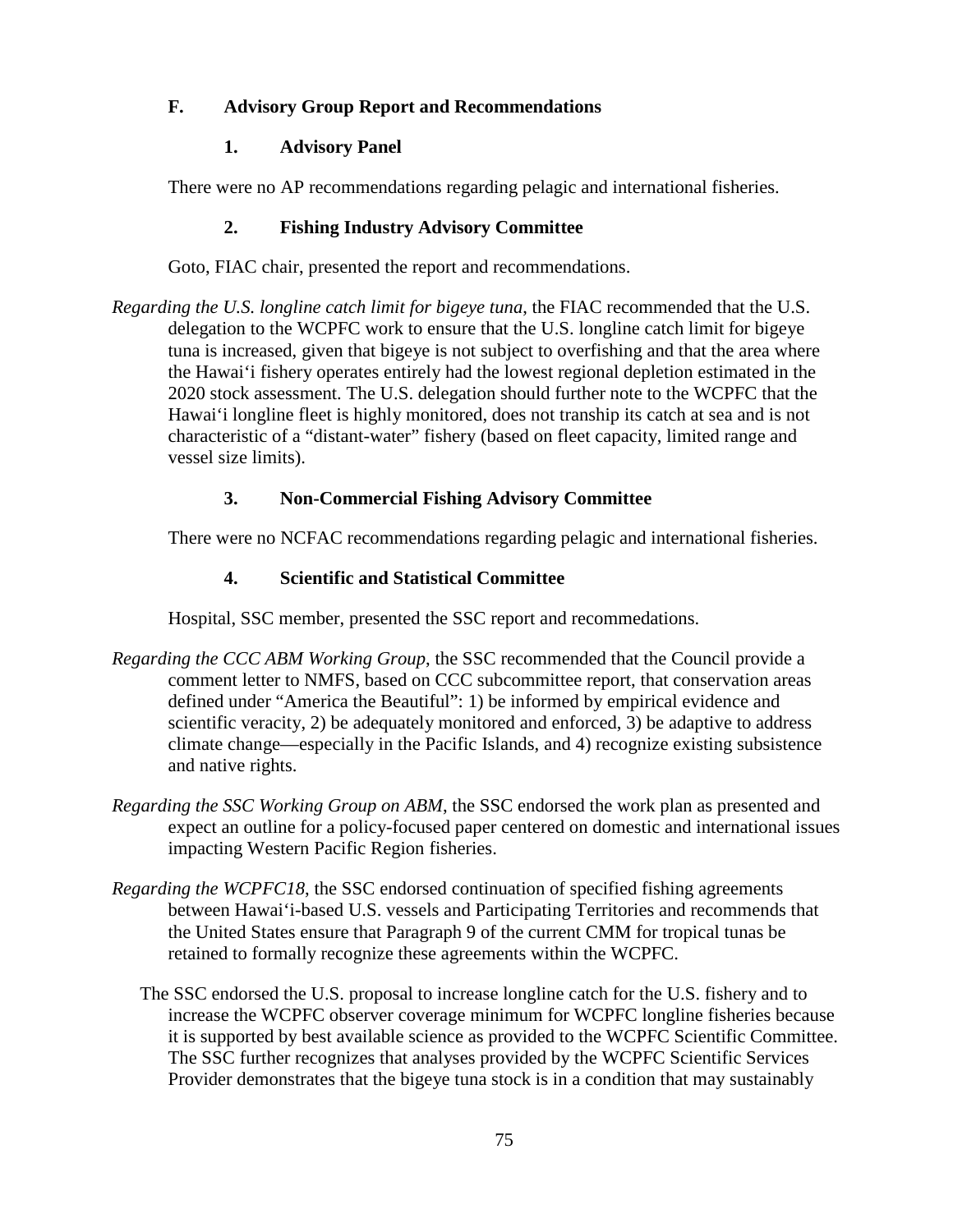## **F. Advisory Group Report and Recommendations**

## **1. Advisory Panel**

There were no AP recommendations regarding pelagic and international fisheries.

## **2. Fishing Industry Advisory Committee**

Goto, FIAC chair, presented the report and recommendations.

*Regarding the U.S. longline catch limit for bigeye tuna*, the FIAC recommended that the U.S. delegation to the WCPFC work to ensure that the U.S. longline catch limit for bigeye tuna is increased, given that bigeye is not subject to overfishing and that the area where the Hawai'i fishery operates entirely had the lowest regional depletion estimated in the 2020 stock assessment. The U.S. delegation should further note to the WCPFC that the Hawai'i longline fleet is highly monitored, does not tranship its catch at sea and is not characteristic of a "distant-water" fishery (based on fleet capacity, limited range and vessel size limits).

## **3. Non-Commercial Fishing Advisory Committee**

There were no NCFAC recommendations regarding pelagic and international fisheries.

## **4. Scientific and Statistical Committee**

Hospital, SSC member, presented the SSC report and recommedations.

- *Regarding the CCC ABM Working Group*, the SSC recommended that the Council provide a comment letter to NMFS, based on CCC subcommittee report, that conservation areas defined under "America the Beautiful": 1) be informed by empirical evidence and scientific veracity, 2) be adequately monitored and enforced, 3) be adaptive to address climate change—especially in the Pacific Islands, and 4) recognize existing subsistence and native rights.
- *Regarding the SSC Working Group on ABM*, the SSC endorsed the work plan as presented and expect an outline for a policy-focused paper centered on domestic and international issues impacting Western Pacific Region fisheries.
- *Regarding the WCPFC18*, the SSC endorsed continuation of specified fishing agreements between Hawai'i-based U.S. vessels and Participating Territories and recommends that the United States ensure that Paragraph 9 of the current CMM for tropical tunas be retained to formally recognize these agreements within the WCPFC.
	- The SSC endorsed the U.S. proposal to increase longline catch for the U.S. fishery and to increase the WCPFC observer coverage minimum for WCPFC longline fisheries because it is supported by best available science as provided to the WCPFC Scientific Committee. The SSC further recognizes that analyses provided by the WCPFC Scientific Services Provider demonstrates that the bigeye tuna stock is in a condition that may sustainably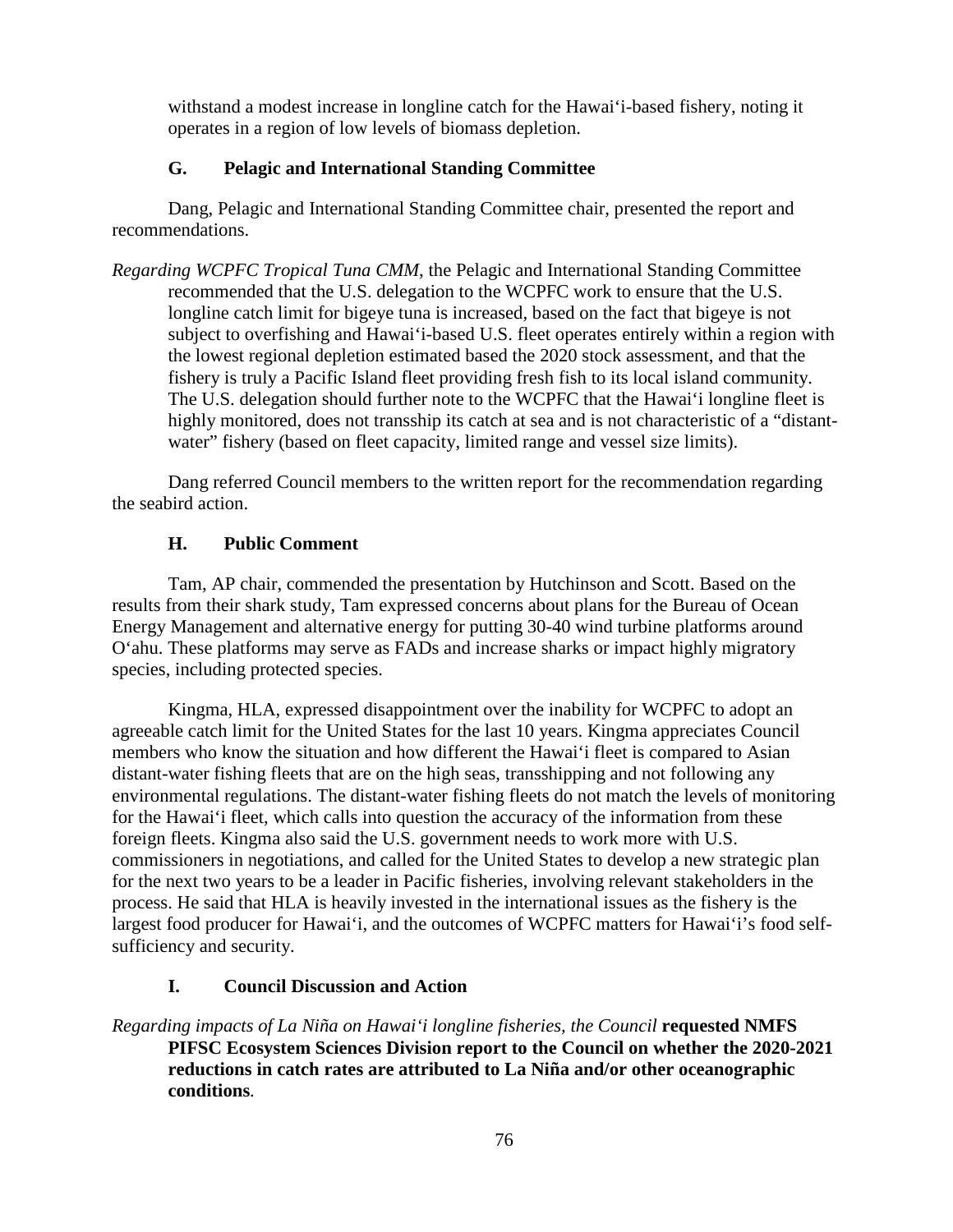withstand a modest increase in longline catch for the Hawai'i-based fishery, noting it operates in a region of low levels of biomass depletion.

## **G. Pelagic and International Standing Committee**

Dang, Pelagic and International Standing Committee chair, presented the report and recommendations.

*Regarding WCPFC Tropical Tuna CMM*, the Pelagic and International Standing Committee recommended that the U.S. delegation to the WCPFC work to ensure that the U.S. longline catch limit for bigeye tuna is increased, based on the fact that bigeye is not subject to overfishing and Hawai'i-based U.S. fleet operates entirely within a region with the lowest regional depletion estimated based the 2020 stock assessment, and that the fishery is truly a Pacific Island fleet providing fresh fish to its local island community. The U.S. delegation should further note to the WCPFC that the Hawai'i longline fleet is highly monitored, does not transship its catch at sea and is not characteristic of a "distantwater" fishery (based on fleet capacity, limited range and vessel size limits).

Dang referred Council members to the written report for the recommendation regarding the seabird action.

## **H. Public Comment**

Tam, AP chair, commended the presentation by Hutchinson and Scott. Based on the results from their shark study, Tam expressed concerns about plans for the Bureau of Ocean Energy Management and alternative energy for putting 30-40 wind turbine platforms around O'ahu. These platforms may serve as FADs and increase sharks or impact highly migratory species, including protected species.

Kingma, HLA, expressed disappointment over the inability for WCPFC to adopt an agreeable catch limit for the United States for the last 10 years. Kingma appreciates Council members who know the situation and how different the Hawai'i fleet is compared to Asian distant-water fishing fleets that are on the high seas, transshipping and not following any environmental regulations. The distant-water fishing fleets do not match the levels of monitoring for the Hawai'i fleet, which calls into question the accuracy of the information from these foreign fleets. Kingma also said the U.S. government needs to work more with U.S. commissioners in negotiations, and called for the United States to develop a new strategic plan for the next two years to be a leader in Pacific fisheries, involving relevant stakeholders in the process. He said that HLA is heavily invested in the international issues as the fishery is the largest food producer for Hawai'i, and the outcomes of WCPFC matters for Hawai'i's food selfsufficiency and security.

## **I. Council Discussion and Action**

*Regarding impacts of La Niña on Hawai'i longline fisheries, the Council* **requested NMFS PIFSC Ecosystem Sciences Division report to the Council on whether the 2020-2021 reductions in catch rates are attributed to La Niña and/or other oceanographic conditions***.*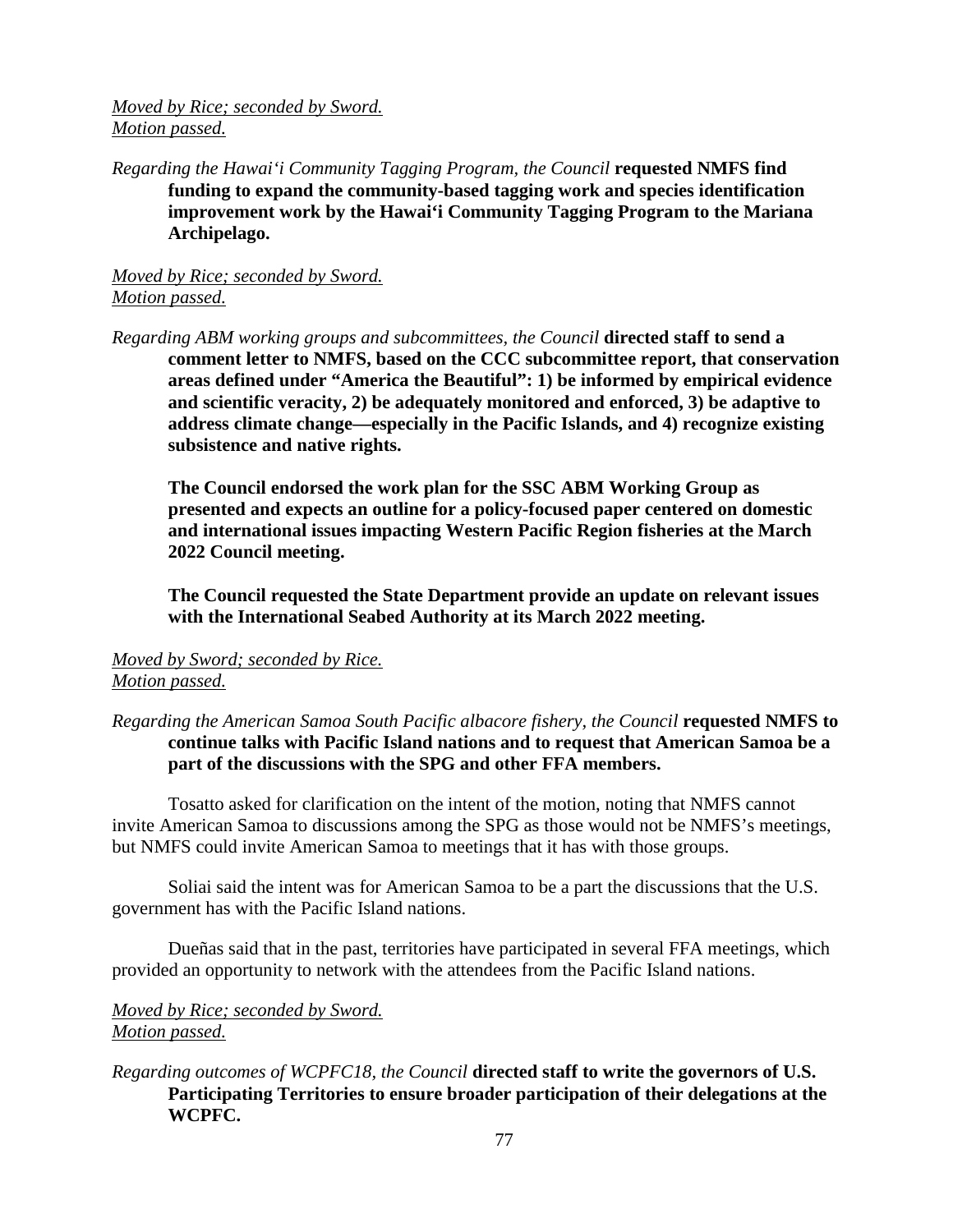*Moved by Rice; seconded by Sword. Motion passed.*

*Regarding the Hawai'i Community Tagging Program, the Council* **requested NMFS find funding to expand the community-based tagging work and species identification improvement work by the Hawai'i Community Tagging Program to the Mariana Archipelago.**

*Moved by Rice; seconded by Sword. Motion passed.*

*Regarding ABM working groups and subcommittees, the Council* **directed staff to send a comment letter to NMFS, based on the CCC subcommittee report, that conservation areas defined under "America the Beautiful": 1) be informed by empirical evidence and scientific veracity, 2) be adequately monitored and enforced, 3) be adaptive to address climate change—especially in the Pacific Islands, and 4) recognize existing subsistence and native rights.** 

**The Council endorsed the work plan for the SSC ABM Working Group as presented and expects an outline for a policy-focused paper centered on domestic and international issues impacting Western Pacific Region fisheries at the March 2022 Council meeting.**

**The Council requested the State Department provide an update on relevant issues with the International Seabed Authority at its March 2022 meeting.**

## *Moved by Sword; seconded by Rice. Motion passed.*

## *Regarding the American Samoa South Pacific albacore fishery, the Council* **requested NMFS to continue talks with Pacific Island nations and to request that American Samoa be a part of the discussions with the SPG and other FFA members.**

Tosatto asked for clarification on the intent of the motion, noting that NMFS cannot invite American Samoa to discussions among the SPG as those would not be NMFS's meetings, but NMFS could invite American Samoa to meetings that it has with those groups.

Soliai said the intent was for American Samoa to be a part the discussions that the U.S. government has with the Pacific Island nations.

Dueñas said that in the past, territories have participated in several FFA meetings, which provided an opportunity to network with the attendees from the Pacific Island nations.

# *Moved by Rice; seconded by Sword. Motion passed.*

## *Regarding outcomes of WCPFC18, the Council* **directed staff to write the governors of U.S. Participating Territories to ensure broader participation of their delegations at the WCPFC.**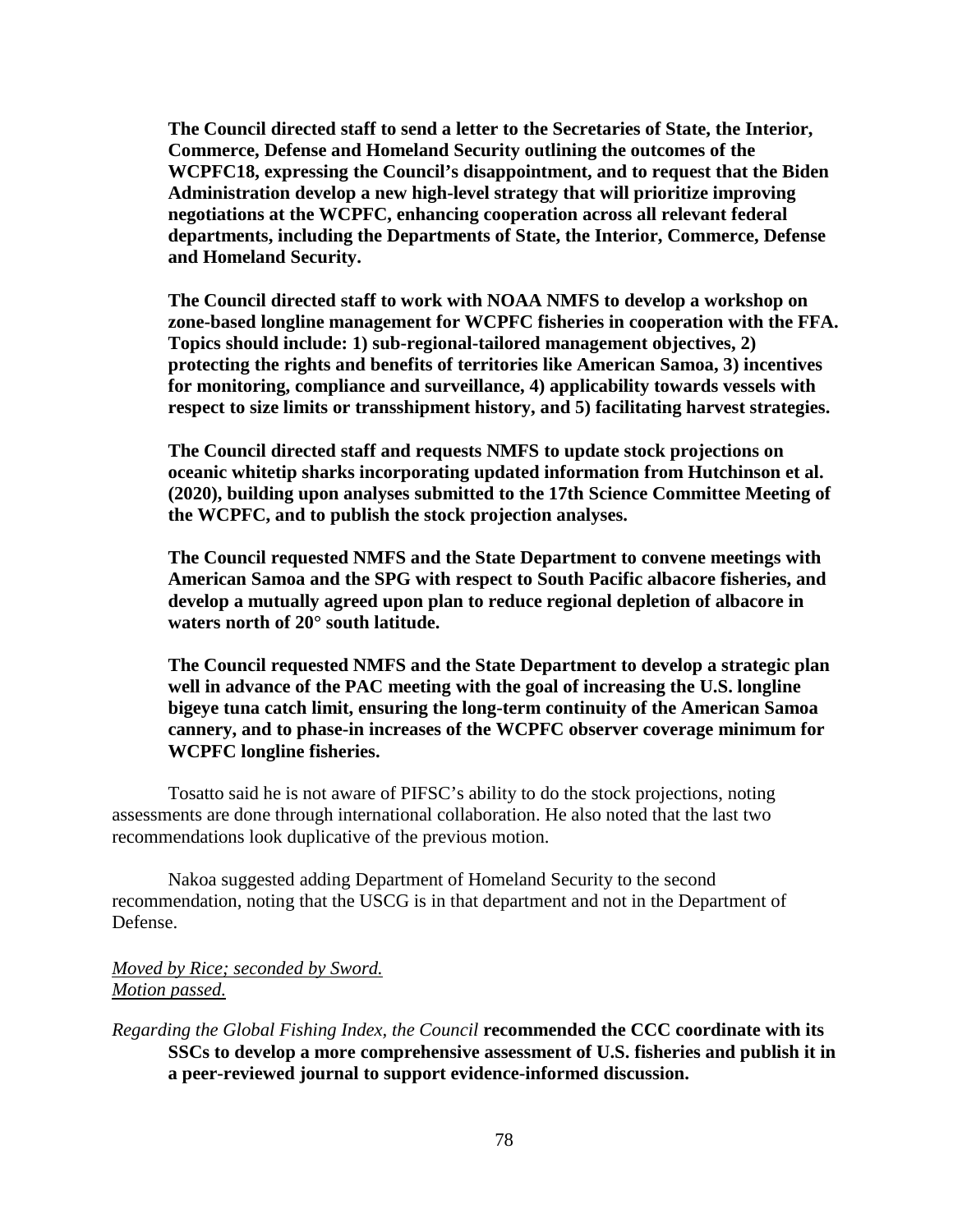**The Council directed staff to send a letter to the Secretaries of State, the Interior, Commerce, Defense and Homeland Security outlining the outcomes of the WCPFC18, expressing the Council's disappointment, and to request that the Biden Administration develop a new high-level strategy that will prioritize improving negotiations at the WCPFC, enhancing cooperation across all relevant federal departments, including the Departments of State, the Interior, Commerce, Defense and Homeland Security.**

**The Council directed staff to work with NOAA NMFS to develop a workshop on zone-based longline management for WCPFC fisheries in cooperation with the FFA. Topics should include: 1) sub-regional-tailored management objectives, 2) protecting the rights and benefits of territories like American Samoa, 3) incentives for monitoring, compliance and surveillance, 4) applicability towards vessels with respect to size limits or transshipment history, and 5) facilitating harvest strategies.**

**The Council directed staff and requests NMFS to update stock projections on oceanic whitetip sharks incorporating updated information from Hutchinson et al. (2020), building upon analyses submitted to the 17th Science Committee Meeting of the WCPFC, and to publish the stock projection analyses.**

**The Council requested NMFS and the State Department to convene meetings with American Samoa and the SPG with respect to South Pacific albacore fisheries, and develop a mutually agreed upon plan to reduce regional depletion of albacore in waters north of 20° south latitude.**

**The Council requested NMFS and the State Department to develop a strategic plan well in advance of the PAC meeting with the goal of increasing the U.S. longline bigeye tuna catch limit, ensuring the long-term continuity of the American Samoa cannery, and to phase-in increases of the WCPFC observer coverage minimum for WCPFC longline fisheries.**

Tosatto said he is not aware of PIFSC's ability to do the stock projections, noting assessments are done through international collaboration. He also noted that the last two recommendations look duplicative of the previous motion.

Nakoa suggested adding Department of Homeland Security to the second recommendation, noting that the USCG is in that department and not in the Department of Defense.

*Moved by Rice; seconded by Sword. Motion passed.*

*Regarding the Global Fishing Index, the Council* **recommended the CCC coordinate with its SSCs to develop a more comprehensive assessment of U.S. fisheries and publish it in a peer-reviewed journal to support evidence-informed discussion.**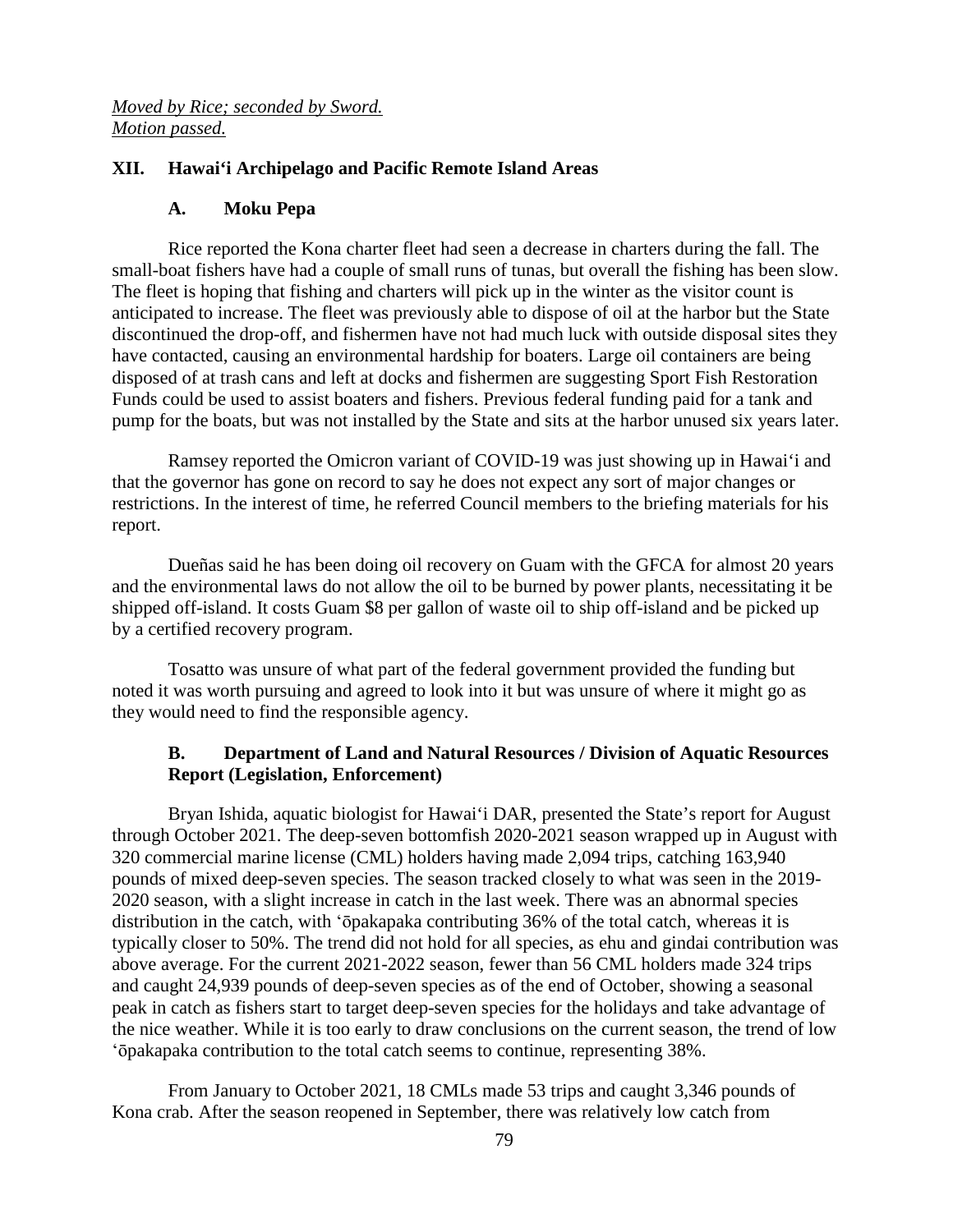*Moved by Rice; seconded by Sword. Motion passed.*

### **XII. Hawai'i Archipelago and Pacific Remote Island Areas**

#### **A. Moku Pepa**

Rice reported the Kona charter fleet had seen a decrease in charters during the fall. The small-boat fishers have had a couple of small runs of tunas, but overall the fishing has been slow. The fleet is hoping that fishing and charters will pick up in the winter as the visitor count is anticipated to increase. The fleet was previously able to dispose of oil at the harbor but the State discontinued the drop-off, and fishermen have not had much luck with outside disposal sites they have contacted, causing an environmental hardship for boaters. Large oil containers are being disposed of at trash cans and left at docks and fishermen are suggesting Sport Fish Restoration Funds could be used to assist boaters and fishers. Previous federal funding paid for a tank and pump for the boats, but was not installed by the State and sits at the harbor unused six years later.

Ramsey reported the Omicron variant of COVID-19 was just showing up in Hawai'i and that the governor has gone on record to say he does not expect any sort of major changes or restrictions. In the interest of time, he referred Council members to the briefing materials for his report.

Dueñas said he has been doing oil recovery on Guam with the GFCA for almost 20 years and the environmental laws do not allow the oil to be burned by power plants, necessitating it be shipped off-island. It costs Guam \$8 per gallon of waste oil to ship off-island and be picked up by a certified recovery program.

Tosatto was unsure of what part of the federal government provided the funding but noted it was worth pursuing and agreed to look into it but was unsure of where it might go as they would need to find the responsible agency.

### **B. Department of Land and Natural Resources / Division of Aquatic Resources Report (Legislation, Enforcement)**

Bryan Ishida, aquatic biologist for Hawai'i DAR, presented the State's report for August through October 2021. The deep-seven bottomfish 2020-2021 season wrapped up in August with 320 commercial marine license (CML) holders having made 2,094 trips, catching 163,940 pounds of mixed deep-seven species. The season tracked closely to what was seen in the 2019- 2020 season, with a slight increase in catch in the last week. There was an abnormal species distribution in the catch, with ʻōpakapaka contributing 36% of the total catch, whereas it is typically closer to 50%. The trend did not hold for all species, as ehu and gindai contribution was above average. For the current 2021-2022 season, fewer than 56 CML holders made 324 trips and caught 24,939 pounds of deep-seven species as of the end of October, showing a seasonal peak in catch as fishers start to target deep-seven species for the holidays and take advantage of the nice weather. While it is too early to draw conclusions on the current season, the trend of low ʻōpakapaka contribution to the total catch seems to continue, representing 38%.

From January to October 2021, 18 CMLs made 53 trips and caught 3,346 pounds of Kona crab. After the season reopened in September, there was relatively low catch from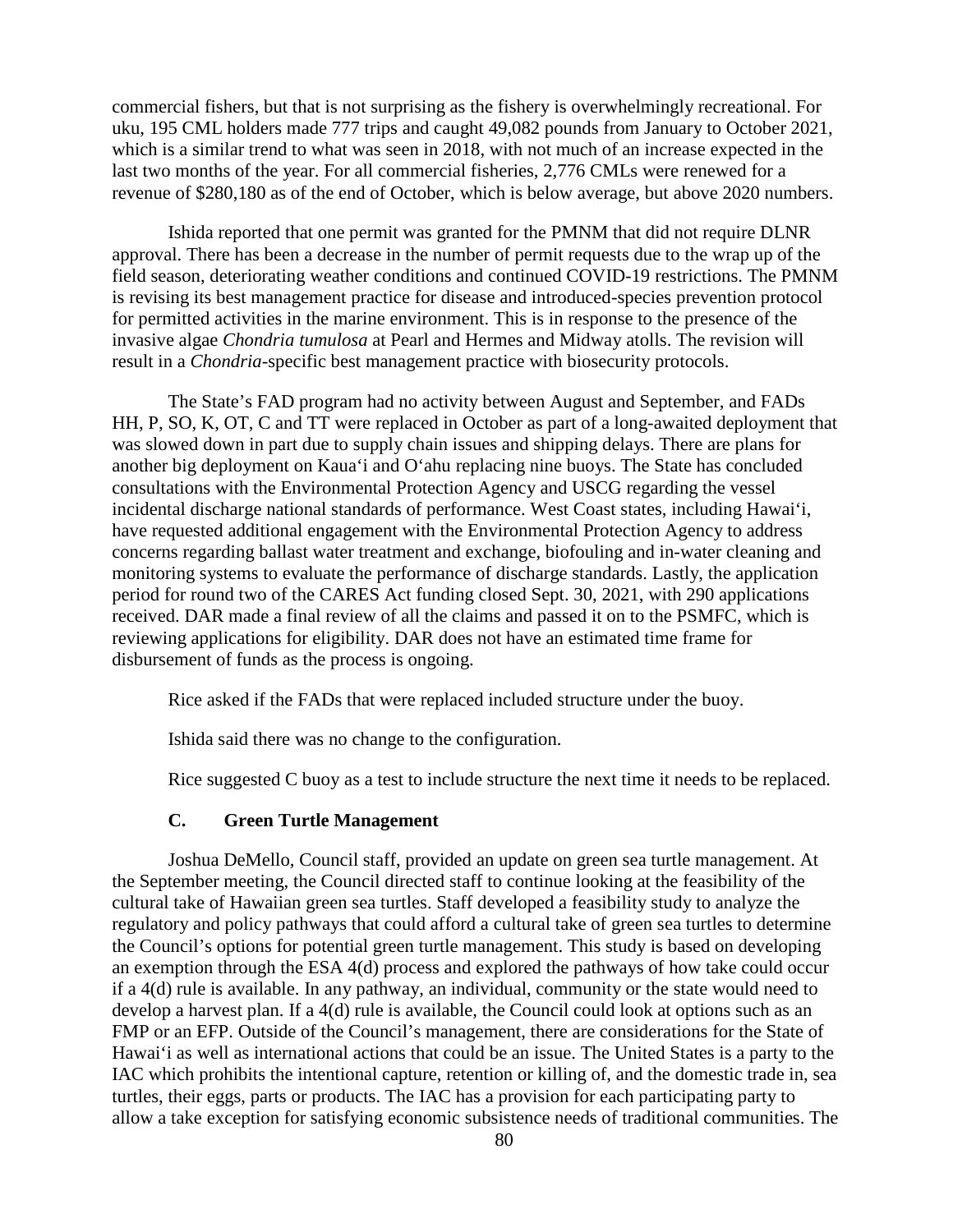commercial fishers, but that is not surprising as the fishery is overwhelmingly recreational. For uku, 195 CML holders made 777 trips and caught 49,082 pounds from January to October 2021, which is a similar trend to what was seen in 2018, with not much of an increase expected in the last two months of the year. For all commercial fisheries, 2,776 CMLs were renewed for a revenue of \$280,180 as of the end of October, which is below average, but above 2020 numbers.

Ishida reported that one permit was granted for the PMNM that did not require DLNR approval. There has been a decrease in the number of permit requests due to the wrap up of the field season, deteriorating weather conditions and continued COVID-19 restrictions. The PMNM is revising its best management practice for disease and introduced-species prevention protocol for permitted activities in the marine environment. This is in response to the presence of the invasive algae *Chondria tumulosa* at Pearl and Hermes and Midway atolls. The revision will result in a *Chondria*-specific best management practice with biosecurity protocols.

The State's FAD program had no activity between August and September, and FADs HH, P, SO, K, OT, C and TT were replaced in October as part of a long-awaited deployment that was slowed down in part due to supply chain issues and shipping delays. There are plans for another big deployment on Kaua'i and O'ahu replacing nine buoys. The State has concluded consultations with the Environmental Protection Agency and USCG regarding the vessel incidental discharge national standards of performance. West Coast states, including Hawai'i, have requested additional engagement with the Environmental Protection Agency to address concerns regarding ballast water treatment and exchange, biofouling and in-water cleaning and monitoring systems to evaluate the performance of discharge standards. Lastly, the application period for round two of the CARES Act funding closed Sept. 30, 2021, with 290 applications received. DAR made a final review of all the claims and passed it on to the PSMFC, which is reviewing applications for eligibility. DAR does not have an estimated time frame for disbursement of funds as the process is ongoing.

Rice asked if the FADs that were replaced included structure under the buoy.

Ishida said there was no change to the configuration.

Rice suggested C buoy as a test to include structure the next time it needs to be replaced.

#### **C. Green Turtle Management**

Joshua DeMello, Council staff, provided an update on green sea turtle management. At the September meeting, the Council directed staff to continue looking at the feasibility of the cultural take of Hawaiian green sea turtles. Staff developed a feasibility study to analyze the regulatory and policy pathways that could afford a cultural take of green sea turtles to determine the Council's options for potential green turtle management. This study is based on developing an exemption through the ESA 4(d) process and explored the pathways of how take could occur if a 4(d) rule is available. In any pathway, an individual, community or the state would need to develop a harvest plan. If a 4(d) rule is available, the Council could look at options such as an FMP or an EFP. Outside of the Council's management, there are considerations for the State of Hawai'i as well as international actions that could be an issue. The United States is a party to the IAC which prohibits the intentional capture, retention or killing of, and the domestic trade in, sea turtles, their eggs, parts or products. The IAC has a provision for each participating party to allow a take exception for satisfying economic subsistence needs of traditional communities. The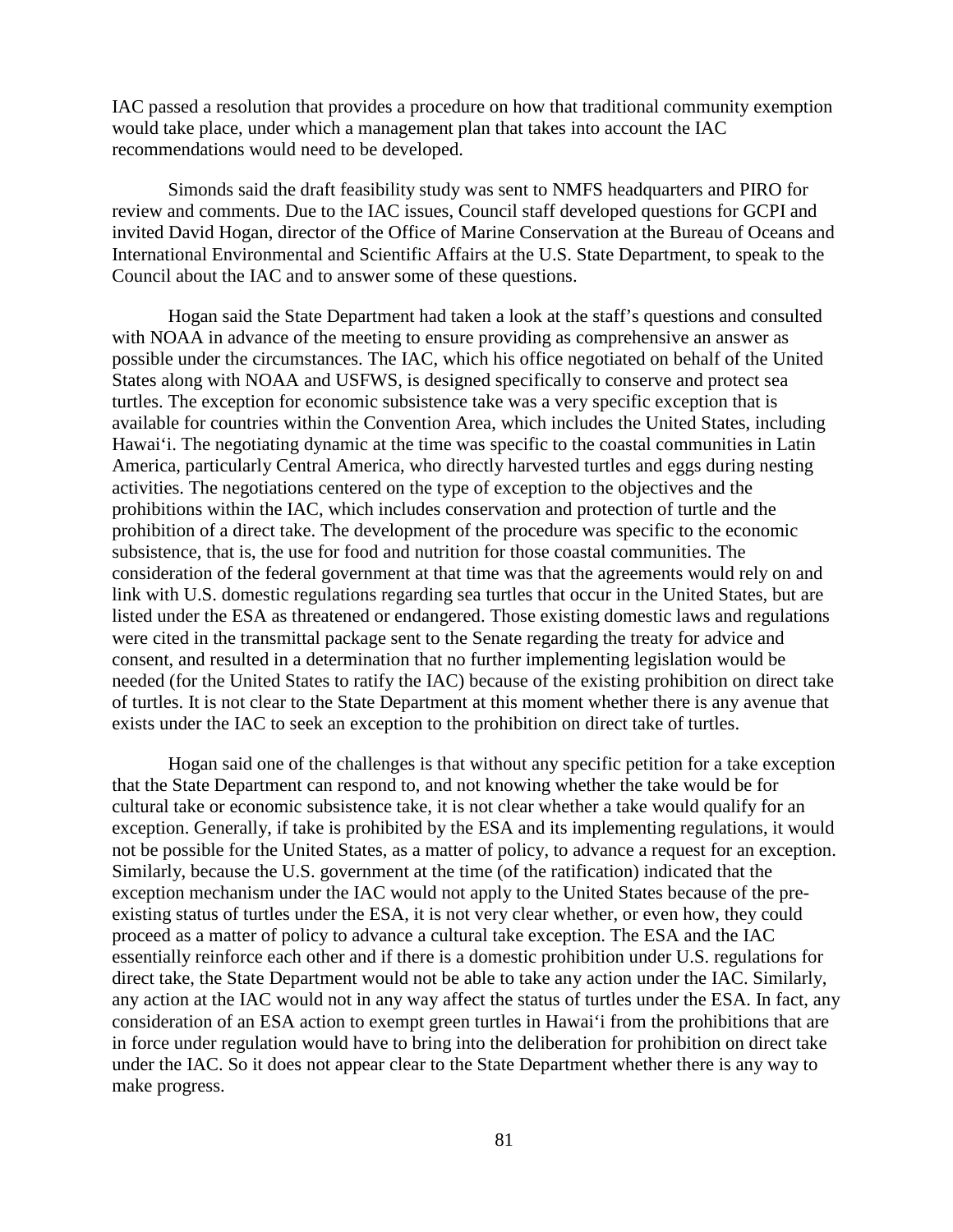IAC passed a resolution that provides a procedure on how that traditional community exemption would take place, under which a management plan that takes into account the IAC recommendations would need to be developed.

Simonds said the draft feasibility study was sent to NMFS headquarters and PIRO for review and comments. Due to the IAC issues, Council staff developed questions for GCPI and invited David Hogan, director of the Office of Marine Conservation at the Bureau of Oceans and International Environmental and Scientific Affairs at the U.S. State Department, to speak to the Council about the IAC and to answer some of these questions.

Hogan said the State Department had taken a look at the staff's questions and consulted with NOAA in advance of the meeting to ensure providing as comprehensive an answer as possible under the circumstances. The IAC, which his office negotiated on behalf of the United States along with NOAA and USFWS, is designed specifically to conserve and protect sea turtles. The exception for economic subsistence take was a very specific exception that is available for countries within the Convention Area, which includes the United States, including Hawai'i. The negotiating dynamic at the time was specific to the coastal communities in Latin America, particularly Central America, who directly harvested turtles and eggs during nesting activities. The negotiations centered on the type of exception to the objectives and the prohibitions within the IAC, which includes conservation and protection of turtle and the prohibition of a direct take. The development of the procedure was specific to the economic subsistence, that is, the use for food and nutrition for those coastal communities. The consideration of the federal government at that time was that the agreements would rely on and link with U.S. domestic regulations regarding sea turtles that occur in the United States, but are listed under the ESA as threatened or endangered. Those existing domestic laws and regulations were cited in the transmittal package sent to the Senate regarding the treaty for advice and consent, and resulted in a determination that no further implementing legislation would be needed (for the United States to ratify the IAC) because of the existing prohibition on direct take of turtles. It is not clear to the State Department at this moment whether there is any avenue that exists under the IAC to seek an exception to the prohibition on direct take of turtles.

Hogan said one of the challenges is that without any specific petition for a take exception that the State Department can respond to, and not knowing whether the take would be for cultural take or economic subsistence take, it is not clear whether a take would qualify for an exception. Generally, if take is prohibited by the ESA and its implementing regulations, it would not be possible for the United States, as a matter of policy, to advance a request for an exception. Similarly, because the U.S. government at the time (of the ratification) indicated that the exception mechanism under the IAC would not apply to the United States because of the preexisting status of turtles under the ESA, it is not very clear whether, or even how, they could proceed as a matter of policy to advance a cultural take exception. The ESA and the IAC essentially reinforce each other and if there is a domestic prohibition under U.S. regulations for direct take, the State Department would not be able to take any action under the IAC. Similarly, any action at the IAC would not in any way affect the status of turtles under the ESA. In fact, any consideration of an ESA action to exempt green turtles in Hawai'i from the prohibitions that are in force under regulation would have to bring into the deliberation for prohibition on direct take under the IAC. So it does not appear clear to the State Department whether there is any way to make progress.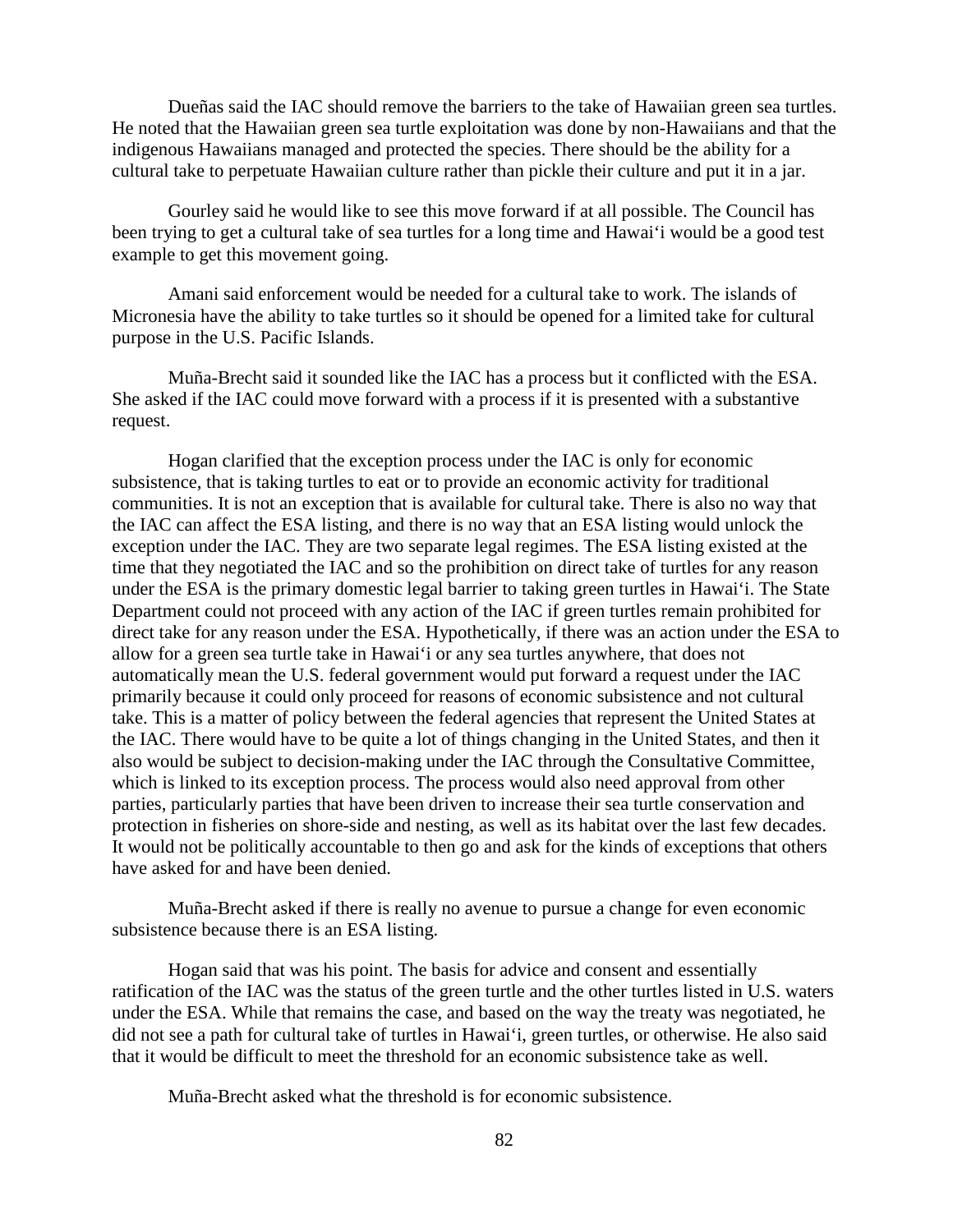Dueñas said the IAC should remove the barriers to the take of Hawaiian green sea turtles. He noted that the Hawaiian green sea turtle exploitation was done by non-Hawaiians and that the indigenous Hawaiians managed and protected the species. There should be the ability for a cultural take to perpetuate Hawaiian culture rather than pickle their culture and put it in a jar.

Gourley said he would like to see this move forward if at all possible. The Council has been trying to get a cultural take of sea turtles for a long time and Hawai'i would be a good test example to get this movement going.

Amani said enforcement would be needed for a cultural take to work. The islands of Micronesia have the ability to take turtles so it should be opened for a limited take for cultural purpose in the U.S. Pacific Islands.

Muña-Brecht said it sounded like the IAC has a process but it conflicted with the ESA. She asked if the IAC could move forward with a process if it is presented with a substantive request.

Hogan clarified that the exception process under the IAC is only for economic subsistence, that is taking turtles to eat or to provide an economic activity for traditional communities. It is not an exception that is available for cultural take. There is also no way that the IAC can affect the ESA listing, and there is no way that an ESA listing would unlock the exception under the IAC. They are two separate legal regimes. The ESA listing existed at the time that they negotiated the IAC and so the prohibition on direct take of turtles for any reason under the ESA is the primary domestic legal barrier to taking green turtles in Hawai'i. The State Department could not proceed with any action of the IAC if green turtles remain prohibited for direct take for any reason under the ESA. Hypothetically, if there was an action under the ESA to allow for a green sea turtle take in Hawai'i or any sea turtles anywhere, that does not automatically mean the U.S. federal government would put forward a request under the IAC primarily because it could only proceed for reasons of economic subsistence and not cultural take. This is a matter of policy between the federal agencies that represent the United States at the IAC. There would have to be quite a lot of things changing in the United States, and then it also would be subject to decision-making under the IAC through the Consultative Committee, which is linked to its exception process. The process would also need approval from other parties, particularly parties that have been driven to increase their sea turtle conservation and protection in fisheries on shore-side and nesting, as well as its habitat over the last few decades. It would not be politically accountable to then go and ask for the kinds of exceptions that others have asked for and have been denied.

Muña-Brecht asked if there is really no avenue to pursue a change for even economic subsistence because there is an ESA listing.

Hogan said that was his point. The basis for advice and consent and essentially ratification of the IAC was the status of the green turtle and the other turtles listed in U.S. waters under the ESA. While that remains the case, and based on the way the treaty was negotiated, he did not see a path for cultural take of turtles in Hawai'i, green turtles, or otherwise. He also said that it would be difficult to meet the threshold for an economic subsistence take as well.

Muña-Brecht asked what the threshold is for economic subsistence.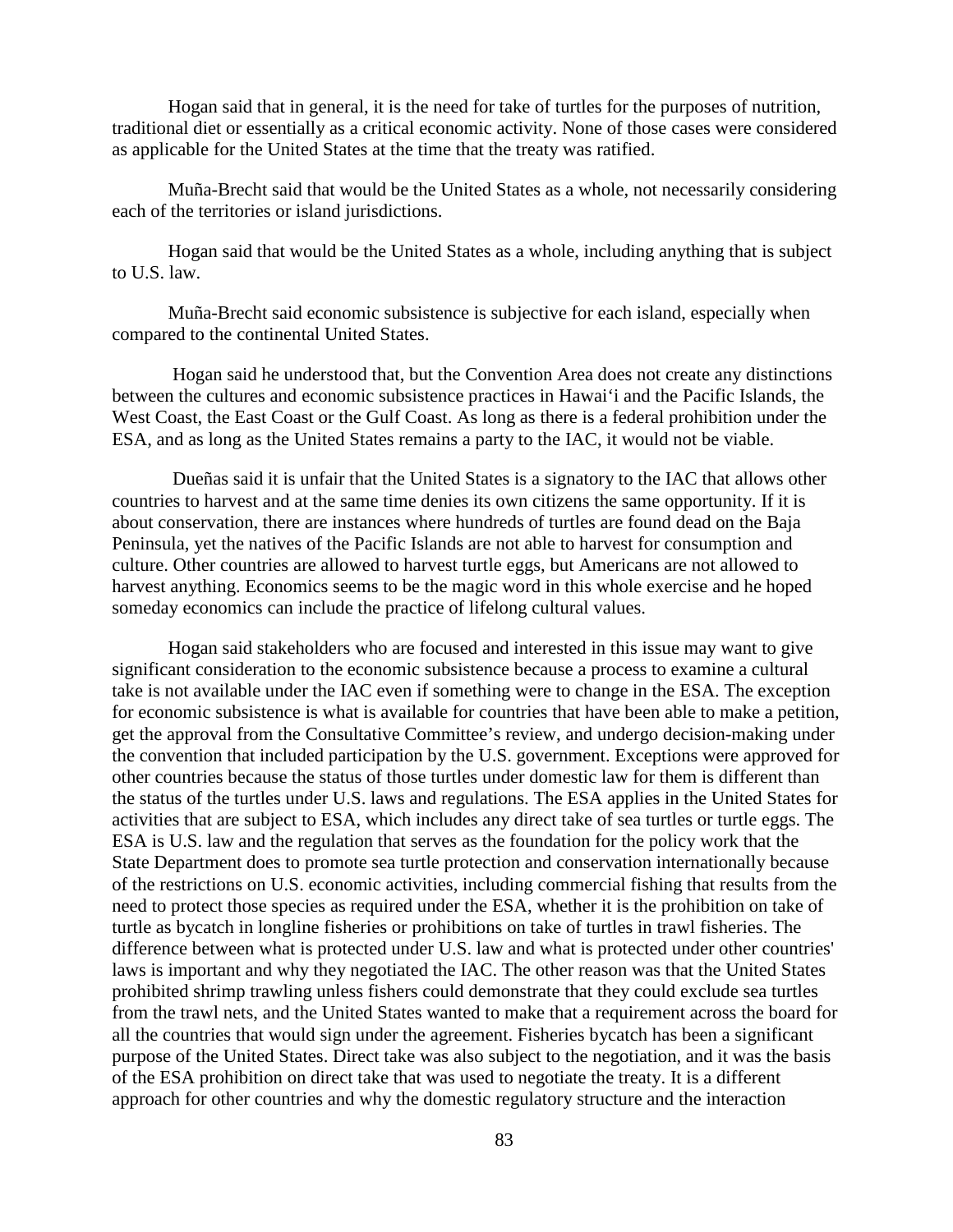Hogan said that in general, it is the need for take of turtles for the purposes of nutrition, traditional diet or essentially as a critical economic activity. None of those cases were considered as applicable for the United States at the time that the treaty was ratified.

Muña-Brecht said that would be the United States as a whole, not necessarily considering each of the territories or island jurisdictions.

Hogan said that would be the United States as a whole, including anything that is subject to U.S. law.

Muña-Brecht said economic subsistence is subjective for each island, especially when compared to the continental United States.

Hogan said he understood that, but the Convention Area does not create any distinctions between the cultures and economic subsistence practices in Hawai'i and the Pacific Islands, the West Coast, the East Coast or the Gulf Coast. As long as there is a federal prohibition under the ESA, and as long as the United States remains a party to the IAC, it would not be viable.

Dueñas said it is unfair that the United States is a signatory to the IAC that allows other countries to harvest and at the same time denies its own citizens the same opportunity. If it is about conservation, there are instances where hundreds of turtles are found dead on the Baja Peninsula, yet the natives of the Pacific Islands are not able to harvest for consumption and culture. Other countries are allowed to harvest turtle eggs, but Americans are not allowed to harvest anything. Economics seems to be the magic word in this whole exercise and he hoped someday economics can include the practice of lifelong cultural values.

Hogan said stakeholders who are focused and interested in this issue may want to give significant consideration to the economic subsistence because a process to examine a cultural take is not available under the IAC even if something were to change in the ESA. The exception for economic subsistence is what is available for countries that have been able to make a petition, get the approval from the Consultative Committee's review, and undergo decision-making under the convention that included participation by the U.S. government. Exceptions were approved for other countries because the status of those turtles under domestic law for them is different than the status of the turtles under U.S. laws and regulations. The ESA applies in the United States for activities that are subject to ESA, which includes any direct take of sea turtles or turtle eggs. The ESA is U.S. law and the regulation that serves as the foundation for the policy work that the State Department does to promote sea turtle protection and conservation internationally because of the restrictions on U.S. economic activities, including commercial fishing that results from the need to protect those species as required under the ESA, whether it is the prohibition on take of turtle as bycatch in longline fisheries or prohibitions on take of turtles in trawl fisheries. The difference between what is protected under U.S. law and what is protected under other countries' laws is important and why they negotiated the IAC. The other reason was that the United States prohibited shrimp trawling unless fishers could demonstrate that they could exclude sea turtles from the trawl nets, and the United States wanted to make that a requirement across the board for all the countries that would sign under the agreement. Fisheries bycatch has been a significant purpose of the United States. Direct take was also subject to the negotiation, and it was the basis of the ESA prohibition on direct take that was used to negotiate the treaty. It is a different approach for other countries and why the domestic regulatory structure and the interaction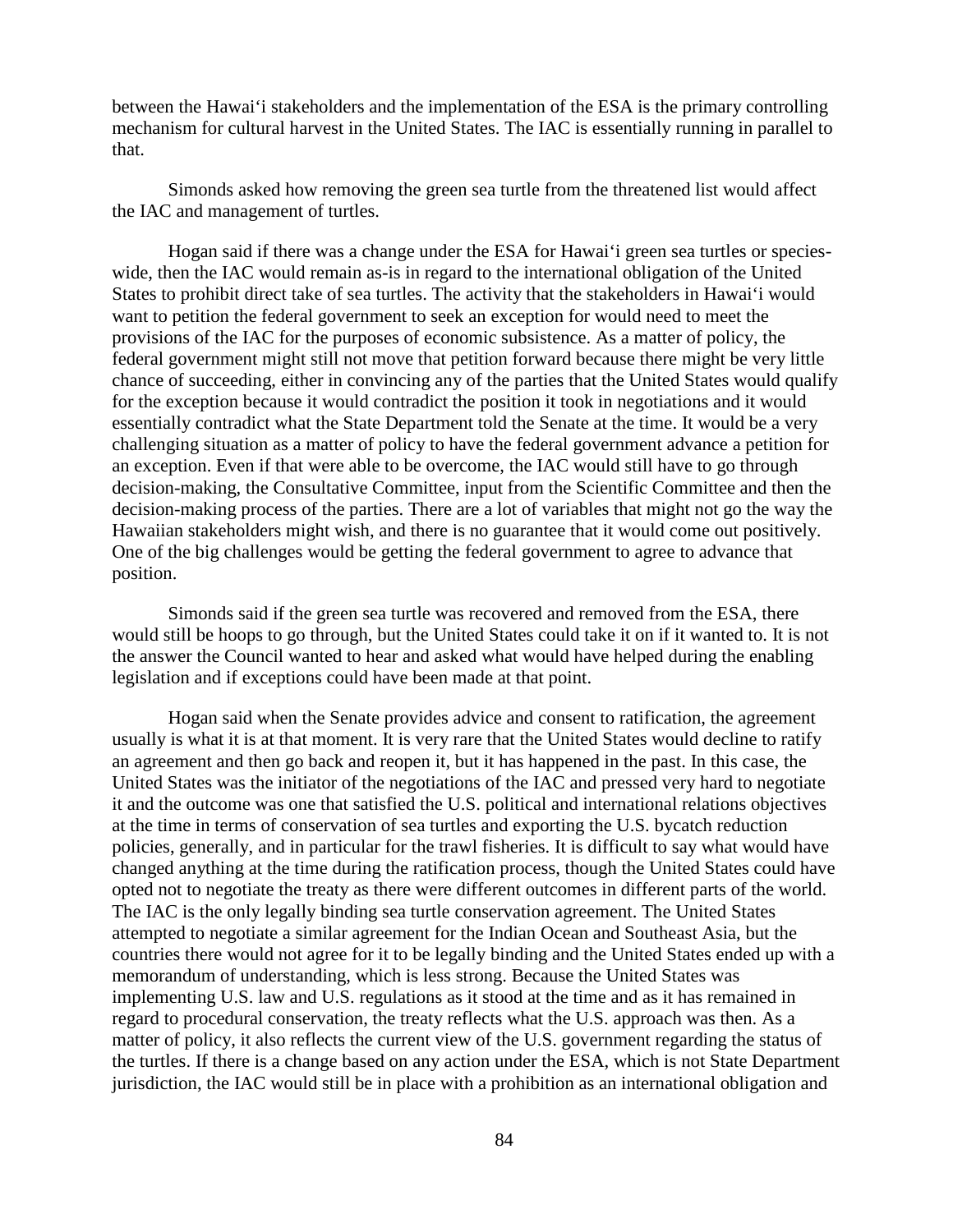between the Hawai'i stakeholders and the implementation of the ESA is the primary controlling mechanism for cultural harvest in the United States. The IAC is essentially running in parallel to that.

Simonds asked how removing the green sea turtle from the threatened list would affect the IAC and management of turtles.

Hogan said if there was a change under the ESA for Hawai'i green sea turtles or specieswide, then the IAC would remain as-is in regard to the international obligation of the United States to prohibit direct take of sea turtles. The activity that the stakeholders in Hawai'i would want to petition the federal government to seek an exception for would need to meet the provisions of the IAC for the purposes of economic subsistence. As a matter of policy, the federal government might still not move that petition forward because there might be very little chance of succeeding, either in convincing any of the parties that the United States would qualify for the exception because it would contradict the position it took in negotiations and it would essentially contradict what the State Department told the Senate at the time. It would be a very challenging situation as a matter of policy to have the federal government advance a petition for an exception. Even if that were able to be overcome, the IAC would still have to go through decision-making, the Consultative Committee, input from the Scientific Committee and then the decision-making process of the parties. There are a lot of variables that might not go the way the Hawaiian stakeholders might wish, and there is no guarantee that it would come out positively. One of the big challenges would be getting the federal government to agree to advance that position.

Simonds said if the green sea turtle was recovered and removed from the ESA, there would still be hoops to go through, but the United States could take it on if it wanted to. It is not the answer the Council wanted to hear and asked what would have helped during the enabling legislation and if exceptions could have been made at that point.

Hogan said when the Senate provides advice and consent to ratification, the agreement usually is what it is at that moment. It is very rare that the United States would decline to ratify an agreement and then go back and reopen it, but it has happened in the past. In this case, the United States was the initiator of the negotiations of the IAC and pressed very hard to negotiate it and the outcome was one that satisfied the U.S. political and international relations objectives at the time in terms of conservation of sea turtles and exporting the U.S. bycatch reduction policies, generally, and in particular for the trawl fisheries. It is difficult to say what would have changed anything at the time during the ratification process, though the United States could have opted not to negotiate the treaty as there were different outcomes in different parts of the world. The IAC is the only legally binding sea turtle conservation agreement. The United States attempted to negotiate a similar agreement for the Indian Ocean and Southeast Asia, but the countries there would not agree for it to be legally binding and the United States ended up with a memorandum of understanding, which is less strong. Because the United States was implementing U.S. law and U.S. regulations as it stood at the time and as it has remained in regard to procedural conservation, the treaty reflects what the U.S. approach was then. As a matter of policy, it also reflects the current view of the U.S. government regarding the status of the turtles. If there is a change based on any action under the ESA, which is not State Department jurisdiction, the IAC would still be in place with a prohibition as an international obligation and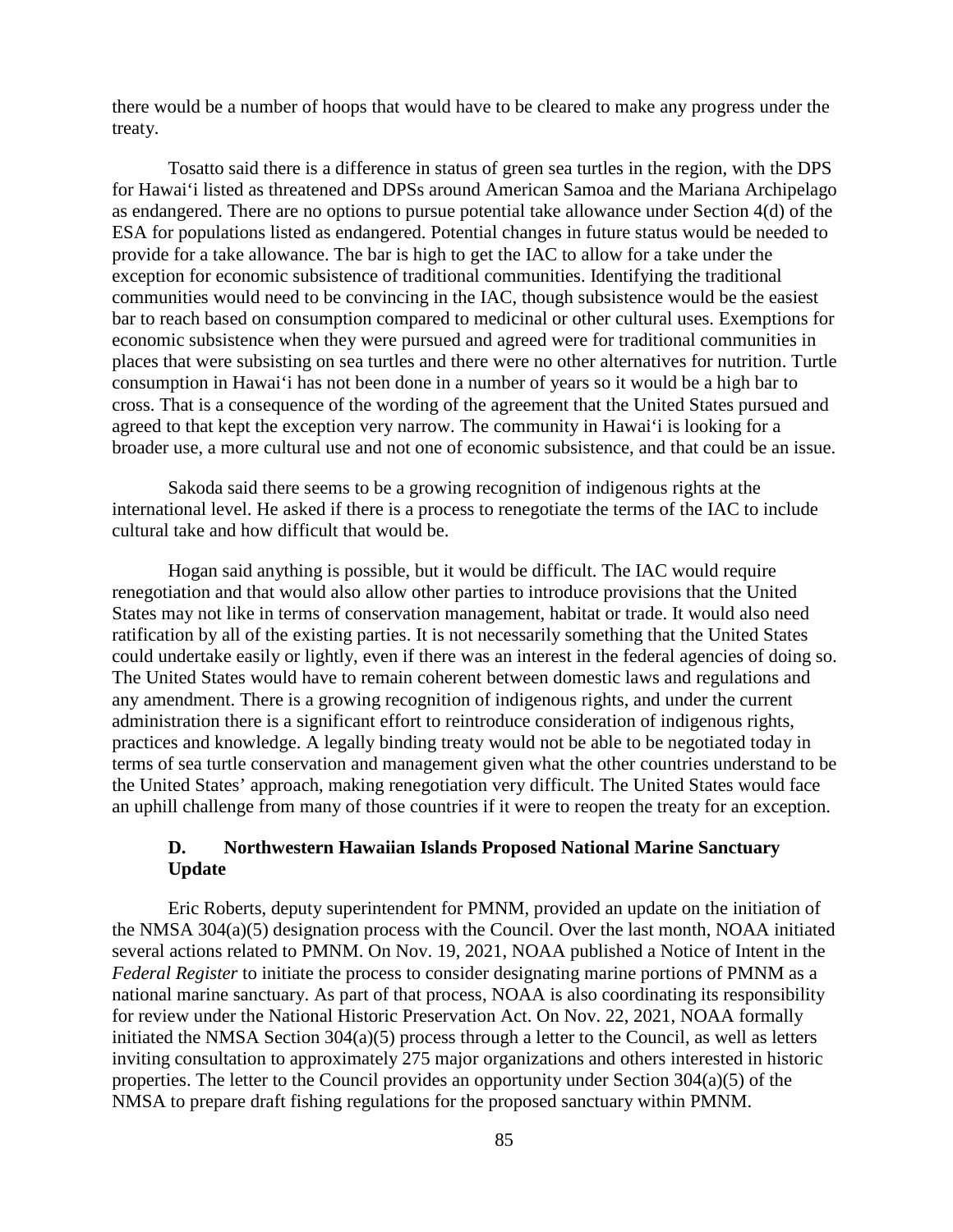there would be a number of hoops that would have to be cleared to make any progress under the treaty.

Tosatto said there is a difference in status of green sea turtles in the region, with the DPS for Hawai'i listed as threatened and DPSs around American Samoa and the Mariana Archipelago as endangered. There are no options to pursue potential take allowance under Section 4(d) of the ESA for populations listed as endangered. Potential changes in future status would be needed to provide for a take allowance. The bar is high to get the IAC to allow for a take under the exception for economic subsistence of traditional communities. Identifying the traditional communities would need to be convincing in the IAC, though subsistence would be the easiest bar to reach based on consumption compared to medicinal or other cultural uses. Exemptions for economic subsistence when they were pursued and agreed were for traditional communities in places that were subsisting on sea turtles and there were no other alternatives for nutrition. Turtle consumption in Hawai'i has not been done in a number of years so it would be a high bar to cross. That is a consequence of the wording of the agreement that the United States pursued and agreed to that kept the exception very narrow. The community in Hawai'i is looking for a broader use, a more cultural use and not one of economic subsistence, and that could be an issue.

Sakoda said there seems to be a growing recognition of indigenous rights at the international level. He asked if there is a process to renegotiate the terms of the IAC to include cultural take and how difficult that would be.

Hogan said anything is possible, but it would be difficult. The IAC would require renegotiation and that would also allow other parties to introduce provisions that the United States may not like in terms of conservation management, habitat or trade. It would also need ratification by all of the existing parties. It is not necessarily something that the United States could undertake easily or lightly, even if there was an interest in the federal agencies of doing so. The United States would have to remain coherent between domestic laws and regulations and any amendment. There is a growing recognition of indigenous rights, and under the current administration there is a significant effort to reintroduce consideration of indigenous rights, practices and knowledge. A legally binding treaty would not be able to be negotiated today in terms of sea turtle conservation and management given what the other countries understand to be the United States' approach, making renegotiation very difficult. The United States would face an uphill challenge from many of those countries if it were to reopen the treaty for an exception.

### **D. Northwestern Hawaiian Islands Proposed National Marine Sanctuary Update**

Eric Roberts, deputy superintendent for PMNM, provided an update on the initiation of the NMSA 304(a)(5) designation process with the Council. Over the last month, NOAA initiated several actions related to PMNM. On Nov. 19, 2021, NOAA published a Notice of Intent in the *Federal Register* to initiate the process to consider designating marine portions of PMNM as a national marine sanctuary. As part of that process, NOAA is also coordinating its responsibility for review under the National Historic Preservation Act. On Nov. 22, 2021, NOAA formally initiated the NMSA Section 304(a)(5) process through a letter to the Council, as well as letters inviting consultation to approximately 275 major organizations and others interested in historic properties. The letter to the Council provides an opportunity under Section 304(a)(5) of the NMSA to prepare draft fishing regulations for the proposed sanctuary within PMNM.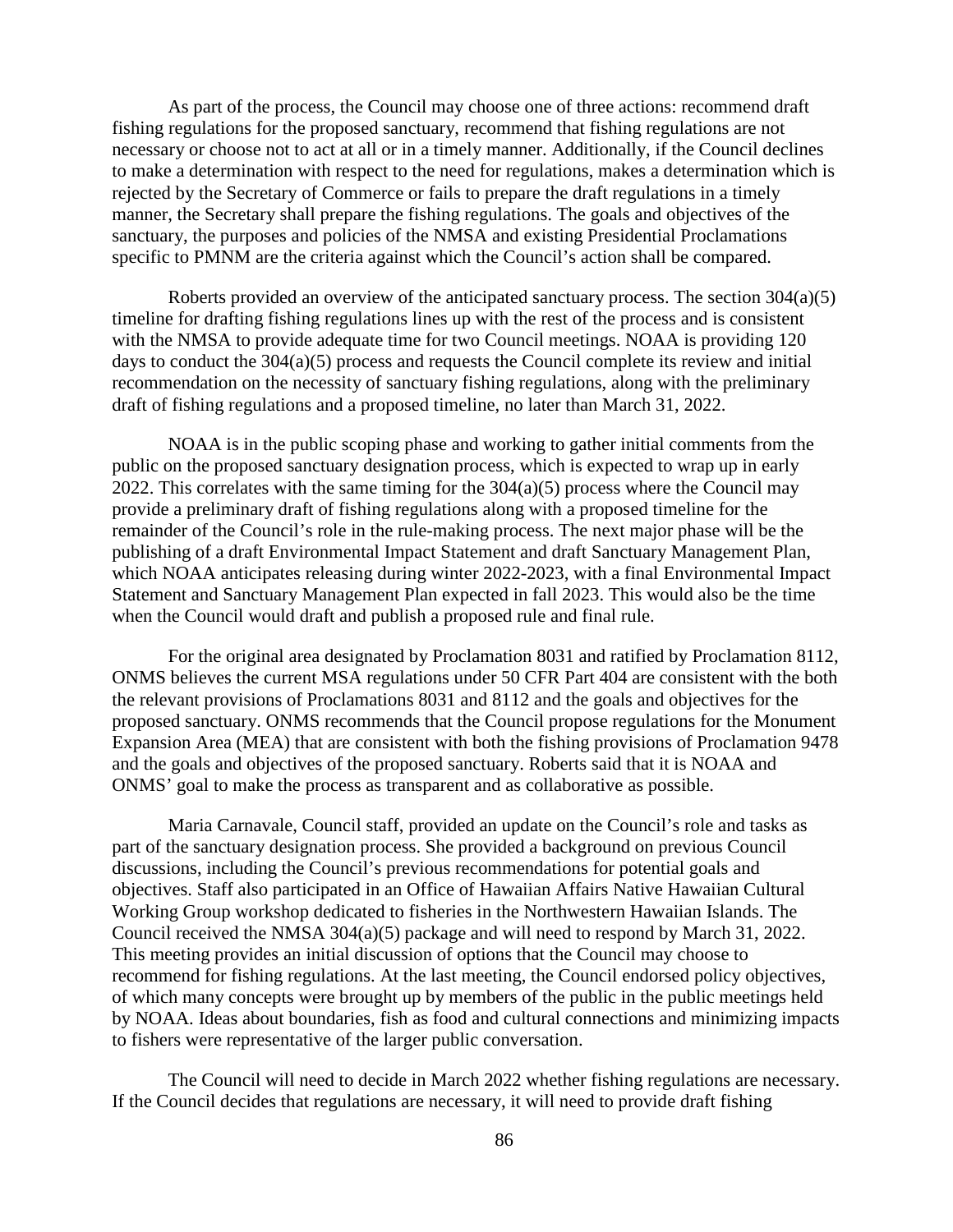As part of the process, the Council may choose one of three actions: recommend draft fishing regulations for the proposed sanctuary, recommend that fishing regulations are not necessary or choose not to act at all or in a timely manner. Additionally, if the Council declines to make a determination with respect to the need for regulations, makes a determination which is rejected by the Secretary of Commerce or fails to prepare the draft regulations in a timely manner, the Secretary shall prepare the fishing regulations. The goals and objectives of the sanctuary, the purposes and policies of the NMSA and existing Presidential Proclamations specific to PMNM are the criteria against which the Council's action shall be compared.

Roberts provided an overview of the anticipated sanctuary process. The section 304(a)(5) timeline for drafting fishing regulations lines up with the rest of the process and is consistent with the NMSA to provide adequate time for two Council meetings. NOAA is providing 120 days to conduct the 304(a)(5) process and requests the Council complete its review and initial recommendation on the necessity of sanctuary fishing regulations, along with the preliminary draft of fishing regulations and a proposed timeline, no later than March 31, 2022.

NOAA is in the public scoping phase and working to gather initial comments from the public on the proposed sanctuary designation process, which is expected to wrap up in early 2022. This correlates with the same timing for the  $304(a)(5)$  process where the Council may provide a preliminary draft of fishing regulations along with a proposed timeline for the remainder of the Council's role in the rule-making process. The next major phase will be the publishing of a draft Environmental Impact Statement and draft Sanctuary Management Plan, which NOAA anticipates releasing during winter 2022-2023, with a final Environmental Impact Statement and Sanctuary Management Plan expected in fall 2023. This would also be the time when the Council would draft and publish a proposed rule and final rule.

For the original area designated by Proclamation 8031 and ratified by Proclamation 8112, ONMS believes the current MSA regulations under 50 CFR Part 404 are consistent with the both the relevant provisions of Proclamations 8031 and 8112 and the goals and objectives for the proposed sanctuary. ONMS recommends that the Council propose regulations for the Monument Expansion Area (MEA) that are consistent with both the fishing provisions of Proclamation 9478 and the goals and objectives of the proposed sanctuary. Roberts said that it is NOAA and ONMS' goal to make the process as transparent and as collaborative as possible.

Maria Carnavale, Council staff, provided an update on the Council's role and tasks as part of the sanctuary designation process. She provided a background on previous Council discussions, including the Council's previous recommendations for potential goals and objectives. Staff also participated in an Office of Hawaiian Affairs Native Hawaiian Cultural Working Group workshop dedicated to fisheries in the Northwestern Hawaiian Islands. The Council received the NMSA 304(a)(5) package and will need to respond by March 31, 2022. This meeting provides an initial discussion of options that the Council may choose to recommend for fishing regulations. At the last meeting, the Council endorsed policy objectives, of which many concepts were brought up by members of the public in the public meetings held by NOAA. Ideas about boundaries, fish as food and cultural connections and minimizing impacts to fishers were representative of the larger public conversation.

The Council will need to decide in March 2022 whether fishing regulations are necessary. If the Council decides that regulations are necessary, it will need to provide draft fishing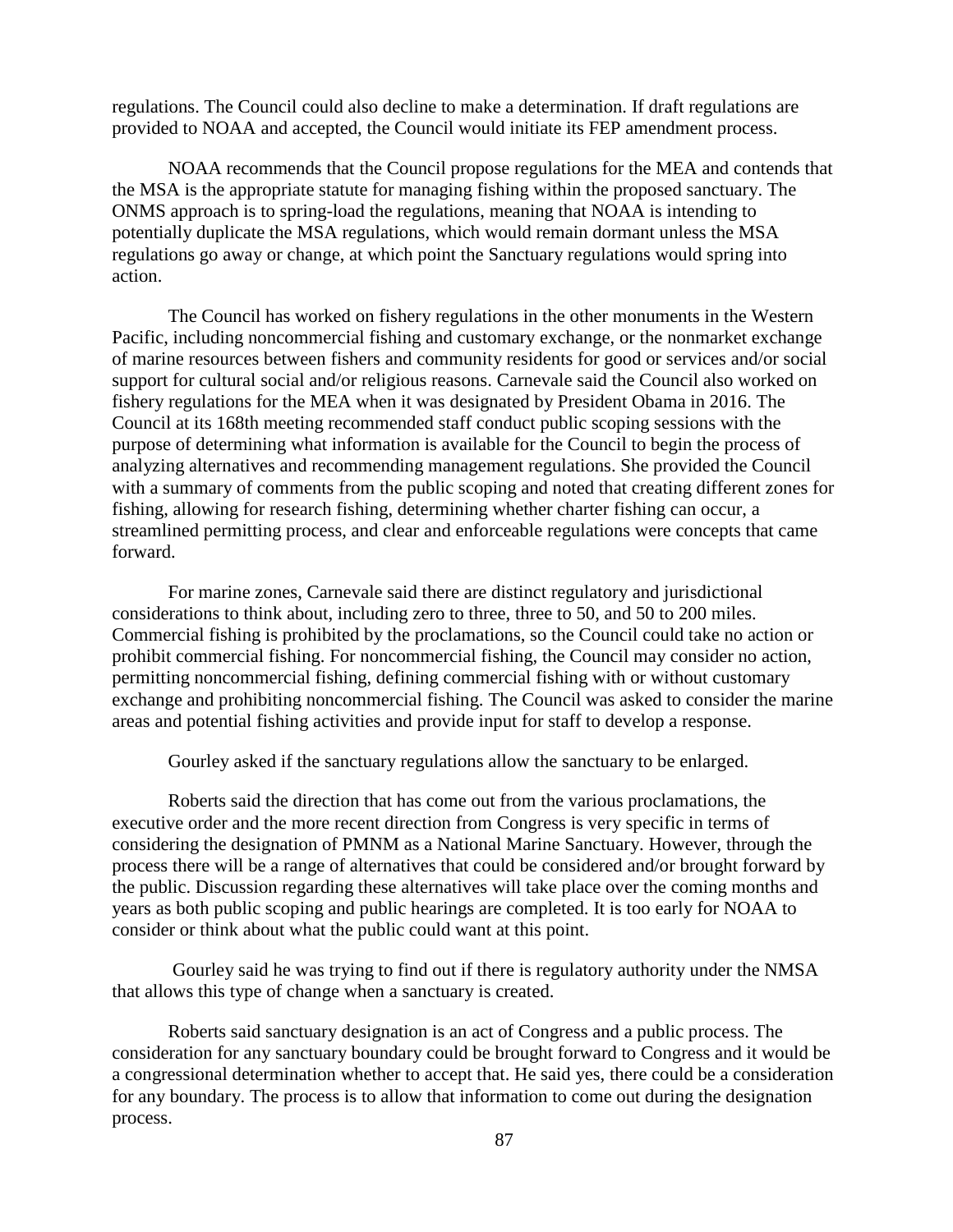regulations. The Council could also decline to make a determination. If draft regulations are provided to NOAA and accepted, the Council would initiate its FEP amendment process.

NOAA recommends that the Council propose regulations for the MEA and contends that the MSA is the appropriate statute for managing fishing within the proposed sanctuary. The ONMS approach is to spring-load the regulations, meaning that NOAA is intending to potentially duplicate the MSA regulations, which would remain dormant unless the MSA regulations go away or change, at which point the Sanctuary regulations would spring into action.

The Council has worked on fishery regulations in the other monuments in the Western Pacific, including noncommercial fishing and customary exchange, or the nonmarket exchange of marine resources between fishers and community residents for good or services and/or social support for cultural social and/or religious reasons. Carnevale said the Council also worked on fishery regulations for the MEA when it was designated by President Obama in 2016. The Council at its 168th meeting recommended staff conduct public scoping sessions with the purpose of determining what information is available for the Council to begin the process of analyzing alternatives and recommending management regulations. She provided the Council with a summary of comments from the public scoping and noted that creating different zones for fishing, allowing for research fishing, determining whether charter fishing can occur, a streamlined permitting process, and clear and enforceable regulations were concepts that came forward.

For marine zones, Carnevale said there are distinct regulatory and jurisdictional considerations to think about, including zero to three, three to 50, and 50 to 200 miles. Commercial fishing is prohibited by the proclamations, so the Council could take no action or prohibit commercial fishing. For noncommercial fishing, the Council may consider no action, permitting noncommercial fishing, defining commercial fishing with or without customary exchange and prohibiting noncommercial fishing. The Council was asked to consider the marine areas and potential fishing activities and provide input for staff to develop a response.

Gourley asked if the sanctuary regulations allow the sanctuary to be enlarged.

Roberts said the direction that has come out from the various proclamations, the executive order and the more recent direction from Congress is very specific in terms of considering the designation of PMNM as a National Marine Sanctuary. However, through the process there will be a range of alternatives that could be considered and/or brought forward by the public. Discussion regarding these alternatives will take place over the coming months and years as both public scoping and public hearings are completed. It is too early for NOAA to consider or think about what the public could want at this point.

Gourley said he was trying to find out if there is regulatory authority under the NMSA that allows this type of change when a sanctuary is created.

Roberts said sanctuary designation is an act of Congress and a public process. The consideration for any sanctuary boundary could be brought forward to Congress and it would be a congressional determination whether to accept that. He said yes, there could be a consideration for any boundary. The process is to allow that information to come out during the designation process.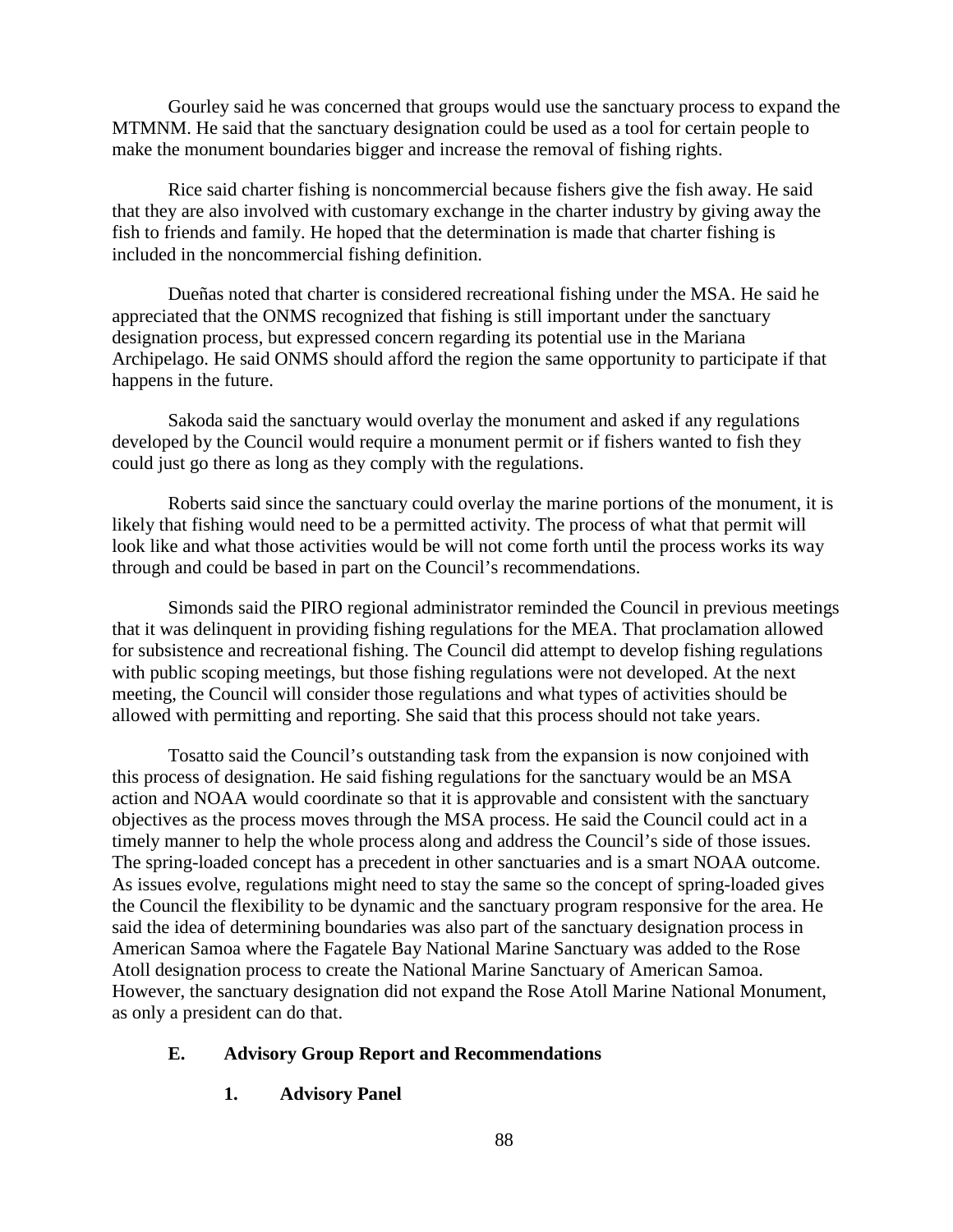Gourley said he was concerned that groups would use the sanctuary process to expand the MTMNM. He said that the sanctuary designation could be used as a tool for certain people to make the monument boundaries bigger and increase the removal of fishing rights.

Rice said charter fishing is noncommercial because fishers give the fish away. He said that they are also involved with customary exchange in the charter industry by giving away the fish to friends and family. He hoped that the determination is made that charter fishing is included in the noncommercial fishing definition.

Dueñas noted that charter is considered recreational fishing under the MSA. He said he appreciated that the ONMS recognized that fishing is still important under the sanctuary designation process, but expressed concern regarding its potential use in the Mariana Archipelago. He said ONMS should afford the region the same opportunity to participate if that happens in the future.

Sakoda said the sanctuary would overlay the monument and asked if any regulations developed by the Council would require a monument permit or if fishers wanted to fish they could just go there as long as they comply with the regulations.

Roberts said since the sanctuary could overlay the marine portions of the monument, it is likely that fishing would need to be a permitted activity. The process of what that permit will look like and what those activities would be will not come forth until the process works its way through and could be based in part on the Council's recommendations.

Simonds said the PIRO regional administrator reminded the Council in previous meetings that it was delinquent in providing fishing regulations for the MEA. That proclamation allowed for subsistence and recreational fishing. The Council did attempt to develop fishing regulations with public scoping meetings, but those fishing regulations were not developed. At the next meeting, the Council will consider those regulations and what types of activities should be allowed with permitting and reporting. She said that this process should not take years.

Tosatto said the Council's outstanding task from the expansion is now conjoined with this process of designation. He said fishing regulations for the sanctuary would be an MSA action and NOAA would coordinate so that it is approvable and consistent with the sanctuary objectives as the process moves through the MSA process. He said the Council could act in a timely manner to help the whole process along and address the Council's side of those issues. The spring-loaded concept has a precedent in other sanctuaries and is a smart NOAA outcome. As issues evolve, regulations might need to stay the same so the concept of spring-loaded gives the Council the flexibility to be dynamic and the sanctuary program responsive for the area. He said the idea of determining boundaries was also part of the sanctuary designation process in American Samoa where the Fagatele Bay National Marine Sanctuary was added to the Rose Atoll designation process to create the National Marine Sanctuary of American Samoa. However, the sanctuary designation did not expand the Rose Atoll Marine National Monument, as only a president can do that.

### **E. Advisory Group Report and Recommendations**

## **1. Advisory Panel**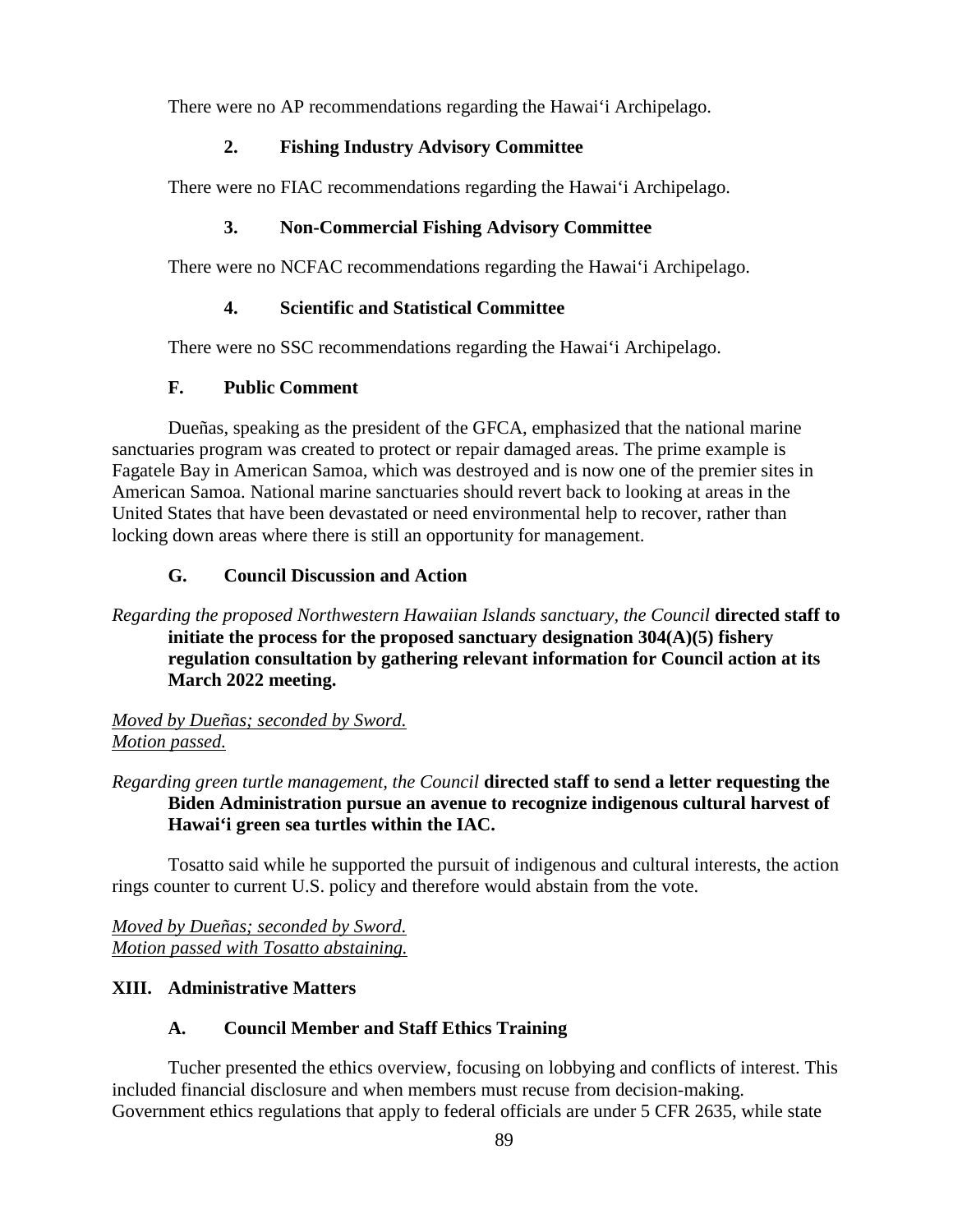There were no AP recommendations regarding the Hawai'i Archipelago.

## **2. Fishing Industry Advisory Committee**

There were no FIAC recommendations regarding the Hawai'i Archipelago.

## **3. Non-Commercial Fishing Advisory Committee**

There were no NCFAC recommendations regarding the Hawai'i Archipelago.

# **4. Scientific and Statistical Committee**

There were no SSC recommendations regarding the Hawai'i Archipelago.

# **F. Public Comment**

Dueñas, speaking as the president of the GFCA, emphasized that the national marine sanctuaries program was created to protect or repair damaged areas. The prime example is Fagatele Bay in American Samoa, which was destroyed and is now one of the premier sites in American Samoa. National marine sanctuaries should revert back to looking at areas in the United States that have been devastated or need environmental help to recover, rather than locking down areas where there is still an opportunity for management.

# **G. Council Discussion and Action**

## *Regarding the proposed Northwestern Hawaiian Islands sanctuary, the Council* **directed staff to initiate the process for the proposed sanctuary designation 304(A)(5) fishery regulation consultation by gathering relevant information for Council action at its March 2022 meeting.**

*Moved by Dueñas; seconded by Sword. Motion passed.*

# *Regarding green turtle management, the Council* **directed staff to send a letter requesting the Biden Administration pursue an avenue to recognize indigenous cultural harvest of Hawai'i green sea turtles within the IAC.**

Tosatto said while he supported the pursuit of indigenous and cultural interests, the action rings counter to current U.S. policy and therefore would abstain from the vote.

*Moved by Dueñas; seconded by Sword. Motion passed with Tosatto abstaining.*

# **XIII. Administrative Matters**

## **A. Council Member and Staff Ethics Training**

Tucher presented the ethics overview, focusing on lobbying and conflicts of interest. This included financial disclosure and when members must recuse from decision-making. Government ethics regulations that apply to federal officials are under 5 CFR 2635, while state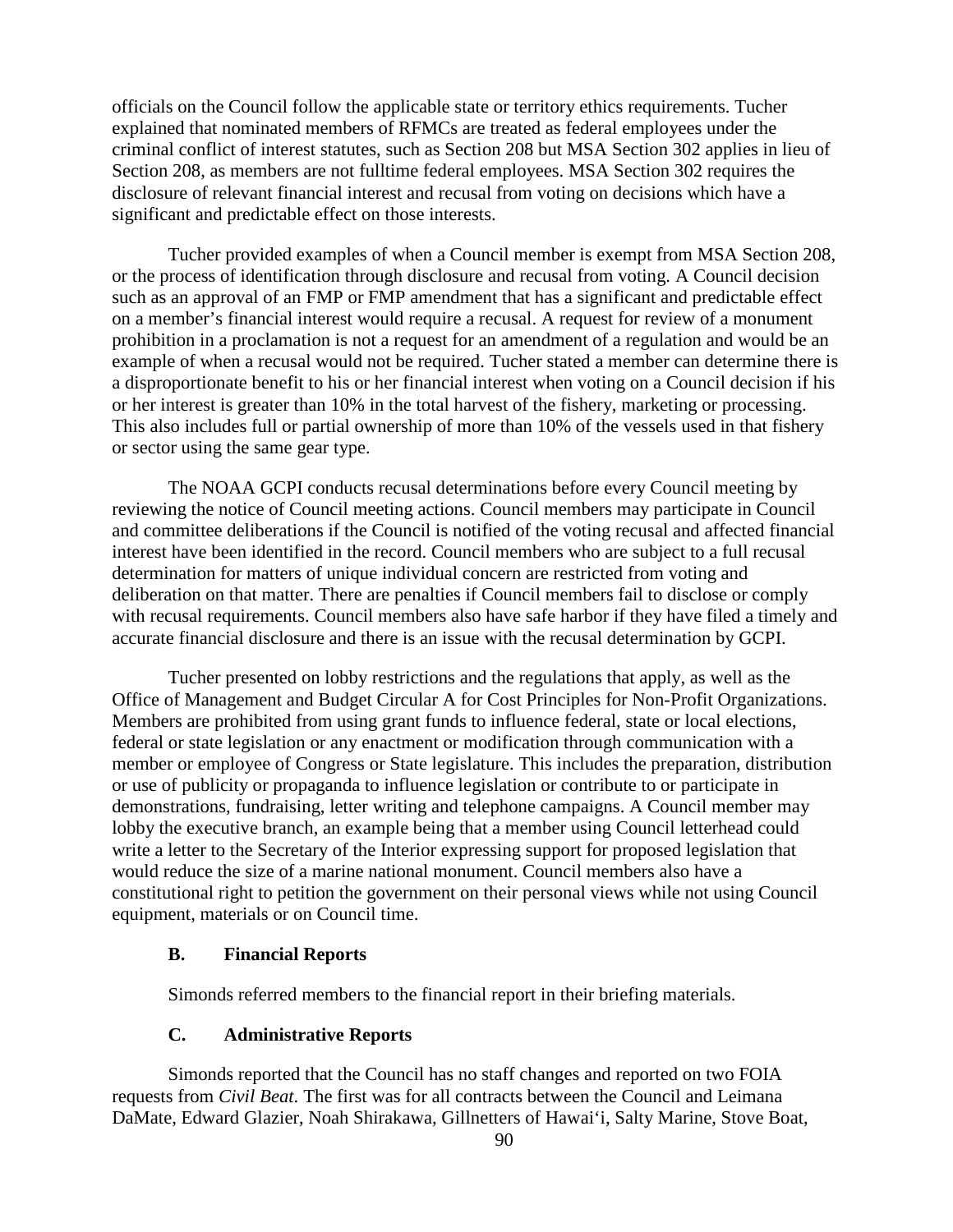officials on the Council follow the applicable state or territory ethics requirements. Tucher explained that nominated members of RFMCs are treated as federal employees under the criminal conflict of interest statutes, such as Section 208 but MSA Section 302 applies in lieu of Section 208, as members are not fulltime federal employees. MSA Section 302 requires the disclosure of relevant financial interest and recusal from voting on decisions which have a significant and predictable effect on those interests.

Tucher provided examples of when a Council member is exempt from MSA Section 208, or the process of identification through disclosure and recusal from voting. A Council decision such as an approval of an FMP or FMP amendment that has a significant and predictable effect on a member's financial interest would require a recusal. A request for review of a monument prohibition in a proclamation is not a request for an amendment of a regulation and would be an example of when a recusal would not be required. Tucher stated a member can determine there is a disproportionate benefit to his or her financial interest when voting on a Council decision if his or her interest is greater than 10% in the total harvest of the fishery, marketing or processing. This also includes full or partial ownership of more than 10% of the vessels used in that fishery or sector using the same gear type.

The NOAA GCPI conducts recusal determinations before every Council meeting by reviewing the notice of Council meeting actions. Council members may participate in Council and committee deliberations if the Council is notified of the voting recusal and affected financial interest have been identified in the record. Council members who are subject to a full recusal determination for matters of unique individual concern are restricted from voting and deliberation on that matter. There are penalties if Council members fail to disclose or comply with recusal requirements. Council members also have safe harbor if they have filed a timely and accurate financial disclosure and there is an issue with the recusal determination by GCPI.

Tucher presented on lobby restrictions and the regulations that apply, as well as the Office of Management and Budget Circular A for Cost Principles for Non-Profit Organizations. Members are prohibited from using grant funds to influence federal, state or local elections, federal or state legislation or any enactment or modification through communication with a member or employee of Congress or State legislature. This includes the preparation, distribution or use of publicity or propaganda to influence legislation or contribute to or participate in demonstrations, fundraising, letter writing and telephone campaigns. A Council member may lobby the executive branch, an example being that a member using Council letterhead could write a letter to the Secretary of the Interior expressing support for proposed legislation that would reduce the size of a marine national monument. Council members also have a constitutional right to petition the government on their personal views while not using Council equipment, materials or on Council time.

#### **B. Financial Reports**

Simonds referred members to the financial report in their briefing materials.

### **C. Administrative Reports**

Simonds reported that the Council has no staff changes and reported on two FOIA requests from *Civil Beat*. The first was for all contracts between the Council and Leimana DaMate, Edward Glazier, Noah Shirakawa, Gillnetters of Hawai'i, Salty Marine, Stove Boat,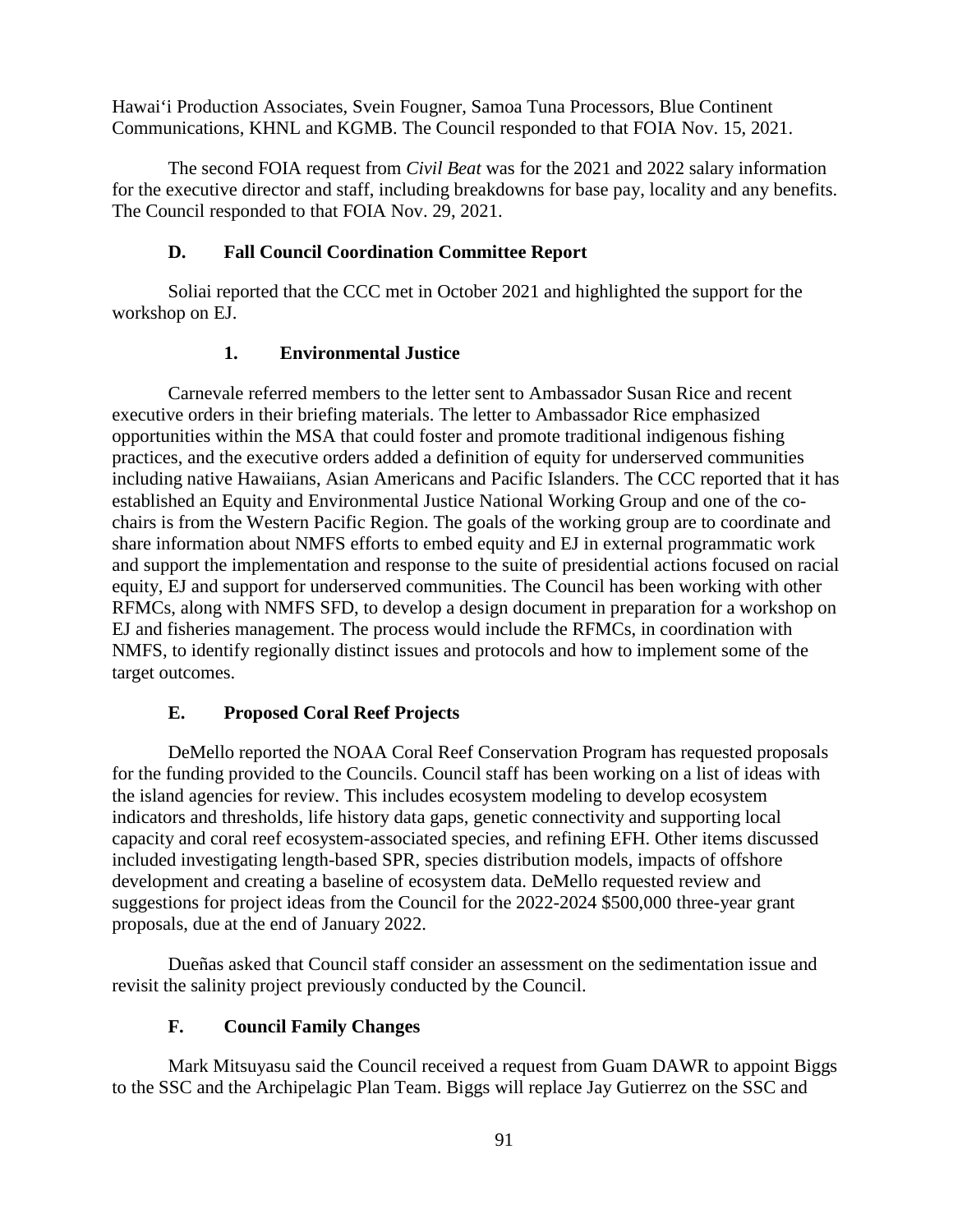Hawai'i Production Associates, Svein Fougner, Samoa Tuna Processors, Blue Continent Communications, KHNL and KGMB. The Council responded to that FOIA Nov. 15, 2021.

The second FOIA request from *Civil Beat* was for the 2021 and 2022 salary information for the executive director and staff, including breakdowns for base pay, locality and any benefits. The Council responded to that FOIA Nov. 29, 2021.

## **D. Fall Council Coordination Committee Report**

Soliai reported that the CCC met in October 2021 and highlighted the support for the workshop on EJ.

### **1. Environmental Justice**

Carnevale referred members to the letter sent to Ambassador Susan Rice and recent executive orders in their briefing materials. The letter to Ambassador Rice emphasized opportunities within the MSA that could foster and promote traditional indigenous fishing practices, and the executive orders added a definition of equity for underserved communities including native Hawaiians, Asian Americans and Pacific Islanders. The CCC reported that it has established an Equity and Environmental Justice National Working Group and one of the cochairs is from the Western Pacific Region. The goals of the working group are to coordinate and share information about NMFS efforts to embed equity and EJ in external programmatic work and support the implementation and response to the suite of presidential actions focused on racial equity, EJ and support for underserved communities. The Council has been working with other RFMCs, along with NMFS SFD, to develop a design document in preparation for a workshop on EJ and fisheries management. The process would include the RFMCs, in coordination with NMFS, to identify regionally distinct issues and protocols and how to implement some of the target outcomes.

## **E. Proposed Coral Reef Projects**

DeMello reported the NOAA Coral Reef Conservation Program has requested proposals for the funding provided to the Councils. Council staff has been working on a list of ideas with the island agencies for review. This includes ecosystem modeling to develop ecosystem indicators and thresholds, life history data gaps, genetic connectivity and supporting local capacity and coral reef ecosystem-associated species, and refining EFH. Other items discussed included investigating length-based SPR, species distribution models, impacts of offshore development and creating a baseline of ecosystem data. DeMello requested review and suggestions for project ideas from the Council for the 2022-2024 \$500,000 three-year grant proposals, due at the end of January 2022.

Dueñas asked that Council staff consider an assessment on the sedimentation issue and revisit the salinity project previously conducted by the Council.

## **F. Council Family Changes**

Mark Mitsuyasu said the Council received a request from Guam DAWR to appoint Biggs to the SSC and the Archipelagic Plan Team. Biggs will replace Jay Gutierrez on the SSC and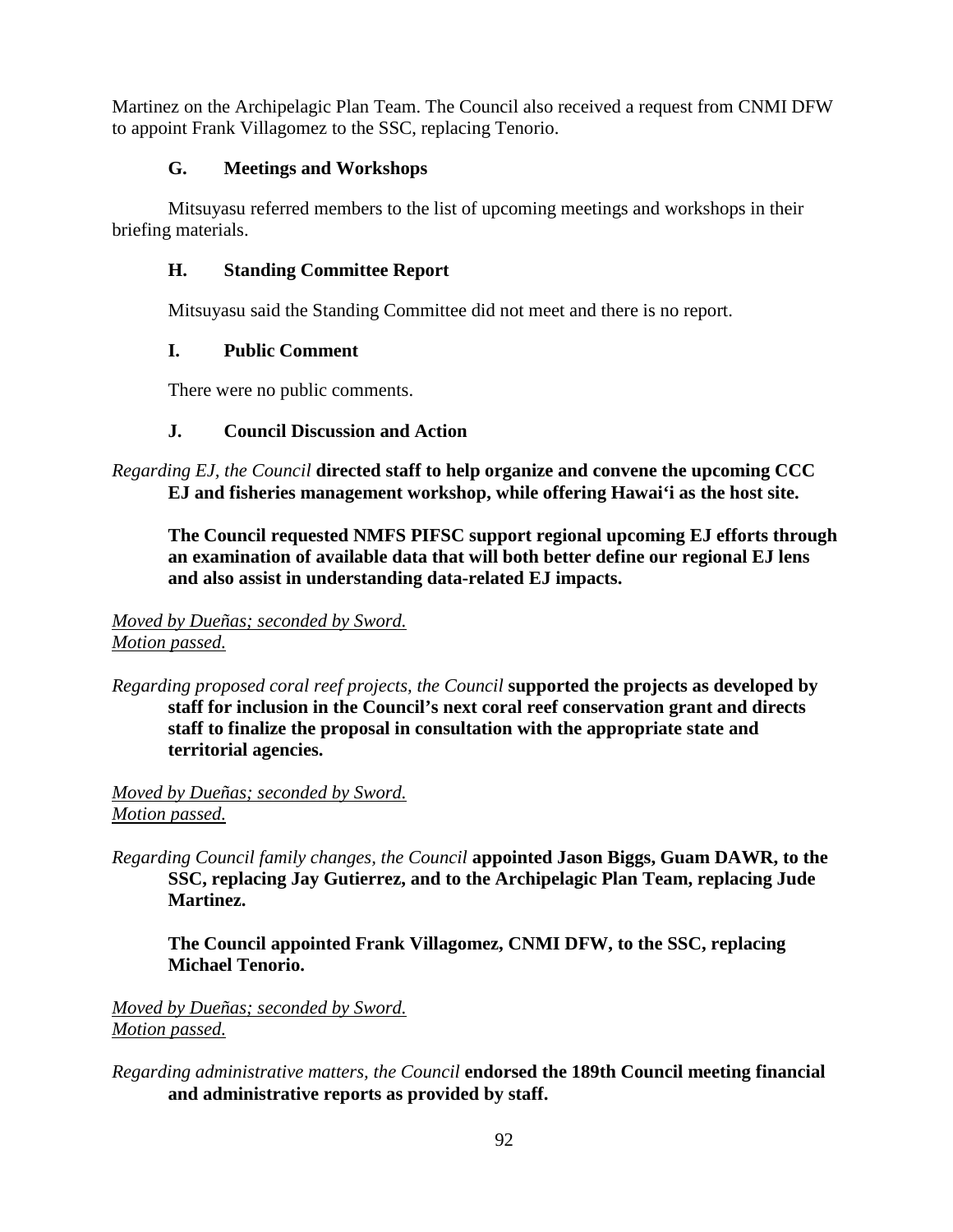Martinez on the Archipelagic Plan Team. The Council also received a request from CNMI DFW to appoint Frank Villagomez to the SSC, replacing Tenorio.

## **G. Meetings and Workshops**

Mitsuyasu referred members to the list of upcoming meetings and workshops in their briefing materials.

# **H. Standing Committee Report**

Mitsuyasu said the Standing Committee did not meet and there is no report.

# **I. Public Comment**

There were no public comments.

# **J. Council Discussion and Action**

*Regarding EJ, the Council* **directed staff to help organize and convene the upcoming CCC EJ and fisheries management workshop, while offering Hawai'i as the host site.**

**The Council requested NMFS PIFSC support regional upcoming EJ efforts through an examination of available data that will both better define our regional EJ lens and also assist in understanding data-related EJ impacts.** 

## *Moved by Dueñas; seconded by Sword. Motion passed.*

*Regarding proposed coral reef projects, the Council* **supported the projects as developed by staff for inclusion in the Council's next coral reef conservation grant and directs staff to finalize the proposal in consultation with the appropriate state and territorial agencies.**

## *Moved by Dueñas; seconded by Sword. Motion passed.*

*Regarding Council family changes, the Council* **appointed Jason Biggs, Guam DAWR, to the SSC, replacing Jay Gutierrez, and to the Archipelagic Plan Team, replacing Jude Martinez.**

**The Council appointed Frank Villagomez, CNMI DFW, to the SSC, replacing Michael Tenorio.** 

## *Moved by Dueñas; seconded by Sword. Motion passed.*

*Regarding administrative matters, the Council* **endorsed the 189th Council meeting financial and administrative reports as provided by staff.**